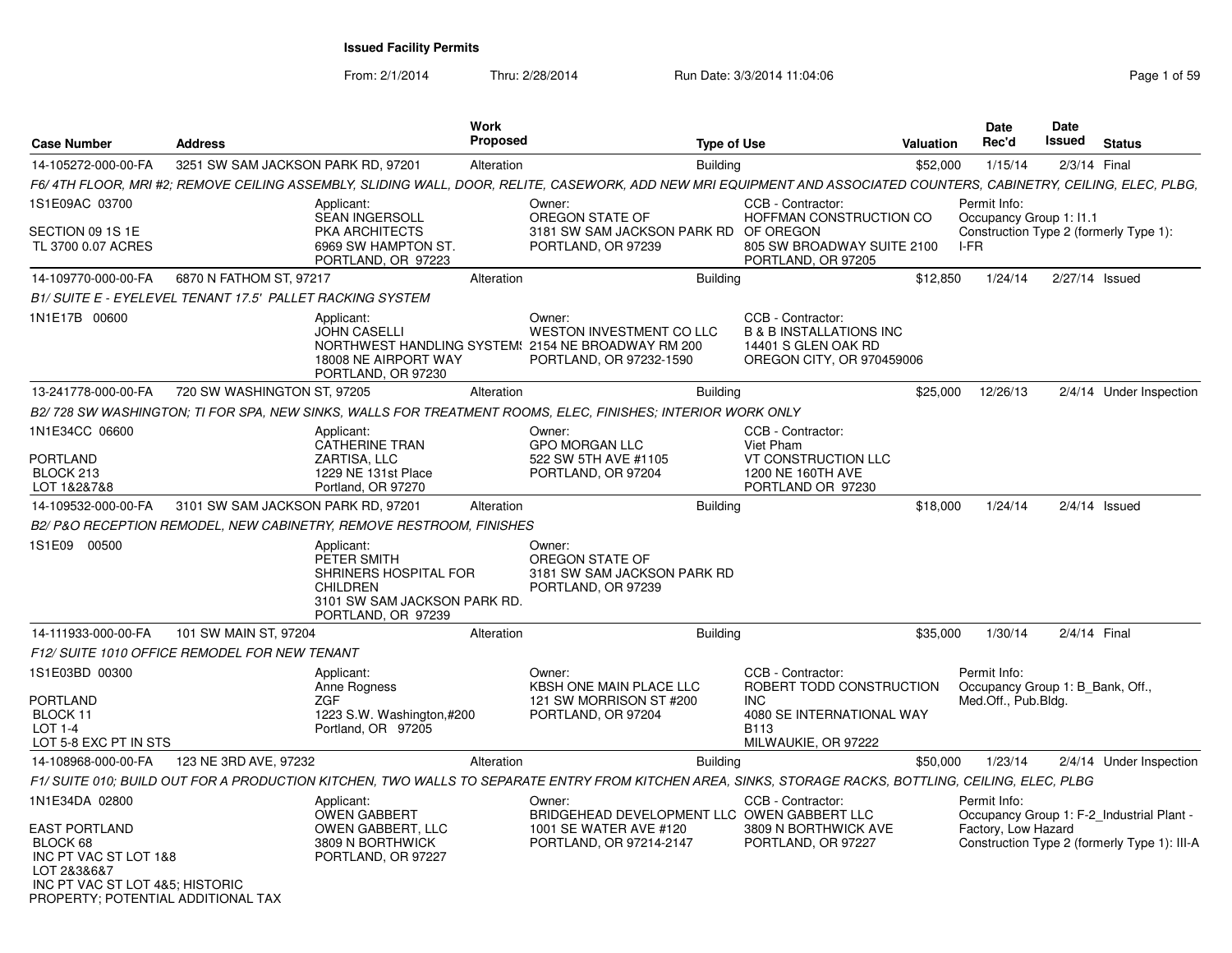From: 2/1/2014

Thru: 2/28/2014 Run Date: 3/3/2014 11:04:06 Research 2010 Page 1 of 59

| <b>Case Number</b>                                                                                                            | <b>Address</b>                     | <b>Work</b><br><b>Proposed</b>                                                                                                                                      |                                                                                                            | <b>Type of Use</b> |                                                                                                             | Valuation | <b>Date</b><br>Rec'd                                                    | Date<br>Issued | <b>Status</b>                                                                             |
|-------------------------------------------------------------------------------------------------------------------------------|------------------------------------|---------------------------------------------------------------------------------------------------------------------------------------------------------------------|------------------------------------------------------------------------------------------------------------|--------------------|-------------------------------------------------------------------------------------------------------------|-----------|-------------------------------------------------------------------------|----------------|-------------------------------------------------------------------------------------------|
| 14-105272-000-00-FA                                                                                                           | 3251 SW SAM JACKSON PARK RD, 97201 | Alteration                                                                                                                                                          |                                                                                                            | <b>Building</b>    |                                                                                                             | \$52,000  | 1/15/14                                                                 |                | 2/3/14 Final                                                                              |
|                                                                                                                               |                                    | F6/4TH FLOOR, MRI #2; REMOVE CEILING ASSEMBLY, SLIDING WALL, DOOR, RELITE, CASEWORK, ADD NEW MRI EQUIPMENT AND ASSOCIATED COUNTERS, CABINETRY, CEILING, ELEC, PLBG, |                                                                                                            |                    |                                                                                                             |           |                                                                         |                |                                                                                           |
| 1S1E09AC 03700                                                                                                                |                                    | Applicant:                                                                                                                                                          | Owner:                                                                                                     |                    | CCB - Contractor:                                                                                           |           | Permit Info:                                                            |                |                                                                                           |
| SECTION 09 1S 1E<br>TL 3700 0.07 ACRES                                                                                        |                                    | <b>SEAN INGERSOLL</b><br><b>PKA ARCHITECTS</b><br>6969 SW HAMPTON ST.<br>PORTLAND, OR 97223                                                                         | OREGON STATE OF<br>3181 SW SAM JACKSON PARK RD OF OREGON<br>PORTLAND, OR 97239                             |                    | HOFFMAN CONSTRUCTION CO<br>805 SW BROADWAY SUITE 2100<br>PORTLAND, OR 97205                                 |           | Occupancy Group 1: I1.1<br>$I-FR$                                       |                | Construction Type 2 (formerly Type 1):                                                    |
| 14-109770-000-00-FA                                                                                                           | 6870 N FATHOM ST, 97217            | Alteration                                                                                                                                                          |                                                                                                            | <b>Building</b>    |                                                                                                             | \$12,850  | 1/24/14                                                                 |                | 2/27/14 Issued                                                                            |
| B1/ SUITE E - EYELEVEL TENANT 17.5' PALLET RACKING SYSTEM                                                                     |                                    |                                                                                                                                                                     |                                                                                                            |                    |                                                                                                             |           |                                                                         |                |                                                                                           |
| 1N1E17B 00600                                                                                                                 |                                    | Applicant:<br><b>JOHN CASELLI</b><br>NORTHWEST HANDLING SYSTEM: 2154 NE BROADWAY RM 200<br>18008 NE AIRPORT WAY<br>PORTLAND, OR 97230                               | Owner:<br><b>WESTON INVESTMENT CO LLC</b><br>PORTLAND, OR 97232-1590                                       |                    | CCB - Contractor:<br><b>B &amp; B INSTALLATIONS INC</b><br>14401 S GLEN OAK RD<br>OREGON CITY, OR 970459006 |           |                                                                         |                |                                                                                           |
| 13-241778-000-00-FA                                                                                                           | 720 SW WASHINGTON ST, 97205        | Alteration                                                                                                                                                          |                                                                                                            | <b>Building</b>    |                                                                                                             | \$25,000  | 12/26/13                                                                |                | 2/4/14 Under Inspection                                                                   |
|                                                                                                                               |                                    | B2/ 728 SW WASHINGTON; TI FOR SPA, NEW SINKS, WALLS FOR TREATMENT ROOMS, ELEC, FINISHES; INTERIOR WORK ONLY                                                         |                                                                                                            |                    |                                                                                                             |           |                                                                         |                |                                                                                           |
| 1N1E34CC 06600                                                                                                                |                                    | Applicant:                                                                                                                                                          | Owner:                                                                                                     |                    | CCB - Contractor:<br>Viet Pham                                                                              |           |                                                                         |                |                                                                                           |
| PORTLAND<br>BLOCK 213<br>LOT 1&2&7&8                                                                                          |                                    | <b>CATHERINE TRAN</b><br>ZARTISA, LLC<br>1229 NE 131st Place<br>Portland, OR 97270                                                                                  | <b>GPO MORGAN LLC</b><br>522 SW 5TH AVE #1105<br>PORTLAND, OR 97204                                        |                    | VT CONSTRUCTION LLC<br>1200 NE 160TH AVE<br>PORTLAND OR 97230                                               |           |                                                                         |                |                                                                                           |
| 14-109532-000-00-FA                                                                                                           | 3101 SW SAM JACKSON PARK RD, 97201 | Alteration                                                                                                                                                          |                                                                                                            | <b>Building</b>    |                                                                                                             | \$18,000  | 1/24/14                                                                 |                | $2/4/14$ Issued                                                                           |
|                                                                                                                               |                                    | B2/P&O RECEPTION REMODEL, NEW CABINETRY, REMOVE RESTROOM, FINISHES                                                                                                  |                                                                                                            |                    |                                                                                                             |           |                                                                         |                |                                                                                           |
| 1S1E09<br>00500                                                                                                               |                                    | Applicant:<br>PETER SMITH<br>SHRINERS HOSPITAL FOR<br><b>CHILDREN</b><br>3101 SW SAM JACKSON PARK RD.<br>PORTLAND, OR 97239                                         | Owner:<br>OREGON STATE OF<br>3181 SW SAM JACKSON PARK RD<br>PORTLAND, OR 97239                             |                    |                                                                                                             |           |                                                                         |                |                                                                                           |
| 14-111933-000-00-FA                                                                                                           | 101 SW MAIN ST, 97204              | Alteration                                                                                                                                                          |                                                                                                            | <b>Building</b>    |                                                                                                             | \$35,000  | 1/30/14                                                                 |                | 2/4/14 Final                                                                              |
| F12/ SUITE 1010 OFFICE REMODEL FOR NEW TENANT                                                                                 |                                    |                                                                                                                                                                     |                                                                                                            |                    |                                                                                                             |           |                                                                         |                |                                                                                           |
| 1S1E03BD 00300<br><b>PORTLAND</b><br>BLOCK 11                                                                                 |                                    | Applicant:<br>Anne Rogness<br>ZGF<br>1223 S.W. Washington,#200                                                                                                      | Owner:<br>KBSH ONE MAIN PLACE LLC<br>121 SW MORRISON ST #200<br>PORTLAND, OR 97204                         |                    | CCB - Contractor:<br>ROBERT TODD CONSTRUCTION<br><b>INC</b><br>4080 SE INTERNATIONAL WAY                    |           | Permit Info:<br>Occupancy Group 1: B Bank, Off.,<br>Med.Off., Pub.Bldg. |                |                                                                                           |
| <b>LOT 1-4</b><br>LOT 5-8 EXC PT IN STS                                                                                       |                                    | Portland, OR 97205                                                                                                                                                  |                                                                                                            |                    | <b>B113</b><br>MILWAUKIE, OR 97222                                                                          |           |                                                                         |                |                                                                                           |
| 14-108968-000-00-FA                                                                                                           | 123 NE 3RD AVE, 97232              | Alteration                                                                                                                                                          |                                                                                                            | <b>Building</b>    |                                                                                                             | \$50,000  | 1/23/14                                                                 |                | 2/4/14 Under Inspection                                                                   |
|                                                                                                                               |                                    | F1/ SUITE 010; BUILD OUT FOR A PRODUCTION KITCHEN, TWO WALLS TO SEPARATE ENTRY FROM KITCHEN AREA, SINKS, STORAGE RACKS, BOTTLING, CEILING, ELEC, PLBG               |                                                                                                            |                    |                                                                                                             |           |                                                                         |                |                                                                                           |
| 1N1E34DA 02800<br><b>EAST PORTLAND</b><br>BLOCK 68<br>INC PT VAC ST LOT 1&8<br>LOT 2&3&6&7<br>INC PT VAC ST LOT 4&5; HISTORIC | PROPERTY: POTENTIAL ADDITIONAL TAX | Applicant:<br>OWEN GABBERT<br><b>OWEN GABBERT, LLC</b><br>3809 N BORTHWICK<br>PORTLAND, OR 97227                                                                    | Owner:<br>BRIDGEHEAD DEVELOPMENT LLC OWEN GABBERT LLC<br>1001 SE WATER AVE #120<br>PORTLAND, OR 97214-2147 |                    | CCB - Contractor:<br>3809 N BORTHWICK AVE<br>PORTLAND, OR 97227                                             |           | Permit Info:<br>Factory, Low Hazard                                     |                | Occupancy Group 1: F-2_Industrial Plant -<br>Construction Type 2 (formerly Type 1): III-A |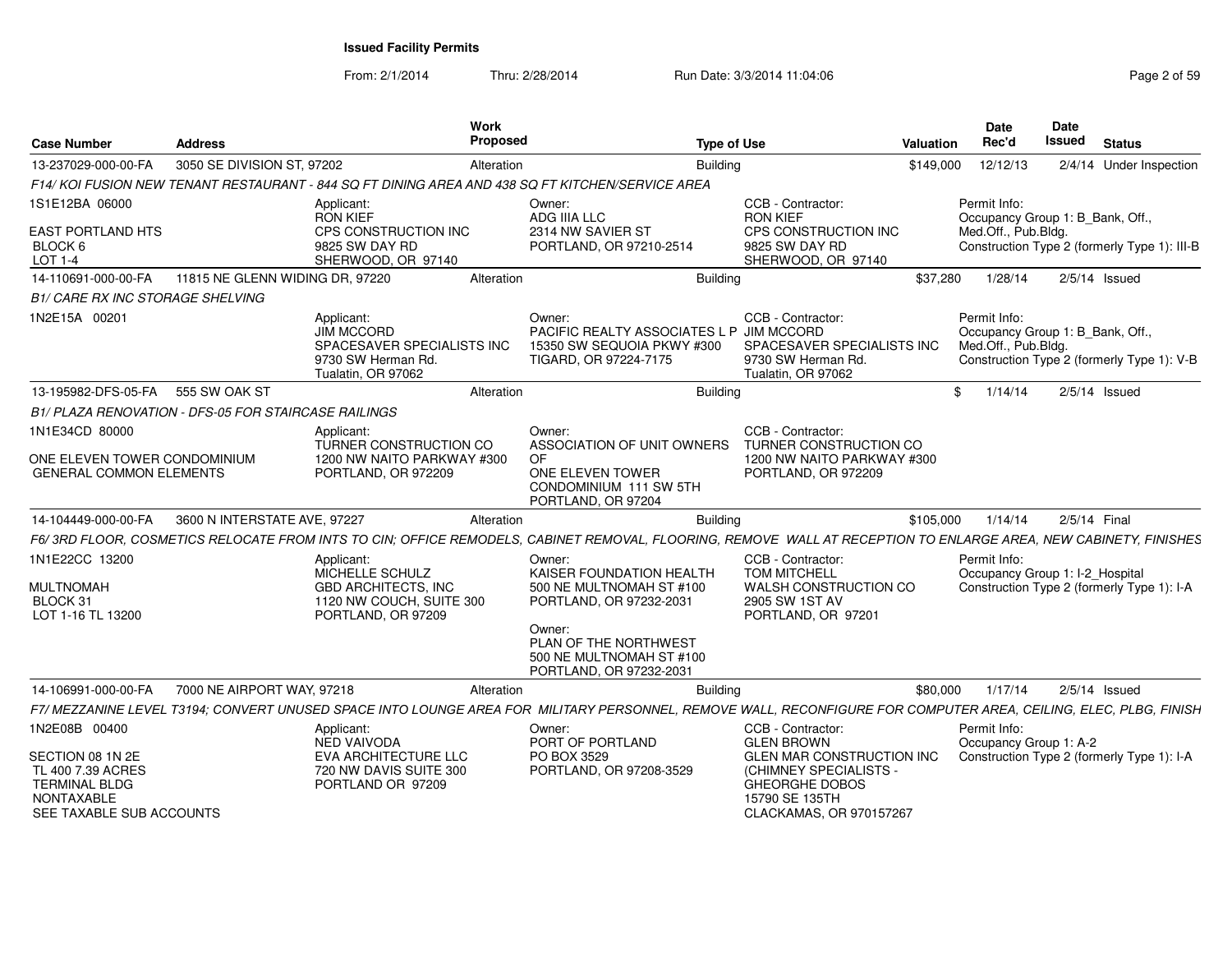From: 2/1/2014Thru: 2/28/2014 Run Date: 3/3/2014 11:04:06 Research 2010 Page 2 of 59

| <b>Case Number</b>                                                                         | <b>Address</b>                  |                                                                                                           | Work<br><b>Proposed</b> |                                                                                                                                                                  | <b>Type of Use</b> |                                                                                              | Valuation | <b>Date</b><br>Rec'd                                                    | Date<br>Issued | <b>Status</b>                                |
|--------------------------------------------------------------------------------------------|---------------------------------|-----------------------------------------------------------------------------------------------------------|-------------------------|------------------------------------------------------------------------------------------------------------------------------------------------------------------|--------------------|----------------------------------------------------------------------------------------------|-----------|-------------------------------------------------------------------------|----------------|----------------------------------------------|
| 13-237029-000-00-FA                                                                        | 3050 SE DIVISION ST, 97202      |                                                                                                           | Alteration              |                                                                                                                                                                  | <b>Building</b>    |                                                                                              | \$149,000 | 12/12/13                                                                |                | 2/4/14 Under Inspection                      |
|                                                                                            |                                 |                                                                                                           |                         | F14/ KOI FUSION NEW TENANT RESTAURANT - 844 SQ FT DINING AREA AND 438 SQ FT KITCHEN/SERVICE AREA                                                                 |                    |                                                                                              |           |                                                                         |                |                                              |
| 1S1E12BA 06000                                                                             |                                 | Applicant:<br><b>RON KIEF</b>                                                                             |                         | Owner:<br>ADG IIIA LLC                                                                                                                                           |                    | CCB - Contractor:<br><b>RON KIEF</b>                                                         |           | Permit Info:<br>Occupancy Group 1: B_Bank, Off.,                        |                |                                              |
| <b>EAST PORTLAND HTS</b><br>BLOCK 6<br>LOT 1-4                                             |                                 | CPS CONSTRUCTION INC<br>9825 SW DAY RD<br>SHERWOOD, OR 97140                                              |                         | 2314 NW SAVIER ST<br>PORTLAND, OR 97210-2514                                                                                                                     |                    | CPS CONSTRUCTION INC<br>9825 SW DAY RD<br>SHERWOOD, OR 97140                                 |           | Med.Off., Pub.Bldg.                                                     |                | Construction Type 2 (formerly Type 1): III-B |
| 14-110691-000-00-FA                                                                        | 11815 NE GLENN WIDING DR, 97220 |                                                                                                           | Alteration              |                                                                                                                                                                  | <b>Building</b>    |                                                                                              | \$37,280  | 1/28/14                                                                 |                | $2/5/14$ Issued                              |
| <b>B1/ CARE RX INC STORAGE SHELVING</b>                                                    |                                 |                                                                                                           |                         |                                                                                                                                                                  |                    |                                                                                              |           |                                                                         |                |                                              |
| 1N2E15A 00201                                                                              |                                 | Applicant:<br><b>JIM MCCORD</b><br>SPACESAVER SPECIALISTS INC<br>9730 SW Herman Rd.<br>Tualatin, OR 97062 |                         | Owner:<br>PACIFIC REALTY ASSOCIATES L P JIM MCCORD<br>15350 SW SEQUOIA PKWY #300<br>TIGARD, OR 97224-7175                                                        |                    | CCB - Contractor:<br>SPACESAVER SPECIALISTS INC<br>9730 SW Herman Rd.<br>Tualatin, OR 97062  |           | Permit Info:<br>Occupancy Group 1: B Bank, Off.,<br>Med.Off., Pub.Bldg. |                | Construction Type 2 (formerly Type 1): V-B   |
| 13-195982-DFS-05-FA                                                                        | 555 SW OAK ST                   |                                                                                                           | Alteration              |                                                                                                                                                                  | <b>Building</b>    |                                                                                              | \$        | 1/14/14                                                                 |                | $2/5/14$ Issued                              |
| B1/ PLAZA RENOVATION - DFS-05 FOR STAIRCASE RAILINGS                                       |                                 |                                                                                                           |                         |                                                                                                                                                                  |                    |                                                                                              |           |                                                                         |                |                                              |
| 1N1E34CD 80000                                                                             |                                 | Applicant:<br>TURNER CONSTRUCTION CO                                                                      |                         | Owner:<br>ASSOCIATION OF UNIT OWNERS                                                                                                                             |                    | CCB - Contractor:<br>TURNER CONSTRUCTION CO                                                  |           |                                                                         |                |                                              |
| ONE ELEVEN TOWER CONDOMINIUM<br><b>GENERAL COMMON ELEMENTS</b>                             |                                 | 1200 NW NAITO PARKWAY #300<br>PORTLAND, OR 972209                                                         |                         | <b>OF</b><br>ONE ELEVEN TOWER<br>CONDOMINIUM 111 SW 5TH<br>PORTLAND, OR 97204                                                                                    |                    | 1200 NW NAITO PARKWAY #300<br>PORTLAND, OR 972209                                            |           |                                                                         |                |                                              |
| 14-104449-000-00-FA                                                                        | 3600 N INTERSTATE AVE, 97227    |                                                                                                           | Alteration              |                                                                                                                                                                  | <b>Building</b>    |                                                                                              | \$105,000 | 1/14/14                                                                 |                | 2/5/14 Final                                 |
|                                                                                            |                                 |                                                                                                           |                         | F6/3RD FLOOR, COSMETICS RELOCATE FROM INTS TO CIN; OFFICE REMODELS, CABINET REMOVAL, FLOORING, REMOVE WALL AT RECEPTION TO ENLARGE AREA, NEW CABINETY, FINISHES  |                    |                                                                                              |           |                                                                         |                |                                              |
| 1N1E22CC 13200                                                                             |                                 | Applicant:<br>MICHELLE SCHULZ                                                                             |                         | Owner:<br>KAISER FOUNDATION HEALTH                                                                                                                               |                    | CCB - Contractor:<br><b>TOM MITCHELL</b>                                                     |           | Permit Info:<br>Occupancy Group 1: I-2_Hospital                         |                |                                              |
| <b>MULTNOMAH</b><br>BLOCK 31<br>LOT 1-16 TL 13200                                          |                                 | <b>GBD ARCHITECTS, INC</b><br>1120 NW COUCH, SUITE 300<br>PORTLAND, OR 97209                              |                         | 500 NE MULTNOMAH ST #100<br>PORTLAND, OR 97232-2031                                                                                                              |                    | WALSH CONSTRUCTION CO<br>2905 SW 1ST AV<br>PORTLAND, OR 97201                                |           |                                                                         |                | Construction Type 2 (formerly Type 1): I-A   |
|                                                                                            |                                 |                                                                                                           |                         | Owner:<br>PLAN OF THE NORTHWEST<br>500 NE MULTNOMAH ST #100<br>PORTLAND, OR 97232-2031                                                                           |                    |                                                                                              |           |                                                                         |                |                                              |
| 14-106991-000-00-FA                                                                        | 7000 NE AIRPORT WAY, 97218      |                                                                                                           | Alteration              |                                                                                                                                                                  | <b>Building</b>    |                                                                                              | \$80,000  | 1/17/14                                                                 |                | $2/5/14$ Issued                              |
|                                                                                            |                                 |                                                                                                           |                         | F7/ MEZZANINE LEVEL T3194; CONVERT UNUSED SPACE INTO LOUNGE AREA FOR MILITARY PERSONNEL, REMOVE WALL, RECONFIGURE FOR COMPUTER AREA, CEILING, ELEC, PLBG, FINISH |                    |                                                                                              |           |                                                                         |                |                                              |
| 1N2E08B 00400                                                                              |                                 | Applicant:<br><b>NED VAIVODA</b>                                                                          |                         | Owner:<br>PORT OF PORTLAND                                                                                                                                       |                    | CCB - Contractor:<br><b>GLEN BROWN</b>                                                       |           | Permit Info:<br>Occupancy Group 1: A-2                                  |                |                                              |
| SECTION 08 1N 2E                                                                           |                                 | EVA ARCHITECTURE LLC                                                                                      |                         | PO BOX 3529                                                                                                                                                      |                    | <b>GLEN MAR CONSTRUCTION INC</b>                                                             |           |                                                                         |                | Construction Type 2 (formerly Type 1): I-A   |
| TL 400 7.39 ACRES<br><b>TERMINAL BLDG</b><br><b>NONTAXABLE</b><br>SEE TAXABLE SUB ACCOUNTS |                                 | 720 NW DAVIS SUITE 300<br>PORTLAND OR 97209                                                               |                         | PORTLAND, OR 97208-3529                                                                                                                                          |                    | (CHIMNEY SPECIALISTS -<br><b>GHEORGHE DOBOS</b><br>15790 SE 135TH<br>CLACKAMAS, OR 970157267 |           |                                                                         |                |                                              |
|                                                                                            |                                 |                                                                                                           |                         |                                                                                                                                                                  |                    |                                                                                              |           |                                                                         |                |                                              |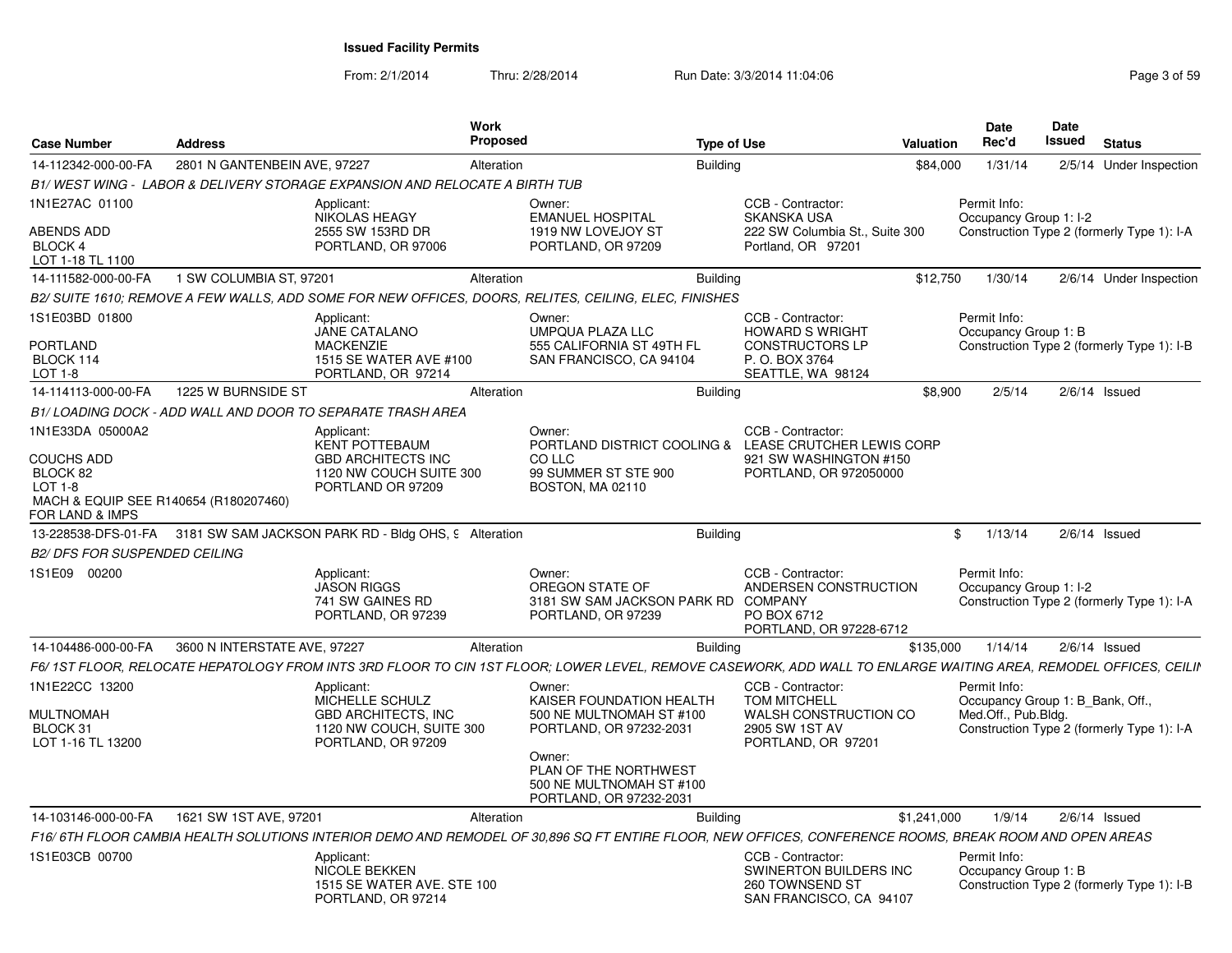From: 2/1/2014Thru: 2/28/2014 Run Date: 3/3/2014 11:04:06 Research 2012 12:04:06

| <b>Case Number</b>                                           | <b>Address</b>               | Work<br><b>Proposed</b>                                                                                                                                          |                                                                                           | <b>Type of Use</b> |                                                                                                           | Valuation   | Date<br>Rec'd                                                           | Date<br><b>Issued</b> | <b>Status</b>                              |
|--------------------------------------------------------------|------------------------------|------------------------------------------------------------------------------------------------------------------------------------------------------------------|-------------------------------------------------------------------------------------------|--------------------|-----------------------------------------------------------------------------------------------------------|-------------|-------------------------------------------------------------------------|-----------------------|--------------------------------------------|
| 14-112342-000-00-FA                                          | 2801 N GANTENBEIN AVE, 97227 | Alteration                                                                                                                                                       |                                                                                           | <b>Building</b>    |                                                                                                           | \$84,000    | 1/31/14                                                                 |                       | 2/5/14 Under Inspection                    |
|                                                              |                              | B1/ WEST WING - LABOR & DELIVERY STORAGE EXPANSION AND RELOCATE A BIRTH TUB                                                                                      |                                                                                           |                    |                                                                                                           |             |                                                                         |                       |                                            |
| 1N1E27AC 01100                                               |                              | Applicant:<br><b>NIKOLAS HEAGY</b>                                                                                                                               | Owner:<br><b>EMANUEL HOSPITAL</b>                                                         |                    | CCB - Contractor:<br><b>SKANSKA USA</b>                                                                   |             | Permit Info:<br>Occupancy Group 1: I-2                                  |                       |                                            |
| <b>ABENDS ADD</b><br><b>BLOCK 4</b><br>LOT 1-18 TL 1100      |                              | 2555 SW 153RD DR<br>PORTLAND, OR 97006                                                                                                                           | 1919 NW LOVEJOY ST<br>PORTLAND, OR 97209                                                  |                    | 222 SW Columbia St., Suite 300<br>Portland, OR 97201                                                      |             |                                                                         |                       | Construction Type 2 (formerly Type 1): I-A |
| 14-111582-000-00-FA                                          | 1 SW COLUMBIA ST, 97201      | Alteration                                                                                                                                                       |                                                                                           | <b>Building</b>    |                                                                                                           | \$12,750    | 1/30/14                                                                 |                       | 2/6/14 Under Inspection                    |
|                                                              |                              | B2/ SUITE 1610; REMOVE A FEW WALLS, ADD SOME FOR NEW OFFICES, DOORS, RELITES, CEILING, ELEC, FINISHES                                                            |                                                                                           |                    |                                                                                                           |             |                                                                         |                       |                                            |
| 1S1E03BD 01800                                               |                              | Applicant:<br>JANE CATALANO                                                                                                                                      | Owner:<br>UMPQUA PLAZA LLC                                                                |                    | CCB - Contractor:<br><b>HOWARD S WRIGHT</b>                                                               |             | Permit Info:<br>Occupancy Group 1: B                                    |                       |                                            |
| PORTLAND<br>BLOCK 114<br><b>LOT 1-8</b>                      |                              | <b>MACKENZIE</b><br>1515 SE WATER AVE #100<br>PORTLAND, OR 97214                                                                                                 | 555 CALIFORNIA ST 49TH FL<br>SAN FRANCISCO, CA 94104                                      |                    | <b>CONSTRUCTORS LP</b><br>P. O. BOX 3764<br>SEATTLE, WA 98124                                             |             |                                                                         |                       | Construction Type 2 (formerly Type 1): I-B |
| 14-114113-000-00-FA                                          | 1225 W BURNSIDE ST           | Alteration                                                                                                                                                       |                                                                                           | <b>Building</b>    |                                                                                                           | \$8,900     | 2/5/14                                                                  |                       | $2/6/14$ Issued                            |
|                                                              |                              | B1/ LOADING DOCK - ADD WALL AND DOOR TO SEPARATE TRASH AREA                                                                                                      |                                                                                           |                    |                                                                                                           |             |                                                                         |                       |                                            |
| 1N1E33DA 05000A2                                             |                              | Applicant:                                                                                                                                                       | Owner:                                                                                    |                    | CCB - Contractor:                                                                                         |             |                                                                         |                       |                                            |
| <b>COUCHS ADD</b><br>BLOCK 82<br>LOT 1-8                     |                              | KENT POTTEBAUM<br><b>GBD ARCHITECTS INC</b><br>1120 NW COUCH SUITE 300<br>PORTLAND OR 97209                                                                      | CO LLC<br>99 SUMMER ST STE 900<br>BOSTON, MA 02110                                        |                    | PORTLAND DISTRICT COOLING & LEASE CRUTCHER LEWIS CORP<br>921 SW WASHINGTON #150<br>PORTLAND, OR 972050000 |             |                                                                         |                       |                                            |
| MACH & EQUIP SEE R140654 (R180207460)<br>FOR LAND & IMPS     |                              |                                                                                                                                                                  |                                                                                           |                    |                                                                                                           |             |                                                                         |                       |                                            |
|                                                              |                              | 13-228538-DFS-01-FA 3181 SW SAM JACKSON PARK RD - Bldg OHS, 9 Alteration                                                                                         |                                                                                           | <b>Building</b>    |                                                                                                           | \$          | 1/13/14                                                                 |                       | $2/6/14$ Issued                            |
| B2/ DFS FOR SUSPENDED CEILING                                |                              |                                                                                                                                                                  |                                                                                           |                    |                                                                                                           |             |                                                                         |                       |                                            |
| 1S1E09 00200                                                 |                              | Applicant:<br><b>JASON RIGGS</b><br>741 SW GAINES RD<br>PORTLAND, OR 97239                                                                                       | Owner:<br>OREGON STATE OF<br>3181 SW SAM JACKSON PARK RD<br>PORTLAND, OR 97239            |                    | CCB - Contractor:<br>ANDERSEN CONSTRUCTION<br><b>COMPANY</b><br>PO BOX 6712<br>PORTLAND, OR 97228-6712    |             | Permit Info:<br>Occupancy Group 1: I-2                                  |                       | Construction Type 2 (formerly Type 1): I-A |
| 14-104486-000-00-FA                                          | 3600 N INTERSTATE AVE, 97227 | Alteration                                                                                                                                                       |                                                                                           | <b>Building</b>    |                                                                                                           | \$135,000   | 1/14/14                                                                 |                       | $2/6/14$ Issued                            |
|                                                              |                              | F6/ 1ST FLOOR, RELOCATE HEPATOLOGY FROM INTS 3RD FLOOR TO CIN 1ST FLOOR; LOWER LEVEL, REMOVE CASEWORK, ADD WALL TO ENLARGE WAITING AREA, REMODEL OFFICES, CEILII |                                                                                           |                    |                                                                                                           |             |                                                                         |                       |                                            |
| 1N1E22CC 13200<br>MULTNOMAH<br>BLOCK 31<br>LOT 1-16 TL 13200 |                              | Applicant:<br>MICHELLE SCHULZ<br><b>GBD ARCHITECTS, INC</b><br>1120 NW COUCH, SUITE 300<br>PORTLAND, OR 97209                                                    | Owner:<br>KAISER FOUNDATION HEALTH<br>500 NE MULTNOMAH ST #100<br>PORTLAND, OR 97232-2031 |                    | CCB - Contractor:<br><b>TOM MITCHELL</b><br>WALSH CONSTRUCTION CO<br>2905 SW 1ST AV<br>PORTLAND, OR 97201 |             | Permit Info:<br>Occupancy Group 1: B Bank, Off.,<br>Med.Off., Pub.Bldg. |                       | Construction Type 2 (formerly Type 1): I-A |
|                                                              |                              |                                                                                                                                                                  | Owner:<br>PLAN OF THE NORTHWEST<br>500 NE MULTNOMAH ST #100<br>PORTLAND, OR 97232-2031    |                    |                                                                                                           |             |                                                                         |                       |                                            |
| 14-103146-000-00-FA                                          | 1621 SW 1ST AVE, 97201       | Alteration                                                                                                                                                       |                                                                                           | <b>Building</b>    |                                                                                                           | \$1,241,000 | 1/9/14                                                                  |                       | $2/6/14$ Issued                            |
|                                                              |                              | F16/6TH FLOOR CAMBIA HEALTH SOLUTIONS INTERIOR DEMO AND REMODEL OF 30,896 SQ FT ENTIRE FLOOR, NEW OFFICES, CONFERENCE ROOMS, BREAK ROOM AND OPEN AREAS           |                                                                                           |                    |                                                                                                           |             |                                                                         |                       |                                            |
| 1S1E03CB 00700                                               |                              | Applicant:<br><b>NICOLE BEKKEN</b><br>1515 SE WATER AVE. STE 100<br>PORTLAND, OR 97214                                                                           |                                                                                           |                    | CCB - Contractor:<br>SWINERTON BUILDERS INC<br>260 TOWNSEND ST<br>SAN FRANCISCO, CA 94107                 |             | Permit Info:<br>Occupancy Group 1: B                                    |                       | Construction Type 2 (formerly Type 1): I-B |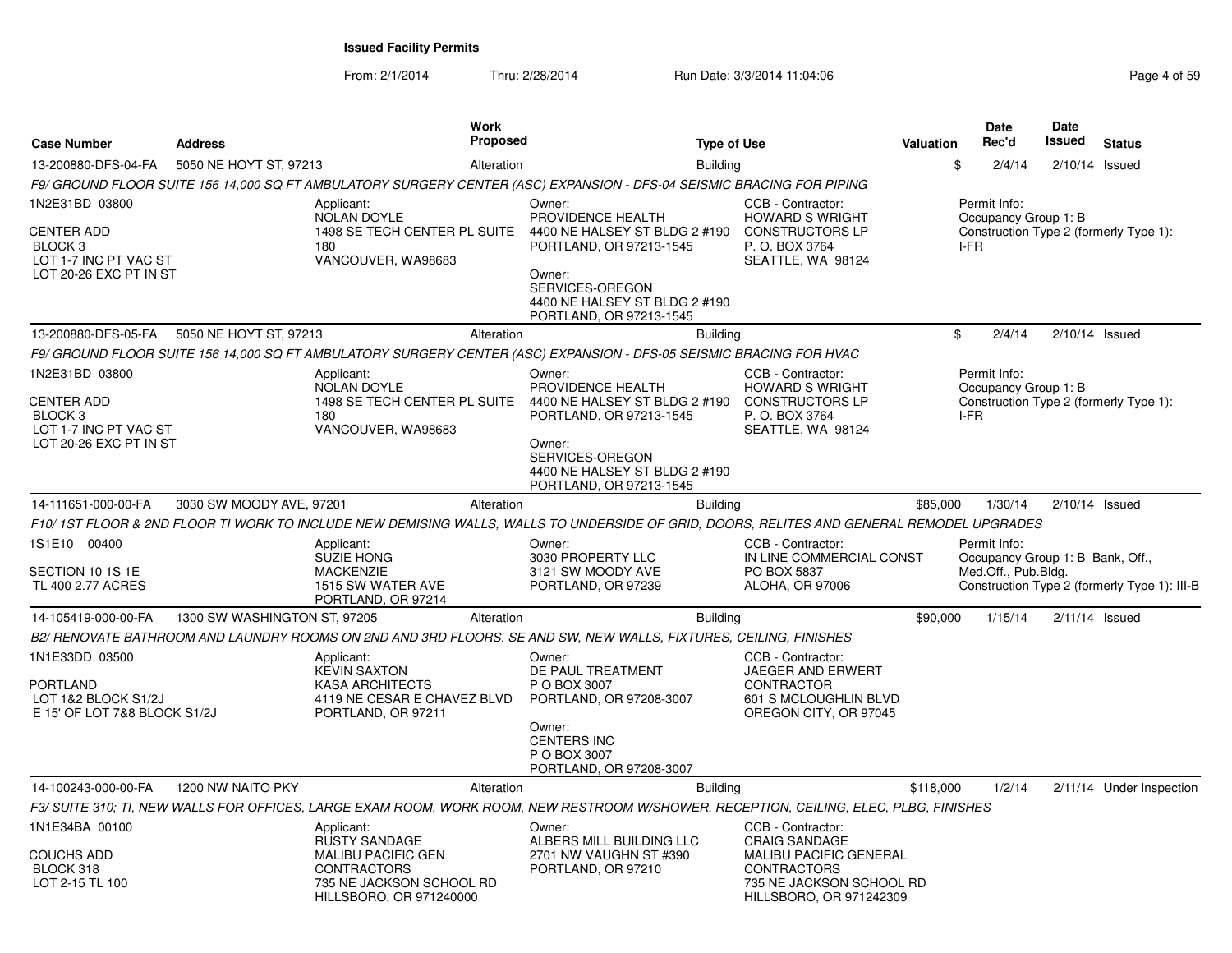From: 2/1/2014Thru: 2/28/2014 Run Date: 3/3/2014 11:04:06 Research 2010 Page 4 of 59

| <b>Case Number</b>                                                                                           | <b>Address</b>               | <b>Work</b>                                                                                                                                  | <b>Proposed</b> | <b>Type of Use</b>                                                                                                                                                               |                                                                                                                                                  | Valuation |      | <b>Date</b><br>Rec'd                 | <b>Date</b><br><b>Issued</b>     | <b>Status</b>                                |
|--------------------------------------------------------------------------------------------------------------|------------------------------|----------------------------------------------------------------------------------------------------------------------------------------------|-----------------|----------------------------------------------------------------------------------------------------------------------------------------------------------------------------------|--------------------------------------------------------------------------------------------------------------------------------------------------|-----------|------|--------------------------------------|----------------------------------|----------------------------------------------|
| 13-200880-DFS-04-FA                                                                                          | 5050 NE HOYT ST, 97213       |                                                                                                                                              | Alteration      | <b>Building</b>                                                                                                                                                                  |                                                                                                                                                  |           | \$   | 2/4/14                               | $2/10/14$ Issued                 |                                              |
|                                                                                                              |                              |                                                                                                                                              |                 | F9/ GROUND FLOOR SUITE 156 14,000 SQ FT AMBULATORY SURGERY CENTER (ASC) EXPANSION - DFS-04 SEISMIC BRACING FOR PIPING                                                            |                                                                                                                                                  |           |      |                                      |                                  |                                              |
| 1N2E31BD 03800<br><b>CENTER ADD</b><br>BLOCK <sub>3</sub><br>LOT 1-7 INC PT VAC ST<br>LOT 20-26 EXC PT IN ST |                              | Applicant:<br><b>NOLAN DOYLE</b><br>1498 SE TECH CENTER PL SUITE<br>180<br>VANCOUVER, WA98683                                                |                 | Owner:<br>PROVIDENCE HEALTH<br>4400 NE HALSEY ST BLDG 2 #190<br>PORTLAND, OR 97213-1545<br>Owner:<br>SERVICES-OREGON<br>4400 NE HALSEY ST BLDG 2 #190<br>PORTLAND, OR 97213-1545 | CCB - Contractor:<br><b>HOWARD S WRIGHT</b><br><b>CONSTRUCTORS LP</b><br>P. O. BOX 3764<br>SEATTLE, WA 98124                                     |           | I-FR | Permit Info:<br>Occupancy Group 1: B |                                  | Construction Type 2 (formerly Type 1):       |
| 13-200880-DFS-05-FA                                                                                          | 5050 NE HOYT ST, 97213       |                                                                                                                                              | Alteration      | <b>Building</b>                                                                                                                                                                  |                                                                                                                                                  |           | \$   | 2/4/14                               | $2/10/14$ Issued                 |                                              |
|                                                                                                              |                              |                                                                                                                                              |                 | F9/ GROUND FLOOR SUITE 156 14,000 SQ FT AMBULATORY SURGERY CENTER (ASC) EXPANSION - DFS-05 SEISMIC BRACING FOR HVAC                                                              |                                                                                                                                                  |           |      |                                      |                                  |                                              |
| 1N2E31BD 03800<br><b>CENTER ADD</b><br>BLOCK 3<br>LOT 1-7 INC PT VAC ST<br>LOT 20-26 EXC PT IN ST            |                              | Applicant:<br><b>NOLAN DOYLE</b><br>1498 SE TECH CENTER PL SUITE<br>180<br>VANCOUVER, WA98683                                                |                 | Owner:<br>PROVIDENCE HEALTH<br>4400 NE HALSEY ST BLDG 2 #190<br>PORTLAND, OR 97213-1545<br>Owner:<br>SERVICES-OREGON<br>4400 NE HALSEY ST BLDG 2 #190<br>PORTLAND, OR 97213-1545 | CCB - Contractor:<br><b>HOWARD S WRIGHT</b><br><b>CONSTRUCTORS LP</b><br>P. O. BOX 3764<br>SEATTLE, WA 98124                                     |           | I-FR | Permit Info:<br>Occupancy Group 1: B |                                  | Construction Type 2 (formerly Type 1):       |
| 14-111651-000-00-FA                                                                                          | 3030 SW MOODY AVE, 97201     |                                                                                                                                              | Alteration      | <b>Building</b>                                                                                                                                                                  |                                                                                                                                                  | \$85,000  |      | 1/30/14                              | $2/10/14$ Issued                 |                                              |
|                                                                                                              |                              |                                                                                                                                              |                 | F10/ 1ST FLOOR & 2ND FLOOR TI WORK TO INCLUDE NEW DEMISING WALLS, WALLS TO UNDERSIDE OF GRID, DOORS, RELITES AND GENERAL REMODEL UPGRADES                                        |                                                                                                                                                  |           |      |                                      |                                  |                                              |
| 1S1E10 00400<br>SECTION 10 1S 1E<br>TL 400 2.77 ACRES                                                        |                              | Applicant:<br><b>SUZIE HONG</b><br><b>MACKENZIE</b><br>1515 SW WATER AVE<br>PORTLAND, OR 97214                                               |                 | Owner:<br>3030 PROPERTY LLC<br>3121 SW MOODY AVE<br>PORTLAND, OR 97239                                                                                                           | CCB - Contractor:<br>IN LINE COMMERCIAL CONST<br>PO BOX 5837<br>ALOHA, OR 97006                                                                  |           |      | Permit Info:<br>Med.Off., Pub.Bldg.  | Occupancy Group 1: B Bank, Off., | Construction Type 2 (formerly Type 1): III-B |
| 14-105419-000-00-FA                                                                                          | 1300 SW WASHINGTON ST, 97205 |                                                                                                                                              | Alteration      | <b>Building</b>                                                                                                                                                                  |                                                                                                                                                  | \$90,000  |      | 1/15/14                              | $2/11/14$ Issued                 |                                              |
|                                                                                                              |                              |                                                                                                                                              |                 | B2/ RENOVATE BATHROOM AND LAUNDRY ROOMS ON 2ND AND 3RD FLOORS. SE AND SW, NEW WALLS, FIXTURES, CEILING, FINISHES                                                                 |                                                                                                                                                  |           |      |                                      |                                  |                                              |
| 1N1E33DD 03500<br><b>PORTLAND</b><br>LOT 1&2 BLOCK S1/2J<br>E 15' OF LOT 7&8 BLOCK S1/2J                     |                              | Applicant:<br><b>KEVIN SAXTON</b><br><b>KASA ARCHITECTS</b><br>4119 NE CESAR E CHAVEZ BLVD<br>PORTLAND, OR 97211                             |                 | Owner:<br>DE PAUL TREATMENT<br>P O BOX 3007<br>PORTLAND, OR 97208-3007                                                                                                           | CCB - Contractor:<br><b>JAEGER AND ERWERT</b><br><b>CONTRACTOR</b><br>601 S MCLOUGHLIN BLVD<br>OREGON CITY, OR 97045                             |           |      |                                      |                                  |                                              |
|                                                                                                              |                              |                                                                                                                                              |                 | Owner:<br><b>CENTERS INC</b><br>P O BOX 3007<br>PORTLAND, OR 97208-3007                                                                                                          |                                                                                                                                                  |           |      |                                      |                                  |                                              |
| 14-100243-000-00-FA                                                                                          | 1200 NW NAITO PKY            |                                                                                                                                              | Alteration      | <b>Building</b>                                                                                                                                                                  |                                                                                                                                                  | \$118,000 |      | 1/2/14                               |                                  | 2/11/14 Under Inspection                     |
|                                                                                                              |                              |                                                                                                                                              |                 | F3/ SUITE 310; TI, NEW WALLS FOR OFFICES, LARGE EXAM ROOM, WORK ROOM, NEW RESTROOM W/SHOWER, RECEPTION, CEILING, ELEC, PLBG, FINISHES                                            |                                                                                                                                                  |           |      |                                      |                                  |                                              |
| 1N1E34BA 00100<br><b>COUCHS ADD</b><br>BLOCK 318<br>LOT 2-15 TL 100                                          |                              | Applicant:<br><b>RUSTY SANDAGE</b><br><b>MALIBU PACIFIC GEN</b><br><b>CONTRACTORS</b><br>735 NE JACKSON SCHOOL RD<br>HILLSBORO, OR 971240000 |                 | Owner:<br>ALBERS MILL BUILDING LLC<br>2701 NW VAUGHN ST #390<br>PORTLAND, OR 97210                                                                                               | CCB - Contractor:<br><b>CRAIG SANDAGE</b><br>MALIBU PACIFIC GENERAL<br><b>CONTRACTORS</b><br>735 NE JACKSON SCHOOL RD<br>HILLSBORO, OR 971242309 |           |      |                                      |                                  |                                              |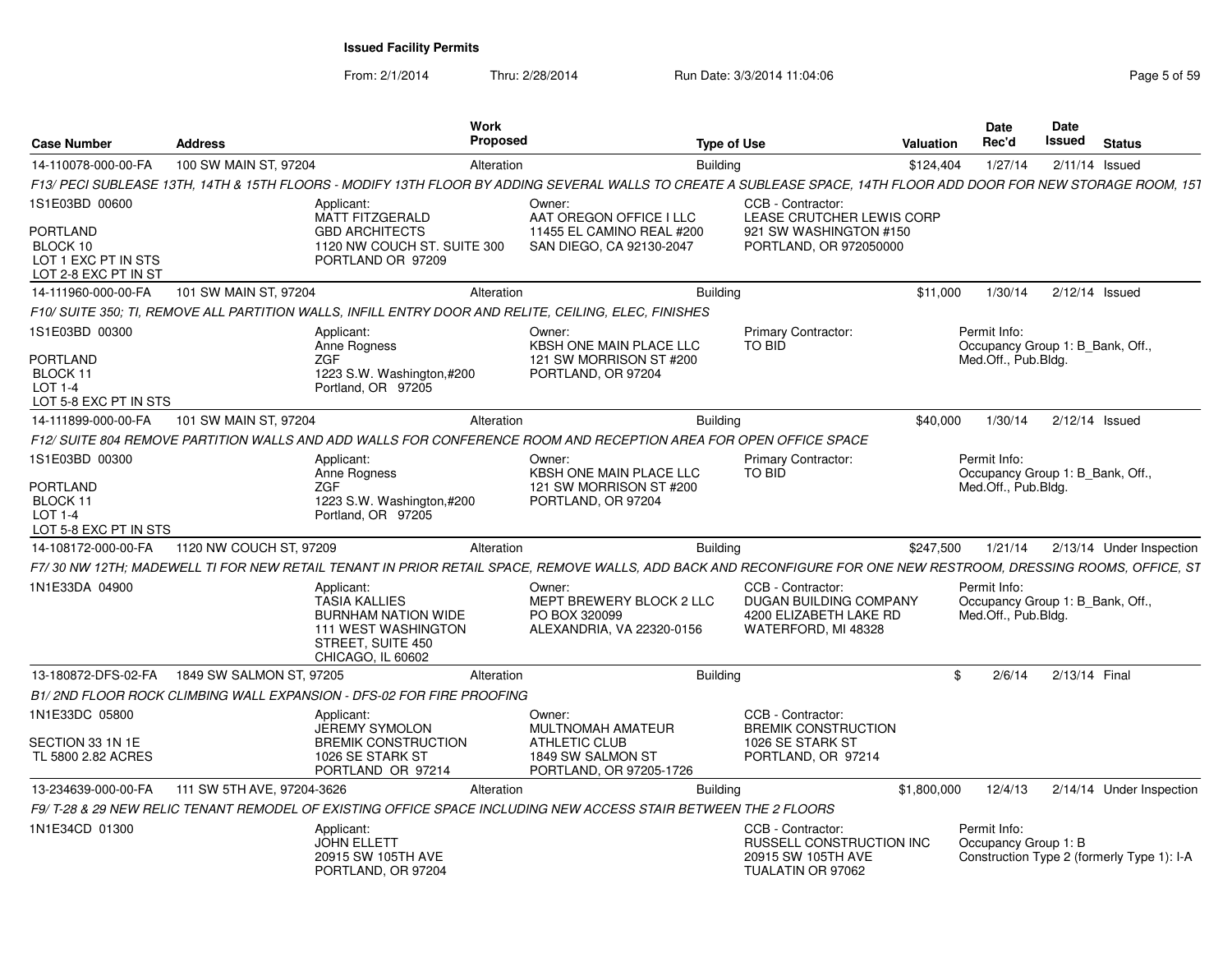From: 2/1/2014Thru: 2/28/2014 **Run Date: 3/3/2014 11:04:06** Research 2010 Rage 5 of 59

| <b>Case Number</b>                                                         | <b>Address</b>             | <b>Work</b><br><b>Proposed</b>                                                                                                           |                                                                                                                                                                   | <b>Type of Use</b>                                                                           | Valuation   | <b>Date</b><br>Rec'd                                                    | Date<br><b>Issued</b> | <b>Status</b>                              |
|----------------------------------------------------------------------------|----------------------------|------------------------------------------------------------------------------------------------------------------------------------------|-------------------------------------------------------------------------------------------------------------------------------------------------------------------|----------------------------------------------------------------------------------------------|-------------|-------------------------------------------------------------------------|-----------------------|--------------------------------------------|
| 14-110078-000-00-FA                                                        | 100 SW MAIN ST, 97204      | Alteration                                                                                                                               | <b>Building</b>                                                                                                                                                   |                                                                                              | \$124,404   | 1/27/14                                                                 |                       | 2/11/14 Issued                             |
|                                                                            |                            |                                                                                                                                          | F13/ PECI SUBLEASE 13TH. 14TH & 15TH FLOORS - MODIFY 13TH FLOOR BY ADDING SEVERAL WALLS TO CREATE A SUBLEASE SPACE. 14TH FLOOR ADD DOOR FOR NEW STORAGE ROOM. 151 |                                                                                              |             |                                                                         |                       |                                            |
| 1S1E03BD 00600                                                             |                            | Applicant:                                                                                                                               | Owner:                                                                                                                                                            | CCB - Contractor                                                                             |             |                                                                         |                       |                                            |
| <b>PORTLAND</b><br>BLOCK 10<br>LOT 1 EXC PT IN STS<br>LOT 2-8 EXC PT IN ST |                            | <b>MATT FITZGERALD</b><br><b>GBD ARCHITECTS</b><br>1120 NW COUCH ST. SUITE 300<br>PORTLAND OR 97209                                      | AAT OREGON OFFICE I LLC<br>11455 EL CAMINO REAL #200<br>SAN DIEGO, CA 92130-2047                                                                                  | LEASE CRUTCHER LEWIS CORP<br>921 SW WASHINGTON #150<br>PORTLAND, OR 972050000                |             |                                                                         |                       |                                            |
| 14-111960-000-00-FA                                                        | 101 SW MAIN ST, 97204      | Alteration                                                                                                                               | <b>Building</b>                                                                                                                                                   |                                                                                              | \$11,000    | 1/30/14                                                                 |                       | 2/12/14 Issued                             |
|                                                                            |                            | F10/ SUITE 350; TI, REMOVE ALL PARTITION WALLS, INFILL ENTRY DOOR AND RELITE, CEILING, ELEC, FINISHES                                    |                                                                                                                                                                   |                                                                                              |             |                                                                         |                       |                                            |
| 1S1E03BD 00300                                                             |                            | Applicant:                                                                                                                               | Owner:                                                                                                                                                            | <b>Primary Contractor:</b>                                                                   |             | Permit Info:                                                            |                       |                                            |
| <b>PORTLAND</b><br>BLOCK 11<br>$LOT 1-4$<br>LOT 5-8 EXC PT IN STS          |                            | Anne Rogness<br><b>ZGF</b><br>1223 S.W. Washington,#200<br>Portland, OR 97205                                                            | KBSH ONE MAIN PLACE LLC<br>121 SW MORRISON ST #200<br>PORTLAND, OR 97204                                                                                          | <b>TO BID</b>                                                                                |             | Occupancy Group 1: B Bank, Off.,<br>Med.Off., Pub.Bldg.                 |                       |                                            |
| 14-111899-000-00-FA                                                        | 101 SW MAIN ST, 97204      | Alteration                                                                                                                               | <b>Building</b>                                                                                                                                                   |                                                                                              | \$40,000    | 1/30/14                                                                 |                       | 2/12/14 Issued                             |
|                                                                            |                            |                                                                                                                                          | F12/ SUITE 804 REMOVE PARTITION WALLS AND ADD WALLS FOR CONFERENCE ROOM AND RECEPTION AREA FOR OPEN OFFICE SPACE                                                  |                                                                                              |             |                                                                         |                       |                                            |
| 1S1E03BD 00300                                                             |                            | Applicant:<br>Anne Roaness                                                                                                               | Owner:<br><b>KBSH ONE MAIN PLACE LLC</b>                                                                                                                          | Primary Contractor:<br><b>TO BID</b>                                                         |             | Permit Info:<br>Occupancy Group 1: B_Bank, Off.,                        |                       |                                            |
| <b>PORTLAND</b><br>BLOCK 11<br>LOT 1-4<br>LOT 5-8 EXC PT IN STS            |                            | <b>ZGF</b><br>1223 S.W. Washington, #200<br>Portland, OR 97205                                                                           | 121 SW MORRISON ST #200<br>PORTLAND, OR 97204                                                                                                                     |                                                                                              |             | Med.Off., Pub.Bldg.                                                     |                       |                                            |
| 14-108172-000-00-FA                                                        | 1120 NW COUCH ST, 97209    | Alteration                                                                                                                               | <b>Building</b>                                                                                                                                                   |                                                                                              | \$247,500   | 1/21/14                                                                 |                       | 2/13/14 Under Inspection                   |
|                                                                            |                            |                                                                                                                                          | F7/30 NW 12TH; MADEWELL TI FOR NEW RETAIL TENANT IN PRIOR RETAIL SPACE, REMOVE WALLS, ADD BACK AND RECONFIGURE FOR ONE NEW RESTROOM, DRESSING ROOMS, OFFICE, ST   |                                                                                              |             |                                                                         |                       |                                            |
| 1N1E33DA 04900                                                             |                            | Applicant:<br><b>TASIA KALLIES</b><br><b>BURNHAM NATION WIDE</b><br><b>111 WEST WASHINGTON</b><br>STREET, SUITE 450<br>CHICAGO, IL 60602 | Owner:<br>MEPT BREWERY BLOCK 2 LLC<br>PO BOX 320099<br>ALEXANDRIA, VA 22320-0156                                                                                  | CCB - Contractor:<br>DUGAN BUILDING COMPANY<br>4200 ELIZABETH LAKE RD<br>WATERFORD, MI 48328 |             | Permit Info:<br>Occupancy Group 1: B Bank, Off.,<br>Med.Off., Pub.Blda. |                       |                                            |
| 13-180872-DFS-02-FA                                                        | 1849 SW SALMON ST, 97205   | Alteration                                                                                                                               | Building                                                                                                                                                          |                                                                                              | \$.         | 2/6/14                                                                  |                       | 2/13/14 Final                              |
|                                                                            |                            | B1/2ND FLOOR ROCK CLIMBING WALL EXPANSION - DFS-02 FOR FIRE PROOFING                                                                     |                                                                                                                                                                   |                                                                                              |             |                                                                         |                       |                                            |
| 1N1E33DC 05800                                                             |                            | Applicant:<br><b>JEREMY SYMOLON</b>                                                                                                      | Owner:<br><b>MULTNOMAH AMATEUR</b>                                                                                                                                | CCB - Contractor:<br><b>BREMIK CONSTRUCTION</b>                                              |             |                                                                         |                       |                                            |
| SECTION 33 1N 1E<br>TL 5800 2.82 ACRES                                     |                            | <b>BREMIK CONSTRUCTION</b><br>1026 SE STARK ST<br>PORTLAND OR 97214                                                                      | <b>ATHLETIC CLUB</b><br>1849 SW SALMON ST<br>PORTLAND, OR 97205-1726                                                                                              | 1026 SE STARK ST<br>PORTLAND, OR 97214                                                       |             |                                                                         |                       |                                            |
| 13-234639-000-00-FA                                                        | 111 SW 5TH AVE, 97204-3626 | Alteration                                                                                                                               | <b>Building</b>                                                                                                                                                   |                                                                                              | \$1,800,000 | 12/4/13                                                                 |                       | 2/14/14 Under Inspection                   |
|                                                                            |                            |                                                                                                                                          | F9/ T-28 & 29 NEW RELIC TENANT REMODEL OF EXISTING OFFICE SPACE INCLUDING NEW ACCESS STAIR BETWEEN THE 2 FLOORS                                                   |                                                                                              |             |                                                                         |                       |                                            |
| 1N1E34CD 01300                                                             |                            | Applicant:<br><b>JOHN ELLETT</b><br>20915 SW 105TH AVE<br>PORTLAND, OR 97204                                                             |                                                                                                                                                                   | CCB - Contractor:<br>RUSSELL CONSTRUCTION INC<br>20915 SW 105TH AVE<br>TUALATIN OR 97062     |             | Permit Info:<br>Occupancy Group 1: B                                    |                       | Construction Type 2 (formerly Type 1): I-A |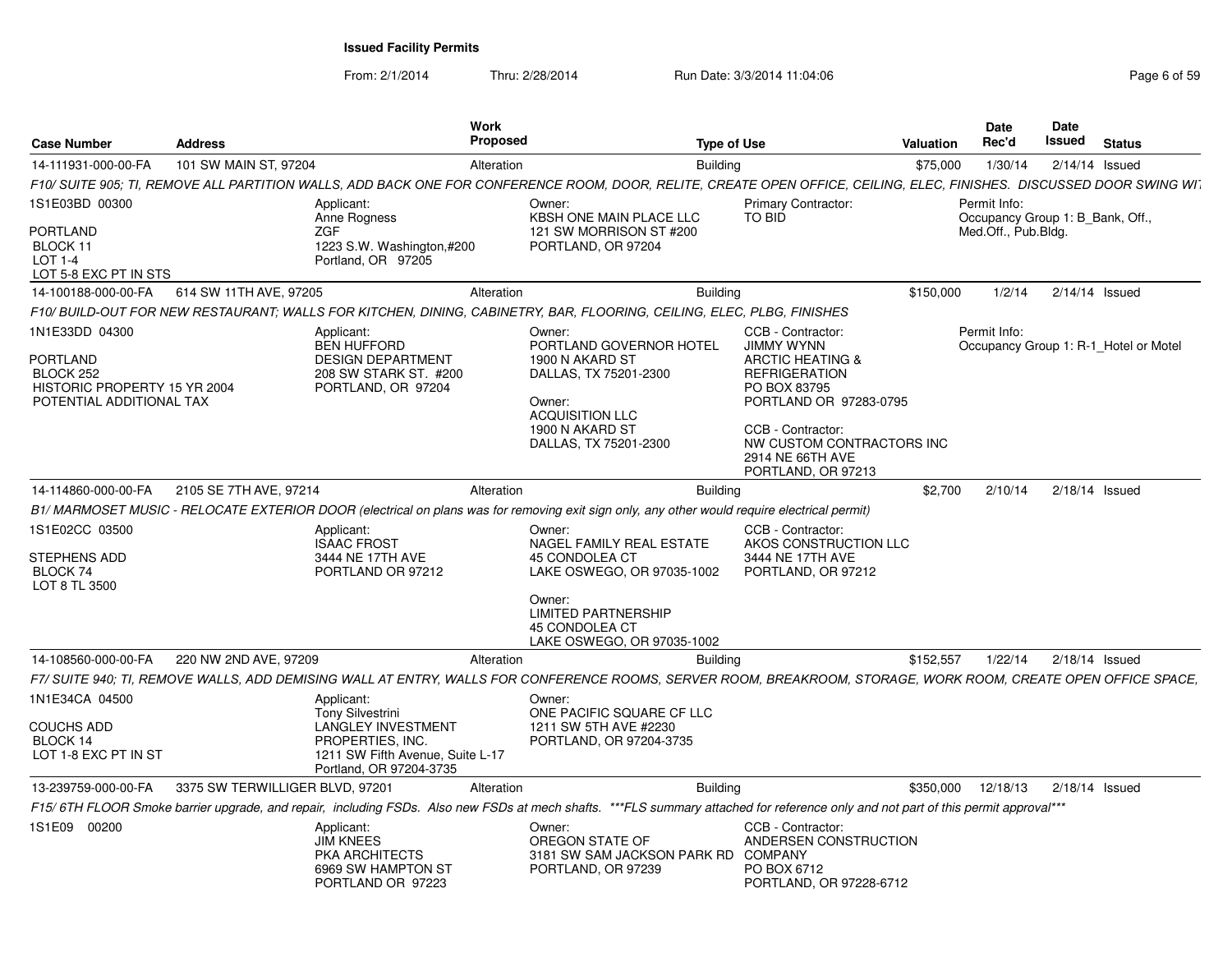From: 2/1/2014Thru: 2/28/2014 Run Date: 3/3/2014 11:04:06 Research 2012 01:04:06 Page 6 of 59

| <b>Case Number</b>                                                                                         | <b>Address</b>                  |                                                                                                                                                       | Work<br><b>Proposed</b> |                                                                                                                                                                                   | <b>Type of Use</b>                                                                                                                      | Valuation | Date<br>Rec'd                                    | Date<br>Issued   | <b>Status</b>                         |
|------------------------------------------------------------------------------------------------------------|---------------------------------|-------------------------------------------------------------------------------------------------------------------------------------------------------|-------------------------|-----------------------------------------------------------------------------------------------------------------------------------------------------------------------------------|-----------------------------------------------------------------------------------------------------------------------------------------|-----------|--------------------------------------------------|------------------|---------------------------------------|
| 14-111931-000-00-FA                                                                                        | 101 SW MAIN ST, 97204           |                                                                                                                                                       | Alteration              | <b>Building</b>                                                                                                                                                                   |                                                                                                                                         | \$75,000  | 1/30/14                                          | $2/14/14$ Issued |                                       |
|                                                                                                            |                                 |                                                                                                                                                       |                         | F10/ SUITE 905; TI, REMOVE ALL PARTITION WALLS, ADD BACK ONE FOR CONFERENCE ROOM, DOOR, RELITE, CREATE OPEN OFFICE, CEILING, ELEC, FINISHES. DISCUSSED DOOR SWING WIT             |                                                                                                                                         |           |                                                  |                  |                                       |
| 1S1E03BD 00300                                                                                             |                                 | Applicant:<br>Anne Rogness                                                                                                                            | Owner:                  | <b>KBSH ONE MAIN PLACE LLC</b>                                                                                                                                                    | <b>Primary Contractor:</b><br>TO BID                                                                                                    |           | Permit Info:<br>Occupancy Group 1: B_Bank, Off., |                  |                                       |
| <b>PORTLAND</b><br>BLOCK 11<br>$LOT 1-4$<br>LOT 5-8 EXC PT IN STS                                          |                                 | <b>ZGF</b><br>1223 S.W. Washington,#200<br>Portland, OR 97205                                                                                         |                         | 121 SW MORRISON ST #200<br>PORTLAND, OR 97204                                                                                                                                     |                                                                                                                                         |           | Med.Off., Pub.Bldg.                              |                  |                                       |
| 14-100188-000-00-FA                                                                                        | 614 SW 11TH AVE, 97205          |                                                                                                                                                       | Alteration              | <b>Building</b>                                                                                                                                                                   |                                                                                                                                         | \$150,000 | 1/2/14                                           | $2/14/14$ Issued |                                       |
|                                                                                                            |                                 |                                                                                                                                                       |                         | F10/ BUILD-OUT FOR NEW RESTAURANT: WALLS FOR KITCHEN, DINING, CABINETRY, BAR, FLOORING, CEILING, ELEC, PLBG, FINISHES                                                             |                                                                                                                                         |           |                                                  |                  |                                       |
| 1N1E33DD 04300<br><b>PORTLAND</b><br>BLOCK 252<br>HISTORIC PROPERTY 15 YR 2004<br>POTENTIAL ADDITIONAL TAX |                                 | Applicant:<br><b>BEN HUFFORD</b><br><b>DESIGN DEPARTMENT</b><br>208 SW STARK ST. #200<br>PORTLAND, OR 97204                                           | Owner:<br>Owner:        | PORTLAND GOVERNOR HOTEL<br>1900 N AKARD ST<br>DALLAS, TX 75201-2300<br><b>ACQUISITION LLC</b>                                                                                     | CCB - Contractor:<br><b>JIMMY WYNN</b><br><b>ARCTIC HEATING &amp;</b><br><b>REFRIGERATION</b><br>PO BOX 83795<br>PORTLAND OR 97283-0795 |           | Permit Info:                                     |                  | Occupancy Group 1: R-1 Hotel or Motel |
|                                                                                                            |                                 |                                                                                                                                                       |                         | 1900 N AKARD ST<br>DALLAS, TX 75201-2300                                                                                                                                          | CCB - Contractor:<br>NW CUSTOM CONTRACTORS INC<br>2914 NE 66TH AVE<br>PORTLAND, OR 97213                                                |           |                                                  |                  |                                       |
| 14-114860-000-00-FA                                                                                        | 2105 SE 7TH AVE, 97214          |                                                                                                                                                       | Alteration              | <b>Building</b>                                                                                                                                                                   |                                                                                                                                         | \$2,700   | 2/10/14                                          | $2/18/14$ Issued |                                       |
|                                                                                                            |                                 |                                                                                                                                                       |                         | B1/ MARMOSET MUSIC - RELOCATE EXTERIOR DOOR (electrical on plans was for removing exit sign only, any other would require electrical permit)                                      |                                                                                                                                         |           |                                                  |                  |                                       |
| 1S1E02CC 03500<br>STEPHENS ADD<br>BLOCK 74<br>LOT 8 TL 3500                                                |                                 | Applicant:<br><b>ISAAC FROST</b><br>3444 NE 17TH AVE<br>PORTLAND OR 97212                                                                             | Owner:                  | NAGEL FAMILY REAL ESTATE<br><b>45 CONDOLEA CT</b><br>LAKE OSWEGO, OR 97035-1002                                                                                                   | CCB - Contractor:<br>AKOS CONSTRUCTION LLC<br>3444 NE 17TH AVE<br>PORTLAND, OR 97212                                                    |           |                                                  |                  |                                       |
|                                                                                                            |                                 |                                                                                                                                                       | Owner:                  | <b>LIMITED PARTNERSHIP</b><br><b>45 CONDOLEA CT</b><br>LAKE OSWEGO, OR 97035-1002                                                                                                 |                                                                                                                                         |           |                                                  |                  |                                       |
| 14-108560-000-00-FA                                                                                        | 220 NW 2ND AVE, 97209           |                                                                                                                                                       | Alteration              | <b>Building</b>                                                                                                                                                                   |                                                                                                                                         | \$152,557 | 1/22/14                                          | $2/18/14$ Issued |                                       |
|                                                                                                            |                                 |                                                                                                                                                       |                         | F7/ SUITE 940; TI, REMOVE WALLS, ADD DEMISING WALL AT ENTRY, WALLS FOR CONFERENCE ROOMS, SERVER ROOM, BREAKROOM, STORAGE, WORK ROOM, CREATE OPEN OFFICE SPACE,                    |                                                                                                                                         |           |                                                  |                  |                                       |
| 1N1E34CA 04500<br><b>COUCHS ADD</b><br>BLOCK 14<br>LOT 1-8 EXC PT IN ST                                    |                                 | Applicant:<br><b>Tony Silvestrini</b><br><b>LANGLEY INVESTMENT</b><br>PROPERTIES, INC.<br>1211 SW Fifth Avenue, Suite L-17<br>Portland, OR 97204-3735 | Owner:                  | ONE PACIFIC SQUARE CF LLC<br>1211 SW 5TH AVE #2230<br>PORTLAND, OR 97204-3735                                                                                                     |                                                                                                                                         |           |                                                  |                  |                                       |
| 13-239759-000-00-FA                                                                                        | 3375 SW TERWILLIGER BLVD, 97201 |                                                                                                                                                       | Alteration              | <b>Building</b>                                                                                                                                                                   |                                                                                                                                         | \$350,000 | 12/18/13                                         | $2/18/14$ Issued |                                       |
|                                                                                                            |                                 |                                                                                                                                                       |                         | F15/6TH FLOOR Smoke barrier upgrade, and repair, including FSDs. Also new FSDs at mech shafts. ***FLS summary attached for reference only and not part of this permit approval*** |                                                                                                                                         |           |                                                  |                  |                                       |
| 1S1E09 00200                                                                                               |                                 | Applicant:<br><b>JIM KNEES</b><br>PKA ARCHITECTS<br>6969 SW HAMPTON ST<br>PORTLAND OR 97223                                                           | Owner:                  | OREGON STATE OF<br>3181 SW SAM JACKSON PARK RD<br>PORTLAND, OR 97239                                                                                                              | CCB - Contractor:<br>ANDERSEN CONSTRUCTION<br><b>COMPANY</b><br>PO BOX 6712<br>PORTLAND, OR 97228-6712                                  |           |                                                  |                  |                                       |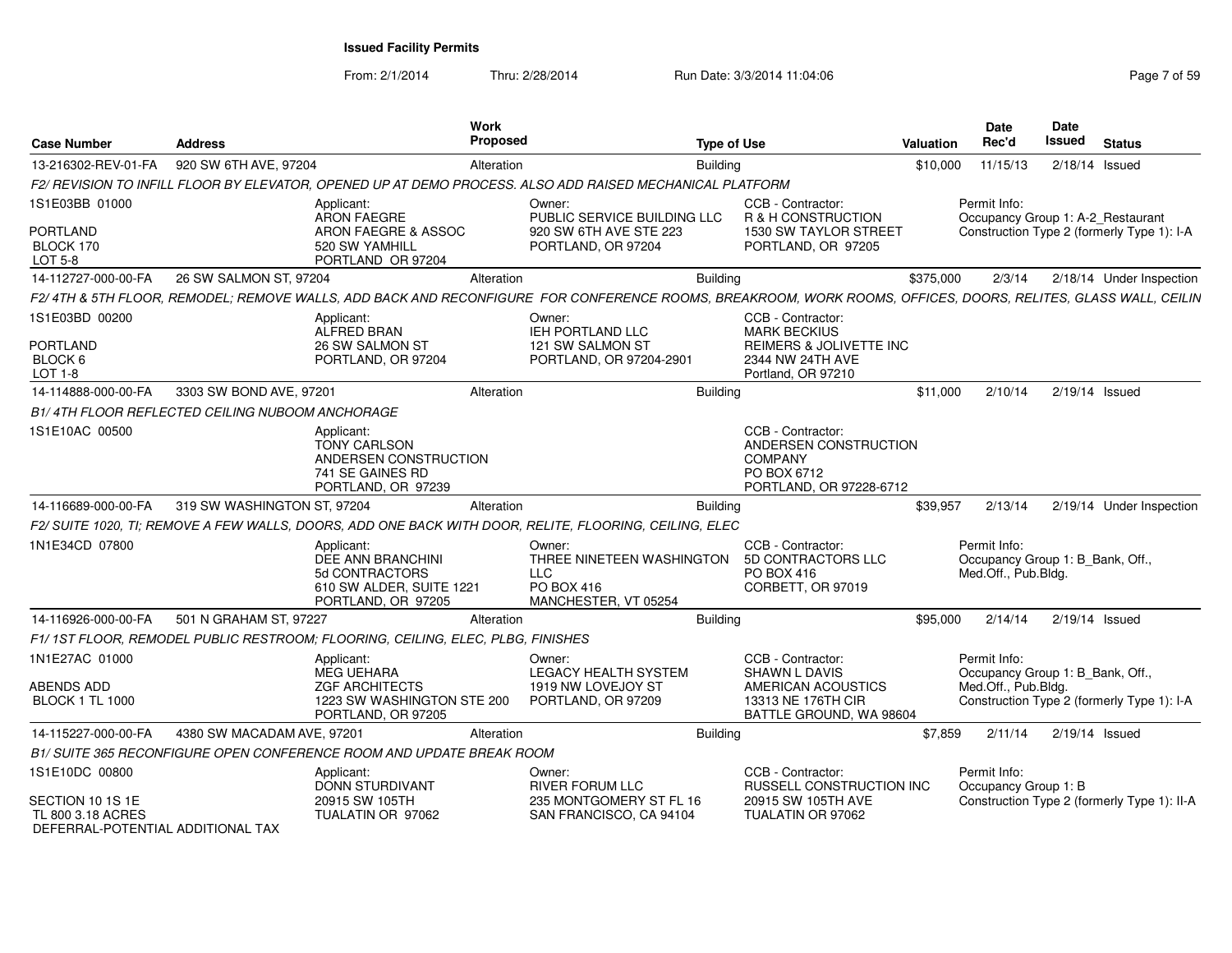From: 2/1/2014Thru: 2/28/2014 Run Date: 3/3/2014 11:04:06 Research 2010 Rage 7 of 59

| <b>Case Number</b>                                                         | <b>Address</b>                                         |                                                                                                      | Work<br><b>Proposed</b> |                                                                                                                                                              | <b>Type of Use</b> |                                                                                                        | <b>Valuation</b> | Date<br>Rec'd                                                           | <b>Date</b><br><b>Issued</b> | <b>Status</b>                               |
|----------------------------------------------------------------------------|--------------------------------------------------------|------------------------------------------------------------------------------------------------------|-------------------------|--------------------------------------------------------------------------------------------------------------------------------------------------------------|--------------------|--------------------------------------------------------------------------------------------------------|------------------|-------------------------------------------------------------------------|------------------------------|---------------------------------------------|
| 13-216302-REV-01-FA                                                        | 920 SW 6TH AVE, 97204                                  | Alteration                                                                                           |                         |                                                                                                                                                              | <b>Building</b>    |                                                                                                        | \$10,000         | 11/15/13                                                                |                              | $2/18/14$ Issued                            |
|                                                                            |                                                        |                                                                                                      |                         | F2/ REVISION TO INFILL FLOOR BY ELEVATOR, OPENED UP AT DEMO PROCESS. ALSO ADD RAISED MECHANICAL PLATFORM                                                     |                    |                                                                                                        |                  |                                                                         |                              |                                             |
| 1S1E03BB 01000                                                             |                                                        | Applicant:<br>ARON FAEGRE                                                                            |                         | Owner:<br>PUBLIC SERVICE BUILDING LLC                                                                                                                        |                    | CCB - Contractor:<br>R & H CONSTRUCTION                                                                |                  | Permit Info:<br>Occupancy Group 1: A-2_Restaurant                       |                              |                                             |
| <b>PORTLAND</b><br>BLOCK 170<br>LOT 5-8                                    |                                                        | ARON FAEGRE & ASSOC<br>520 SW YAMHILL<br>PORTLAND OR 97204                                           |                         | 920 SW 6TH AVE STE 223<br>PORTLAND, OR 97204                                                                                                                 |                    | 1530 SW TAYLOR STREET<br>PORTLAND, OR 97205                                                            |                  |                                                                         |                              | Construction Type 2 (formerly Type 1): I-A  |
| 14-112727-000-00-FA                                                        | 26 SW SALMON ST, 97204                                 |                                                                                                      | Alteration              |                                                                                                                                                              | <b>Building</b>    |                                                                                                        | \$375,000        | 2/3/14                                                                  |                              | 2/18/14 Under Inspection                    |
|                                                                            |                                                        |                                                                                                      |                         | F2/4TH & 5TH FLOOR, REMODEL; REMOVE WALLS, ADD BACK AND RECONFIGURE FOR CONFERENCE ROOMS, BREAKROOM, WORK ROOMS, OFFICES, DOORS, RELITES, GLASS WALL, CEILIN |                    |                                                                                                        |                  |                                                                         |                              |                                             |
| 1S1E03BD 00200                                                             |                                                        | Applicant:<br>ALFRED BRAN                                                                            |                         | Owner:<br>IEH PORTLAND LLC                                                                                                                                   |                    | CCB - Contractor:<br><b>MARK BECKIUS</b>                                                               |                  |                                                                         |                              |                                             |
| PORTLAND<br>BLOCK 6<br><b>LOT 1-8</b>                                      |                                                        | 26 SW SALMON ST<br>PORTLAND, OR 97204                                                                |                         | 121 SW SALMON ST<br>PORTLAND, OR 97204-2901                                                                                                                  |                    | REIMERS & JOLIVETTE INC<br>2344 NW 24TH AVE<br>Portland, OR 97210                                      |                  |                                                                         |                              |                                             |
| 14-114888-000-00-FA                                                        | 3303 SW BOND AVE, 97201                                |                                                                                                      | Alteration              |                                                                                                                                                              | <b>Building</b>    |                                                                                                        | \$11,000         | 2/10/14                                                                 |                              | $2/19/14$ Issued                            |
|                                                                            | <b>B1/4TH FLOOR REFLECTED CEILING NUBOOM ANCHORAGE</b> |                                                                                                      |                         |                                                                                                                                                              |                    |                                                                                                        |                  |                                                                         |                              |                                             |
| 1S1E10AC 00500                                                             |                                                        | Applicant:<br><b>TONY CARLSON</b><br>ANDERSEN CONSTRUCTION<br>741 SE GAINES RD<br>PORTLAND, OR 97239 |                         |                                                                                                                                                              |                    | CCB - Contractor:<br>ANDERSEN CONSTRUCTION<br><b>COMPANY</b><br>PO BOX 6712<br>PORTLAND, OR 97228-6712 |                  |                                                                         |                              |                                             |
| 14-116689-000-00-FA                                                        | 319 SW WASHINGTON ST, 97204                            |                                                                                                      | Alteration              |                                                                                                                                                              | <b>Building</b>    |                                                                                                        | \$39,957         | 2/13/14                                                                 |                              | 2/19/14 Under Inspection                    |
|                                                                            |                                                        |                                                                                                      |                         | F2/ SUITE 1020, TI; REMOVE A FEW WALLS, DOORS, ADD ONE BACK WITH DOOR, RELITE, FLOORING, CEILING, ELEC                                                       |                    |                                                                                                        |                  |                                                                         |                              |                                             |
| 1N1E34CD 07800                                                             |                                                        | Applicant:<br>DEE ANN BRANCHINI<br>5d CONTRACTORS<br>610 SW ALDER, SUITE 1221<br>PORTLAND, OR 97205  |                         | Owner:<br>THREE NINETEEN WASHINGTON<br><b>LLC</b><br><b>PO BOX 416</b><br>MANCHESTER, VT 05254                                                               |                    | CCB - Contractor:<br>5D CONTRACTORS LLC<br>PO BOX 416<br>CORBETT, OR 97019                             |                  | Permit Info:<br>Occupancy Group 1: B_Bank, Off.,<br>Med.Off., Pub.Bldg. |                              |                                             |
| 14-116926-000-00-FA                                                        | 501 N GRAHAM ST, 97227                                 |                                                                                                      | Alteration              |                                                                                                                                                              | <b>Building</b>    |                                                                                                        | \$95,000         | 2/14/14                                                                 |                              | $2/19/14$ Issued                            |
|                                                                            |                                                        | F1/1ST FLOOR, REMODEL PUBLIC RESTROOM; FLOORING, CEILING, ELEC, PLBG, FINISHES                       |                         |                                                                                                                                                              |                    |                                                                                                        |                  |                                                                         |                              |                                             |
| 1N1E27AC 01000                                                             |                                                        | Applicant:<br><b>MEG UEHARA</b>                                                                      |                         | Owner:<br><b>LEGACY HEALTH SYSTEM</b>                                                                                                                        |                    | CCB - Contractor:<br><b>SHAWN L DAVIS</b>                                                              |                  | Permit Info:<br>Occupancy Group 1: B_Bank, Off.,                        |                              |                                             |
| ABENDS ADD<br><b>BLOCK 1 TL 1000</b>                                       |                                                        | <b>ZGF ARCHITECTS</b><br>1223 SW WASHINGTON STE 200<br>PORTLAND, OR 97205                            |                         | 1919 NW LOVEJOY ST<br>PORTLAND, OR 97209                                                                                                                     |                    | AMERICAN ACOUSTICS<br>13313 NE 176TH CIR<br>BATTLE GROUND, WA 98604                                    |                  | Med.Off., Pub.Blda.                                                     |                              | Construction Type 2 (formerly Type 1): I-A  |
| 14-115227-000-00-FA                                                        | 4380 SW MACADAM AVE, 97201                             |                                                                                                      | Alteration              |                                                                                                                                                              | <b>Building</b>    |                                                                                                        | \$7,859          | 2/11/14                                                                 |                              | $2/19/14$ Issued                            |
|                                                                            |                                                        | B1/ SUITE 365 RECONFIGURE OPEN CONFERENCE ROOM AND UPDATE BREAK ROOM                                 |                         |                                                                                                                                                              |                    |                                                                                                        |                  |                                                                         |                              |                                             |
| 1S1E10DC 00800                                                             |                                                        | Applicant:<br>DONN STURDIVANT                                                                        |                         | Owner:<br><b>RIVER FORUM LLC</b>                                                                                                                             |                    | CCB - Contractor:<br><b>RUSSELL CONSTRUCTION INC.</b>                                                  |                  | Permit Info:<br>Occupancy Group 1: B                                    |                              |                                             |
| SECTION 10 1S 1E<br>TL 800 3.18 ACRES<br>DEFERRAI-POTENTIAI ADDITIONAI TAX |                                                        | 20915 SW 105TH<br>TUALATIN OR 97062                                                                  |                         | 235 MONTGOMERY ST FL 16<br>SAN FRANCISCO, CA 94104                                                                                                           |                    | 20915 SW 105TH AVE<br>TUALATIN OR 97062                                                                |                  |                                                                         |                              | Construction Type 2 (formerly Type 1): II-A |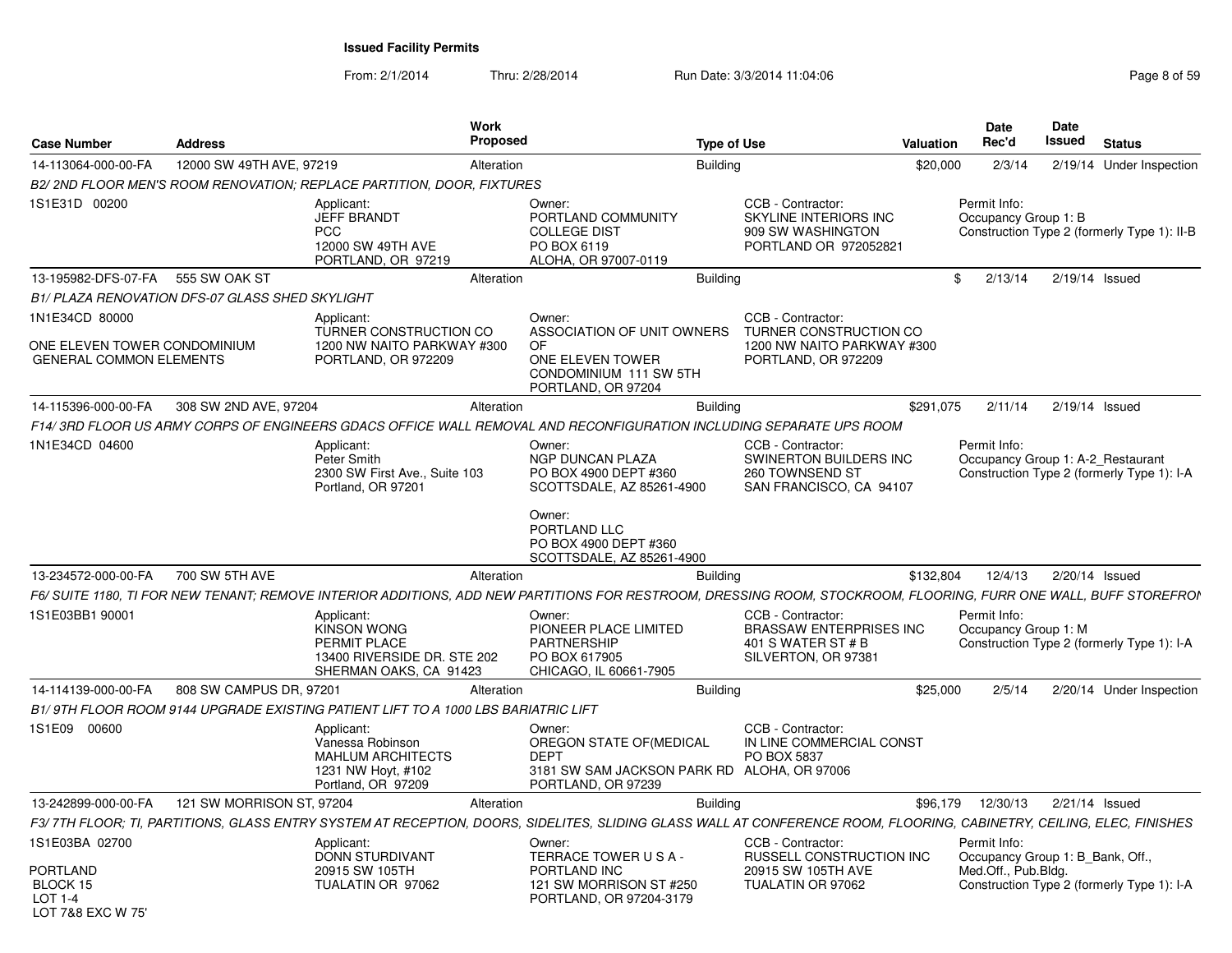From: 2/1/2014Thru: 2/28/2014 Run Date: 3/3/2014 11:04:06 Research 2010 Rage 8 of 59

| <b>Case Number</b>                                             | <b>Address</b>                                  |                                                                                                           | Work<br><b>Proposed</b> |                                                                                                                       | <b>Type of Use</b> |                                                                                                                                                                      | <b>Valuation</b> | Date<br>Rec'd                                     | Date<br>Issued | <b>Status</b>                               |
|----------------------------------------------------------------|-------------------------------------------------|-----------------------------------------------------------------------------------------------------------|-------------------------|-----------------------------------------------------------------------------------------------------------------------|--------------------|----------------------------------------------------------------------------------------------------------------------------------------------------------------------|------------------|---------------------------------------------------|----------------|---------------------------------------------|
| 14-113064-000-00-FA                                            | 12000 SW 49TH AVE, 97219                        |                                                                                                           | Alteration              |                                                                                                                       | <b>Building</b>    |                                                                                                                                                                      | \$20,000         | 2/3/14                                            |                | 2/19/14 Under Inspection                    |
|                                                                |                                                 | B2/ 2ND FLOOR MEN'S ROOM RENOVATION: REPLACE PARTITION, DOOR, FIXTURES                                    |                         |                                                                                                                       |                    |                                                                                                                                                                      |                  |                                                   |                |                                             |
| 1S1E31D 00200                                                  |                                                 | Applicant:<br><b>JEFF BRANDT</b><br><b>PCC</b><br>12000 SW 49TH AVE<br>PORTLAND, OR 97219                 |                         | Owner:<br>PORTLAND COMMUNITY<br><b>COLLEGE DIST</b><br>PO BOX 6119<br>ALOHA, OR 97007-0119                            |                    | CCB - Contractor:<br><b>SKYLINE INTERIORS INC</b><br>909 SW WASHINGTON<br>PORTLAND OR 972052821                                                                      |                  | Permit Info:<br>Occupancy Group 1: B              |                | Construction Type 2 (formerly Type 1): II-B |
| 13-195982-DFS-07-FA 555 SW OAK ST                              |                                                 |                                                                                                           | Alteration              |                                                                                                                       | <b>Building</b>    |                                                                                                                                                                      | \$               | 2/13/14                                           |                | $2/19/14$ Issued                            |
|                                                                | B1/ PLAZA RENOVATION DFS-07 GLASS SHED SKYLIGHT |                                                                                                           |                         |                                                                                                                       |                    |                                                                                                                                                                      |                  |                                                   |                |                                             |
| 1N1E34CD 80000                                                 |                                                 | Applicant:<br>TURNER CONSTRUCTION CO                                                                      |                         | Owner:<br>ASSOCIATION OF UNIT OWNERS                                                                                  |                    | CCB - Contractor:<br>TURNER CONSTRUCTION CO                                                                                                                          |                  |                                                   |                |                                             |
| ONE ELEVEN TOWER CONDOMINIUM<br><b>GENERAL COMMON ELEMENTS</b> |                                                 | 1200 NW NAITO PARKWAY #300<br>PORTLAND, OR 972209                                                         |                         | OF.<br>ONE ELEVEN TOWER<br>CONDOMINIUM 111 SW 5TH<br>PORTLAND, OR 97204                                               |                    | 1200 NW NAITO PARKWAY #300<br>PORTLAND, OR 972209                                                                                                                    |                  |                                                   |                |                                             |
| 14-115396-000-00-FA                                            | 308 SW 2ND AVE, 97204                           |                                                                                                           | Alteration              |                                                                                                                       | <b>Building</b>    |                                                                                                                                                                      | \$291,075        | 2/11/14                                           |                | $2/19/14$ Issued                            |
|                                                                |                                                 |                                                                                                           |                         |                                                                                                                       |                    | F14/ 3RD FLOOR US ARMY CORPS OF ENGINEERS GDACS OFFICE WALL REMOVAL AND RECONFIGURATION INCLUDING SEPARATE UPS ROOM                                                  |                  |                                                   |                |                                             |
| 1N1E34CD 04600                                                 |                                                 | Applicant:<br><b>Peter Smith</b><br>2300 SW First Ave., Suite 103<br>Portland, OR 97201                   |                         | Owner:<br>NGP DUNCAN PLAZA<br>PO BOX 4900 DEPT #360<br>SCOTTSDALE, AZ 85261-4900                                      |                    | CCB - Contractor:<br><b>SWINERTON BUILDERS INC</b><br>260 TOWNSEND ST<br>SAN FRANCISCO, CA 94107                                                                     |                  | Permit Info:<br>Occupancy Group 1: A-2_Restaurant |                | Construction Type 2 (formerly Type 1): I-A  |
|                                                                |                                                 |                                                                                                           |                         | Owner:<br>PORTLAND LLC<br>PO BOX 4900 DEPT #360<br>SCOTTSDALE, AZ 85261-4900                                          |                    |                                                                                                                                                                      |                  |                                                   |                |                                             |
| 13-234572-000-00-FA                                            | 700 SW 5TH AVE                                  |                                                                                                           | Alteration              |                                                                                                                       | <b>Building</b>    |                                                                                                                                                                      | \$132,804        | 12/4/13                                           |                | 2/20/14 Issued                              |
|                                                                |                                                 |                                                                                                           |                         |                                                                                                                       |                    | F6/ SUITE 1180, TI FOR NEW TENANT; REMOVE INTERIOR ADDITIONS, ADD NEW PARTITIONS FOR RESTROOM, DRESSING ROOM, STOCKROOM, FLOORING, FURR ONE WALL, BUFF STOREFROI     |                  |                                                   |                |                                             |
| 1S1E03BB1 90001                                                |                                                 | Applicant:<br><b>KINSON WONG</b><br>PERMIT PLACE<br>13400 RIVERSIDE DR. STE 202<br>SHERMAN OAKS, CA 91423 |                         | Owner:<br>PIONEER PLACE LIMITED<br><b>PARTNERSHIP</b><br>PO BOX 617905<br>CHICAGO, IL 60661-7905                      |                    | CCB - Contractor:<br>BRASSAW ENTERPRISES INC<br>401 S WATER ST # B<br>SILVERTON, OR 97381                                                                            |                  | Permit Info:<br>Occupancy Group 1: M              |                | Construction Type 2 (formerly Type 1): I-A  |
| 14-114139-000-00-FA                                            | 808 SW CAMPUS DR, 97201                         |                                                                                                           | Alteration              |                                                                                                                       | <b>Building</b>    |                                                                                                                                                                      | \$25,000         | 2/5/14                                            |                | 2/20/14 Under Inspection                    |
|                                                                |                                                 | B1/9TH FLOOR ROOM 9144 UPGRADE EXISTING PATIENT LIFT TO A 1000 LBS BARIATRIC LIFT                         |                         |                                                                                                                       |                    |                                                                                                                                                                      |                  |                                                   |                |                                             |
| 1S1E09 00600                                                   |                                                 | Applicant:<br>Vanessa Robinson<br><b>MAHLUM ARCHITECTS</b><br>1231 NW Hoyt, #102<br>Portland, OR 97209    |                         | Owner:<br>OREGON STATE OF(MEDICAL<br><b>DEPT</b><br>3181 SW SAM JACKSON PARK RD ALOHA, OR 97006<br>PORTLAND, OR 97239 |                    | CCB - Contractor:<br>IN LINE COMMERCIAL CONST<br>PO BOX 5837                                                                                                         |                  |                                                   |                |                                             |
| 13-242899-000-00-FA                                            | 121 SW MORRISON ST, 97204                       |                                                                                                           | Alteration              |                                                                                                                       | <b>Building</b>    |                                                                                                                                                                      | \$96,179         | 12/30/13                                          |                | $2/21/14$ Issued                            |
|                                                                |                                                 |                                                                                                           |                         |                                                                                                                       |                    | F3/7TH FLOOR; TI, PARTITIONS, GLASS ENTRY SYSTEM AT RECEPTION, DOORS, SIDELITES, SLIDING GLASS WALL AT CONFERENCE ROOM, FLOORING, CABINETRY, CEILING, ELEC, FINISHES |                  |                                                   |                |                                             |
| 1S1E03BA 02700                                                 |                                                 | Applicant:<br>DONN STURDIVANT                                                                             |                         | Owner:<br>TERRACE TOWER USA-                                                                                          |                    | CCB - Contractor:<br>RUSSELL CONSTRUCTION INC                                                                                                                        |                  | Permit Info:<br>Occupancy Group 1: B Bank, Off.,  |                |                                             |
| PORTLAND<br>BLOCK 15<br>LOT 1-4<br>LOT 7&8 FXC W 75'           |                                                 | 20915 SW 105TH<br>TUALATIN OR 97062                                                                       |                         | PORTLAND INC<br>121 SW MORRISON ST #250<br>PORTLAND, OR 97204-3179                                                    |                    | 20915 SW 105TH AVE<br>TUALATIN OR 97062                                                                                                                              |                  | Med.Off., Pub.Blda.                               |                | Construction Type 2 (formerly Type 1): I-A  |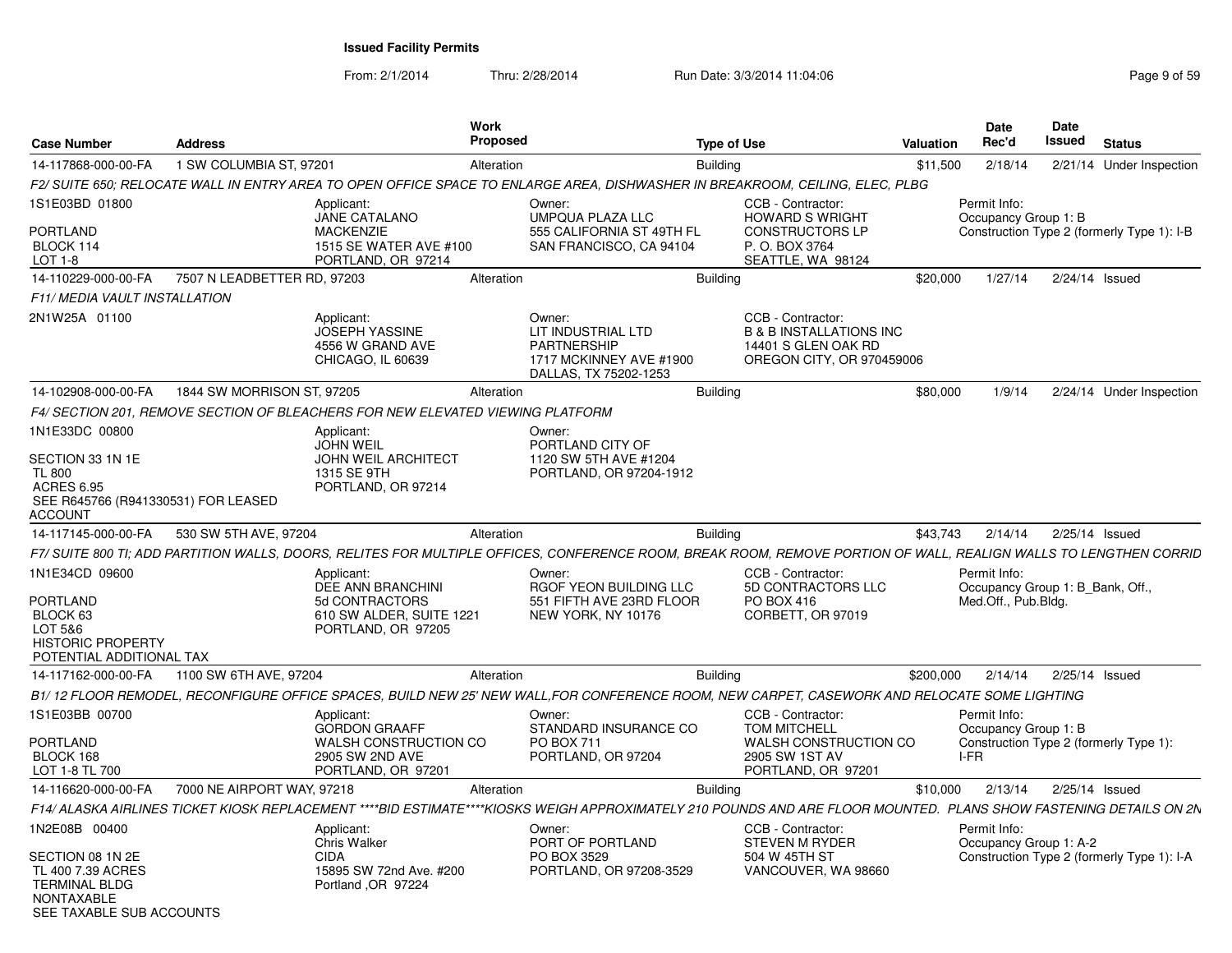From: 2/1/2014

Thru: 2/28/2014 Run Date: 3/3/2014 11:04:06 Research 2012 01:04:06 Page 9 of 59

| <b>Case Number</b>                                                                                      | <b>Address</b>              |                                                                                | <b>Work</b><br>Proposed |                                                                                                                                                                   | <b>Type of Use</b> |                                                                                                             | <b>Valuation</b> |      | <b>Date</b><br>Rec'd                             | <b>Date</b><br>Issued | <b>Status</b>                              |
|---------------------------------------------------------------------------------------------------------|-----------------------------|--------------------------------------------------------------------------------|-------------------------|-------------------------------------------------------------------------------------------------------------------------------------------------------------------|--------------------|-------------------------------------------------------------------------------------------------------------|------------------|------|--------------------------------------------------|-----------------------|--------------------------------------------|
| 14-117868-000-00-FA                                                                                     | 1 SW COLUMBIA ST, 97201     |                                                                                | Alteration              |                                                                                                                                                                   | <b>Building</b>    |                                                                                                             | \$11,500         |      | 2/18/14                                          |                       | 2/21/14 Under Inspection                   |
|                                                                                                         |                             |                                                                                |                         | F2/ SUITE 650; RELOCATE WALL IN ENTRY AREA TO OPEN OFFICE SPACE TO ENLARGE AREA, DISHWASHER IN BREAKROOM, CEILING, ELEC, PLBG                                     |                    |                                                                                                             |                  |      |                                                  |                       |                                            |
| 1S1E03BD 01800                                                                                          |                             | Applicant:<br><b>JANE CATALANO</b>                                             |                         | Owner:<br>UMPQUA PLAZA LLC                                                                                                                                        |                    | CCB - Contractor:<br><b>HOWARD S WRIGHT</b>                                                                 |                  |      | Permit Info:<br>Occupancy Group 1: B             |                       |                                            |
| PORTLAND<br>BLOCK 114<br>LOT 1-8                                                                        |                             | <b>MACKENZIE</b><br>1515 SE WATER AVE #100<br>PORTLAND, OR 97214               |                         | 555 CALIFORNIA ST 49TH FL<br>SAN FRANCISCO, CA 94104                                                                                                              |                    | <b>CONSTRUCTORS LP</b><br>P. O. BOX 3764<br>SEATTLE, WA 98124                                               |                  |      |                                                  |                       | Construction Type 2 (formerly Type 1): I-B |
| 14-110229-000-00-FA                                                                                     | 7507 N LEADBETTER RD, 97203 |                                                                                | Alteration              |                                                                                                                                                                   | Building           |                                                                                                             | \$20,000         |      | 1/27/14                                          | $2/24/14$ Issued      |                                            |
| F11/ MEDIA VAULT INSTALLATION                                                                           |                             |                                                                                |                         |                                                                                                                                                                   |                    |                                                                                                             |                  |      |                                                  |                       |                                            |
| 2N1W25A 01100                                                                                           |                             | Applicant:<br><b>JOSEPH YASSINE</b><br>4556 W GRAND AVE<br>CHICAGO, IL 60639   |                         | Owner:<br>LIT INDUSTRIAL LTD<br><b>PARTNERSHIP</b><br>1717 MCKINNEY AVE #1900<br>DALLAS, TX 75202-1253                                                            |                    | CCB - Contractor:<br><b>B &amp; B INSTALLATIONS INC</b><br>14401 S GLEN OAK RD<br>OREGON CITY, OR 970459006 |                  |      |                                                  |                       |                                            |
| 14-102908-000-00-FA                                                                                     | 1844 SW MORRISON ST, 97205  |                                                                                | Alteration              |                                                                                                                                                                   | <b>Building</b>    |                                                                                                             | \$80,000         |      | 1/9/14                                           |                       | 2/24/14 Under Inspection                   |
|                                                                                                         |                             | F4/ SECTION 201, REMOVE SECTION OF BLEACHERS FOR NEW ELEVATED VIEWING PLATFORM |                         |                                                                                                                                                                   |                    |                                                                                                             |                  |      |                                                  |                       |                                            |
| 1N1E33DC 00800                                                                                          |                             | Applicant:<br><b>JOHN WEIL</b>                                                 |                         | Owner:<br>PORTLAND CITY OF                                                                                                                                        |                    |                                                                                                             |                  |      |                                                  |                       |                                            |
| SECTION 33 1N 1E<br><b>TL 800</b>                                                                       |                             | <b>JOHN WEIL ARCHITECT</b><br>1315 SE 9TH                                      |                         | 1120 SW 5TH AVE #1204<br>PORTLAND, OR 97204-1912                                                                                                                  |                    |                                                                                                             |                  |      |                                                  |                       |                                            |
| <b>ACRES 6.95</b><br>SEE R645766 (R941330531) FOR LEASED<br>ACCOUNT                                     |                             | PORTLAND, OR 97214                                                             |                         |                                                                                                                                                                   |                    |                                                                                                             |                  |      |                                                  |                       |                                            |
| 14-117145-000-00-FA                                                                                     | 530 SW 5TH AVE, 97204       |                                                                                | Alteration              |                                                                                                                                                                   | <b>Building</b>    |                                                                                                             | \$43.743         |      | 2/14/14                                          | 2/25/14 Issued        |                                            |
|                                                                                                         |                             |                                                                                |                         | F7/ SUITE 800 TI; ADD PARTITION WALLS, DOORS, RELITES FOR MULTIPLE OFFICES, CONFERENCE ROOM, BREAK ROOM, REMOVE PORTION OF WALL, REALIGN WALLS TO LENGTHEN CORRID |                    |                                                                                                             |                  |      |                                                  |                       |                                            |
| 1N1E34CD 09600                                                                                          |                             | Applicant:<br>DEE ANN BRANCHINI                                                |                         | Owner:<br>RGOF YEON BUILDING LLC                                                                                                                                  |                    | CCB - Contractor:<br>5D CONTRACTORS LLC                                                                     |                  |      | Permit Info:<br>Occupancy Group 1: B Bank, Off., |                       |                                            |
| PORTLAND<br>BLOCK 63<br>LOT 5&6<br><b>HISTORIC PROPERTY</b>                                             |                             | 5d CONTRACTORS<br>610 SW ALDER, SUITE 1221<br>PORTLAND, OR 97205               |                         | 551 FIFTH AVE 23RD FLOOR<br>NEW YORK, NY 10176                                                                                                                    |                    | PO BOX 416<br>CORBETT, OR 97019                                                                             |                  |      | Med.Off., Pub.Bldg.                              |                       |                                            |
| POTENTIAL ADDITIONAL TAX<br>14-117162-000-00-FA                                                         | 1100 SW 6TH AVE, 97204      |                                                                                | Alteration              |                                                                                                                                                                   | <b>Building</b>    |                                                                                                             | \$200,000        |      | 2/14/14                                          | 2/25/14 Issued        |                                            |
|                                                                                                         |                             |                                                                                |                         | B1/ 12 FLOOR REMODEL. RECONFIGURE OFFICE SPACES. BUILD NEW 25' NEW WALL.FOR CONFERENCE ROOM. NEW CARPET. CASEWORK AND RELOCATE SOME LIGHTING                      |                    |                                                                                                             |                  |      |                                                  |                       |                                            |
| 1S1E03BB 00700                                                                                          |                             | Applicant:                                                                     |                         | Owner:                                                                                                                                                            |                    | CCB - Contractor:                                                                                           |                  |      | Permit Info:                                     |                       |                                            |
| <b>PORTLAND</b>                                                                                         |                             | <b>GORDON GRAAFF</b><br>WALSH CONSTRUCTION CO                                  |                         | STANDARD INSURANCE CO<br>PO BOX 711                                                                                                                               |                    | <b>TOM MITCHELL</b><br>WALSH CONSTRUCTION CO                                                                |                  |      | Occupancy Group 1: B                             |                       | Construction Type 2 (formerly Type 1):     |
| BLOCK 168<br>LOT 1-8 TL 700                                                                             |                             | 2905 SW 2ND AVE<br>PORTLAND, OR 97201                                          |                         | PORTLAND, OR 97204                                                                                                                                                |                    | 2905 SW 1ST AV<br>PORTLAND, OR 97201                                                                        |                  | I-FR |                                                  |                       |                                            |
| 14-116620-000-00-FA                                                                                     | 7000 NE AIRPORT WAY, 97218  |                                                                                | Alteration              |                                                                                                                                                                   | <b>Building</b>    |                                                                                                             | \$10,000         |      | 2/13/14                                          | 2/25/14 Issued        |                                            |
|                                                                                                         |                             |                                                                                |                         | F14/ALASKA AIRLINES TICKET KIOSK REPLACEMENT ****BID ESTIMATE****KIOSKS WEIGH APPROXIMATELY 210 POUNDS AND ARE FLOOR MOUNTED. PLANS SHOW FASTENING DETAILS ON 2N  |                    |                                                                                                             |                  |      |                                                  |                       |                                            |
| 1N2E08B 00400                                                                                           |                             | Applicant:<br><b>Chris Walker</b>                                              |                         | Owner:<br>PORT OF PORTLAND                                                                                                                                        |                    | CCB - Contractor:<br><b>STEVEN M RYDER</b>                                                                  |                  |      | Permit Info:<br>Occupancy Group 1: A-2           |                       |                                            |
| SECTION 08 1N 2E<br>TL 400 7.39 ACRES<br><b>TERMINAL BLDG</b><br>NONTAXABLE<br>SEE TAXABLE SUB ACCOUNTS |                             | <b>CIDA</b><br>15895 SW 72nd Ave. #200<br>Portland, OR 97224                   |                         | PO BOX 3529<br>PORTLAND, OR 97208-3529                                                                                                                            |                    | 504 W 45TH ST<br>VANCOUVER, WA 98660                                                                        |                  |      |                                                  |                       | Construction Type 2 (formerly Type 1): I-A |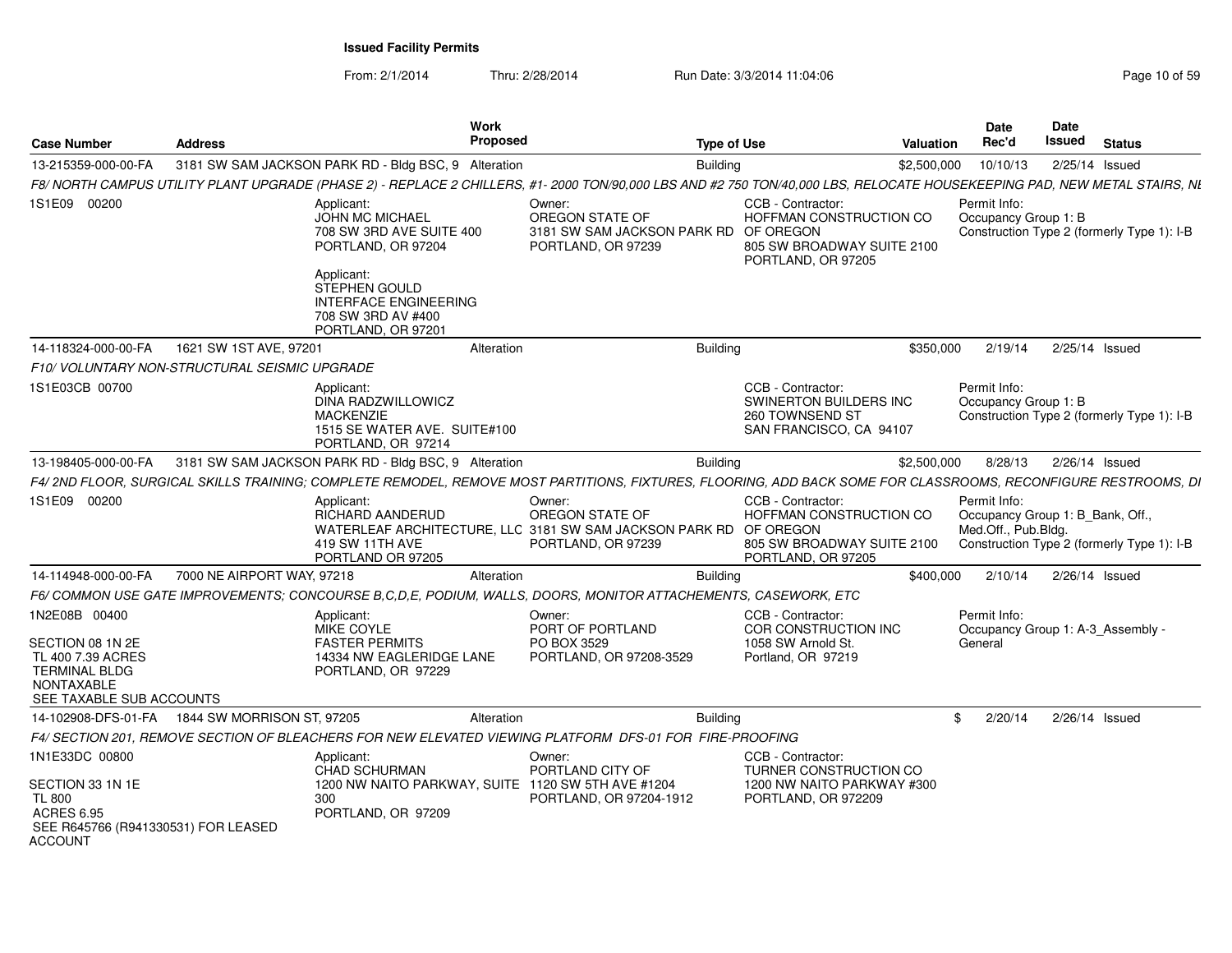From: 2/1/2014

Thru: 2/28/2014 Run Date: 3/3/2014 11:04:06

| <b>Case Number</b>                                                                                       | <b>Address</b>             |                                                                                                                                                                           | <b>Work</b><br><b>Proposed</b> |                                                                                                                      | <b>Type of Use</b> | Valuation                                                                                        |           | <b>Date</b><br>Rec'd                                                    | <b>Date</b><br>Issued | <b>Status</b>                              |
|----------------------------------------------------------------------------------------------------------|----------------------------|---------------------------------------------------------------------------------------------------------------------------------------------------------------------------|--------------------------------|----------------------------------------------------------------------------------------------------------------------|--------------------|--------------------------------------------------------------------------------------------------|-----------|-------------------------------------------------------------------------|-----------------------|--------------------------------------------|
| 13-215359-000-00-FA                                                                                      |                            | 3181 SW SAM JACKSON PARK RD - Bldg BSC, 9 Alteration                                                                                                                      |                                |                                                                                                                      | <b>Building</b>    | \$2,500,000                                                                                      |           | 10/10/13                                                                | 2/25/14 Issued        |                                            |
|                                                                                                          |                            | F8/ NORTH CAMPUS UTILITY PLANT UPGRADE (PHASE 2) - REPLACE 2 CHILLERS, #1- 2000 TON/90,000 LBS AND #2 750 TON/40,000 LBS, RELOCATE HOUSEKEEPING PAD, NEW METAL STAIRS, NI |                                |                                                                                                                      |                    |                                                                                                  |           |                                                                         |                       |                                            |
| 1S1E09 00200                                                                                             |                            | Applicant:<br>JOHN MC MICHAEL<br>708 SW 3RD AVE SUITE 400<br>PORTLAND, OR 97204<br>Applicant:<br>STEPHEN GOULD<br>INTERFACE ENGINEERING                                   |                                | Owner:<br>OREGON STATE OF<br>3181 SW SAM JACKSON PARK RD<br>PORTLAND, OR 97239                                       | OF OREGON          | CCB - Contractor<br>HOFFMAN CONSTRUCTION CO<br>805 SW BROADWAY SUITE 2100<br>PORTLAND, OR 97205  |           | Permit Info:<br>Occupancy Group 1: B                                    |                       | Construction Type 2 (formerly Type 1): I-B |
|                                                                                                          |                            | 708 SW 3RD AV #400<br>PORTLAND, OR 97201                                                                                                                                  |                                |                                                                                                                      |                    |                                                                                                  |           |                                                                         |                       |                                            |
| 14-118324-000-00-FA                                                                                      | 1621 SW 1ST AVE, 97201     |                                                                                                                                                                           | Alteration                     |                                                                                                                      | <b>Building</b>    |                                                                                                  | \$350,000 | 2/19/14                                                                 | 2/25/14 Issued        |                                            |
| F10/ VOLUNTARY NON-STRUCTURAL SEISMIC UPGRADE                                                            |                            |                                                                                                                                                                           |                                |                                                                                                                      |                    |                                                                                                  |           |                                                                         |                       |                                            |
| 1S1E03CB 00700                                                                                           |                            | Applicant:<br>DINA RADZWILLOWICZ<br><b>MACKENZIE</b><br>1515 SE WATER AVE. SUITE#100<br>PORTLAND, OR 97214                                                                |                                |                                                                                                                      |                    | CCB - Contractor:<br><b>SWINERTON BUILDERS INC</b><br>260 TOWNSEND ST<br>SAN FRANCISCO, CA 94107 |           | Permit Info:<br>Occupancy Group 1: B                                    |                       | Construction Type 2 (formerly Type 1): I-B |
| 13-198405-000-00-FA                                                                                      |                            | 3181 SW SAM JACKSON PARK RD - Bldg BSC, 9 Alteration                                                                                                                      |                                |                                                                                                                      | <b>Building</b>    | \$2,500,000                                                                                      |           | 8/28/13                                                                 | 2/26/14 Issued        |                                            |
|                                                                                                          |                            | F4/ 2ND FLOOR, SURGICAL SKILLS TRAINING: COMPLETE REMODEL, REMOVE MOST PARTITIONS, FIXTURES, FLOORING, ADD BACK SOME FOR CLASSROOMS, RECONFIGURE RESTROOMS, DI            |                                |                                                                                                                      |                    |                                                                                                  |           |                                                                         |                       |                                            |
| 1S1E09 00200                                                                                             |                            | Applicant:<br>RICHARD AANDERUD<br>419 SW 11TH AVE<br>PORTLAND OR 97205                                                                                                    |                                | Owner:<br>OREGON STATE OF<br>WATERLEAF ARCHITECTURE, LLC 3181 SW SAM JACKSON PARK RD OF OREGON<br>PORTLAND, OR 97239 |                    | CCB - Contractor<br>HOFFMAN CONSTRUCTION CO<br>805 SW BROADWAY SUITE 2100<br>PORTLAND, OR 97205  |           | Permit Info:<br>Occupancy Group 1: B Bank, Off.,<br>Med.Off., Pub.Bldg. |                       | Construction Type 2 (formerly Type 1): I-B |
| 14-114948-000-00-FA                                                                                      | 7000 NE AIRPORT WAY, 97218 |                                                                                                                                                                           | Alteration                     |                                                                                                                      | <b>Building</b>    |                                                                                                  | \$400,000 | 2/10/14                                                                 | 2/26/14 Issued        |                                            |
|                                                                                                          |                            | F6/ COMMON USE GATE IMPROVEMENTS: CONCOURSE B.C.D.E. PODIUM. WALLS. DOORS. MONITOR ATTACHEMENTS. CASEWORK. ETC                                                            |                                |                                                                                                                      |                    |                                                                                                  |           |                                                                         |                       |                                            |
| 1N2E08B 00400<br>SECTION 08 1N 2E<br>TL 400 7.39 ACRES<br><b>TERMINAL BLDG</b><br><b>NONTAXABLE</b>      |                            | Applicant:<br>MIKE COYLE<br><b>FASTER PERMITS</b><br>14334 NW EAGLERIDGE LANE<br>PORTLAND, OR 97229                                                                       |                                | Owner:<br>PORT OF PORTLAND<br>PO BOX 3529<br>PORTLAND, OR 97208-3529                                                 |                    | CCB - Contractor:<br>COR CONSTRUCTION INC<br>1058 SW Arnold St.<br>Portland, OR 97219            |           | Permit Info:<br>Occupancy Group 1: A-3 Assembly -<br>General            |                       |                                            |
| SEE TAXABLE SUB ACCOUNTS<br>14-102908-DFS-01-FA  1844 SW MORRISON ST, 97205                              |                            |                                                                                                                                                                           | Alteration                     |                                                                                                                      | <b>Building</b>    |                                                                                                  | -96       | 2/20/14                                                                 | 2/26/14 Issued        |                                            |
|                                                                                                          |                            | F4/ SECTION 201, REMOVE SECTION OF BLEACHERS FOR NEW ELEVATED VIEWING PLATFORM DFS-01 FOR FIRE-PROOFING                                                                   |                                |                                                                                                                      |                    |                                                                                                  |           |                                                                         |                       |                                            |
| 1N1E33DC 00800                                                                                           |                            | Applicant:                                                                                                                                                                |                                | Owner:                                                                                                               |                    | CCB - Contractor:                                                                                |           |                                                                         |                       |                                            |
| SECTION 33 1N 1E<br><b>TL 800</b><br><b>ACRES 6.95</b><br>SEE R645766 (R941330531) FOR LEASED<br>ACCOUNT |                            | <b>CHAD SCHURMAN</b><br>1200 NW NAITO PARKWAY, SUITE 1120 SW 5TH AVE #1204<br>300<br>PORTLAND, OR 97209                                                                   |                                | PORTLAND CITY OF<br>PORTLAND, OR 97204-1912                                                                          |                    | TURNER CONSTRUCTION CO<br>1200 NW NAITO PARKWAY #300<br>PORTLAND, OR 972209                      |           |                                                                         |                       |                                            |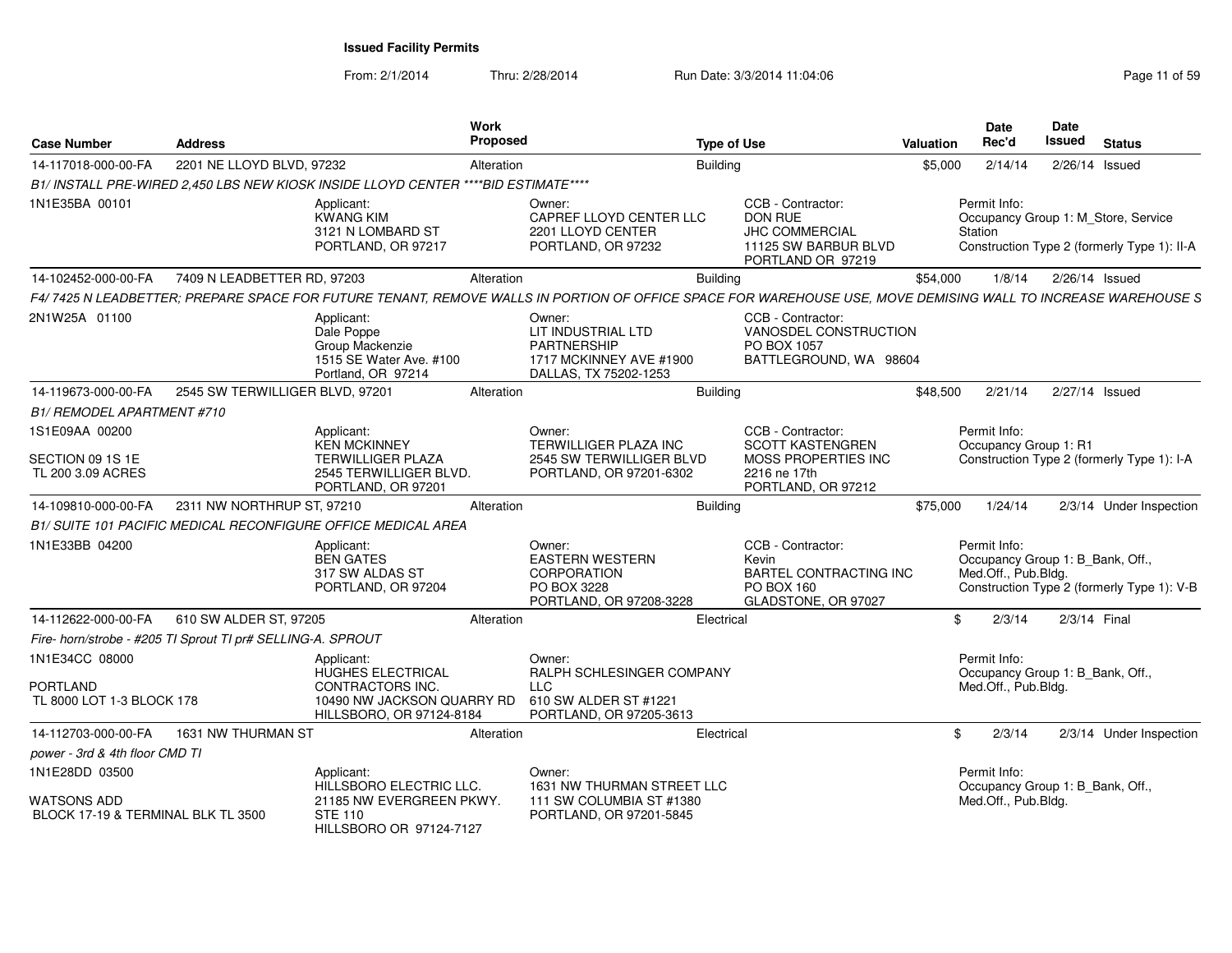From: 2/1/2014Thru: 2/28/2014 Run Date: 3/3/2014 11:04:06 Research 2010 Rage 11 of 59

| <b>Case Number</b>                                          | <b>Address</b>                  |                                                                                              | <b>Work</b><br><b>Proposed</b> |                                                                                                                                                              | <b>Type of Use</b>                                                                                        | <b>Valuation</b> | Date<br>Rec'd                                                           | <b>Date</b><br>Issued | <b>Status</b>                                                                      |
|-------------------------------------------------------------|---------------------------------|----------------------------------------------------------------------------------------------|--------------------------------|--------------------------------------------------------------------------------------------------------------------------------------------------------------|-----------------------------------------------------------------------------------------------------------|------------------|-------------------------------------------------------------------------|-----------------------|------------------------------------------------------------------------------------|
| 14-117018-000-00-FA                                         | 2201 NE LLOYD BLVD, 97232       |                                                                                              | Alteration                     | <b>Building</b>                                                                                                                                              |                                                                                                           | \$5,000          | 2/14/14                                                                 |                       | $2/26/14$ Issued                                                                   |
|                                                             |                                 | B1/ INSTALL PRE-WIRED 2.450 LBS NEW KIOSK INSIDE LLOYD CENTER ****BID ESTIMATE****           |                                |                                                                                                                                                              |                                                                                                           |                  |                                                                         |                       |                                                                                    |
| 1N1E35BA 00101                                              |                                 | Applicant:<br><b>KWANG KIM</b><br>3121 N LOMBARD ST<br>PORTLAND, OR 97217                    |                                | Owner:<br>CAPREF LLOYD CENTER LLC<br>2201 LLOYD CENTER<br>PORTLAND, OR 97232                                                                                 | CCB - Contractor:<br><b>DON RUE</b><br><b>JHC COMMERCIAL</b><br>11125 SW BARBUR BLVD<br>PORTLAND OR 97219 |                  | Permit Info:<br>Station                                                 |                       | Occupancy Group 1: M_Store, Service<br>Construction Type 2 (formerly Type 1): II-A |
| 14-102452-000-00-FA                                         | 7409 N LEADBETTER RD, 97203     |                                                                                              | Alteration                     | <b>Building</b>                                                                                                                                              |                                                                                                           | \$54,000         | 1/8/14                                                                  |                       | 2/26/14 Issued                                                                     |
|                                                             |                                 |                                                                                              |                                | F4/7425 N LEADBETTER; PREPARE SPACE FOR FUTURE TENANT, REMOVE WALLS IN PORTION OF OFFICE SPACE FOR WAREHOUSE USE, MOVE DEMISING WALL TO INCREASE WAREHOUSE S |                                                                                                           |                  |                                                                         |                       |                                                                                    |
| 2N1W25A 01100                                               |                                 | Applicant:<br>Dale Poppe<br>Group Mackenzie<br>1515 SE Water Ave. #100<br>Portland, OR 97214 |                                | Owner:<br>LIT INDUSTRIAL LTD<br><b>PARTNERSHIP</b><br>1717 MCKINNEY AVE #1900<br>DALLAS, TX 75202-1253                                                       | CCB - Contractor:<br>VANOSDEL CONSTRUCTION<br>PO BOX 1057<br>BATTLEGROUND, WA 98604                       |                  |                                                                         |                       |                                                                                    |
| 14-119673-000-00-FA                                         | 2545 SW TERWILLIGER BLVD, 97201 |                                                                                              | Alteration                     | <b>Building</b>                                                                                                                                              |                                                                                                           | \$48,500         | 2/21/14                                                                 | 2/27/14 Issued        |                                                                                    |
| <b>B1/ REMODEL APARTMENT #710</b>                           |                                 |                                                                                              |                                |                                                                                                                                                              |                                                                                                           |                  |                                                                         |                       |                                                                                    |
| 1S1E09AA 00200                                              |                                 | Applicant:<br><b>KEN MCKINNEY</b>                                                            |                                | Owner:<br><b>TERWILLIGER PLAZA INC</b>                                                                                                                       | CCB - Contractor:<br><b>SCOTT KASTENGREN</b>                                                              |                  | Permit Info:<br>Occupancy Group 1: R1                                   |                       |                                                                                    |
| SECTION 09 1S 1E<br>TL 200 3.09 ACRES                       |                                 | <b>TERWILLIGER PLAZA</b><br>2545 TERWILLIGER BLVD.<br>PORTLAND, OR 97201                     |                                | 2545 SW TERWILLIGER BLVD<br>PORTLAND, OR 97201-6302                                                                                                          | MOSS PROPERTIES INC<br>2216 ne 17th<br>PORTLAND, OR 97212                                                 |                  |                                                                         |                       | Construction Type 2 (formerly Type 1): I-A                                         |
| 14-109810-000-00-FA                                         | 2311 NW NORTHRUP ST, 97210      |                                                                                              | Alteration                     | <b>Building</b>                                                                                                                                              |                                                                                                           | \$75,000         | 1/24/14                                                                 |                       | 2/3/14 Under Inspection                                                            |
|                                                             |                                 | <b>B1/ SUITE 101 PACIFIC MEDICAL RECONFIGURE OFFICE MEDICAL AREA</b>                         |                                |                                                                                                                                                              |                                                                                                           |                  |                                                                         |                       |                                                                                    |
| 1N1E33BB 04200                                              |                                 | Applicant:<br><b>BEN GATES</b><br>317 SW ALDAS ST<br>PORTLAND, OR 97204                      |                                | Owner:<br><b>EASTERN WESTERN</b><br><b>CORPORATION</b><br>PO BOX 3228<br>PORTLAND, OR 97208-3228                                                             | CCB - Contractor:<br>Kevin<br><b>BARTEL CONTRACTING INC</b><br>PO BOX 160<br>GLADSTONE, OR 97027          |                  | Permit Info:<br>Occupancy Group 1: B_Bank, Off.,<br>Med.Off., Pub.Bldg. |                       | Construction Type 2 (formerly Type 1): V-B                                         |
| 14-112622-000-00-FA                                         | 610 SW ALDER ST, 97205          |                                                                                              | Alteration                     |                                                                                                                                                              | Electrical                                                                                                | \$               | 2/3/14                                                                  | 2/3/14 Final          |                                                                                    |
| Fire- horn/strobe - #205 TI Sprout TI pr# SELLING-A. SPROUT |                                 |                                                                                              |                                |                                                                                                                                                              |                                                                                                           |                  |                                                                         |                       |                                                                                    |
| 1N1E34CC 08000                                              |                                 | Applicant:<br>HUGHES ELECTRICAL                                                              |                                | Owner:<br>RALPH SCHLESINGER COMPANY                                                                                                                          |                                                                                                           |                  | Permit Info:<br>Occupancy Group 1: B Bank, Off.,                        |                       |                                                                                    |
| PORTLAND<br>TL 8000 LOT 1-3 BLOCK 178                       |                                 | CONTRACTORS INC.<br>10490 NW JACKSON QUARRY RD<br>HILLSBORO, OR 97124-8184                   |                                | <b>LLC</b><br>610 SW ALDER ST #1221<br>PORTLAND, OR 97205-3613                                                                                               |                                                                                                           |                  | Med.Off., Pub.Bldg.                                                     |                       |                                                                                    |
| 14-112703-000-00-FA                                         | 1631 NW THURMAN ST              |                                                                                              | Alteration                     |                                                                                                                                                              | Electrical                                                                                                | \$               | 2/3/14                                                                  |                       | 2/3/14 Under Inspection                                                            |
| power - 3rd & 4th floor CMD TI                              |                                 |                                                                                              |                                |                                                                                                                                                              |                                                                                                           |                  |                                                                         |                       |                                                                                    |
| 1N1E28DD 03500                                              |                                 | Applicant:<br>HILLSBORO ELECTRIC LLC.                                                        |                                | Owner:<br>1631 NW THURMAN STREET LLC                                                                                                                         |                                                                                                           |                  | Permit Info:<br>Occupancy Group 1: B_Bank, Off.,                        |                       |                                                                                    |
| WATSONS ADD<br>BLOCK 17-19 & TERMINAL BLK TL 3500           |                                 | 21185 NW EVERGREEN PKWY.<br><b>STE 110</b><br>HILL SBORO OR 97124-7127                       |                                | 111 SW COLUMBIA ST #1380<br>PORTLAND, OR 97201-5845                                                                                                          |                                                                                                           |                  | Med.Off., Pub.Bldg.                                                     |                       |                                                                                    |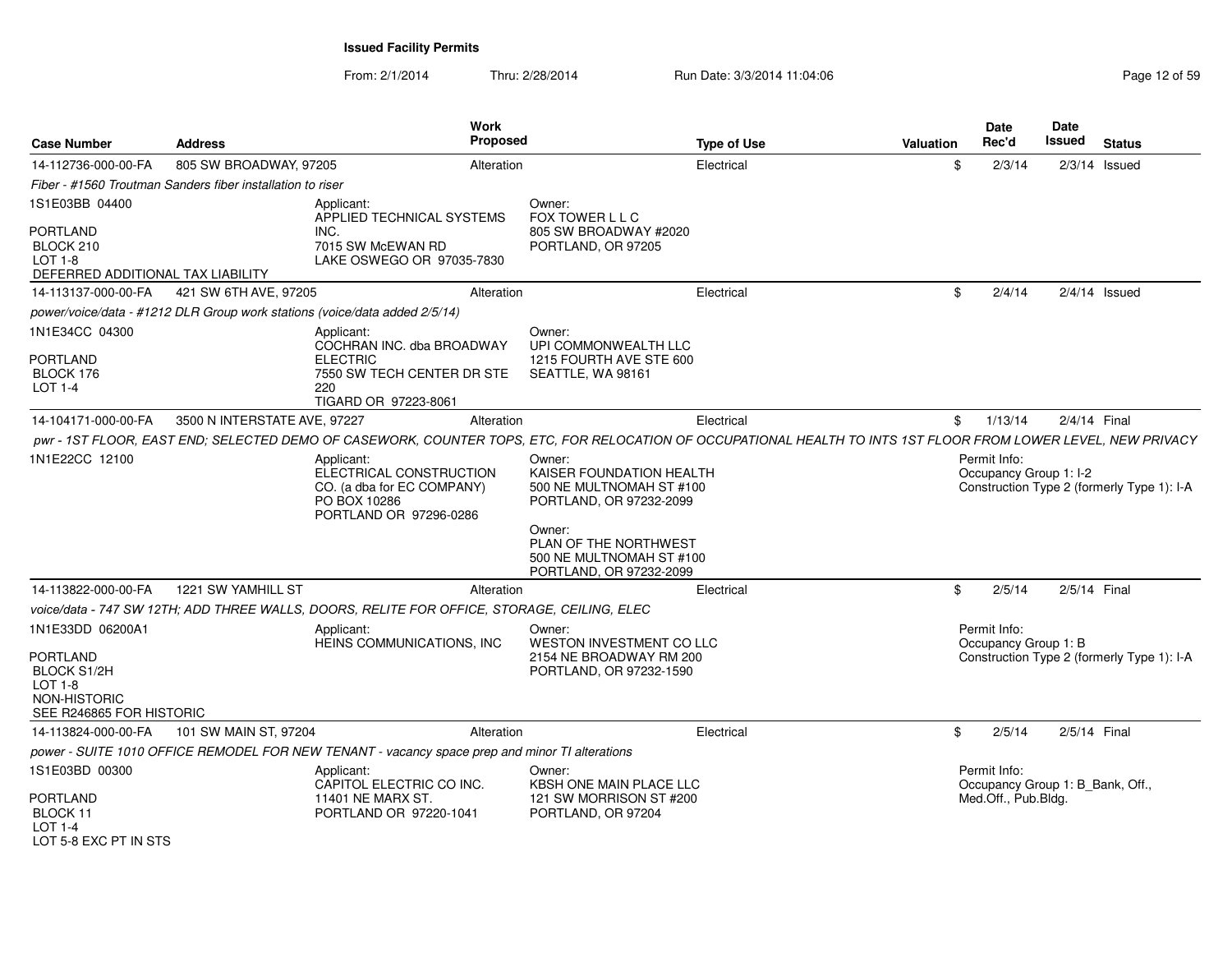From: 2/1/2014Thru: 2/28/2014 Run Date: 3/3/2014 11:04:06 Research 2015 9

| <b>Case Number</b>                                                                                        | <b>Address</b>                                             | Work<br><b>Proposed</b>                                                                                                                                        |                                                                                                                                                                                     | <b>Type of Use</b> | Valuation | <b>Date</b><br>Rec'd                                                    | Date<br>Issued | <b>Status</b>                              |
|-----------------------------------------------------------------------------------------------------------|------------------------------------------------------------|----------------------------------------------------------------------------------------------------------------------------------------------------------------|-------------------------------------------------------------------------------------------------------------------------------------------------------------------------------------|--------------------|-----------|-------------------------------------------------------------------------|----------------|--------------------------------------------|
| 14-112736-000-00-FA                                                                                       | 805 SW BROADWAY, 97205                                     | Alteration                                                                                                                                                     |                                                                                                                                                                                     | Electrical         | \$.       | 2/3/14                                                                  |                | $2/3/14$ Issued                            |
|                                                                                                           | Fiber - #1560 Troutman Sanders fiber installation to riser |                                                                                                                                                                |                                                                                                                                                                                     |                    |           |                                                                         |                |                                            |
| 1S1E03BB 04400<br><b>PORTLAND</b><br>BLOCK 210                                                            |                                                            | Applicant:<br>APPLIED TECHNICAL SYSTEMS<br>INC.<br>7015 SW McEWAN RD                                                                                           | Owner:<br>FOX TOWER L L C<br>805 SW BROADWAY #2020<br>PORTLAND, OR 97205                                                                                                            |                    |           |                                                                         |                |                                            |
| $LOT 1-8$<br>DEFERRED ADDITIONAL TAX LIABILITY                                                            |                                                            | LAKE OSWEGO OR 97035-7830                                                                                                                                      |                                                                                                                                                                                     |                    |           |                                                                         |                |                                            |
| 14-113137-000-00-FA                                                                                       | 421 SW 6TH AVE, 97205                                      | Alteration                                                                                                                                                     |                                                                                                                                                                                     | Electrical         | \$        | 2/4/14                                                                  |                | $2/4/14$ Issued                            |
|                                                                                                           |                                                            | power/voice/data - #1212 DLR Group work stations (voice/data added 2/5/14)                                                                                     |                                                                                                                                                                                     |                    |           |                                                                         |                |                                            |
| 1N1E34CC 04300<br><b>PORTLAND</b><br>BLOCK 176<br>LOT 1-4                                                 |                                                            | Applicant:<br>COCHRAN INC. dba BROADWAY<br><b>ELECTRIC</b><br>7550 SW TECH CENTER DR STE<br>220<br>TIGARD OR 97223-8061                                        | Owner:<br>UPI COMMONWEALTH LLC<br>1215 FOURTH AVE STE 600<br>SEATTLE, WA 98161                                                                                                      |                    |           |                                                                         |                |                                            |
| 14-104171-000-00-FA                                                                                       | 3500 N INTERSTATE AVE, 97227                               | Alteration                                                                                                                                                     |                                                                                                                                                                                     | Electrical         |           | \$1/13/14                                                               |                | 2/4/14 Final                               |
|                                                                                                           |                                                            | pwr - 1ST FLOOR, EAST END; SELECTED DEMO OF CASEWORK, COUNTER TOPS, ETC, FOR RELOCATION OF OCCUPATIONAL HEALTH TO INTS 1ST FLOOR FROM LOWER LEVEL, NEW PRIVACY |                                                                                                                                                                                     |                    |           |                                                                         |                |                                            |
| 1N1E22CC 12100                                                                                            |                                                            | Applicant:<br>ELECTRICAL CONSTRUCTION<br>CO. (a dba for EC COMPANY)<br>PO BOX 10286<br>PORTLAND OR 97296-0286                                                  | Owner:<br>KAISER FOUNDATION HEALTH<br>500 NE MULTNOMAH ST #100<br>PORTLAND, OR 97232-2099<br>Owner:<br>PLAN OF THE NORTHWEST<br>500 NE MULTNOMAH ST #100<br>PORTLAND, OR 97232-2099 |                    |           | Permit Info:<br>Occupancy Group 1: I-2                                  |                | Construction Type 2 (formerly Type 1): I-A |
| 14-113822-000-00-FA                                                                                       | 1221 SW YAMHILL ST                                         | Alteration                                                                                                                                                     |                                                                                                                                                                                     | Electrical         | \$        | 2/5/14                                                                  |                | 2/5/14 Final                               |
|                                                                                                           |                                                            | voice/data - 747 SW 12TH; ADD THREE WALLS, DOORS, RELITE FOR OFFICE, STORAGE, CEILING, ELEC                                                                    |                                                                                                                                                                                     |                    |           |                                                                         |                |                                            |
| 1N1E33DD 06200A1<br>PORTLAND<br><b>BLOCK S1/2H</b><br>LOT 1-8<br>NON-HISTORIC<br>SEE R246865 FOR HISTORIC |                                                            | Applicant:<br>HEINS COMMUNICATIONS, INC                                                                                                                        | Owner:<br>WESTON INVESTMENT CO LLC<br>2154 NE BROADWAY RM 200<br>PORTLAND, OR 97232-1590                                                                                            |                    |           | Permit Info:<br>Occupancy Group 1: B                                    |                | Construction Type 2 (formerly Type 1): I-A |
| 14-113824-000-00-FA                                                                                       | 101 SW MAIN ST, 97204                                      | Alteration                                                                                                                                                     |                                                                                                                                                                                     | Electrical         | \$        | 2/5/14                                                                  |                | 2/5/14 Final                               |
|                                                                                                           |                                                            | power - SUITE 1010 OFFICE REMODEL FOR NEW TENANT - vacancy space prep and minor TI alterations                                                                 |                                                                                                                                                                                     |                    |           |                                                                         |                |                                            |
| 1S1E03BD 00300<br><b>PORTLAND</b><br>BLOCK 11<br>LOT $1-4$<br>LOT 5-8 FXC PT IN STS                       |                                                            | Applicant:<br>CAPITOL ELECTRIC CO INC.<br>11401 NE MARX ST.<br>PORTLAND OR 97220-1041                                                                          | Owner:<br>KBSH ONE MAIN PLACE LLC<br>121 SW MORRISON ST #200<br>PORTLAND, OR 97204                                                                                                  |                    |           | Permit Info:<br>Occupancy Group 1: B_Bank, Off.,<br>Med.Off., Pub.Bldg. |                |                                            |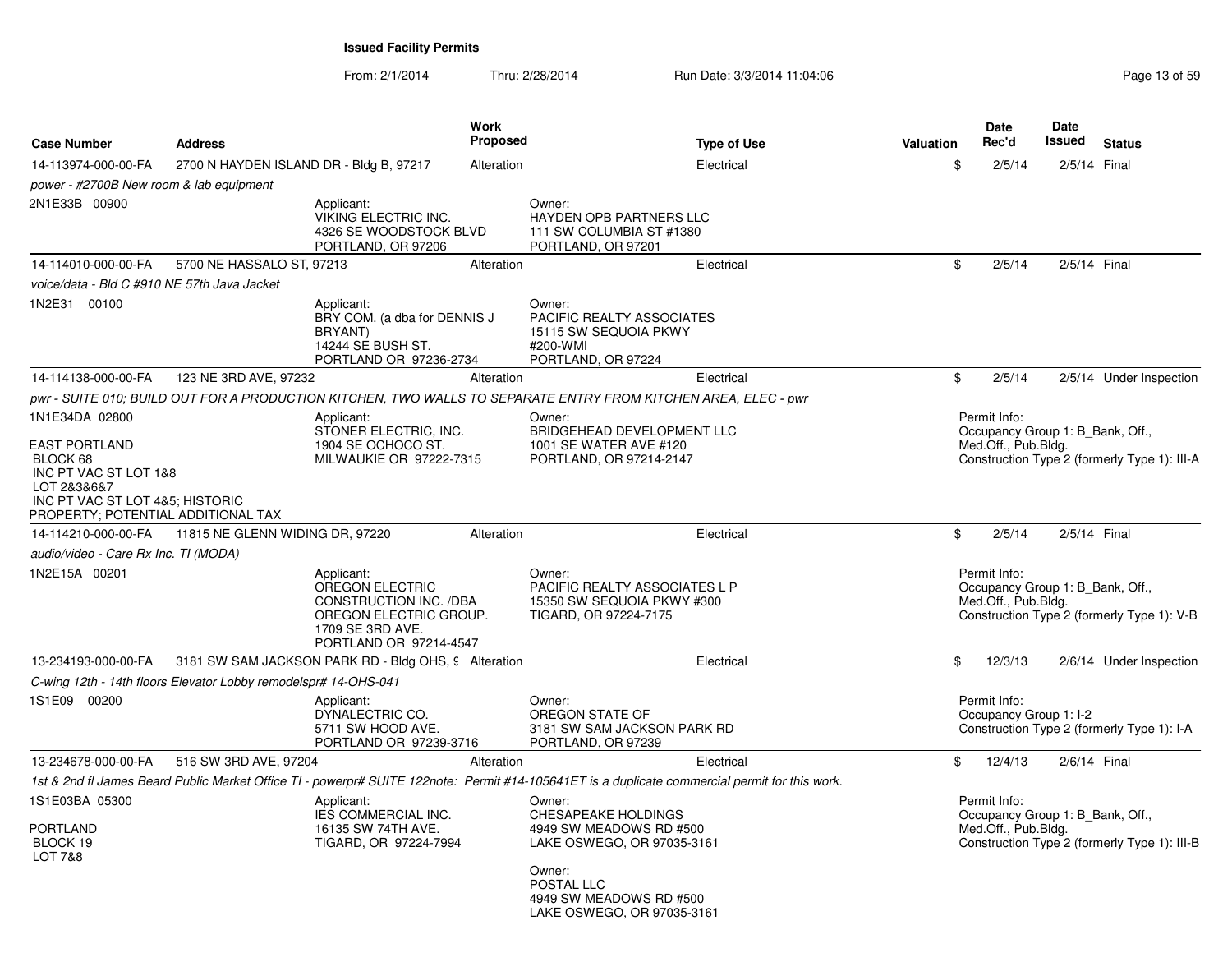| <b>Case Number</b>                                                                                                                                | <b>Address</b>                                                  |                                                                                                                                        | <b>Work</b><br><b>Proposed</b> |                                                                                                                                                | <b>Type of Use</b> | <b>Valuation</b> | Date<br>Rec'd                                                           | <b>Date</b><br>Issued | <b>Status</b>                                |
|---------------------------------------------------------------------------------------------------------------------------------------------------|-----------------------------------------------------------------|----------------------------------------------------------------------------------------------------------------------------------------|--------------------------------|------------------------------------------------------------------------------------------------------------------------------------------------|--------------------|------------------|-------------------------------------------------------------------------|-----------------------|----------------------------------------------|
| 14-113974-000-00-FA                                                                                                                               | 2700 N HAYDEN ISLAND DR - Bldg B, 97217                         |                                                                                                                                        | Alteration                     |                                                                                                                                                | Electrical         | \$               | 2/5/14                                                                  |                       | 2/5/14 Final                                 |
| power - #2700B New room & lab equipment                                                                                                           |                                                                 |                                                                                                                                        |                                |                                                                                                                                                |                    |                  |                                                                         |                       |                                              |
| 2N1E33B 00900                                                                                                                                     |                                                                 | Applicant:<br>VIKING ELECTRIC INC.<br>4326 SE WOODSTOCK BLVD<br>PORTLAND, OR 97206                                                     |                                | Owner:<br>HAYDEN OPB PARTNERS LLC<br>111 SW COLUMBIA ST #1380<br>PORTLAND, OR 97201                                                            |                    |                  |                                                                         |                       |                                              |
| 14-114010-000-00-FA                                                                                                                               | 5700 NE HASSALO ST, 97213                                       |                                                                                                                                        | Alteration                     |                                                                                                                                                | Electrical         | \$               | 2/5/14                                                                  |                       | 2/5/14 Final                                 |
| voice/data - Bld C #910 NE 57th Java Jacket                                                                                                       |                                                                 |                                                                                                                                        |                                |                                                                                                                                                |                    |                  |                                                                         |                       |                                              |
| 1N2E31 00100                                                                                                                                      |                                                                 | Applicant:<br>BRY COM. (a dba for DENNIS J<br>BRYANT)<br>14244 SE BUSH ST.<br>PORTLAND OR 97236-2734                                   |                                | Owner:<br>PACIFIC REALTY ASSOCIATES<br>15115 SW SEQUOIA PKWY<br>#200-WMI<br>PORTLAND, OR 97224                                                 |                    |                  |                                                                         |                       |                                              |
| 14-114138-000-00-FA                                                                                                                               | 123 NE 3RD AVE, 97232                                           |                                                                                                                                        | Alteration                     |                                                                                                                                                | Electrical         | \$               | 2/5/14                                                                  |                       | 2/5/14 Under Inspection                      |
|                                                                                                                                                   |                                                                 |                                                                                                                                        |                                | pwr - SUITE 010; BUILD OUT FOR A PRODUCTION KITCHEN, TWO WALLS TO SEPARATE ENTRY FROM KITCHEN AREA, ELEC - pwr                                 |                    |                  |                                                                         |                       |                                              |
| 1N1E34DA 02800                                                                                                                                    |                                                                 | Applicant:<br>STONER ELECTRIC, INC.                                                                                                    |                                | Owner:<br>BRIDGEHEAD DEVELOPMENT LLC                                                                                                           |                    |                  | Permit Info:<br>Occupancy Group 1: B Bank, Off.,                        |                       |                                              |
| <b>EAST PORTLAND</b><br>BLOCK 68<br>INC PT VAC ST LOT 1&8<br>LOT 2&3&6&7<br>INC PT VAC ST LOT 4&5; HISTORIC<br>PROPERTY; POTENTIAL ADDITIONAL TAX |                                                                 | 1904 SE OCHOCO ST.<br>MILWAUKIE OR 97222-7315                                                                                          |                                | 1001 SE WATER AVE #120<br>PORTLAND, OR 97214-2147                                                                                              |                    |                  | Med.Off., Pub.Bldg.                                                     |                       | Construction Type 2 (formerly Type 1): III-A |
| 14-114210-000-00-FA                                                                                                                               | 11815 NE GLENN WIDING DR, 97220                                 |                                                                                                                                        | Alteration                     |                                                                                                                                                | Electrical         | \$               | 2/5/14                                                                  |                       | 2/5/14 Final                                 |
| audio/video - Care Rx Inc. TI (MODA)                                                                                                              |                                                                 |                                                                                                                                        |                                |                                                                                                                                                |                    |                  |                                                                         |                       |                                              |
| 1N2E15A 00201                                                                                                                                     |                                                                 | Applicant:<br>OREGON ELECTRIC<br><b>CONSTRUCTION INC. /DBA</b><br>OREGON ELECTRIC GROUP.<br>1709 SE 3RD AVE.<br>PORTLAND OR 97214-4547 |                                | Owner:<br><b>PACIFIC REALTY ASSOCIATES L P</b><br>15350 SW SEQUOIA PKWY #300<br>TIGARD, OR 97224-7175                                          |                    |                  | Permit Info:<br>Occupancy Group 1: B Bank, Off.,<br>Med.Off., Pub.Bldg. |                       | Construction Type 2 (formerly Type 1): V-B   |
| 13-234193-000-00-FA                                                                                                                               |                                                                 | 3181 SW SAM JACKSON PARK RD - Bldg OHS, 9 Alteration                                                                                   |                                |                                                                                                                                                | Electrical         | \$               | 12/3/13                                                                 |                       | 2/6/14 Under Inspection                      |
|                                                                                                                                                   | C-wing 12th - 14th floors Elevator Lobby remodelspr# 14-OHS-041 |                                                                                                                                        |                                |                                                                                                                                                |                    |                  |                                                                         |                       |                                              |
| 1S1E09 00200                                                                                                                                      |                                                                 | Applicant:<br>DYNALECTRIC CO.<br>5711 SW HOOD AVE.<br>PORTLAND OR 97239-3716                                                           |                                | Owner:<br>OREGON STATE OF<br>3181 SW SAM JACKSON PARK RD<br>PORTLAND, OR 97239                                                                 |                    |                  | Permit Info:<br>Occupancy Group 1: I-2                                  |                       | Construction Type 2 (formerly Type 1): I-A   |
| 13-234678-000-00-FA                                                                                                                               | 516 SW 3RD AVE, 97204                                           |                                                                                                                                        | Alteration                     |                                                                                                                                                | Electrical         | \$               | 12/4/13                                                                 |                       | 2/6/14 Final                                 |
|                                                                                                                                                   |                                                                 |                                                                                                                                        |                                | 1st & 2nd fl James Beard Public Market Office TI - powerpr# SUITE 122note: Permit #14-105641ET is a duplicate commercial permit for this work. |                    |                  |                                                                         |                       |                                              |
| 1S1E03BA 05300<br>PORTLAND<br>BLOCK 19<br>LOT 7&8                                                                                                 |                                                                 | Applicant:<br>IES COMMERCIAL INC.<br>16135 SW 74TH AVE.<br>TIGARD, OR 97224-7994                                                       |                                | Owner:<br><b>CHESAPEAKE HOLDINGS</b><br>4949 SW MEADOWS RD #500<br>LAKE OSWEGO, OR 97035-3161<br>Owner:                                        |                    |                  | Permit Info:<br>Occupancy Group 1: B_Bank, Off.,<br>Med.Off., Pub.Bldg. |                       | Construction Type 2 (formerly Type 1): III-B |
|                                                                                                                                                   |                                                                 |                                                                                                                                        |                                | POSTAL LLC<br>4949 SW MEADOWS RD #500<br>LAKE OSWEGO, OR 97035-3161                                                                            |                    |                  |                                                                         |                       |                                              |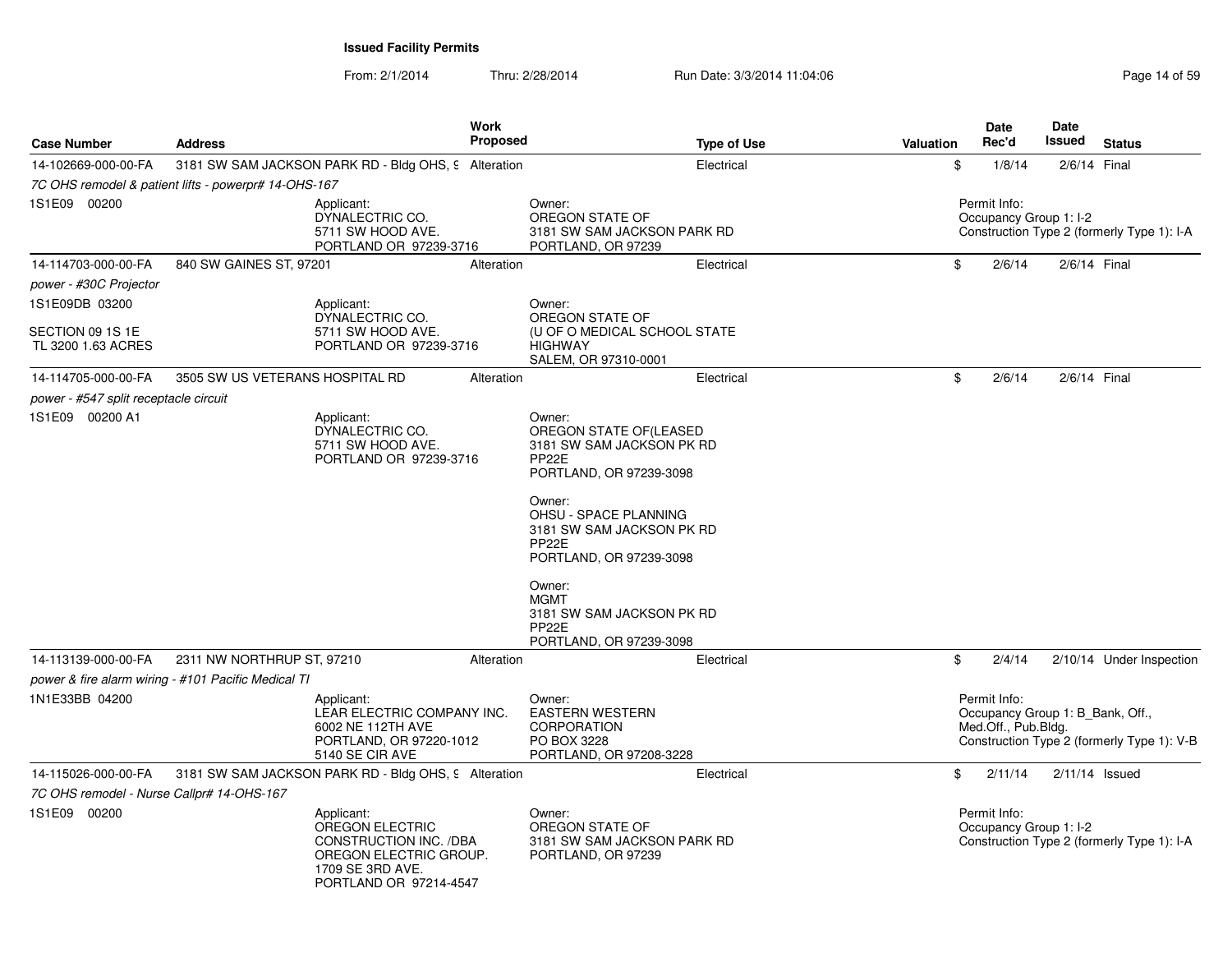| Case Number                               | <b>Address</b>                                       |                                                                                                                                 | <b>Work</b><br><b>Proposed</b> |                                                                                                                                                                                                                                                                                                              | <b>Type of Use</b> | Valuation | <b>Date</b><br>Rec'd                | Date<br>Issued         | <b>Status</b>                                                                  |
|-------------------------------------------|------------------------------------------------------|---------------------------------------------------------------------------------------------------------------------------------|--------------------------------|--------------------------------------------------------------------------------------------------------------------------------------------------------------------------------------------------------------------------------------------------------------------------------------------------------------|--------------------|-----------|-------------------------------------|------------------------|--------------------------------------------------------------------------------|
| 14-102669-000-00-FA                       | 3181 SW SAM JACKSON PARK RD - Bldg OHS, 9 Alteration |                                                                                                                                 |                                |                                                                                                                                                                                                                                                                                                              | Electrical         |           | \$<br>1/8/14                        | 2/6/14 Final           |                                                                                |
|                                           | 7C OHS remodel & patient lifts - powerpr# 14-OHS-167 |                                                                                                                                 |                                |                                                                                                                                                                                                                                                                                                              |                    |           |                                     |                        |                                                                                |
| 1S1E09 00200                              |                                                      | Applicant:<br>DYNALECTRIC CO.<br>5711 SW HOOD AVE.<br>PORTLAND OR 97239-3716                                                    |                                | Owner:<br>OREGON STATE OF<br>3181 SW SAM JACKSON PARK RD<br>PORTLAND, OR 97239                                                                                                                                                                                                                               |                    |           | Permit Info:                        | Occupancy Group 1: I-2 | Construction Type 2 (formerly Type 1): I-A                                     |
| 14-114703-000-00-FA                       | 840 SW GAINES ST, 97201                              |                                                                                                                                 | Alteration                     |                                                                                                                                                                                                                                                                                                              | Electrical         |           | \$<br>2/6/14                        | 2/6/14 Final           |                                                                                |
| power - #30C Projector                    |                                                      |                                                                                                                                 |                                |                                                                                                                                                                                                                                                                                                              |                    |           |                                     |                        |                                                                                |
| 1S1E09DB 03200                            |                                                      | Applicant:                                                                                                                      |                                | Owner:                                                                                                                                                                                                                                                                                                       |                    |           |                                     |                        |                                                                                |
| SECTION 09 1S 1E<br>TL 3200 1.63 ACRES    |                                                      | DYNALECTRIC CO.<br>5711 SW HOOD AVE.<br>PORTLAND OR 97239-3716                                                                  |                                | OREGON STATE OF<br>(U OF O MEDICAL SCHOOL STATE<br><b>HIGHWAY</b><br>SALEM, OR 97310-0001                                                                                                                                                                                                                    |                    |           |                                     |                        |                                                                                |
| 14-114705-000-00-FA                       | 3505 SW US VETERANS HOSPITAL RD                      |                                                                                                                                 | Alteration                     |                                                                                                                                                                                                                                                                                                              | Electrical         |           | \$<br>2/6/14                        | 2/6/14 Final           |                                                                                |
| power - #547 split receptacle circuit     |                                                      |                                                                                                                                 |                                |                                                                                                                                                                                                                                                                                                              |                    |           |                                     |                        |                                                                                |
| 1S1E09 00200 A1                           |                                                      | Applicant:<br>DYNALECTRIC CO.<br>5711 SW HOOD AVE.<br>PORTLAND OR 97239-3716                                                    |                                | Owner:<br>OREGON STATE OF (LEASED<br>3181 SW SAM JACKSON PK RD<br>PP <sub>22</sub> E<br>PORTLAND, OR 97239-3098<br>Owner:<br>OHSU - SPACE PLANNING<br>3181 SW SAM JACKSON PK RD<br>PP <sub>22</sub> E<br>PORTLAND, OR 97239-3098<br>Owner:<br><b>MGMT</b><br>3181 SW SAM JACKSON PK RD<br>PP <sub>22</sub> E |                    |           |                                     |                        |                                                                                |
| 14-113139-000-00-FA                       | 2311 NW NORTHRUP ST, 97210                           |                                                                                                                                 | Alteration                     | PORTLAND, OR 97239-3098                                                                                                                                                                                                                                                                                      | Electrical         |           | \$<br>2/4/14                        |                        | 2/10/14 Under Inspection                                                       |
|                                           | power & fire alarm wiring - #101 Pacific Medical TI  |                                                                                                                                 |                                |                                                                                                                                                                                                                                                                                                              |                    |           |                                     |                        |                                                                                |
| 1N1E33BB 04200                            |                                                      | Applicant:<br>LEAR ELECTRIC COMPANY INC.<br>6002 NE 112TH AVE<br>PORTLAND, OR 97220-1012<br>5140 SE CIR AVE                     |                                | Owner:<br><b>EASTERN WESTERN</b><br><b>CORPORATION</b><br>PO BOX 3228<br>PORTLAND, OR 97208-3228                                                                                                                                                                                                             |                    |           | Permit Info:<br>Med.Off., Pub.Bldg. |                        | Occupancy Group 1: B Bank, Off.,<br>Construction Type 2 (formerly Type 1): V-B |
| 14-115026-000-00-FA                       | 3181 SW SAM JACKSON PARK RD - Bldg OHS, 9 Alteration |                                                                                                                                 |                                |                                                                                                                                                                                                                                                                                                              | Electrical         |           | \$<br>2/11/14                       |                        | $2/11/14$ Issued                                                               |
| 7C OHS remodel - Nurse Callpr# 14-OHS-167 |                                                      |                                                                                                                                 |                                |                                                                                                                                                                                                                                                                                                              |                    |           |                                     |                        |                                                                                |
| 1S1E09 00200                              |                                                      | Applicant:<br>OREGON ELECTRIC<br>CONSTRUCTION INC. /DBA<br>OREGON ELECTRIC GROUP.<br>1709 SE 3RD AVE.<br>PORTLAND OR 97214-4547 |                                | Owner:<br>OREGON STATE OF<br>3181 SW SAM JACKSON PARK RD<br>PORTLAND, OR 97239                                                                                                                                                                                                                               |                    |           | Permit Info:                        | Occupancy Group 1: I-2 | Construction Type 2 (formerly Type 1): I-A                                     |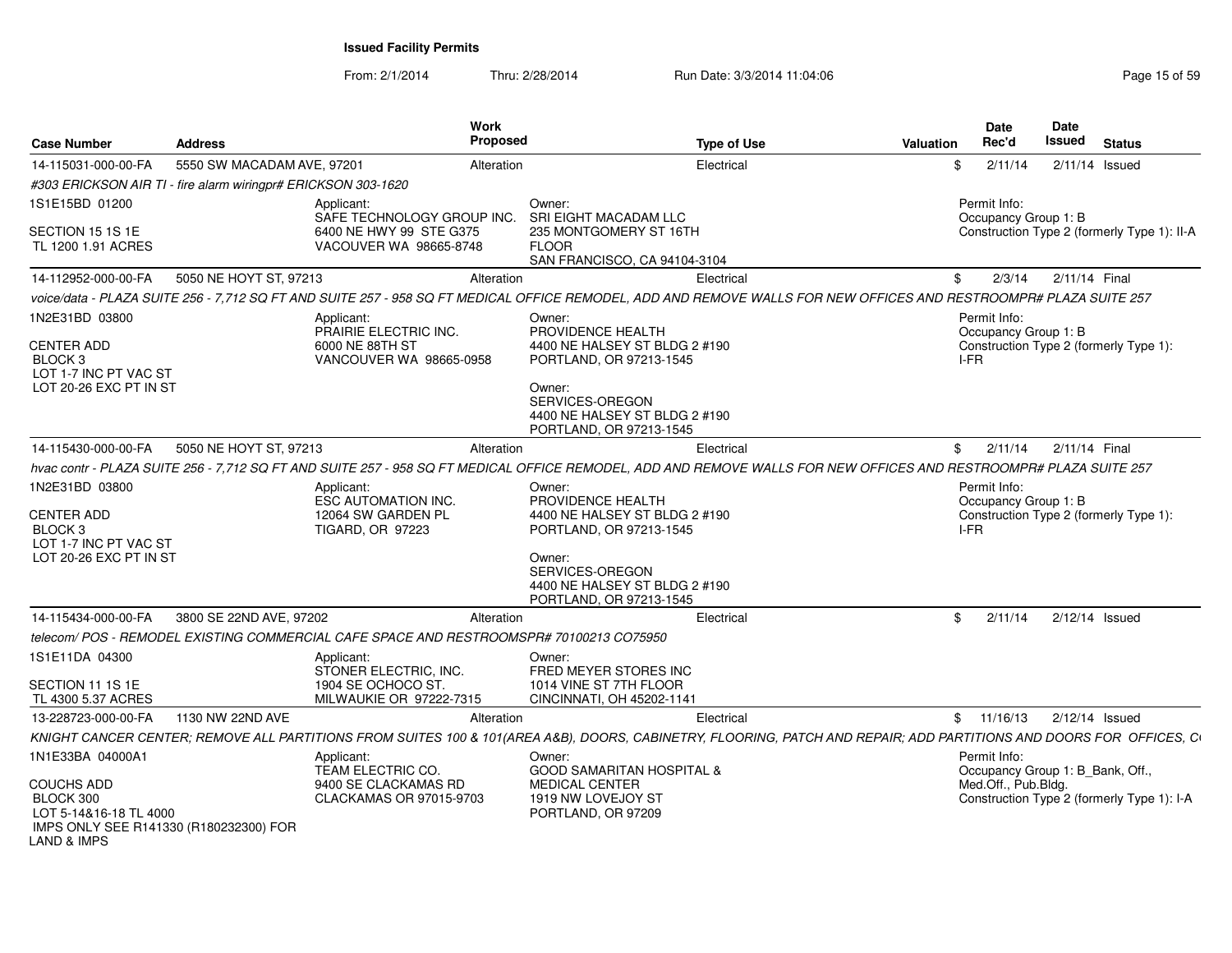From: 2/1/2014

|                                                                  |                            | Work                                                                                                                                                                |                                                     |                    |           | Date                                 | Date   |                                             |
|------------------------------------------------------------------|----------------------------|---------------------------------------------------------------------------------------------------------------------------------------------------------------------|-----------------------------------------------------|--------------------|-----------|--------------------------------------|--------|---------------------------------------------|
| <b>Case Number</b>                                               | Address                    | <b>Proposed</b>                                                                                                                                                     |                                                     | <b>Type of Use</b> | Valuation | Rec'd                                | Issued | <b>Status</b>                               |
| 14-115031-000-00-FA                                              | 5550 SW MACADAM AVE, 97201 | Alteration                                                                                                                                                          |                                                     | Electrical         |           | 2/11/14                              |        | 2/11/14 Issued                              |
| #303 ERICKSON AIR TI - fire alarm wiringpr# ERICKSON 303-1620    |                            |                                                                                                                                                                     |                                                     |                    |           |                                      |        |                                             |
| 1S1E15BD 01200                                                   |                            | Applicant:<br>SAFE TECHNOLOGY GROUP INC.                                                                                                                            | Owner:<br>SRI EIGHT MACADAM LLC                     |                    |           | Permit Info:<br>Occupancy Group 1: B |        |                                             |
| SECTION 15 1S 1E                                                 |                            | 6400 NE HWY 99 STE G375                                                                                                                                             | 235 MONTGOMERY ST 16TH                              |                    |           |                                      |        | Construction Type 2 (formerly Type 1): II-A |
| TL 1200 1.91 ACRES                                               |                            | VACOUVER WA 98665-8748                                                                                                                                              | <b>FLOOR</b>                                        |                    |           |                                      |        |                                             |
|                                                                  |                            |                                                                                                                                                                     | SAN FRANCISCO, CA 94104-3104                        |                    |           |                                      |        |                                             |
| 14-112952-000-00-FA                                              | 5050 NE HOYT ST, 97213     | Alteration                                                                                                                                                          |                                                     | Electrical         | \$        |                                      |        | 2/3/14 2/11/14 Final                        |
|                                                                  |                            | voice/data - PLAZA SUITE 256 - 7,712 SQ FT AND SUITE 257 - 958 SQ FT MEDICAL OFFICE REMODEL, ADD AND REMOVE WALLS FOR NEW OFFICES AND RESTROOMPR# PLAZA SUITE 257   |                                                     |                    |           |                                      |        |                                             |
| 1N2E31BD 03800                                                   |                            | Applicant:<br>PRAIRIE ELECTRIC INC.                                                                                                                                 | Owner:<br>PROVIDENCE HEALTH                         |                    |           | Permit Info:<br>Occupancy Group 1: B |        |                                             |
| <b>CENTER ADD</b>                                                |                            | 6000 NE 88TH ST                                                                                                                                                     | 4400 NE HALSEY ST BLDG 2 #190                       |                    |           |                                      |        | Construction Type 2 (formerly Type 1):      |
| BLOCK <sub>3</sub>                                               |                            | VANCOUVER WA 98665-0958                                                                                                                                             | PORTLAND, OR 97213-1545                             |                    | I-FR      |                                      |        |                                             |
| LOT 1-7 INC PT VAC ST<br>LOT 20-26 EXC PT IN ST                  |                            |                                                                                                                                                                     | Owner:                                              |                    |           |                                      |        |                                             |
|                                                                  |                            |                                                                                                                                                                     | SERVICES-OREGON                                     |                    |           |                                      |        |                                             |
|                                                                  |                            |                                                                                                                                                                     | 4400 NE HALSEY ST BLDG 2 #190                       |                    |           |                                      |        |                                             |
|                                                                  |                            |                                                                                                                                                                     | PORTLAND, OR 97213-1545                             |                    |           |                                      |        |                                             |
| 14-115430-000-00-FA                                              | 5050 NE HOYT ST, 97213     | Alteration                                                                                                                                                          |                                                     | Electrical         |           | \$2/11/14                            |        | 2/11/14 Final                               |
|                                                                  |                            | hvac contr - PLAZA SUITE 256 - 7.712 SQ FT AND SUITE 257 - 958 SQ FT MEDICAL OFFICE REMODEL. ADD AND REMOVE WALLS FOR NEW OFFICES AND RESTROOMPR# PLAZA SUITE 257   |                                                     |                    |           |                                      |        |                                             |
| 1N2E31BD 03800                                                   |                            | Applicant:                                                                                                                                                          | Owner:                                              |                    |           | Permit Info:                         |        |                                             |
| <b>CENTER ADD</b>                                                |                            | ESC AUTOMATION INC.<br>12064 SW GARDEN PL                                                                                                                           | PROVIDENCE HEALTH<br>4400 NE HALSEY ST BLDG 2 #190  |                    |           | Occupancy Group 1: B                 |        | Construction Type 2 (formerly Type 1):      |
| BLOCK <sub>3</sub>                                               |                            | TIGARD, OR 97223                                                                                                                                                    | PORTLAND, OR 97213-1545                             |                    | I-FR      |                                      |        |                                             |
| LOT 1-7 INC PT VAC ST                                            |                            |                                                                                                                                                                     |                                                     |                    |           |                                      |        |                                             |
| LOT 20-26 EXC PT IN ST                                           |                            |                                                                                                                                                                     | Owner:                                              |                    |           |                                      |        |                                             |
|                                                                  |                            |                                                                                                                                                                     | SERVICES-OREGON<br>4400 NE HALSEY ST BLDG 2 #190    |                    |           |                                      |        |                                             |
|                                                                  |                            |                                                                                                                                                                     | PORTLAND, OR 97213-1545                             |                    |           |                                      |        |                                             |
| 14-115434-000-00-FA                                              | 3800 SE 22ND AVE, 97202    | Alteration                                                                                                                                                          |                                                     | Electrical         |           | \$2/11/14                            |        | 2/12/14 Issued                              |
|                                                                  |                            | telecom/POS - REMODEL EXISTING COMMERCIAL CAFE SPACE AND RESTROOMSPR# 70100213 CO75950                                                                              |                                                     |                    |           |                                      |        |                                             |
| 1S1E11DA 04300                                                   |                            | Applicant:                                                                                                                                                          | Owner:                                              |                    |           |                                      |        |                                             |
|                                                                  |                            | STONER ELECTRIC, INC                                                                                                                                                | FRED MEYER STORES INC                               |                    |           |                                      |        |                                             |
| SECTION 11 1S 1E<br>TL 4300 5.37 ACRES                           |                            | 1904 SE OCHOCO ST<br><b>MILWAUKIE OR 97222-7315</b>                                                                                                                 | 1014 VINE ST 7TH FLOOR<br>CINCINNATI, OH 45202-1141 |                    |           |                                      |        |                                             |
| 13-228723-000-00-FA                                              | 1130 NW 22ND AVE           | Alteration                                                                                                                                                          |                                                     | Electrical         |           | \$11/16/13                           |        | 2/12/14 Issued                              |
|                                                                  |                            |                                                                                                                                                                     |                                                     |                    |           |                                      |        |                                             |
|                                                                  |                            | KNIGHT CANCER CENTER; REMOVE ALL PARTITIONS FROM SUITES 100 & 101(AREA A&B), DOORS, CABINETRY, FLOORING, PATCH AND REPAIR; ADD PARTITIONS AND DOORS FOR OFFICES, CI |                                                     |                    |           |                                      |        |                                             |
| 1N1E33BA 04000A1                                                 |                            | Applicant:<br>TEAM ELECTRIC CO.                                                                                                                                     | Owner:<br><b>GOOD SAMARITAN HOSPITAL &amp;</b>      |                    |           | Permit Info:                         |        | Occupancy Group 1: B_Bank, Off.,            |
| <b>COUCHS ADD</b>                                                |                            | 9400 SE CLACKAMAS RD                                                                                                                                                | <b>MEDICAL CENTER</b>                               |                    |           | Med.Off., Pub.Bldg.                  |        |                                             |
| BLOCK 300                                                        |                            | CLACKAMAS OR 97015-9703                                                                                                                                             | 1919 NW LOVEJOY ST                                  |                    |           |                                      |        | Construction Type 2 (formerly Type 1): I-A  |
| LOT 5-14&16-18 TL 4000<br>IMPS ONLY SEE R141330 (R180232300) FOR |                            |                                                                                                                                                                     | PORTLAND, OR 97209                                  |                    |           |                                      |        |                                             |
| <b>LAND &amp; IMPS</b>                                           |                            |                                                                                                                                                                     |                                                     |                    |           |                                      |        |                                             |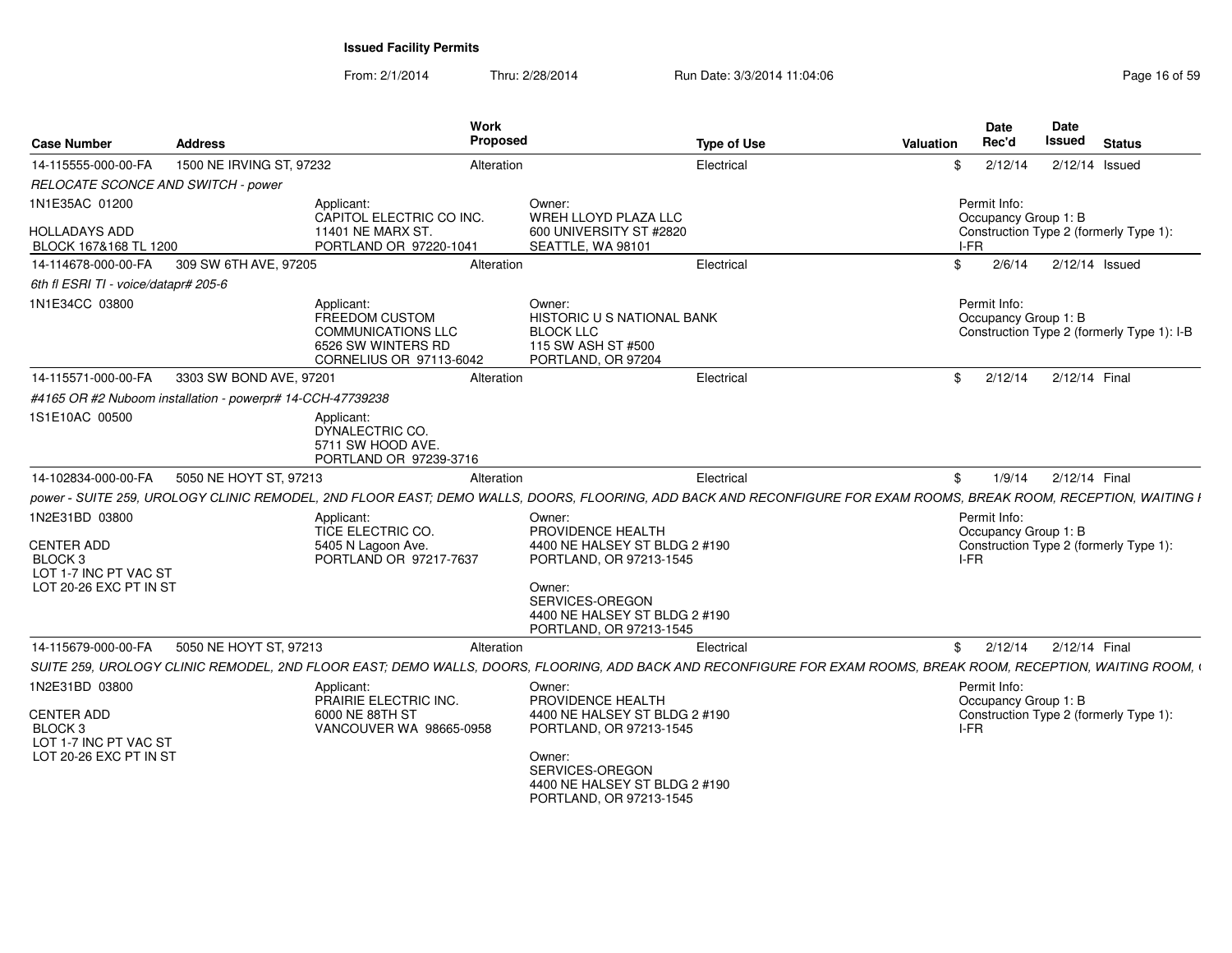| <b>Case Number</b>                            | Address                                                    | <b>Work</b><br>Proposed                                                                                                                                           |                                                                                                      | <b>Type of Use</b> | <b>Valuation</b> |      | <b>Date</b><br>Rec'd                 | Date<br>Issued | <b>Status</b>                              |
|-----------------------------------------------|------------------------------------------------------------|-------------------------------------------------------------------------------------------------------------------------------------------------------------------|------------------------------------------------------------------------------------------------------|--------------------|------------------|------|--------------------------------------|----------------|--------------------------------------------|
| 14-115555-000-00-FA                           | 1500 NE IRVING ST, 97232                                   | Alteration                                                                                                                                                        |                                                                                                      | Electrical         |                  | \$   | 2/12/14                              |                | $2/12/14$ Issued                           |
| RELOCATE SCONCE AND SWITCH - power            |                                                            |                                                                                                                                                                   |                                                                                                      |                    |                  |      |                                      |                |                                            |
| 1N1E35AC 01200                                |                                                            | Applicant:<br>CAPITOL ELECTRIC CO INC.                                                                                                                            | Owner:<br>WREH LLOYD PLAZA LLC                                                                       |                    |                  |      | Permit Info:<br>Occupancy Group 1: B |                |                                            |
| <b>HOLLADAYS ADD</b><br>BLOCK 167&168 TL 1200 |                                                            | 11401 NE MARX ST.<br>PORTLAND OR 97220-1041                                                                                                                       | 600 UNIVERSITY ST #2820<br>SEATTLE, WA 98101                                                         |                    |                  | I-FR |                                      |                | Construction Type 2 (formerly Type 1):     |
| 14-114678-000-00-FA                           | 309 SW 6TH AVE, 97205                                      | Alteration                                                                                                                                                        |                                                                                                      | Electrical         |                  | \$   | 2/6/14                               |                | 2/12/14 Issued                             |
| 6th fl ESRI TI - voice/datapr# 205-6          |                                                            |                                                                                                                                                                   |                                                                                                      |                    |                  |      |                                      |                |                                            |
| 1N1E34CC 03800                                |                                                            | Applicant:<br>FREEDOM CUSTOM<br><b>COMMUNICATIONS LLC</b><br>6526 SW WINTERS RD<br>CORNELIUS OR 97113-6042                                                        | Owner:<br>HISTORIC U S NATIONAL BANK<br><b>BLOCK LLC</b><br>115 SW ASH ST #500<br>PORTLAND, OR 97204 |                    |                  |      | Permit Info:<br>Occupancy Group 1: B |                | Construction Type 2 (formerly Type 1): I-B |
| 14-115571-000-00-FA                           | 3303 SW BOND AVE, 97201                                    | Alteration                                                                                                                                                        |                                                                                                      | Electrical         |                  | \$   | 2/12/14                              | 2/12/14 Final  |                                            |
|                                               | #4165 OR #2 Nuboom installation - powerpr# 14-CCH-47739238 |                                                                                                                                                                   |                                                                                                      |                    |                  |      |                                      |                |                                            |
| 1S1E10AC 00500                                |                                                            | Applicant:<br>DYNALECTRIC CO.<br>5711 SW HOOD AVE.<br>PORTLAND OR 97239-3716                                                                                      |                                                                                                      |                    |                  |      |                                      |                |                                            |
| 14-102834-000-00-FA                           | 5050 NE HOYT ST, 97213                                     | Alteration                                                                                                                                                        |                                                                                                      | Electrical         |                  | \$   | 1/9/14                               | 2/12/14 Final  |                                            |
|                                               |                                                            | power - SUITE 259, UROLOGY CLINIC REMODEL, 2ND FLOOR EAST; DEMO WALLS, DOORS, FLOORING, ADD BACK AND RECONFIGURE FOR EXAM ROOMS, BREAK ROOM, RECEPTION, WAITING I |                                                                                                      |                    |                  |      |                                      |                |                                            |
| 1N2E31BD 03800                                |                                                            | Applicant:<br>TICE ELECTRIC CO.                                                                                                                                   | Owner:<br>PROVIDENCE HEALTH                                                                          |                    |                  |      | Permit Info:<br>Occupancy Group 1: B |                |                                            |
| <b>CENTER ADD</b>                             |                                                            | 5405 N Lagoon Ave.                                                                                                                                                | 4400 NE HALSEY ST BLDG 2 #190                                                                        |                    |                  |      |                                      |                | Construction Type 2 (formerly Type 1):     |
| BLOCK <sub>3</sub><br>LOT 1-7 INC PT VAC ST   |                                                            | PORTLAND OR 97217-7637                                                                                                                                            | PORTLAND, OR 97213-1545                                                                              |                    |                  | I-FR |                                      |                |                                            |
| LOT 20-26 EXC PT IN ST                        |                                                            |                                                                                                                                                                   | Owner:<br>SERVICES-OREGON<br>4400 NE HALSEY ST BLDG 2 #190<br>PORTLAND, OR 97213-1545                |                    |                  |      |                                      |                |                                            |
| 14-115679-000-00-FA                           | 5050 NE HOYT ST, 97213                                     | Alteration                                                                                                                                                        |                                                                                                      | Electrical         |                  | \$   | 2/12/14                              | 2/12/14 Final  |                                            |
|                                               |                                                            | SUITE 259, UROLOGY CLINIC REMODEL, 2ND FLOOR EAST; DEMO WALLS, DOORS, FLOORING, ADD BACK AND RECONFIGURE FOR EXAM ROOMS, BREAK ROOM, RECEPTION, WAITING ROOM, \   |                                                                                                      |                    |                  |      |                                      |                |                                            |
| 1N2E31BD 03800                                |                                                            | Applicant:<br>PRAIRIE ELECTRIC INC.                                                                                                                               | Owner:<br>PROVIDENCE HEALTH                                                                          |                    |                  |      | Permit Info:<br>Occupancy Group 1: B |                |                                            |
| <b>CENTER ADD</b>                             |                                                            | 6000 NE 88TH ST                                                                                                                                                   | 4400 NE HALSEY ST BLDG 2 #190                                                                        |                    |                  |      |                                      |                | Construction Type 2 (formerly Type 1):     |
| BLOCK <sub>3</sub><br>LOT 1-7 INC PT VAC ST   |                                                            | VANCOUVER WA 98665-0958                                                                                                                                           | PORTLAND, OR 97213-1545                                                                              |                    |                  | I-FR |                                      |                |                                            |
| LOT 20-26 EXC PT IN ST                        |                                                            |                                                                                                                                                                   | Owner:<br>SERVICES-OREGON<br>4400 NE HALSEY ST BLDG 2 #190<br>PORTLAND, OR 97213-1545                |                    |                  |      |                                      |                |                                            |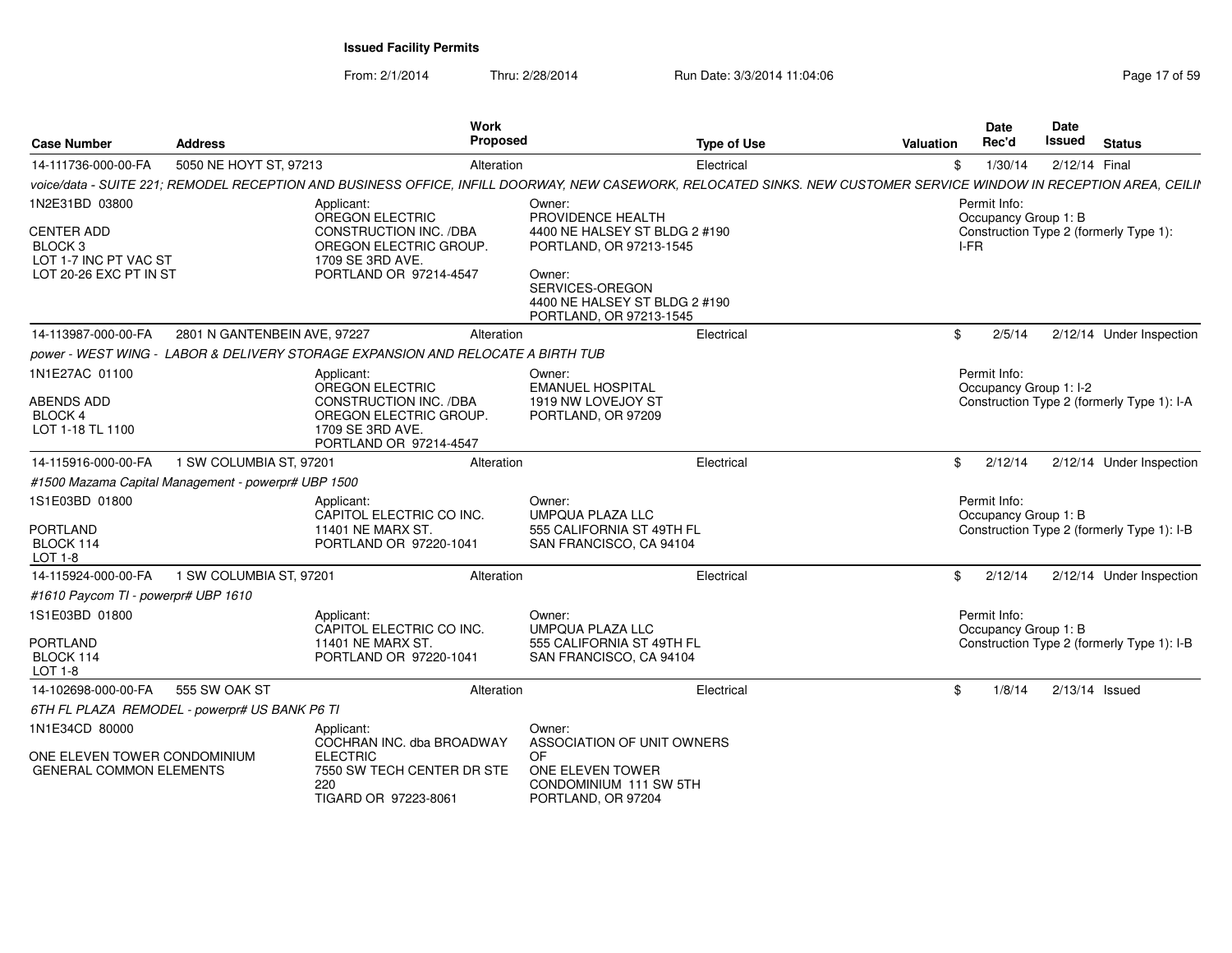From: 2/1/2014Thru: 2/28/2014 Run Date: 3/3/2014 11:04:06 Research 2010 17 of 59

| <b>Case Number</b>                                                                                           | <b>Address</b>                                      | Work<br>Proposed                                                                                                                                                    |                                                                                                                                                                                  | <b>Type of Use</b> | Valuation | <b>Date</b><br>Rec'd                         | <b>Date</b><br>Issued | <b>Status</b>                              |
|--------------------------------------------------------------------------------------------------------------|-----------------------------------------------------|---------------------------------------------------------------------------------------------------------------------------------------------------------------------|----------------------------------------------------------------------------------------------------------------------------------------------------------------------------------|--------------------|-----------|----------------------------------------------|-----------------------|--------------------------------------------|
| 14-111736-000-00-FA                                                                                          | 5050 NE HOYT ST, 97213                              | Alteration                                                                                                                                                          |                                                                                                                                                                                  | Electrical         | \$        | 1/30/14                                      | 2/12/14 Final         |                                            |
|                                                                                                              |                                                     | voice/data - SUITE 221; REMODEL RECEPTION AND BUSINESS OFFICE, INFILL DOORWAY, NEW CASEWORK, RELOCATED SINKS. NEW CUSTOMER SERVICE WINDOW IN RECEPTION AREA, CEILII |                                                                                                                                                                                  |                    |           |                                              |                       |                                            |
| 1N2E31BD 03800<br><b>CENTER ADD</b><br>BLOCK <sub>3</sub><br>LOT 1-7 INC PT VAC ST<br>LOT 20-26 EXC PT IN ST |                                                     | Applicant:<br>OREGON ELECTRIC<br>CONSTRUCTION INC. /DBA<br>OREGON ELECTRIC GROUP.<br>1709 SE 3RD AVE.<br>PORTLAND OR 97214-4547                                     | Owner:<br>PROVIDENCE HEALTH<br>4400 NE HALSEY ST BLDG 2 #190<br>PORTLAND, OR 97213-1545<br>Owner:<br>SERVICES-OREGON<br>4400 NE HALSEY ST BLDG 2 #190<br>PORTLAND, OR 97213-1545 |                    |           | Permit Info:<br>Occupancy Group 1: B<br>I-FR |                       | Construction Type 2 (formerly Type 1):     |
| 14-113987-000-00-FA                                                                                          | 2801 N GANTENBEIN AVE, 97227                        | Alteration                                                                                                                                                          |                                                                                                                                                                                  | Electrical         | \$        | 2/5/14                                       |                       | 2/12/14 Under Inspection                   |
|                                                                                                              |                                                     | power - WEST WING - LABOR & DELIVERY STORAGE EXPANSION AND RELOCATE A BIRTH TUB                                                                                     |                                                                                                                                                                                  |                    |           |                                              |                       |                                            |
| 1N1E27AC 01100<br>ABENDS ADD<br><b>BLOCK 4</b><br>LOT 1-18 TL 1100                                           |                                                     | Applicant:<br>OREGON ELECTRIC<br>CONSTRUCTION INC. /DBA<br>OREGON ELECTRIC GROUP.<br>1709 SE 3RD AVE.<br>PORTLAND OR 97214-4547                                     | Owner:<br><b>EMANUEL HOSPITAL</b><br>1919 NW LOVEJOY ST<br>PORTLAND, OR 97209                                                                                                    |                    |           | Permit Info:<br>Occupancy Group 1: I-2       |                       | Construction Type 2 (formerly Type 1): I-A |
| 14-115916-000-00-FA                                                                                          | 1 SW COLUMBIA ST, 97201                             | Alteration                                                                                                                                                          |                                                                                                                                                                                  | Electrical         | \$        | 2/12/14                                      |                       | 2/12/14 Under Inspection                   |
|                                                                                                              | #1500 Mazama Capital Management - powerpr# UBP 1500 |                                                                                                                                                                     |                                                                                                                                                                                  |                    |           |                                              |                       |                                            |
| 1S1E03BD 01800<br>PORTLAND<br>BLOCK 114<br>LOT 1-8                                                           |                                                     | Applicant:<br>CAPITOL ELECTRIC CO INC.<br>11401 NE MARX ST.<br>PORTLAND OR 97220-1041                                                                               | Owner:<br><b>UMPQUA PLAZA LLC</b><br>555 CALIFORNIA ST 49TH FL<br>SAN FRANCISCO, CA 94104                                                                                        |                    |           | Permit Info:<br>Occupancy Group 1: B         |                       | Construction Type 2 (formerly Type 1): I-B |
| 14-115924-000-00-FA                                                                                          | 1 SW COLUMBIA ST, 97201                             | Alteration                                                                                                                                                          |                                                                                                                                                                                  | Electrical         | \$        | 2/12/14                                      |                       | 2/12/14 Under Inspection                   |
| #1610 Paycom TI - powerpr# UBP 1610                                                                          |                                                     |                                                                                                                                                                     |                                                                                                                                                                                  |                    |           |                                              |                       |                                            |
| 1S1E03BD 01800<br>PORTLAND<br>BLOCK 114<br><b>LOT 1-8</b>                                                    |                                                     | Applicant:<br>CAPITOL ELECTRIC CO INC.<br>11401 NE MARX ST.<br>PORTLAND OR 97220-1041                                                                               | Owner:<br><b>UMPQUA PLAZA LLC</b><br>555 CALIFORNIA ST 49TH FL<br>SAN FRANCISCO, CA 94104                                                                                        |                    |           | Permit Info:<br>Occupancy Group 1: B         |                       | Construction Type 2 (formerly Type 1): I-B |
| 14-102698-000-00-FA                                                                                          | 555 SW OAK ST                                       | Alteration                                                                                                                                                          |                                                                                                                                                                                  | Electrical         | \$        | 1/8/14                                       | $2/13/14$ Issued      |                                            |
|                                                                                                              | 6TH FL PLAZA REMODEL - powerpr# US BANK P6 TI       |                                                                                                                                                                     |                                                                                                                                                                                  |                    |           |                                              |                       |                                            |
| 1N1E34CD 80000<br>ONE ELEVEN TOWER CONDOMINIUM<br><b>GENERAL COMMON ELEMENTS</b>                             |                                                     | Applicant:<br>COCHRAN INC. dba BROADWAY<br><b>ELECTRIC</b><br>7550 SW TECH CENTER DR STE<br>220<br>TIGARD OR 97223-8061                                             | Owner:<br>ASSOCIATION OF UNIT OWNERS<br><b>OF</b><br>ONE ELEVEN TOWER<br>CONDOMINIUM 111 SW 5TH<br>PORTLAND, OR 97204                                                            |                    |           |                                              |                       |                                            |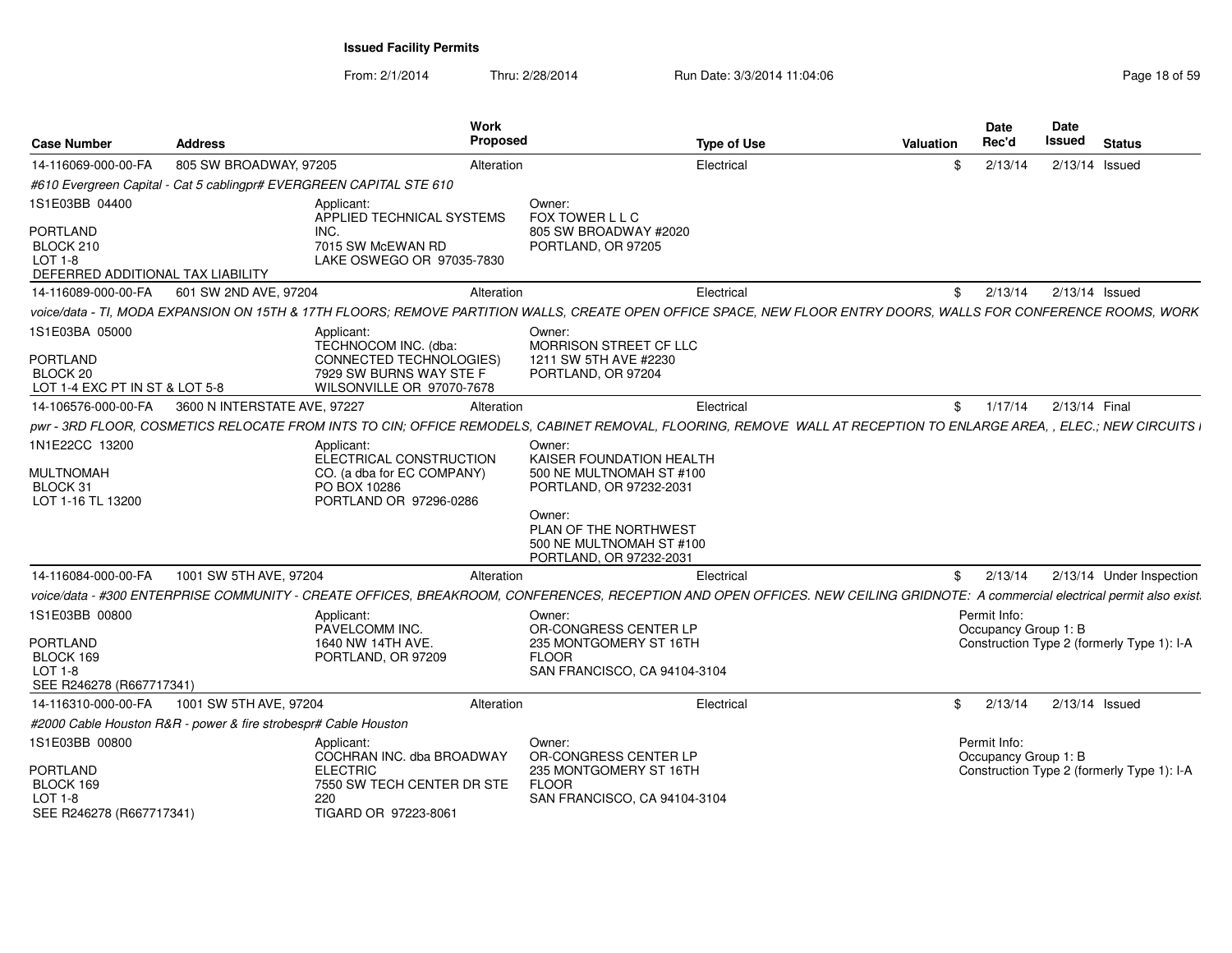From: 2/1/2014Thru: 2/28/2014 Run Date: 3/3/2014 11:04:06 Research 2010 18:06 Page 18 of 59

| <b>Case Number</b>                                                                  | <b>Address</b>                                                                                                                                                                | Work<br>Proposed                                                                                               |                                                                                                                   | <b>Type of Use</b> | Valuation | <b>Date</b><br>Rec'd                 | Date<br>Issued | <b>Status</b>                              |
|-------------------------------------------------------------------------------------|-------------------------------------------------------------------------------------------------------------------------------------------------------------------------------|----------------------------------------------------------------------------------------------------------------|-------------------------------------------------------------------------------------------------------------------|--------------------|-----------|--------------------------------------|----------------|--------------------------------------------|
| 14-116069-000-00-FA                                                                 | 805 SW BROADWAY, 97205                                                                                                                                                        | Alteration                                                                                                     |                                                                                                                   | Electrical         | \$.       | 2/13/14                              |                | 2/13/14 Issued                             |
|                                                                                     | #610 Evergreen Capital - Cat 5 cablingpr# EVERGREEN CAPITAL STE 610                                                                                                           |                                                                                                                |                                                                                                                   |                    |           |                                      |                |                                            |
| 1S1E03BB 04400                                                                      | Applicant:                                                                                                                                                                    | APPLIED TECHNICAL SYSTEMS                                                                                      | Owner:<br>FOX TOWER L L C                                                                                         |                    |           |                                      |                |                                            |
| <b>PORTLAND</b><br>BLOCK 210<br><b>LOT 1-8</b><br>DEFERRED ADDITIONAL TAX LIABILITY | INC.                                                                                                                                                                          | 7015 SW McEWAN RD<br>LAKE OSWEGO OR 97035-7830                                                                 | 805 SW BROADWAY #2020<br>PORTLAND, OR 97205                                                                       |                    |           |                                      |                |                                            |
| 14-116089-000-00-FA                                                                 | 601 SW 2ND AVE, 97204                                                                                                                                                         | Alteration                                                                                                     |                                                                                                                   | Electrical         | \$        | 2/13/14                              |                | $2/13/14$ Issued                           |
|                                                                                     | voice/data - TI, MODA EXPANSION ON 15TH & 17TH FLOORS; REMOVE PARTITION WALLS, CREATE OPEN OFFICE SPACE, NEW FLOOR ENTRY DOORS, WALLS FOR CONFERENCE ROOMS, WORK              |                                                                                                                |                                                                                                                   |                    |           |                                      |                |                                            |
| 1S1E03BA 05000<br><b>PORTLAND</b><br>BLOCK 20<br>LOT 1-4 EXC PT IN ST & LOT 5-8     | Applicant:                                                                                                                                                                    | TECHNOCOM INC. (dba:<br><b>CONNECTED TECHNOLOGIES)</b><br>7929 SW BURNS WAY STE F<br>WILSONVILLE OR 97070-7678 | Owner:<br>MORRISON STREET CF LLC<br>1211 SW 5TH AVE #2230<br>PORTLAND, OR 97204                                   |                    |           |                                      |                |                                            |
| 14-106576-000-00-FA                                                                 | 3600 N INTERSTATE AVE, 97227                                                                                                                                                  | Alteration                                                                                                     |                                                                                                                   | Electrical         | \$        | 1/17/14                              | 2/13/14 Final  |                                            |
|                                                                                     | pwr - 3RD FLOOR, COSMETICS RELOCATE FROM INTS TO CIN; OFFICE REMODELS, CABINET REMOVAL, FLOORING, REMOVE WALL AT RECEPTION TO ENLARGE AREA, , ELEC.; NEW CIRCUITS I           |                                                                                                                |                                                                                                                   |                    |           |                                      |                |                                            |
| 1N1E22CC 13200<br><b>MULTNOMAH</b>                                                  | Applicant:                                                                                                                                                                    | ELECTRICAL CONSTRUCTION<br>CO. (a dba for EC COMPANY)                                                          | Owner:<br>KAISER FOUNDATION HEALTH<br>500 NE MULTNOMAH ST #100                                                    |                    |           |                                      |                |                                            |
| BLOCK 31<br>LOT 1-16 TL 13200                                                       | PO BOX 10286                                                                                                                                                                  | PORTLAND OR 97296-0286                                                                                         | PORTLAND, OR 97232-2031<br>Owner:<br>PLAN OF THE NORTHWEST<br>500 NE MULTNOMAH ST #100<br>PORTLAND, OR 97232-2031 |                    |           |                                      |                |                                            |
| 14-116084-000-00-FA                                                                 | 1001 SW 5TH AVE, 97204                                                                                                                                                        | Alteration                                                                                                     |                                                                                                                   | Electrical         | \$        | 2/13/14                              |                | 2/13/14 Under Inspection                   |
|                                                                                     | voice/data - #300 ENTERPRISE COMMUNITY - CREATE OFFICES, BREAKROOM, CONFERENCES, RECEPTION AND OPEN OFFICES. NEW CEILING GRIDNOTE: A commercial electrical permit also exist. |                                                                                                                |                                                                                                                   |                    |           |                                      |                |                                            |
| 1S1E03BB 00800<br>PORTLAND<br>BLOCK 169<br>LOT 1-8                                  | Applicant:<br>PAVELCOMM INC.<br>1640 NW 14TH AVE.                                                                                                                             | PORTLAND, OR 97209                                                                                             | Owner:<br>OR-CONGRESS CENTER LP<br>235 MONTGOMERY ST 16TH<br><b>FLOOR</b><br>SAN FRANCISCO, CA 94104-3104         |                    |           | Permit Info:<br>Occupancy Group 1: B |                | Construction Type 2 (formerly Type 1): I-A |
| SEE R246278 (R667717341)                                                            |                                                                                                                                                                               |                                                                                                                |                                                                                                                   |                    |           |                                      |                |                                            |
| 14-116310-000-00-FA                                                                 | 1001 SW 5TH AVE, 97204                                                                                                                                                        | Alteration                                                                                                     |                                                                                                                   | Electrical         | \$        | 2/13/14                              |                | $2/13/14$ Issued                           |
|                                                                                     | #2000 Cable Houston R&R - power & fire strobespr# Cable Houston                                                                                                               |                                                                                                                |                                                                                                                   |                    |           |                                      |                |                                            |
| 1S1E03BB 00800                                                                      | Applicant:                                                                                                                                                                    | COCHRAN INC. dba BROADWAY                                                                                      | Owner:<br>OR-CONGRESS CENTER LP                                                                                   |                    |           | Permit Info:<br>Occupancy Group 1: B |                |                                            |
| <b>PORTLAND</b><br>BLOCK 169<br>LOT 1-8<br>SEE R246278 (R667717341)                 | <b>ELECTRIC</b><br>220                                                                                                                                                        | 7550 SW TECH CENTER DR STE<br>TIGARD OR 97223-8061                                                             | 235 MONTGOMERY ST 16TH<br><b>FLOOR</b><br>SAN FRANCISCO, CA 94104-3104                                            |                    |           |                                      |                | Construction Type 2 (formerly Type 1): I-A |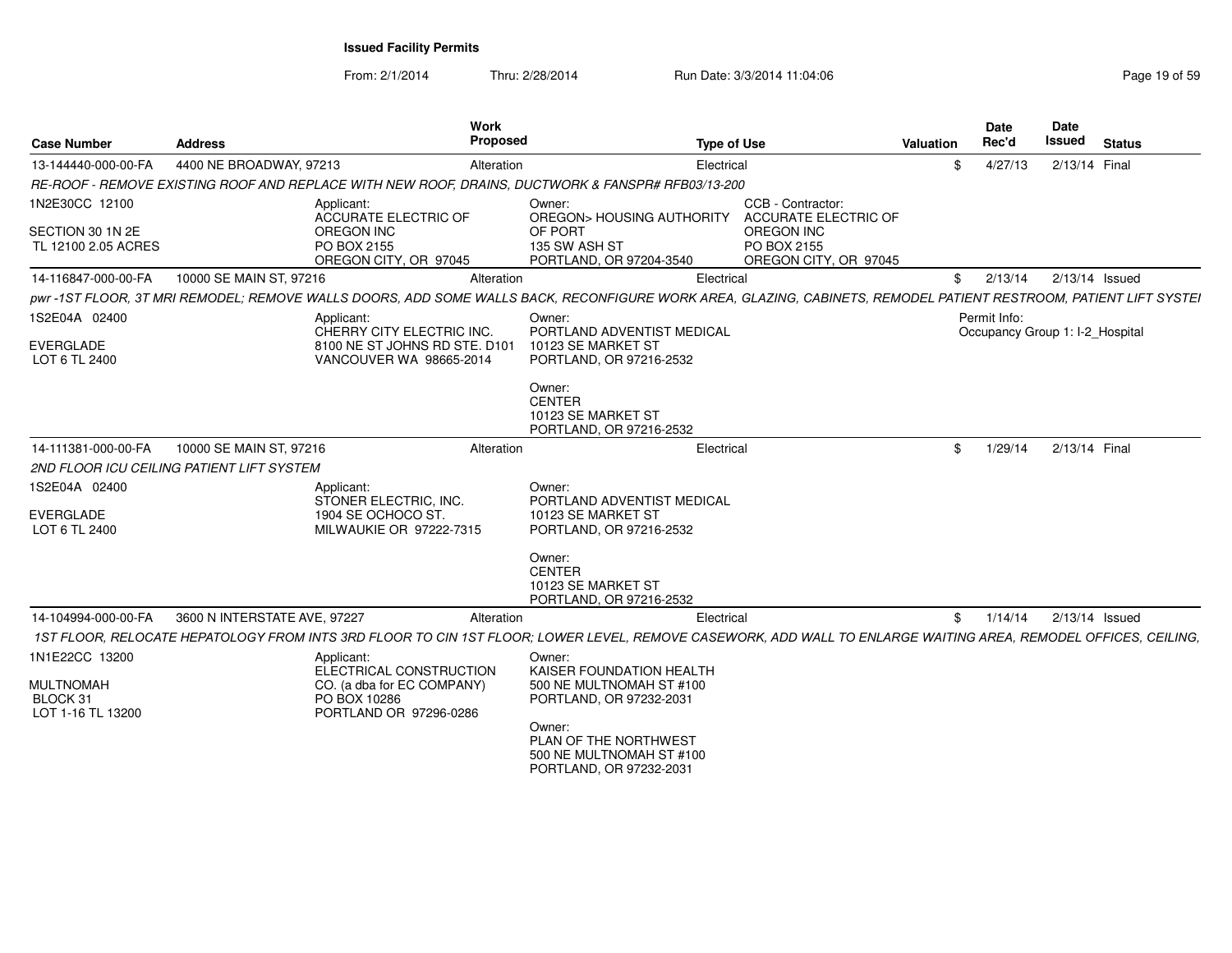| <b>Case Number</b>                                | Address                      | <b>Work</b><br><b>Proposed</b>                                                                                                                                  |                                                                                        | <b>Type of Use</b>                                 | Valuation | <b>Date</b><br>Rec'd                            | <b>Date</b><br>Issued | <b>Status</b> |
|---------------------------------------------------|------------------------------|-----------------------------------------------------------------------------------------------------------------------------------------------------------------|----------------------------------------------------------------------------------------|----------------------------------------------------|-----------|-------------------------------------------------|-----------------------|---------------|
| 13-144440-000-00-FA                               | 4400 NE BROADWAY, 97213      | Alteration                                                                                                                                                      | Electrical                                                                             |                                                    |           | \$<br>4/27/13                                   | 2/13/14 Final         |               |
|                                                   |                              | RE-ROOF - REMOVE EXISTING ROOF AND REPLACE WITH NEW ROOF, DRAINS, DUCTWORK & FANSPR# RFB03/13-200                                                               |                                                                                        |                                                    |           |                                                 |                       |               |
| 1N2E30CC 12100                                    |                              | Applicant:<br><b>ACCURATE ELECTRIC OF</b>                                                                                                                       | Owner:<br>OREGON> HOUSING AUTHORITY                                                    | CCB - Contractor:<br>ACCURATE ELECTRIC OF          |           |                                                 |                       |               |
| SECTION 30 1N 2E<br>TL 12100 2.05 ACRES           |                              | <b>OREGON INC</b><br>PO BOX 2155<br>OREGON CITY, OR 97045                                                                                                       | OF PORT<br>135 SW ASH ST<br>PORTLAND, OR 97204-3540                                    | OREGON INC<br>PO BOX 2155<br>OREGON CITY, OR 97045 |           |                                                 |                       |               |
| 14-116847-000-00-FA                               | 10000 SE MAIN ST, 97216      | Alteration                                                                                                                                                      | Electrical                                                                             |                                                    |           | \$<br>2/13/14                                   | $2/13/14$ Issued      |               |
|                                                   |                              | pwr-1ST FLOOR, 3T MRI REMODEL; REMOVE WALLS DOORS, ADD SOME WALLS BACK, RECONFIGURE WORK AREA, GLAZING, CABINETS, REMODEL PATIENT RESTROOM, PATIENT LIFT SYSTEI |                                                                                        |                                                    |           |                                                 |                       |               |
| 1S2E04A 02400                                     |                              | Applicant:<br>CHERRY CITY ELECTRIC INC.                                                                                                                         | Owner:<br>PORTLAND ADVENTIST MEDICAL                                                   |                                                    |           | Permit Info:<br>Occupancy Group 1: I-2 Hospital |                       |               |
| EVERGLADE<br>LOT 6 TL 2400                        |                              | 8100 NE ST JOHNS RD STE. D101<br>VANCOUVER WA 98665-2014                                                                                                        | 10123 SE MARKET ST<br>PORTLAND, OR 97216-2532                                          |                                                    |           |                                                 |                       |               |
|                                                   |                              |                                                                                                                                                                 | Owner:<br><b>CENTER</b><br>10123 SE MARKET ST<br>PORTLAND, OR 97216-2532               |                                                    |           |                                                 |                       |               |
| 14-111381-000-00-FA                               | 10000 SE MAIN ST, 97216      | Alteration                                                                                                                                                      | Electrical                                                                             |                                                    |           | \$<br>1/29/14                                   | 2/13/14 Final         |               |
| 2ND FLOOR ICU CEILING PATIENT LIFT SYSTEM         |                              |                                                                                                                                                                 |                                                                                        |                                                    |           |                                                 |                       |               |
| 1S2E04A 02400                                     |                              | Applicant:<br>STONER ELECTRIC, INC.                                                                                                                             | Owner:<br>PORTLAND ADVENTIST MEDICAL                                                   |                                                    |           |                                                 |                       |               |
| EVERGLADE<br>LOT 6 TL 2400                        |                              | 1904 SE OCHOCO ST.<br>MILWAUKIE OR 97222-7315                                                                                                                   | 10123 SE MARKET ST<br>PORTLAND, OR 97216-2532                                          |                                                    |           |                                                 |                       |               |
|                                                   |                              |                                                                                                                                                                 | Owner:<br><b>CENTER</b><br>10123 SE MARKET ST<br>PORTLAND, OR 97216-2532               |                                                    |           |                                                 |                       |               |
| 14-104994-000-00-FA                               | 3600 N INTERSTATE AVE, 97227 | Alteration                                                                                                                                                      | Electrical                                                                             |                                                    |           | \$<br>1/14/14                                   | $2/13/14$ Issued      |               |
|                                                   |                              | 1ST FLOOR, RELOCATE HEPATOLOGY FROM INTS 3RD FLOOR TO CIN 1ST FLOOR; LOWER LEVEL, REMOVE CASEWORK, ADD WALL TO ENLARGE WAITING AREA, REMODEL OFFICES, CEILING,  |                                                                                        |                                                    |           |                                                 |                       |               |
| 1N1E22CC 13200                                    |                              | Applicant:<br>ELECTRICAL CONSTRUCTION                                                                                                                           | Owner:<br>KAISER FOUNDATION HEALTH                                                     |                                                    |           |                                                 |                       |               |
| <b>MULTNOMAH</b><br>BLOCK 31<br>LOT 1-16 TL 13200 |                              | CO. (a dba for EC COMPANY)<br>PO BOX 10286<br>PORTLAND OR 97296-0286                                                                                            | 500 NE MULTNOMAH ST #100<br>PORTLAND, OR 97232-2031                                    |                                                    |           |                                                 |                       |               |
|                                                   |                              |                                                                                                                                                                 | Owner:<br>PLAN OF THE NORTHWEST<br>500 NE MULTNOMAH ST #100<br>PORTLAND, OR 97232-2031 |                                                    |           |                                                 |                       |               |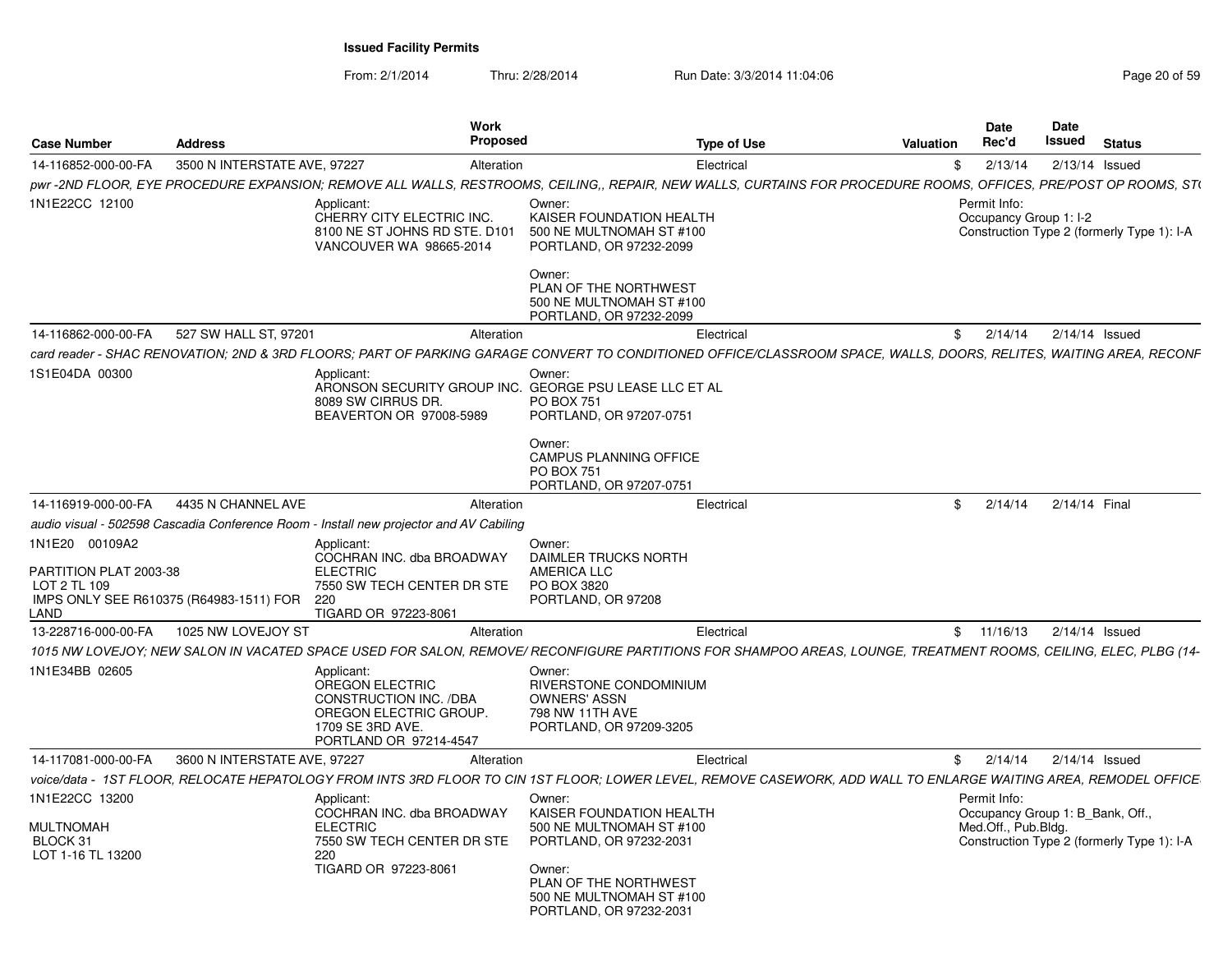| <b>Case Number</b>                                                                                          | <b>Address</b>               | <b>Work</b><br><b>Proposed</b>                                                                                                         | <b>Type of Use</b>                                                                                                                                                                  | <b>Valuation</b> | <b>Date</b><br>Rec'd                   | <b>Date</b><br>Issued            | <b>Status</b>                              |
|-------------------------------------------------------------------------------------------------------------|------------------------------|----------------------------------------------------------------------------------------------------------------------------------------|-------------------------------------------------------------------------------------------------------------------------------------------------------------------------------------|------------------|----------------------------------------|----------------------------------|--------------------------------------------|
| 14-116852-000-00-FA                                                                                         | 3500 N INTERSTATE AVE, 97227 | Alteration                                                                                                                             | Electrical                                                                                                                                                                          | \$               | 2/13/14                                | $2/13/14$ Issued                 |                                            |
|                                                                                                             |                              |                                                                                                                                        | pwr-2ND FLOOR, EYE PROCEDURE EXPANSION; REMOVE ALL WALLS, RESTROOMS, CEILING,, REPAIR, NEW WALLS, CURTAINS FOR PROCEDURE ROOMS, OFFICES, PRE/POST OP ROOMS, ST(                     |                  |                                        |                                  |                                            |
| 1N1E22CC 12100                                                                                              |                              | Applicant:<br>CHERRY CITY ELECTRIC INC.<br>8100 NE ST JOHNS RD STE. D101<br>VANCOUVER WA 98665-2014                                    | Owner:<br>KAISER FOUNDATION HEALTH<br>500 NE MULTNOMAH ST #100<br>PORTLAND, OR 97232-2099<br>Owner:<br>PLAN OF THE NORTHWEST<br>500 NE MULTNOMAH ST #100                            |                  | Permit Info:<br>Occupancy Group 1: I-2 |                                  | Construction Type 2 (formerly Type 1): I-A |
| 14-116862-000-00-FA                                                                                         | 527 SW HALL ST, 97201        | Alteration                                                                                                                             | PORTLAND, OR 97232-2099<br>Electrical                                                                                                                                               | \$               | 2/14/14                                | $2/14/14$ Issued                 |                                            |
|                                                                                                             |                              |                                                                                                                                        | card reader - SHAC RENOVATION; 2ND & 3RD FLOORS; PART OF PARKING GARAGE CONVERT TO CONDITIONED OFFICE/CLASSROOM SPACE, WALLS, DOORS, RELITES, WAITING AREA, RECONF                  |                  |                                        |                                  |                                            |
| 1S1E04DA 00300                                                                                              |                              | Applicant:                                                                                                                             | Owner:                                                                                                                                                                              |                  |                                        |                                  |                                            |
|                                                                                                             |                              | ARONSON SECURITY GROUP INC. GEORGE PSU LEASE LLC ET AL<br>8089 SW CIRRUS DR.<br>BEAVERTON OR 97008-5989                                | <b>PO BOX 751</b><br>PORTLAND, OR 97207-0751<br>Owner:<br><b>CAMPUS PLANNING OFFICE</b><br><b>PO BOX 751</b><br>PORTLAND, OR 97207-0751                                             |                  |                                        |                                  |                                            |
| 14-116919-000-00-FA                                                                                         | 4435 N CHANNEL AVE           | Alteration                                                                                                                             | Electrical                                                                                                                                                                          | \$               | 2/14/14                                | 2/14/14 Final                    |                                            |
|                                                                                                             |                              | audio visual - 502598 Cascadia Conference Room - Install new projector and AV Cabiling                                                 |                                                                                                                                                                                     |                  |                                        |                                  |                                            |
| 1N1E20 00109A2<br>PARTITION PLAT 2003-38<br>LOT 2 TL 109<br>IMPS ONLY SEE R610375 (R64983-1511) FOR<br>LAND |                              | Applicant:<br>COCHRAN INC. dba BROADWAY<br><b>ELECTRIC</b><br>7550 SW TECH CENTER DR STE<br>220<br>TIGARD OR 97223-8061                | Owner:<br>DAIMLER TRUCKS NORTH<br>AMERICA LLC<br>PO BOX 3820<br>PORTLAND, OR 97208                                                                                                  |                  |                                        |                                  |                                            |
| 13-228716-000-00-FA                                                                                         | 1025 NW LOVEJOY ST           | Alteration                                                                                                                             | Electrical                                                                                                                                                                          |                  | \$11/16/13                             | 2/14/14 Issued                   |                                            |
|                                                                                                             |                              |                                                                                                                                        | 1015 NW LOVEJOY; NEW SALON IN VACATED SPACE USED FOR SALON, REMOVE/ RECONFIGURE PARTITIONS FOR SHAMPOO AREAS, LOUNGE, TREATMENT ROOMS, CEILING, ELEC, PLBG (14-                     |                  |                                        |                                  |                                            |
| 1N1E34BB 02605                                                                                              |                              | Applicant:<br><b>OREGON ELECTRIC</b><br>CONSTRUCTION INC. /DBA<br>OREGON ELECTRIC GROUP.<br>1709 SE 3RD AVE.<br>PORTLAND OR 97214-4547 | Owner:<br>RIVERSTONE CONDOMINIUM<br><b>OWNERS' ASSN</b><br>798 NW 11TH AVE<br>PORTLAND, OR 97209-3205                                                                               |                  |                                        |                                  |                                            |
| 14-117081-000-00-FA                                                                                         | 3600 N INTERSTATE AVE, 97227 | Alteration                                                                                                                             | Electrical                                                                                                                                                                          | \$               | 2/14/14                                | 2/14/14 Issued                   |                                            |
|                                                                                                             |                              |                                                                                                                                        | voice/data - 1ST FLOOR. RELOCATE HEPATOLOGY FROM INTS 3RD FLOOR TO CIN 1ST FLOOR: LOWER LEVEL. REMOVE CASEWORK. ADD WALL TO ENLARGE WAITING AREA. REMODEL OFFICE                    |                  |                                        |                                  |                                            |
| 1N1E22CC 13200<br><b>MULTNOMAH</b><br>BLOCK 31<br>LOT 1-16 TL 13200                                         |                              | Applicant:<br>COCHRAN INC. dba BROADWAY<br><b>ELECTRIC</b><br>7550 SW TECH CENTER DR STE<br>220<br>TIGARD OR 97223-8061                | Owner:<br>KAISER FOUNDATION HEALTH<br>500 NE MULTNOMAH ST #100<br>PORTLAND, OR 97232-2031<br>Owner:<br>PLAN OF THE NORTHWEST<br>500 NE MULTNOMAH ST #100<br>PORTLAND, OR 97232-2031 |                  | Permit Info:<br>Med.Off., Pub.Blda.    | Occupancy Group 1: B Bank, Off., | Construction Type 2 (formerly Type 1): I-A |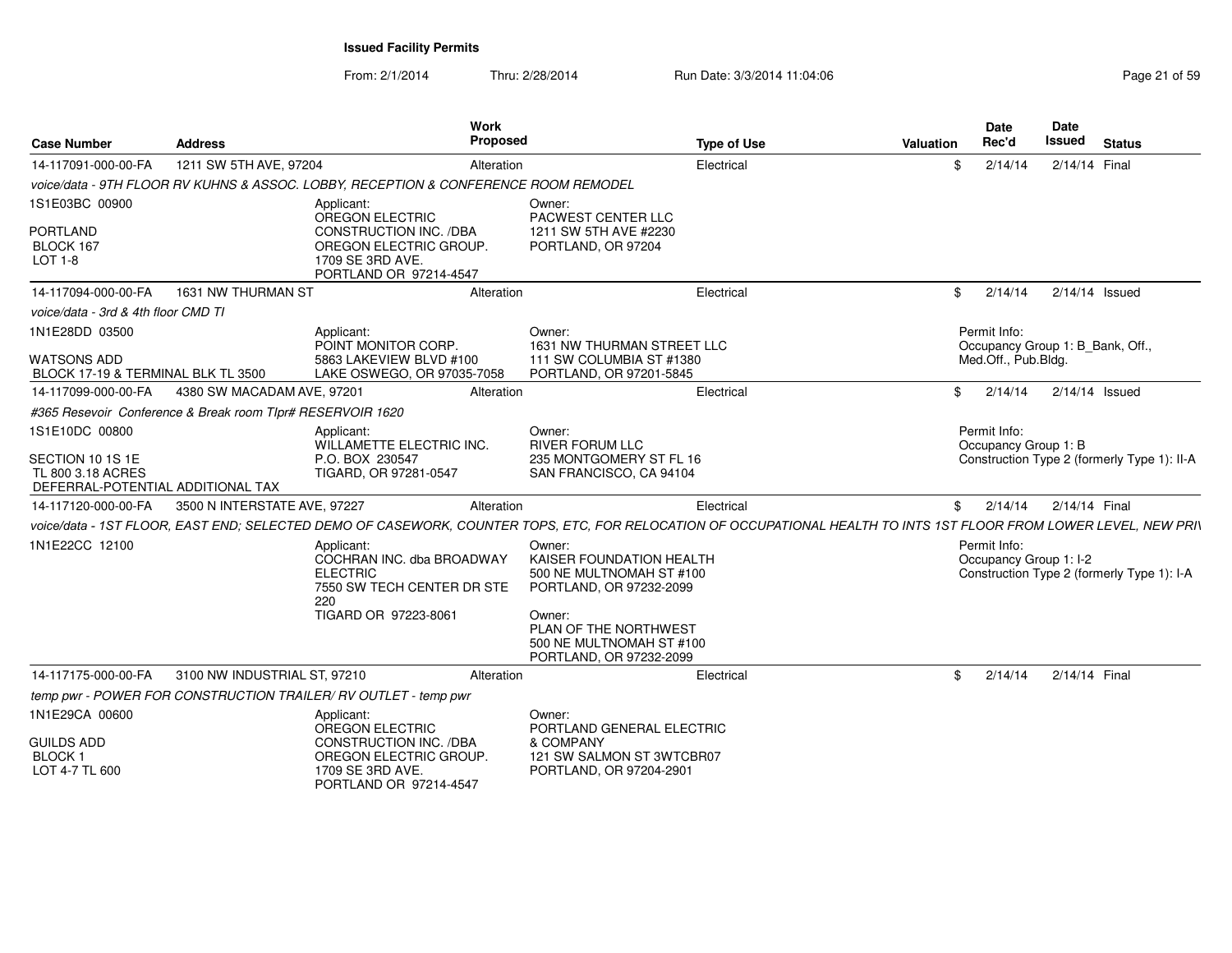From: 2/1/2014Thru: 2/28/2014 Run Date: 3/3/2014 11:04:06 Research 2010 12:04:06

| <b>Case Number</b>                                                                           | <b>Address</b>                                             | Work<br>Proposed                                                                                                                                                   |                                                                                                                                                                                     | <b>Type of Use</b> | Valuation | Date<br>Rec'd                                    | <b>Date</b><br><b>Issued</b> | <b>Status</b>                               |
|----------------------------------------------------------------------------------------------|------------------------------------------------------------|--------------------------------------------------------------------------------------------------------------------------------------------------------------------|-------------------------------------------------------------------------------------------------------------------------------------------------------------------------------------|--------------------|-----------|--------------------------------------------------|------------------------------|---------------------------------------------|
| 14-117091-000-00-FA                                                                          | 1211 SW 5TH AVE, 97204                                     | Alteration                                                                                                                                                         |                                                                                                                                                                                     | Electrical         | \$        | 2/14/14                                          | 2/14/14 Final                |                                             |
|                                                                                              |                                                            | voice/data - 9TH FLOOR RV KUHNS & ASSOC. LOBBY. RECEPTION & CONFERENCE ROOM REMODEL                                                                                |                                                                                                                                                                                     |                    |           |                                                  |                              |                                             |
| 1S1E03BC 00900<br><b>PORTLAND</b><br>BLOCK 167<br>LOT 1-8                                    |                                                            | Applicant:<br>OREGON ELECTRIC<br>CONSTRUCTION INC. /DBA<br>OREGON ELECTRIC GROUP.<br>1709 SE 3RD AVE.<br>PORTLAND OR 97214-4547                                    | Owner:<br>PACWEST CENTER LLC<br>1211 SW 5TH AVE #2230<br>PORTLAND, OR 97204                                                                                                         |                    |           |                                                  |                              |                                             |
| 14-117094-000-00-FA                                                                          | 1631 NW THURMAN ST                                         | Alteration                                                                                                                                                         |                                                                                                                                                                                     | Electrical         | \$        | 2/14/14                                          | 2/14/14 Issued               |                                             |
| voice/data - 3rd & 4th floor CMD TI                                                          |                                                            |                                                                                                                                                                    |                                                                                                                                                                                     |                    |           |                                                  |                              |                                             |
| 1N1E28DD 03500                                                                               |                                                            | Applicant:<br>POINT MONITOR CORP.                                                                                                                                  | Owner:<br>1631 NW THURMAN STREET LLC                                                                                                                                                |                    |           | Permit Info:<br>Occupancy Group 1: B Bank, Off., |                              |                                             |
| <b>WATSONS ADD</b><br>BLOCK 17-19 & TERMINAL BLK TL 3500                                     |                                                            | 5863 LAKEVIEW BLVD #100<br>LAKE OSWEGO, OR 97035-7058                                                                                                              | 111 SW COLUMBIA ST #1380<br>PORTLAND, OR 97201-5845                                                                                                                                 |                    |           | Med.Off., Pub.Bldg.                              |                              |                                             |
| 14-117099-000-00-FA                                                                          | 4380 SW MACADAM AVE, 97201                                 | Alteration                                                                                                                                                         |                                                                                                                                                                                     | Electrical         | \$        | 2/14/14                                          | 2/14/14 Issued               |                                             |
|                                                                                              | #365 Resevoir Conference & Break room TIpr# RESERVOIR 1620 |                                                                                                                                                                    |                                                                                                                                                                                     |                    |           |                                                  |                              |                                             |
| 1S1E10DC 00800<br>SECTION 10 1S 1E<br>TL 800 3.18 ACRES<br>DEFERRAL-POTENTIAL ADDITIONAL TAX |                                                            | Applicant:<br><b>WILLAMETTE ELECTRIC INC.</b><br>P.O. BOX 230547<br>TIGARD, OR 97281-0547                                                                          | Owner:<br><b>RIVER FORUM LLC</b><br>235 MONTGOMERY ST FL 16<br>SAN FRANCISCO, CA 94104                                                                                              |                    |           | Permit Info:<br>Occupancy Group 1: B             |                              | Construction Type 2 (formerly Type 1): II-A |
| 14-117120-000-00-FA                                                                          | 3500 N INTERSTATE AVE, 97227                               | Alteration                                                                                                                                                         |                                                                                                                                                                                     | Electrical         | \$        | 2/14/14                                          | 2/14/14 Final                |                                             |
|                                                                                              |                                                            | voice/data - 1ST FLOOR, EAST END; SELECTED DEMO OF CASEWORK, COUNTER TOPS, ETC, FOR RELOCATION OF OCCUPATIONAL HEALTH TO INTS 1ST FLOOR FROM LOWER LEVEL, NEW PRI\ |                                                                                                                                                                                     |                    |           |                                                  |                              |                                             |
| 1N1E22CC 12100                                                                               |                                                            | Applicant:<br>COCHRAN INC. dba BROADWAY<br><b>ELECTRIC</b><br>7550 SW TECH CENTER DR STE<br>220<br>TIGARD OR 97223-8061                                            | Owner:<br>KAISER FOUNDATION HEALTH<br>500 NE MULTNOMAH ST #100<br>PORTLAND, OR 97232-2099<br>Owner:<br>PLAN OF THE NORTHWEST<br>500 NE MULTNOMAH ST #100<br>PORTLAND, OR 97232-2099 |                    |           | Permit Info:<br>Occupancy Group 1: I-2           |                              | Construction Type 2 (formerly Type 1): I-A  |
| 14-117175-000-00-FA                                                                          | 3100 NW INDUSTRIAL ST, 97210                               | Alteration                                                                                                                                                         |                                                                                                                                                                                     | Electrical         | -SS       | 2/14/14                                          | 2/14/14 Final                |                                             |
|                                                                                              |                                                            | temp pwr - POWER FOR CONSTRUCTION TRAILER/ RV OUTLET - temp pwr                                                                                                    |                                                                                                                                                                                     |                    |           |                                                  |                              |                                             |
| 1N1E29CA 00600                                                                               |                                                            | Applicant:<br>OREGON ELECTRIC                                                                                                                                      | Owner:<br>PORTLAND GENERAL ELECTRIC                                                                                                                                                 |                    |           |                                                  |                              |                                             |
| <b>GUILDS ADD</b><br><b>BLOCK1</b><br>LOT 4-7 TL 600                                         |                                                            | <b>CONSTRUCTION INC. /DBA</b><br>OREGON ELECTRIC GROUP.<br>1709 SE 3RD AVE.<br>PORTLAND OR 97214-4547                                                              | & COMPANY<br>121 SW SALMON ST 3WTCBR07<br>PORTLAND, OR 97204-2901                                                                                                                   |                    |           |                                                  |                              |                                             |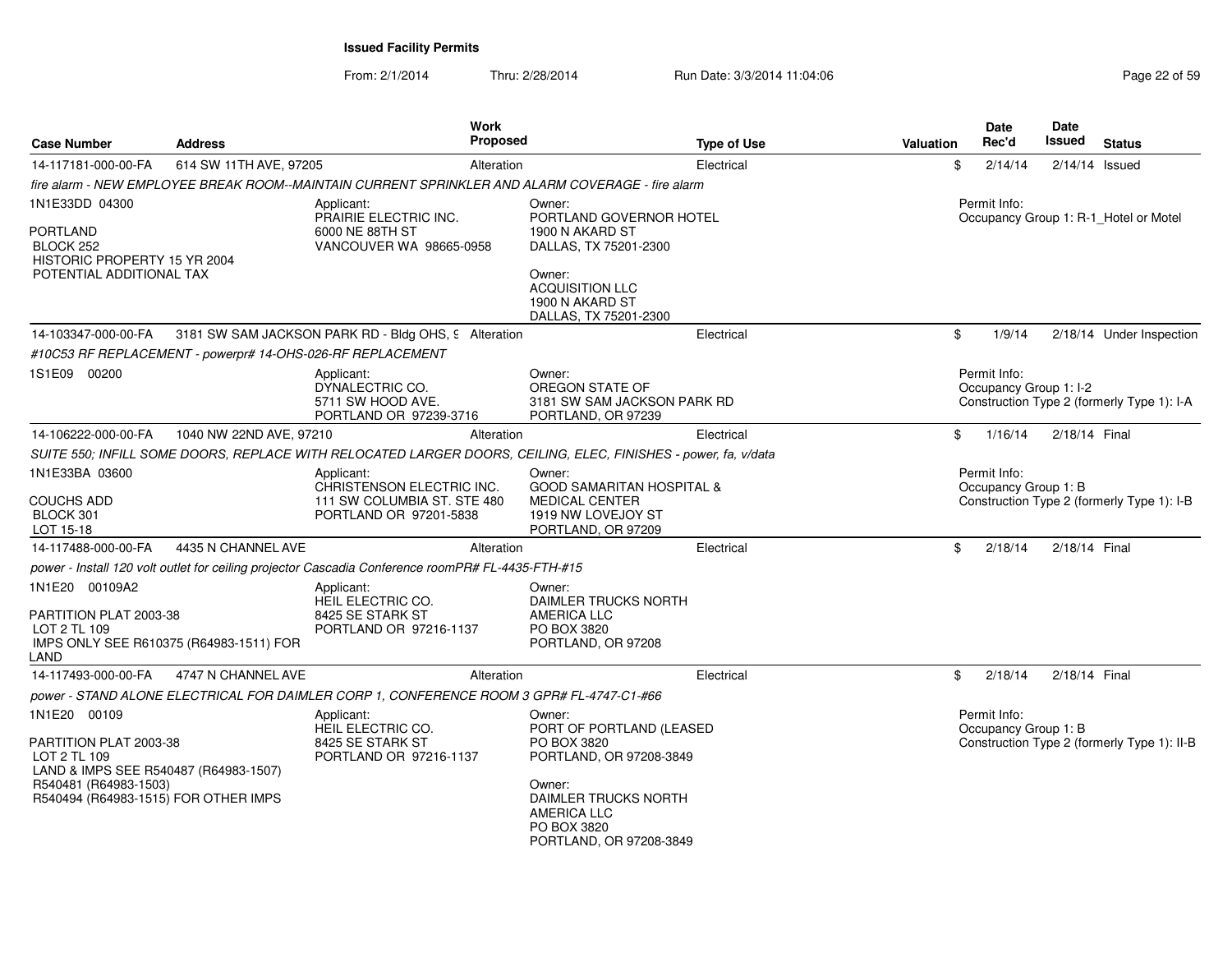From: 2/1/2014Thru: 2/28/2014 Run Date: 3/3/2014 11:04:06 Research 2010 Page 22 of 59

| <b>Case Number</b>                                                                                                                                               | <b>Address</b>                                             | Work<br><b>Proposed</b>                                                                                        |                                                                                                                                                                                | <b>Type of Use</b> | <b>Valuation</b> | Date<br>Rec'd                          | Date<br><b>Issued</b> | <b>Status</b>                               |
|------------------------------------------------------------------------------------------------------------------------------------------------------------------|------------------------------------------------------------|----------------------------------------------------------------------------------------------------------------|--------------------------------------------------------------------------------------------------------------------------------------------------------------------------------|--------------------|------------------|----------------------------------------|-----------------------|---------------------------------------------|
| 14-117181-000-00-FA                                                                                                                                              | 614 SW 11TH AVE, 97205                                     | Alteration                                                                                                     |                                                                                                                                                                                | Electrical         | \$               | 2/14/14                                | $2/14/14$ Issued      |                                             |
|                                                                                                                                                                  |                                                            | fire alarm - NEW EMPLOYEE BREAK ROOM--MAINTAIN CURRENT SPRINKLER AND ALARM COVERAGE - fire alarm               |                                                                                                                                                                                |                    |                  |                                        |                       |                                             |
| 1N1E33DD 04300                                                                                                                                                   |                                                            | Applicant:                                                                                                     | Owner:                                                                                                                                                                         |                    |                  | Permit Info:                           |                       |                                             |
| <b>PORTLAND</b><br>BLOCK 252<br>HISTORIC PROPERTY 15 YR 2004<br>POTENTIAL ADDITIONAL TAX                                                                         |                                                            | PRAIRIE ELECTRIC INC.<br>6000 NE 88TH ST<br>VANCOUVER WA 98665-0958                                            | PORTLAND GOVERNOR HOTEL<br>1900 N AKARD ST<br>DALLAS, TX 75201-2300<br>Owner:<br><b>ACQUISITION LLC</b><br>1900 N AKARD ST<br>DALLAS, TX 75201-2300                            |                    |                  |                                        |                       | Occupancy Group 1: R-1_Hotel or Motel       |
| 14-103347-000-00-FA                                                                                                                                              |                                                            | 3181 SW SAM JACKSON PARK RD - Bldg OHS, 9 Alteration                                                           |                                                                                                                                                                                | Electrical         | \$               | 1/9/14                                 |                       | 2/18/14 Under Inspection                    |
|                                                                                                                                                                  | #10C53 RF REPLACEMENT - powerpr# 14-OHS-026-RF REPLACEMENT |                                                                                                                |                                                                                                                                                                                |                    |                  |                                        |                       |                                             |
| 1S1E09 00200                                                                                                                                                     |                                                            | Applicant:<br>DYNALECTRIC CO.<br>5711 SW HOOD AVE.<br>PORTLAND OR 97239-3716                                   | Owner:<br>OREGON STATE OF<br>3181 SW SAM JACKSON PARK RD<br>PORTLAND, OR 97239                                                                                                 |                    |                  | Permit Info:<br>Occupancy Group 1: I-2 |                       | Construction Type 2 (formerly Type 1): I-A  |
| 14-106222-000-00-FA                                                                                                                                              | 1040 NW 22ND AVE, 97210                                    | Alteration                                                                                                     |                                                                                                                                                                                | Electrical         | \$               | 1/16/14                                | 2/18/14 Final         |                                             |
|                                                                                                                                                                  |                                                            | SUITE 550; INFILL SOME DOORS, REPLACE WITH RELOCATED LARGER DOORS, CEILING, ELEC, FINISHES - power, fa, v/data |                                                                                                                                                                                |                    |                  |                                        |                       |                                             |
| 1N1E33BA 03600<br><b>COUCHS ADD</b><br>BLOCK 301<br>LOT 15-18                                                                                                    |                                                            | Applicant:<br>CHRISTENSON ELECTRIC INC.<br>111 SW COLUMBIA ST. STE 480<br>PORTLAND OR 97201-5838               | Owner:<br><b>GOOD SAMARITAN HOSPITAL &amp;</b><br><b>MEDICAL CENTER</b><br>1919 NW LOVEJOY ST<br>PORTLAND, OR 97209                                                            |                    |                  | Permit Info:<br>Occupancy Group 1: B   |                       | Construction Type 2 (formerly Type 1): I-B  |
| 14-117488-000-00-FA                                                                                                                                              | 4435 N CHANNEL AVE                                         | Alteration                                                                                                     |                                                                                                                                                                                | Electrical         | \$               | 2/18/14                                | 2/18/14 Final         |                                             |
|                                                                                                                                                                  |                                                            | power - Install 120 volt outlet for ceiling projector Cascadia Conference roomPR# FL-4435-FTH-#15              |                                                                                                                                                                                |                    |                  |                                        |                       |                                             |
| 1N1E20 00109A2<br>PARTITION PLAT 2003-38<br>LOT 2 TL 109<br>LAND                                                                                                 | IMPS ONLY SEE R610375 (R64983-1511) FOR                    | Applicant:<br>HEIL ELECTRIC CO.<br>8425 SE STARK ST<br>PORTLAND OR 97216-1137                                  | Owner:<br>DAIMLER TRUCKS NORTH<br><b>AMERICA LLC</b><br>PO BOX 3820<br>PORTLAND, OR 97208                                                                                      |                    |                  |                                        |                       |                                             |
| 14-117493-000-00-FA                                                                                                                                              | 4747 N CHANNEL AVE                                         | Alteration                                                                                                     |                                                                                                                                                                                | Electrical         | \$               | 2/18/14                                | 2/18/14 Final         |                                             |
|                                                                                                                                                                  |                                                            | power - STAND ALONE ELECTRICAL FOR DAIMLER CORP 1, CONFERENCE ROOM 3 GPR# FL-4747-C1-#66                       |                                                                                                                                                                                |                    |                  |                                        |                       |                                             |
| 1N1E20 00109<br>PARTITION PLAT 2003-38<br>LOT 2 TL 109<br>LAND & IMPS SEE R540487 (R64983-1507)<br>R540481 (R64983-1503)<br>R540494 (R64983-1515) FOR OTHER IMPS |                                                            | Applicant:<br><b>HEIL ELECTRIC CO.</b><br>8425 SE STARK ST<br>PORTLAND OR 97216-1137                           | Owner:<br>PORT OF PORTLAND (LEASED<br>PO BOX 3820<br>PORTLAND, OR 97208-3849<br>Owner:<br>DAIMLER TRUCKS NORTH<br><b>AMERICA LLC</b><br>PO BOX 3820<br>PORTLAND, OR 97208-3849 |                    |                  | Permit Info:<br>Occupancy Group 1: B   |                       | Construction Type 2 (formerly Type 1): II-B |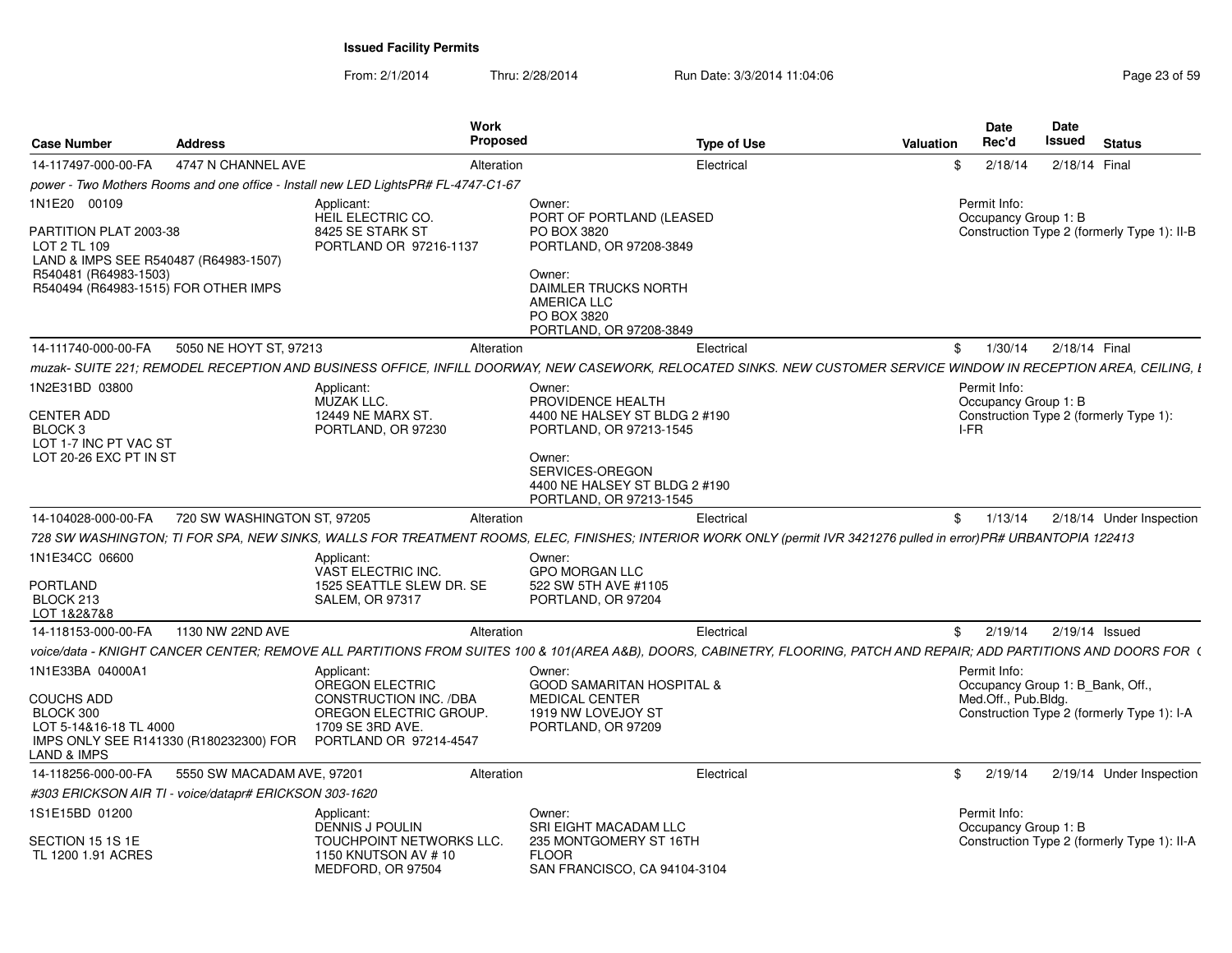| <b>Case Number</b>                                                                                                                               | <b>Address</b>              | Work<br><b>Proposed</b>                                                                                                                                                |                                                                                                                                                                                  | <b>Type of Use</b> | Valuation | <b>Date</b><br>Rec'd                         | <b>Date</b> | Issued<br><b>Status</b>                                                        |
|--------------------------------------------------------------------------------------------------------------------------------------------------|-----------------------------|------------------------------------------------------------------------------------------------------------------------------------------------------------------------|----------------------------------------------------------------------------------------------------------------------------------------------------------------------------------|--------------------|-----------|----------------------------------------------|-------------|--------------------------------------------------------------------------------|
| 14-117497-000-00-FA                                                                                                                              | 4747 N CHANNEL AVE          | Alteration                                                                                                                                                             |                                                                                                                                                                                  | Electrical         | £.        | 2/18/14                                      |             | 2/18/14 Final                                                                  |
|                                                                                                                                                  |                             | power - Two Mothers Rooms and one office - Install new LED LightsPR# FL-4747-C1-67                                                                                     |                                                                                                                                                                                  |                    |           |                                              |             |                                                                                |
| 1N1E20 00109                                                                                                                                     |                             | Applicant:                                                                                                                                                             | Owner:                                                                                                                                                                           |                    |           | Permit Info:                                 |             |                                                                                |
| PARTITION PLAT 2003-38<br>LOT 2 TL 109<br>LAND & IMPS SEE R540487 (R64983-1507)<br>R540481 (R64983-1503)<br>R540494 (R64983-1515) FOR OTHER IMPS |                             | HEIL ELECTRIC CO.<br>8425 SE STARK ST<br>PORTLAND OR 97216-1137                                                                                                        | PORT OF PORTLAND (LEASED<br>PO BOX 3820<br>PORTLAND, OR 97208-3849<br>Owner:<br>DAIMLER TRUCKS NORTH<br><b>AMERICA LLC</b><br>PO BOX 3820<br>PORTLAND, OR 97208-3849             |                    |           | Occupancy Group 1: B                         |             | Construction Type 2 (formerly Type 1): II-B                                    |
| 14-111740-000-00-FA                                                                                                                              | 5050 NE HOYT ST, 97213      | Alteration                                                                                                                                                             |                                                                                                                                                                                  | Electrical         |           | 1/30/14<br>$\mathbb{S}$                      |             | 2/18/14 Final                                                                  |
|                                                                                                                                                  |                             | muzak- SUITE 221; REMODEL RECEPTION AND BUSINESS OFFICE, INFILL DOORWAY, NEW CASEWORK, RELOCATED SINKS. NEW CUSTOMER SERVICE WINDOW IN RECEPTION AREA, CEILING, I      |                                                                                                                                                                                  |                    |           |                                              |             |                                                                                |
| 1N2E31BD 03800<br><b>CENTER ADD</b><br>BLOCK <sub>3</sub><br>LOT 1-7 INC PT VAC ST<br>LOT 20-26 EXC PT IN ST                                     |                             | Applicant:<br>MUZAK LLC.<br>12449 NE MARX ST<br>PORTLAND, OR 97230                                                                                                     | Owner:<br>PROVIDENCE HEALTH<br>4400 NE HALSEY ST BLDG 2 #190<br>PORTLAND, OR 97213-1545<br>Owner:<br>SERVICES-OREGON<br>4400 NE HALSEY ST BLDG 2 #190<br>PORTLAND, OR 97213-1545 |                    |           | Permit Info:<br>Occupancy Group 1: B<br>I-FR |             | Construction Type 2 (formerly Type 1):                                         |
| 14-104028-000-00-FA                                                                                                                              | 720 SW WASHINGTON ST, 97205 | Alteration                                                                                                                                                             |                                                                                                                                                                                  | Electrical         |           | 1/13/14<br>\$                                |             | 2/18/14 Under Inspection                                                       |
|                                                                                                                                                  |                             | 728 SW WASHINGTON; TI FOR SPA, NEW SINKS, WALLS FOR TREATMENT ROOMS, ELEC, FINISHES; INTERIOR WORK ONLY (permit IVR 3421276 pulled in error) PR# URBANTOPIA 122413     |                                                                                                                                                                                  |                    |           |                                              |             |                                                                                |
| 1N1E34CC 06600                                                                                                                                   |                             |                                                                                                                                                                        |                                                                                                                                                                                  |                    |           |                                              |             |                                                                                |
| <b>PORTLAND</b><br>BLOCK 213<br>LOT 1&2&7&8                                                                                                      |                             | Applicant:<br>VAST ELECTRIC INC.<br>1525 SEATTLE SLEW DR. SE<br><b>SALEM, OR 97317</b>                                                                                 | Owner:<br><b>GPO MORGAN LLC</b><br>522 SW 5TH AVE #1105<br>PORTLAND, OR 97204                                                                                                    |                    |           |                                              |             |                                                                                |
| 14-118153-000-00-FA                                                                                                                              | 1130 NW 22ND AVE            | Alteration                                                                                                                                                             |                                                                                                                                                                                  | Electrical         |           | 2/19/14<br>\$                                |             | 2/19/14 Issued                                                                 |
|                                                                                                                                                  |                             | voice/data - KNIGHT CANCER CENTER: REMOVE ALL PARTITIONS FROM SUITES 100 & 101(AREA A&B). DOORS. CABINETRY. FLOORING. PATCH AND REPAIR: ADD PARTITIONS AND DOORS FOR ( |                                                                                                                                                                                  |                    |           |                                              |             |                                                                                |
| 1N1E33BA 04000A1<br><b>COUCHS ADD</b><br>BLOCK 300<br>LOT 5-14&16-18 TL 4000<br>IMPS ONLY SEE R141330 (R180232300) FOR<br>LAND & IMPS            |                             | Applicant:<br><b>OREGON ELECTRIC</b><br>CONSTRUCTION INC. /DBA<br>OREGON ELECTRIC GROUP.<br>1709 SE 3RD AVE.<br>PORTLAND OR 97214-4547                                 | Owner:<br><b>GOOD SAMARITAN HOSPITAL &amp;</b><br><b>MEDICAL CENTER</b><br>1919 NW LOVEJOY ST<br>PORTLAND, OR 97209                                                              |                    |           | Permit Info:<br>Med.Off., Pub.Bldg.          |             | Occupancy Group 1: B Bank, Off.,<br>Construction Type 2 (formerly Type 1): I-A |
| 14-118256-000-00-FA                                                                                                                              | 5550 SW MACADAM AVE, 97201  | Alteration                                                                                                                                                             |                                                                                                                                                                                  | Electrical         | \$        | 2/19/14                                      |             | 2/19/14 Under Inspection                                                       |
| #303 ERICKSON AIR TI - voice/datapr# ERICKSON 303-1620                                                                                           |                             |                                                                                                                                                                        |                                                                                                                                                                                  |                    |           |                                              |             |                                                                                |
| 1S1E15BD 01200<br>SECTION 15 1S 1E<br>TL 1200 1.91 ACRES                                                                                         |                             | Applicant:<br><b>DENNIS J POULIN</b><br>TOUCHPOINT NETWORKS LLC.<br>1150 KNUTSON AV #10<br>MEDFORD, OR 97504                                                           | Owner:<br>SRI EIGHT MACADAM LLC<br>235 MONTGOMERY ST 16TH<br><b>FLOOR</b><br>SAN FRANCISCO, CA 94104-3104                                                                        |                    |           | Permit Info:<br>Occupancy Group 1: B         |             | Construction Type 2 (formerly Type 1): II-A                                    |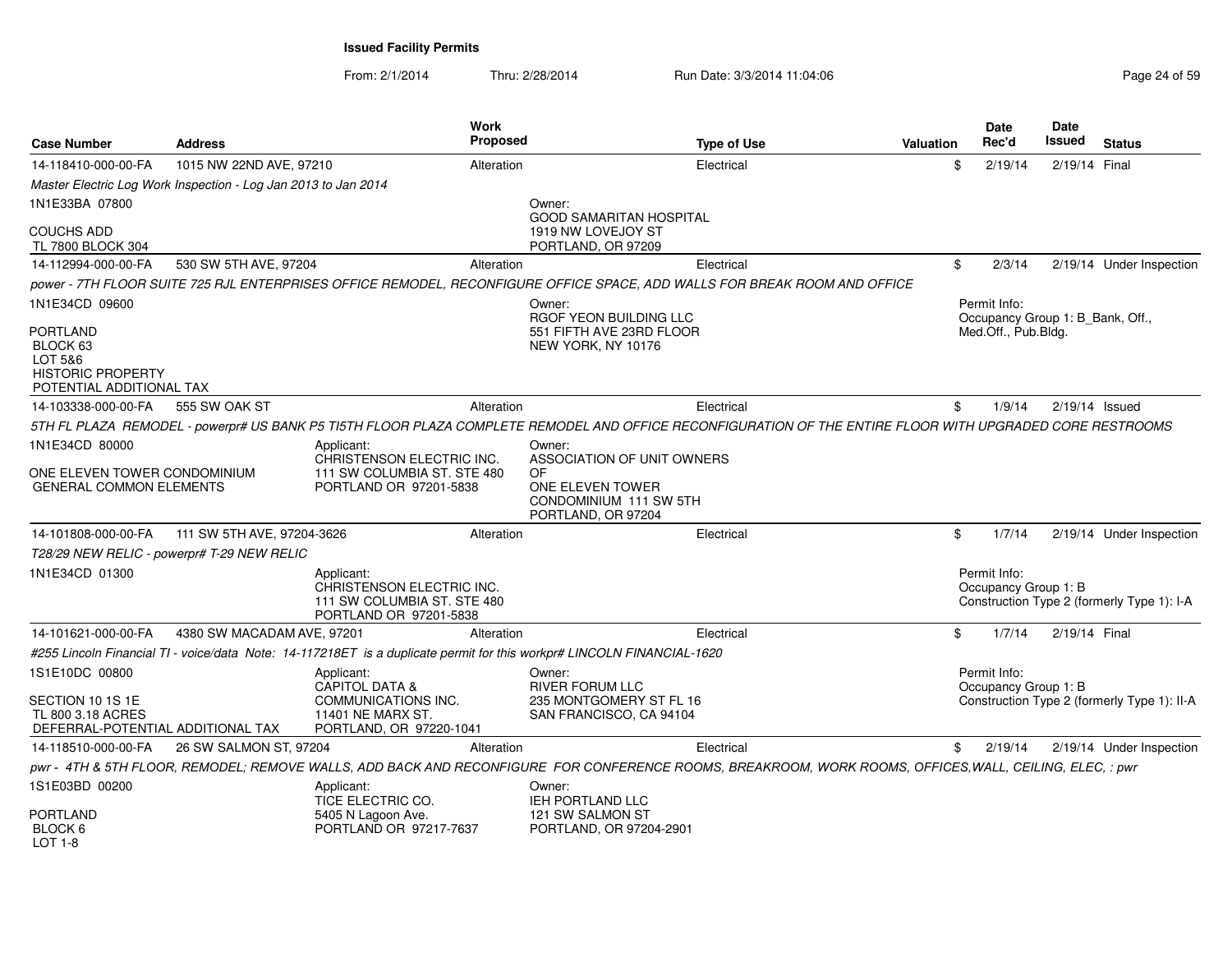From: 2/1/2014Thru: 2/28/2014 Run Date: 3/3/2014 11:04:06 Research 2010 Page 24 of 59

| <b>Case Number</b>                                                                      | <b>Address</b>                                                 |                                                                                                  | <b>Work</b><br><b>Proposed</b> | <b>Type of Use</b>                                                                                                                                        | <b>Valuation</b> | Date<br>Rec'd                                           | Date<br>Issued   | <b>Status</b>                               |
|-----------------------------------------------------------------------------------------|----------------------------------------------------------------|--------------------------------------------------------------------------------------------------|--------------------------------|-----------------------------------------------------------------------------------------------------------------------------------------------------------|------------------|---------------------------------------------------------|------------------|---------------------------------------------|
| 14-118410-000-00-FA                                                                     | 1015 NW 22ND AVE, 97210                                        |                                                                                                  | Alteration                     | Electrical                                                                                                                                                |                  | \$<br>2/19/14                                           | 2/19/14 Final    |                                             |
|                                                                                         | Master Electric Log Work Inspection - Log Jan 2013 to Jan 2014 |                                                                                                  |                                |                                                                                                                                                           |                  |                                                         |                  |                                             |
| 1N1E33BA 07800                                                                          |                                                                |                                                                                                  |                                | Owner:                                                                                                                                                    |                  |                                                         |                  |                                             |
| <b>COUCHS ADD</b><br>TL 7800 BLOCK 304                                                  |                                                                |                                                                                                  |                                | <b>GOOD SAMARITAN HOSPITAL</b><br>1919 NW LOVEJOY ST<br>PORTLAND, OR 97209                                                                                |                  |                                                         |                  |                                             |
| 14-112994-000-00-FA                                                                     | 530 SW 5TH AVE, 97204                                          |                                                                                                  | Alteration                     | Electrical                                                                                                                                                |                  | \$<br>2/3/14                                            |                  | 2/19/14 Under Inspection                    |
|                                                                                         |                                                                |                                                                                                  |                                | power - 7TH FLOOR SUITE 725 RJL ENTERPRISES OFFICE REMODEL, RECONFIGURE OFFICE SPACE, ADD WALLS FOR BREAK ROOM AND OFFICE                                 |                  |                                                         |                  |                                             |
| 1N1E34CD 09600                                                                          |                                                                |                                                                                                  |                                | Owner:                                                                                                                                                    |                  | Permit Info:                                            |                  |                                             |
| PORTLAND<br>BLOCK 63<br>LOT 5&6<br><b>HISTORIC PROPERTY</b><br>POTENTIAL ADDITIONAL TAX |                                                                |                                                                                                  |                                | RGOF YEON BUILDING LLC<br>551 FIFTH AVE 23RD FLOOR<br>NEW YORK, NY 10176                                                                                  |                  | Occupancy Group 1: B Bank, Off.,<br>Med.Off., Pub.Bldg. |                  |                                             |
| 14-103338-000-00-FA                                                                     | 555 SW OAK ST                                                  |                                                                                                  | Alteration                     | Electrical                                                                                                                                                |                  | \$<br>1/9/14                                            | $2/19/14$ Issued |                                             |
|                                                                                         |                                                                |                                                                                                  |                                | 5TH FL PLAZA REMODEL - powerpr# US BANK P5 TI5TH FLOOR PLAZA COMPLETE REMODEL AND OFFICE RECONFIGURATION OF THE ENTIRE FLOOR WITH UPGRADED CORE RESTROOMS |                  |                                                         |                  |                                             |
| 1N1E34CD 80000<br>ONE ELEVEN TOWER CONDOMINIUM<br><b>GENERAL COMMON ELEMENTS</b>        |                                                                | Applicant:<br>CHRISTENSON ELECTRIC INC.<br>111 SW COLUMBIA ST. STE 480<br>PORTLAND OR 97201-5838 |                                | Owner:<br>ASSOCIATION OF UNIT OWNERS<br>OF<br>ONE ELEVEN TOWER<br>CONDOMINIUM 111 SW 5TH                                                                  |                  |                                                         |                  |                                             |
|                                                                                         |                                                                |                                                                                                  |                                | PORTLAND, OR 97204                                                                                                                                        |                  |                                                         |                  |                                             |
| 14-101808-000-00-FA                                                                     | 111 SW 5TH AVE, 97204-3626                                     |                                                                                                  | Alteration                     | Electrical                                                                                                                                                |                  | \$<br>1/7/14                                            |                  | 2/19/14 Under Inspection                    |
|                                                                                         | T28/29 NEW RELIC - powerpr# T-29 NEW RELIC                     |                                                                                                  |                                |                                                                                                                                                           |                  |                                                         |                  |                                             |
| 1N1E34CD 01300                                                                          |                                                                | Applicant:<br>CHRISTENSON ELECTRIC INC.<br>111 SW COLUMBIA ST. STE 480<br>PORTLAND OR 97201-5838 |                                |                                                                                                                                                           |                  | Permit Info:<br>Occupancy Group 1: B                    |                  | Construction Type 2 (formerly Type 1): I-A  |
| 14-101621-000-00-FA                                                                     | 4380 SW MACADAM AVE, 97201                                     |                                                                                                  | Alteration                     | Electrical                                                                                                                                                |                  | \$<br>1/7/14                                            | 2/19/14 Final    |                                             |
|                                                                                         |                                                                |                                                                                                  |                                | #255 Lincoln Financial TI - voice/data Note: 14-117218ET is a duplicate permit for this workpr# LINCOLN FINANCIAL-1620                                    |                  |                                                         |                  |                                             |
| 1S1E10DC 00800                                                                          |                                                                | Applicant:                                                                                       |                                | Owner:                                                                                                                                                    |                  | Permit Info:                                            |                  |                                             |
| SECTION 10 1S 1E<br>TL 800 3.18 ACRES<br>DEFERRAL-POTENTIAL ADDITIONAL TAX              |                                                                | <b>CAPITOL DATA &amp;</b><br>COMMUNICATIONS INC.<br>11401 NE MARX ST.<br>PORTLAND, OR 97220-1041 |                                | <b>RIVER FORUM LLC</b><br>235 MONTGOMERY ST FL 16<br>SAN FRANCISCO, CA 94104                                                                              |                  | Occupancy Group 1: B                                    |                  | Construction Type 2 (formerly Type 1): II-A |
| 14-118510-000-00-FA                                                                     | 26 SW SALMON ST, 97204                                         |                                                                                                  | Alteration                     | Electrical                                                                                                                                                |                  | \$<br>2/19/14                                           |                  | 2/19/14 Under Inspection                    |
|                                                                                         |                                                                |                                                                                                  |                                | pwr - 4TH & 5TH FLOOR, REMODEL; REMOVE WALLS, ADD BACK AND RECONFIGURE FOR CONFERENCE ROOMS, BREAKROOM, WORK ROOMS, OFFICES,WALL, CEILING, ELEC, : pwr    |                  |                                                         |                  |                                             |
| 1S1E03BD 00200                                                                          |                                                                | Applicant:<br>TICE ELECTRIC CO.                                                                  |                                | Owner:<br><b>IEH PORTLAND LLC</b>                                                                                                                         |                  |                                                         |                  |                                             |
| PORTLAND<br>BLOCK 6<br>$LOT 1-8$                                                        |                                                                | 5405 N Lagoon Ave.<br>PORTLAND OR 97217-7637                                                     |                                | 121 SW SALMON ST<br>PORTLAND, OR 97204-2901                                                                                                               |                  |                                                         |                  |                                             |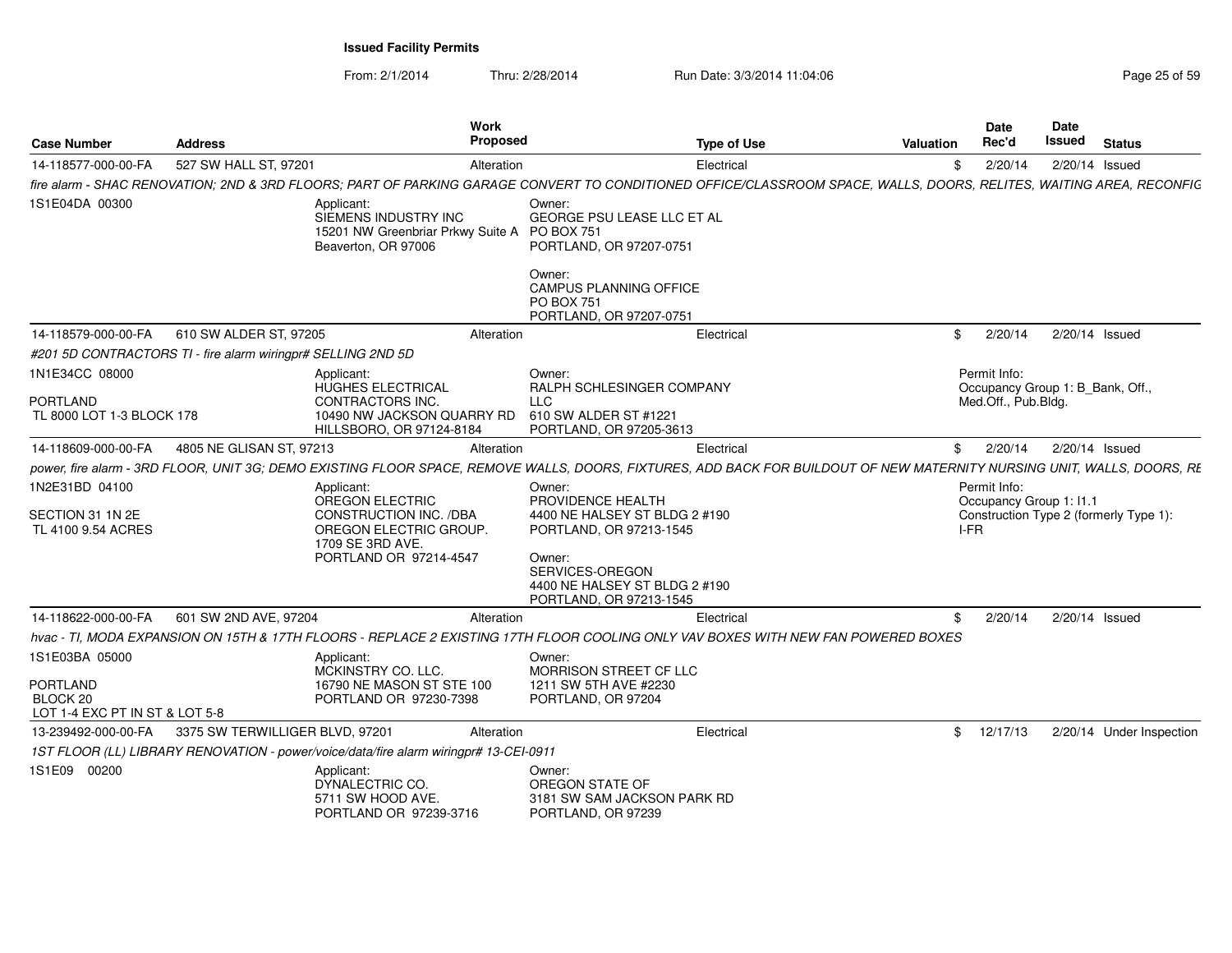| <b>Case Number</b>                                                              | <b>Address</b>                                                                                                                                                          | Work<br>Proposed                                                                                                 |                                                                                                                                                                                  | <b>Type of Use</b> | Valuation | <b>Date</b><br>Rec'd                | Date<br>Issued                   | <b>Status</b>                          |
|---------------------------------------------------------------------------------|-------------------------------------------------------------------------------------------------------------------------------------------------------------------------|------------------------------------------------------------------------------------------------------------------|----------------------------------------------------------------------------------------------------------------------------------------------------------------------------------|--------------------|-----------|-------------------------------------|----------------------------------|----------------------------------------|
| 14-118577-000-00-FA                                                             | 527 SW HALL ST, 97201                                                                                                                                                   | Alteration                                                                                                       |                                                                                                                                                                                  | Electrical         | \$.       | 2/20/14                             | 2/20/14 Issued                   |                                        |
|                                                                                 | fire alarm - SHAC RENOVATION; 2ND & 3RD FLOORS; PART OF PARKING GARAGE CONVERT TO CONDITIONED OFFICE/CLASSROOM SPACE, WALLS, DOORS, RELITES, WAITING AREA, RECONFIC     |                                                                                                                  |                                                                                                                                                                                  |                    |           |                                     |                                  |                                        |
| 1S1E04DA 00300                                                                  | Applicant:                                                                                                                                                              | SIEMENS INDUSTRY INC<br>15201 NW Greenbriar Prkwy Suite A PO BOX 751<br>Beaverton, OR 97006                      | Owner:<br><b>GEORGE PSU LEASE LLC ET AL</b><br>PORTLAND, OR 97207-0751<br>Owner:<br>CAMPUS PLANNING OFFICE                                                                       |                    |           |                                     |                                  |                                        |
|                                                                                 |                                                                                                                                                                         |                                                                                                                  | <b>PO BOX 751</b><br>PORTLAND, OR 97207-0751                                                                                                                                     |                    |           |                                     |                                  |                                        |
| 14-118579-000-00-FA                                                             | 610 SW ALDER ST, 97205                                                                                                                                                  | Alteration                                                                                                       |                                                                                                                                                                                  | Electrical         | \$        | 2/20/14                             | 2/20/14 Issued                   |                                        |
|                                                                                 | #201 5D CONTRACTORS TI - fire alarm wiringpr# SELLING 2ND 5D                                                                                                            |                                                                                                                  |                                                                                                                                                                                  |                    |           |                                     |                                  |                                        |
| 1N1E34CC 08000<br><b>PORTLAND</b><br>TL 8000 LOT 1-3 BLOCK 178                  | Applicant:                                                                                                                                                              | HUGHES ELECTRICAL<br>CONTRACTORS INC.<br>10490 NW JACKSON QUARRY RD<br>HILLSBORO, OR 97124-8184                  | Owner:<br>RALPH SCHLESINGER COMPANY<br><b>LLC</b><br>610 SW ALDER ST #1221<br>PORTLAND, OR 97205-3613                                                                            |                    |           | Permit Info:<br>Med.Off., Pub.Bldg. | Occupancy Group 1: B Bank, Off., |                                        |
| 14-118609-000-00-FA                                                             | 4805 NE GLISAN ST. 97213                                                                                                                                                | Alteration                                                                                                       |                                                                                                                                                                                  | Electrical         | \$        | 2/20/14                             | 2/20/14 Issued                   |                                        |
|                                                                                 | power, fire alarm - 3RD FLOOR, UNIT 3G; DEMO EXISTING FLOOR SPACE, REMOVE WALLS, DOORS, FIXTURES, ADD BACK FOR BUILDOUT OF NEW MATERNITY NURSING UNIT, WALLS, DOORS, RE |                                                                                                                  |                                                                                                                                                                                  |                    |           |                                     |                                  |                                        |
| 1N2E31BD 04100<br>SECTION 31 1N 2E<br>TL 4100 9.54 ACRES                        | Applicant:                                                                                                                                                              | OREGON ELECTRIC<br>CONSTRUCTION INC. /DBA<br>OREGON ELECTRIC GROUP<br>1709 SE 3RD AVE.<br>PORTLAND OR 97214-4547 | Owner:<br>PROVIDENCE HEALTH<br>4400 NE HALSEY ST BLDG 2 #190<br>PORTLAND, OR 97213-1545<br>Owner:<br>SERVICES-OREGON<br>4400 NE HALSEY ST BLDG 2 #190<br>PORTLAND, OR 97213-1545 |                    |           | Permit Info:<br>I-FR                | Occupancy Group 1: 11.1          | Construction Type 2 (formerly Type 1): |
| 14-118622-000-00-FA                                                             | 601 SW 2ND AVE, 97204                                                                                                                                                   | Alteration                                                                                                       |                                                                                                                                                                                  | Electrical         | \$.       | 2/20/14                             | 2/20/14 Issued                   |                                        |
|                                                                                 | hvac - TI, MODA EXPANSION ON 15TH & 17TH FLOORS - REPLACE 2 EXISTING 17TH FLOOR COOLING ONLY VAV BOXES WITH NEW FAN POWERED BOXES                                       |                                                                                                                  |                                                                                                                                                                                  |                    |           |                                     |                                  |                                        |
| 1S1E03BA 05000<br><b>PORTLAND</b><br>BLOCK 20<br>LOT 1-4 EXC PT IN ST & LOT 5-8 | Applicant:                                                                                                                                                              | MCKINSTRY CO. LLC.<br>16790 NE MASON ST STE 100<br>PORTLAND OR 97230-7398                                        | Owner:<br>MORRISON STREET CF LLC<br>1211 SW 5TH AVE #2230<br>PORTLAND, OR 97204                                                                                                  |                    |           |                                     |                                  |                                        |
| 13-239492-000-00-FA                                                             | 3375 SW TERWILLIGER BLVD, 97201                                                                                                                                         | Alteration                                                                                                       |                                                                                                                                                                                  | Electrical         |           | \$12/17/13                          |                                  | 2/20/14 Under Inspection               |
|                                                                                 | 1ST FLOOR (LL) LIBRARY RENOVATION - power/voice/data/fire alarm wiringpr# 13-CEI-0911                                                                                   |                                                                                                                  |                                                                                                                                                                                  |                    |           |                                     |                                  |                                        |
| 1S1E09 00200                                                                    | Applicant:                                                                                                                                                              | DYNALECTRIC CO.<br>5711 SW HOOD AVE.<br>PORTLAND OR 97239-3716                                                   | Owner:<br>OREGON STATE OF<br>3181 SW SAM JACKSON PARK RD<br>PORTLAND, OR 97239                                                                                                   |                    |           |                                     |                                  |                                        |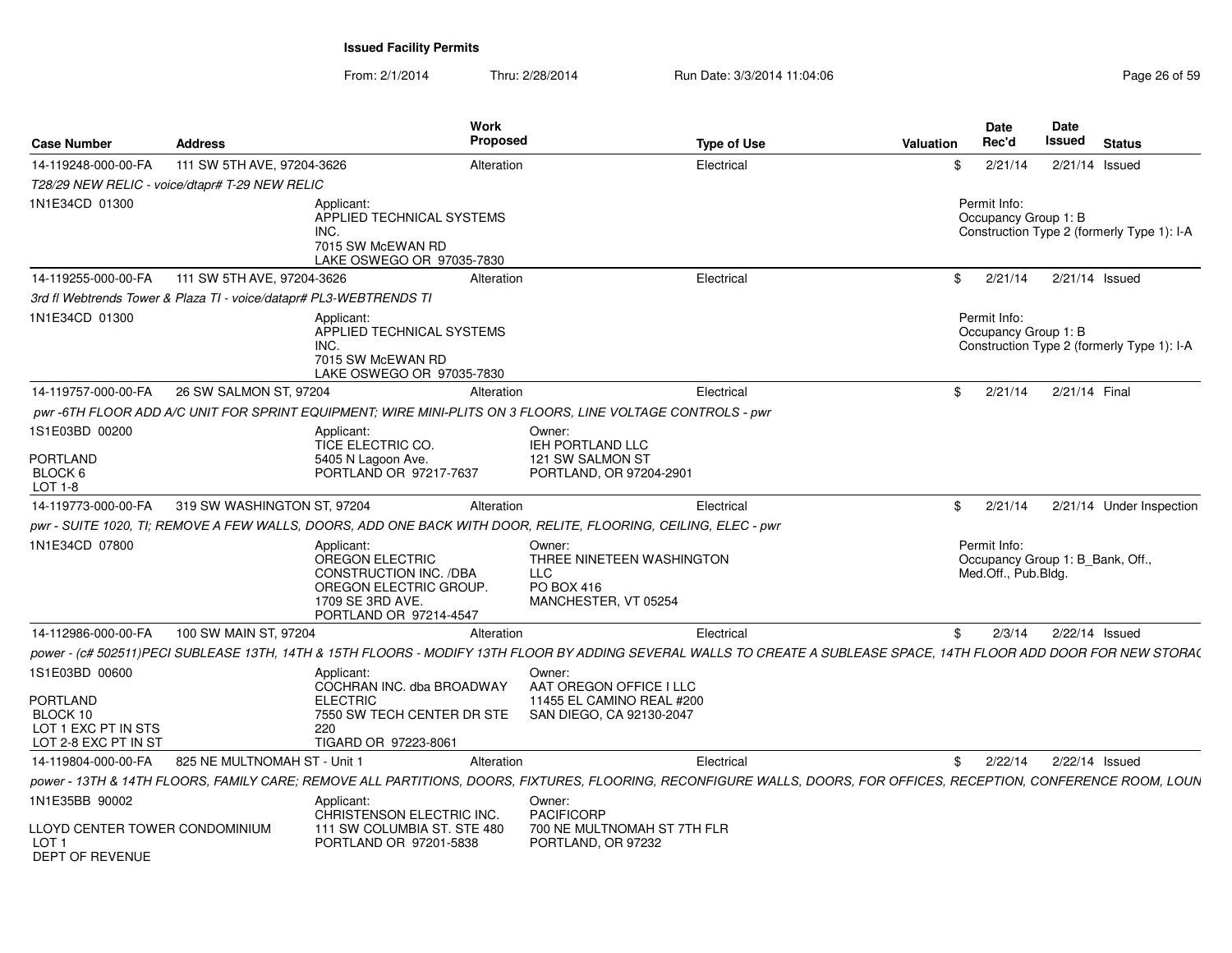| <b>Case Number</b>                                                  | <b>Address</b>                                                     |                                                                                                                                 | Work<br>Proposed |                                                                                                                                                                      | <b>Type of Use</b> | Valuation | <b>Date</b><br>Rec'd                                                    | <b>Date</b><br>Issued | <b>Status</b>                              |
|---------------------------------------------------------------------|--------------------------------------------------------------------|---------------------------------------------------------------------------------------------------------------------------------|------------------|----------------------------------------------------------------------------------------------------------------------------------------------------------------------|--------------------|-----------|-------------------------------------------------------------------------|-----------------------|--------------------------------------------|
| 14-119248-000-00-FA                                                 | 111 SW 5TH AVE, 97204-3626                                         |                                                                                                                                 | Alteration       |                                                                                                                                                                      | Electrical         | \$        | 2/21/14                                                                 |                       | 2/21/14 Issued                             |
|                                                                     | T28/29 NEW RELIC - voice/dtapr# T-29 NEW RELIC                     |                                                                                                                                 |                  |                                                                                                                                                                      |                    |           |                                                                         |                       |                                            |
| 1N1E34CD 01300                                                      |                                                                    | Applicant:<br>APPLIED TECHNICAL SYSTEMS<br>INC.<br>7015 SW McEWAN RD<br>LAKE OSWEGO OR 97035-7830                               |                  |                                                                                                                                                                      |                    |           | Permit Info:<br>Occupancy Group 1: B                                    |                       | Construction Type 2 (formerly Type 1): I-A |
| 14-119255-000-00-FA                                                 | 111 SW 5TH AVE, 97204-3626                                         |                                                                                                                                 | Alteration       |                                                                                                                                                                      | Electrical         |           | 2/21/14<br>\$                                                           |                       | $2/21/14$ Issued                           |
|                                                                     | 3rd fl Webtrends Tower & Plaza TI - voice/datapr# PL3-WEBTRENDS TI |                                                                                                                                 |                  |                                                                                                                                                                      |                    |           |                                                                         |                       |                                            |
| 1N1E34CD 01300                                                      |                                                                    | Applicant:<br>APPLIED TECHNICAL SYSTEMS<br>INC.<br>7015 SW McEWAN RD<br>LAKE OSWEGO OR 97035-7830                               |                  |                                                                                                                                                                      |                    |           | Permit Info:<br>Occupancy Group 1: B                                    |                       | Construction Type 2 (formerly Type 1): I-A |
| 14-119757-000-00-FA                                                 | 26 SW SALMON ST, 97204                                             |                                                                                                                                 | Alteration       |                                                                                                                                                                      | Electrical         |           | 2/21/14<br>\$                                                           |                       | 2/21/14 Final                              |
|                                                                     |                                                                    |                                                                                                                                 |                  | pwr-6TH FLOOR ADD A/C UNIT FOR SPRINT EQUIPMENT: WIRE MINI-PLITS ON 3 FLOORS. LINE VOLTAGE CONTROLS - pwr                                                            |                    |           |                                                                         |                       |                                            |
| 1S1E03BD 00200                                                      |                                                                    | Applicant:                                                                                                                      |                  | Owner:                                                                                                                                                               |                    |           |                                                                         |                       |                                            |
| <b>PORTLAND</b>                                                     |                                                                    | TICE ELECTRIC CO.<br>5405 N Lagoon Ave.                                                                                         |                  | IEH PORTLAND LLC<br>121 SW SALMON ST                                                                                                                                 |                    |           |                                                                         |                       |                                            |
| BLOCK 6<br>LOT 1-8                                                  |                                                                    | PORTLAND OR 97217-7637                                                                                                          |                  | PORTLAND, OR 97204-2901                                                                                                                                              |                    |           |                                                                         |                       |                                            |
| 14-119773-000-00-FA                                                 | 319 SW WASHINGTON ST, 97204                                        |                                                                                                                                 | Alteration       |                                                                                                                                                                      | Electrical         |           | 2/21/14<br>\$                                                           |                       | 2/21/14 Under Inspection                   |
|                                                                     |                                                                    |                                                                                                                                 |                  | pwr - SUITE 1020, TI; REMOVE A FEW WALLS, DOORS, ADD ONE BACK WITH DOOR, RELITE, FLOORING, CEILING, ELEC - pwr                                                       |                    |           |                                                                         |                       |                                            |
| 1N1E34CD 07800                                                      |                                                                    | Applicant:<br>OREGON ELECTRIC<br>CONSTRUCTION INC. /DBA<br>OREGON ELECTRIC GROUP.<br>1709 SE 3RD AVE.<br>PORTLAND OR 97214-4547 |                  | Owner:<br>THREE NINETEEN WASHINGTON<br><b>LLC</b><br>PO BOX 416<br>MANCHESTER, VT 05254                                                                              |                    |           | Permit Info:<br>Occupancy Group 1: B_Bank, Off.,<br>Med.Off., Pub.Bldg. |                       |                                            |
| 14-112986-000-00-FA                                                 | 100 SW MAIN ST, 97204                                              |                                                                                                                                 | Alteration       |                                                                                                                                                                      | Electrical         | \$        | 2/3/14                                                                  |                       | 2/22/14 Issued                             |
|                                                                     |                                                                    |                                                                                                                                 |                  | power - (c# 502511)PECI SUBLEASE 13TH, 14TH & 15TH FLOORS - MODIFY 13TH FLOOR BY ADDING SEVERAL WALLS TO CREATE A SUBLEASE SPACE, 14TH FLOOR ADD DOOR FOR NEW STORA( |                    |           |                                                                         |                       |                                            |
| 1S1E03BD 00600                                                      |                                                                    | Applicant:<br>COCHRAN INC. dba BROADWAY                                                                                         |                  | Owner:<br>AAT OREGON OFFICE I LLC                                                                                                                                    |                    |           |                                                                         |                       |                                            |
| PORTLAND<br>BLOCK 10<br>LOT 1 EXC PT IN STS<br>LOT 2-8 EXC PT IN ST |                                                                    | <b>ELECTRIC</b><br>7550 SW TECH CENTER DR STE<br>220<br>TIGARD OR 97223-8061                                                    |                  | 11455 EL CAMINO REAL #200<br>SAN DIEGO, CA 92130-2047                                                                                                                |                    |           |                                                                         |                       |                                            |
| 14-119804-000-00-FA                                                 | 825 NE MULTNOMAH ST - Unit 1                                       |                                                                                                                                 | Alteration       |                                                                                                                                                                      | Electrical         |           | $\frac{1}{2}$ 2/22/14                                                   |                       | 2/22/14 Issued                             |
|                                                                     |                                                                    |                                                                                                                                 |                  | power - 13TH & 14TH FLOORS, FAMILY CARE; REMOVE ALL PARTITIONS, DOORS, FIXTURES, FLOORING, RECONFIGURE WALLS, DOORS, FOR OFFICES, RECEPTION, CONFERENCE ROOM, LOUN   |                    |           |                                                                         |                       |                                            |
| 1N1E35BB 90002                                                      |                                                                    | Applicant:                                                                                                                      |                  | Owner:                                                                                                                                                               |                    |           |                                                                         |                       |                                            |
| LLOYD CENTER TOWER CONDOMINIUM<br>LOT 1<br>DEPT OF REVENUE          |                                                                    | CHRISTENSON ELECTRIC INC.<br>111 SW COLUMBIA ST. STE 480<br>PORTLAND OR 97201-5838                                              |                  | PACIFICORP<br>700 NE MULTNOMAH ST 7TH FLR<br>PORTLAND, OR 97232                                                                                                      |                    |           |                                                                         |                       |                                            |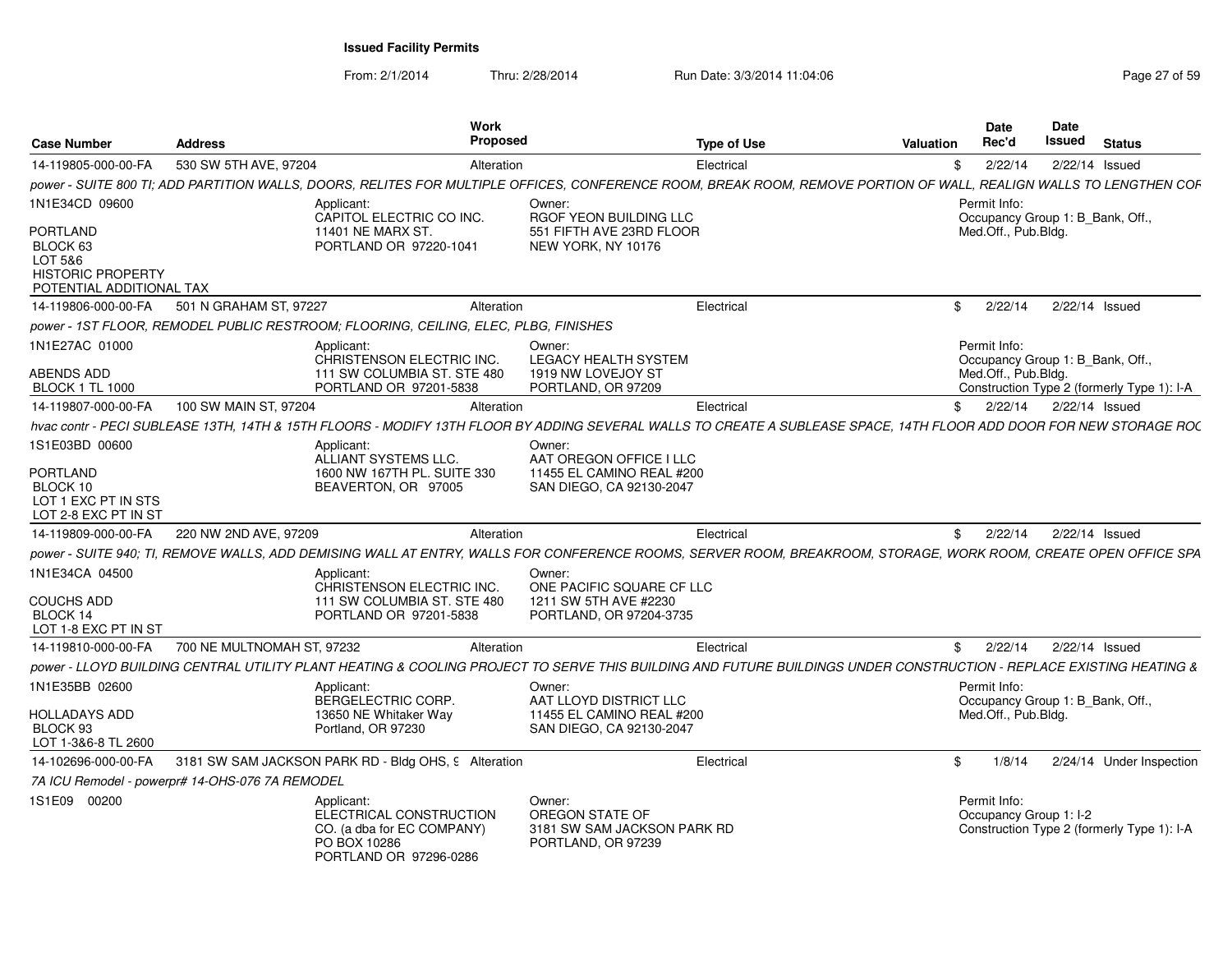From: 2/1/2014Thru: 2/28/2014 Run Date: 3/3/2014 11:04:06 Research 2010 Page 27 of 59

| <b>Case Number</b>                                                                      | <b>Address</b>                                  | <b>Work</b><br>Proposed                                                                                                                                             |                                                                                         | <b>Type of Use</b> | Valuation    | <b>Date</b><br>Rec'd                                    | <b>Date</b><br>Issued | <b>Status</b>                              |
|-----------------------------------------------------------------------------------------|-------------------------------------------------|---------------------------------------------------------------------------------------------------------------------------------------------------------------------|-----------------------------------------------------------------------------------------|--------------------|--------------|---------------------------------------------------------|-----------------------|--------------------------------------------|
| 14-119805-000-00-FA                                                                     | 530 SW 5TH AVE, 97204                           | Alteration                                                                                                                                                          |                                                                                         | Electrical         | \$           | 2/22/14                                                 |                       | 2/22/14 Issued                             |
|                                                                                         |                                                 | power - SUITE 800 TI; ADD PARTITION WALLS, DOORS, RELITES FOR MULTIPLE OFFICES, CONFERENCE ROOM, BREAK ROOM, REMOVE PORTION OF WALL,                                |                                                                                         |                    |              |                                                         |                       | <b>REALIGN WALLS TO LENGTHEN COF</b>       |
| 1N1E34CD 09600                                                                          |                                                 | Applicant:                                                                                                                                                          | Owner:                                                                                  |                    |              | Permit Info:                                            |                       |                                            |
| PORTLAND<br>BLOCK 63<br>LOT 5&6<br><b>HISTORIC PROPERTY</b><br>POTENTIAL ADDITIONAL TAX |                                                 | CAPITOL ELECTRIC CO INC.<br><b>11401 NE MARX ST</b><br>PORTLAND OR 97220-1041                                                                                       | RGOF YEON BUILDING LLC<br>551 FIFTH AVE 23RD FLOOR<br>NEW YORK, NY 10176                |                    |              | Occupancy Group 1: B Bank, Off.,<br>Med.Off., Pub.Bldg. |                       |                                            |
| 14-119806-000-00-FA                                                                     | 501 N GRAHAM ST, 97227                          | Alteration                                                                                                                                                          |                                                                                         | Electrical         | $\mathbb{S}$ | 2/22/14                                                 |                       | 2/22/14 Issued                             |
|                                                                                         |                                                 | power - 1ST FLOOR, REMODEL PUBLIC RESTROOM; FLOORING, CEILING, ELEC, PLBG, FINISHES                                                                                 |                                                                                         |                    |              |                                                         |                       |                                            |
| 1N1E27AC 01000                                                                          |                                                 | Applicant:                                                                                                                                                          | Owner:                                                                                  |                    |              | Permit Info:                                            |                       |                                            |
|                                                                                         |                                                 | CHRISTENSON ELECTRIC INC.                                                                                                                                           | <b>LEGACY HEALTH SYSTEM</b>                                                             |                    |              | Occupancy Group 1: B Bank, Off.,                        |                       |                                            |
| ABENDS ADD                                                                              |                                                 | 111 SW COLUMBIA ST. STE 480                                                                                                                                         | 1919 NW LOVEJOY ST                                                                      |                    |              | Med.Off., Pub.Bldg.                                     |                       |                                            |
| <b>BLOCK 1 TL 1000</b>                                                                  |                                                 | PORTLAND OR 97201-5838                                                                                                                                              | PORTLAND, OR 97209                                                                      |                    |              |                                                         |                       | Construction Type 2 (formerly Type 1): I-A |
| 14-119807-000-00-FA                                                                     | 100 SW MAIN ST, 97204                           | Alteration                                                                                                                                                          |                                                                                         | Electrical         | \$           | 2/22/14                                                 |                       | 2/22/14 Issued                             |
|                                                                                         |                                                 | hvac contr - PECI SUBLEASE 13TH, 14TH & 15TH FLOORS - MODIFY 13TH FLOOR BY ADDING SEVERAL WALLS TO CREATE A SUBLEASE SPACE, 14TH FLOOR ADD DOOR FOR NEW STORAGE ROC |                                                                                         |                    |              |                                                         |                       |                                            |
| 1S1E03BD 00600                                                                          |                                                 | Applicant:<br>ALLIANT SYSTEMS LLC.                                                                                                                                  | Owner:<br>AAT OREGON OFFICE I LLC                                                       |                    |              |                                                         |                       |                                            |
| <b>PORTLAND</b><br>BLOCK 10<br>LOT 1 EXC PT IN STS<br>LOT 2-8 EXC PT IN ST              |                                                 | 1600 NW 167TH PL. SUITE 330<br>BEAVERTON, OR 97005                                                                                                                  | 11455 EL CAMINO REAL #200<br>SAN DIEGO, CA 92130-2047                                   |                    |              |                                                         |                       |                                            |
| 14-119809-000-00-FA                                                                     | 220 NW 2ND AVE, 97209                           | Alteration                                                                                                                                                          |                                                                                         | Electrical         | \$           | 2/22/14                                                 |                       | 2/22/14 Issued                             |
|                                                                                         |                                                 | power - SUITE 940; TI, REMOVE WALLS, ADD DEMISING WALL AT ENTRY, WALLS FOR CONFERENCE ROOMS, SERVER ROOM, BREAKROOM, STORAGE, WORK ROOM, CREATE OPEN OFFICE SPA     |                                                                                         |                    |              |                                                         |                       |                                            |
| 1N1E34CA 04500<br><b>COUCHS ADD</b><br>BLOCK 14<br>LOT 1-8 EXC PT IN ST                 |                                                 | Applicant:<br>CHRISTENSON ELECTRIC INC.<br>111 SW COLUMBIA ST. STE 480<br>PORTLAND OR 97201-5838                                                                    | Owner:<br>ONE PACIFIC SQUARE CF LLC<br>1211 SW 5TH AVE #2230<br>PORTLAND, OR 97204-3735 |                    |              |                                                         |                       |                                            |
| 14-119810-000-00-FA                                                                     | 700 NE MULTNOMAH ST, 97232                      | Alteration                                                                                                                                                          |                                                                                         | Electrical         | \$           | 2/22/14                                                 |                       | 2/22/14 Issued                             |
|                                                                                         |                                                 | power - LLOYD BUILDING CENTRAL UTILITY PLANT HEATING & COOLING PROJECT TO SERVE THIS BUILDING AND FUTURE BUILDINGS UNDER CONSTRUCTION - REPLACE EXISTING HEATING &  |                                                                                         |                    |              |                                                         |                       |                                            |
| 1N1E35BB 02600                                                                          |                                                 | Applicant:<br>BERGELECTRIC CORP.                                                                                                                                    | Owner:<br>AAT LLOYD DISTRICT LLC                                                        |                    |              | Permit Info:<br>Occupancy Group 1: B Bank, Off.,        |                       |                                            |
| HOLLADAYS ADD<br>BLOCK 93<br>LOT 1-3&6-8 TL 2600                                        |                                                 | 13650 NE Whitaker Way<br>Portland, OR 97230                                                                                                                         | 11455 EL CAMINO REAL #200<br>SAN DIEGO, CA 92130-2047                                   |                    |              | Med.Off., Pub.Bldg.                                     |                       |                                            |
| 14-102696-000-00-FA                                                                     |                                                 | 3181 SW SAM JACKSON PARK RD - Bldg OHS, 9 Alteration                                                                                                                |                                                                                         | Electrical         | \$           | 1/8/14                                                  |                       | 2/24/14 Under Inspection                   |
|                                                                                         | 7A ICU Remodel - powerpr# 14-OHS-076 7A REMODEL |                                                                                                                                                                     |                                                                                         |                    |              |                                                         |                       |                                            |
| 1S1E09 00200                                                                            |                                                 | Applicant:<br>ELECTRICAL CONSTRUCTION<br>CO. (a dba for EC COMPANY)<br>PO BOX 10286<br>PORTLAND OR 97296-0286                                                       | Owner:<br>OREGON STATE OF<br>3181 SW SAM JACKSON PARK RD<br>PORTLAND, OR 97239          |                    |              | Permit Info:<br>Occupancy Group 1: I-2                  |                       | Construction Type 2 (formerly Type 1): I-A |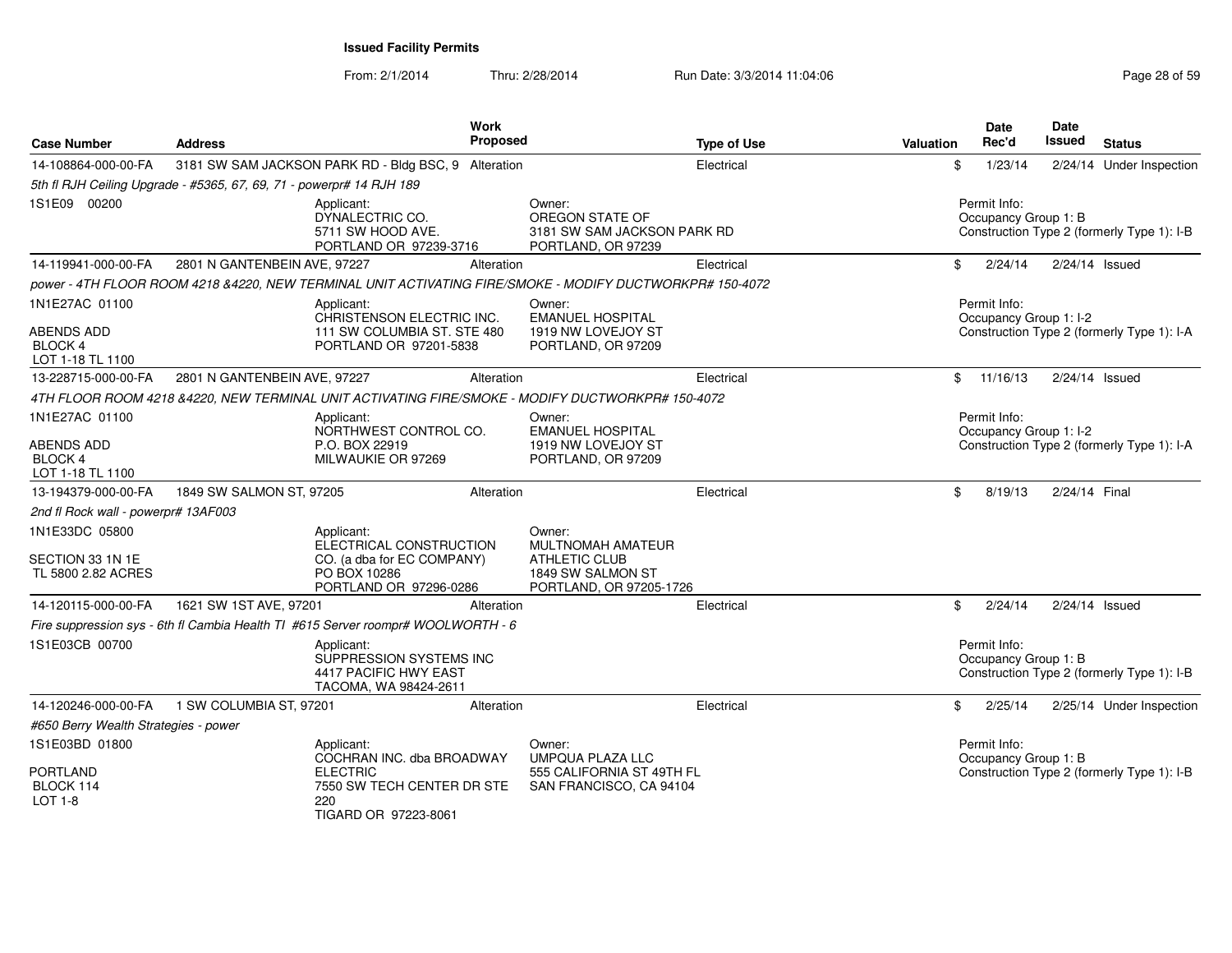| <b>Case Number</b>                                      | <b>Address</b>                                                       | Work<br>Proposed                                                                                         |                                                                                | <b>Type of Use</b> | <b>Valuation</b> | <b>Date</b><br>Rec'd                   | <b>Date</b><br>Issued | <b>Status</b>                              |
|---------------------------------------------------------|----------------------------------------------------------------------|----------------------------------------------------------------------------------------------------------|--------------------------------------------------------------------------------|--------------------|------------------|----------------------------------------|-----------------------|--------------------------------------------|
| 14-108864-000-00-FA                                     |                                                                      | 3181 SW SAM JACKSON PARK RD - Bldg BSC, 9 Alteration                                                     |                                                                                | Electrical         | \$               | 1/23/14                                |                       | 2/24/14 Under Inspection                   |
|                                                         | 5th fl RJH Ceiling Upgrade - #5365, 67, 69, 71 - powerpr# 14 RJH 189 |                                                                                                          |                                                                                |                    |                  |                                        |                       |                                            |
| 1S1E09 00200                                            |                                                                      | Applicant:<br>DYNALECTRIC CO.<br>5711 SW HOOD AVE.<br>PORTLAND OR 97239-3716                             | Owner:<br>OREGON STATE OF<br>3181 SW SAM JACKSON PARK RD<br>PORTLAND, OR 97239 |                    |                  | Permit Info:<br>Occupancy Group 1: B   |                       | Construction Type 2 (formerly Type 1): I-B |
| 14-119941-000-00-FA                                     | 2801 N GANTENBEIN AVE, 97227                                         | Alteration                                                                                               |                                                                                | Electrical         | \$               | 2/24/14                                | 2/24/14 Issued        |                                            |
|                                                         |                                                                      | power - 4TH FLOOR ROOM 4218 &4220, NEW TERMINAL UNIT ACTIVATING FIRE/SMOKE - MODIFY DUCTWORKPR# 150-4072 |                                                                                |                    |                  |                                        |                       |                                            |
| 1N1E27AC 01100<br>ABENDS ADD                            |                                                                      | Applicant:<br>CHRISTENSON ELECTRIC INC.<br>111 SW COLUMBIA ST. STE 480                                   | Owner:<br><b>EMANUEL HOSPITAL</b><br>1919 NW LOVEJOY ST                        |                    |                  | Permit Info:<br>Occupancy Group 1: I-2 |                       | Construction Type 2 (formerly Type 1): I-A |
| <b>BLOCK 4</b><br>LOT 1-18 TL 1100                      |                                                                      | PORTLAND OR 97201-5838                                                                                   | PORTLAND, OR 97209                                                             |                    |                  |                                        |                       |                                            |
| 13-228715-000-00-FA                                     | 2801 N GANTENBEIN AVE, 97227                                         | Alteration                                                                                               |                                                                                | Electrical         | $\mathbb{S}$     | 11/16/13                               | 2/24/14 Issued        |                                            |
|                                                         |                                                                      | 4TH FLOOR ROOM 4218 &4220, NEW TERMINAL UNIT ACTIVATING FIRE/SMOKE - MODIFY DUCTWORKPR# 150-4072         |                                                                                |                    |                  |                                        |                       |                                            |
| 1N1E27AC 01100                                          |                                                                      | Applicant:<br>NORTHWEST CONTROL CO.                                                                      | Owner:<br><b>EMANUEL HOSPITAL</b>                                              |                    |                  | Permit Info:<br>Occupancy Group 1: I-2 |                       |                                            |
| <b>ABENDS ADD</b><br><b>BLOCK 4</b><br>LOT 1-18 TL 1100 |                                                                      | P.O. BOX 22919<br>MILWAUKIE OR 97269                                                                     | 1919 NW LOVEJOY ST<br>PORTLAND, OR 97209                                       |                    |                  |                                        |                       | Construction Type 2 (formerly Type 1): I-A |
| 13-194379-000-00-FA                                     | 1849 SW SALMON ST, 97205                                             | Alteration                                                                                               |                                                                                | Electrical         | \$               | 8/19/13                                | 2/24/14 Final         |                                            |
| 2nd fl Rock wall - powerpr# 13AF003                     |                                                                      |                                                                                                          |                                                                                |                    |                  |                                        |                       |                                            |
| 1N1E33DC 05800<br>SECTION 33 1N 1E                      |                                                                      | Applicant:<br>ELECTRICAL CONSTRUCTION<br>CO. (a dba for EC COMPANY)                                      | Owner:<br>MULTNOMAH AMATEUR<br><b>ATHLETIC CLUB</b>                            |                    |                  |                                        |                       |                                            |
| TL 5800 2.82 ACRES                                      |                                                                      | PO BOX 10286<br>PORTLAND OR 97296-0286                                                                   | 1849 SW SALMON ST<br>PORTLAND, OR 97205-1726                                   |                    |                  |                                        |                       |                                            |
| 14-120115-000-00-FA                                     | 1621 SW 1ST AVE, 97201                                               | Alteration                                                                                               |                                                                                | Electrical         | \$               | 2/24/14                                | 2/24/14 Issued        |                                            |
|                                                         |                                                                      | Fire suppression sys - 6th fl Cambia Health TI #615 Server roompr# WOOLWORTH - 6                         |                                                                                |                    |                  |                                        |                       |                                            |
| 1S1E03CB 00700                                          |                                                                      | Applicant:<br>SUPPRESSION SYSTEMS INC<br>4417 PACIFIC HWY EAST<br>TACOMA, WA 98424-2611                  |                                                                                |                    |                  | Permit Info:<br>Occupancy Group 1: B   |                       | Construction Type 2 (formerly Type 1): I-B |
| 14-120246-000-00-FA                                     | 1 SW COLUMBIA ST, 97201                                              | Alteration                                                                                               |                                                                                | Electrical         | \$               | 2/25/14                                |                       | 2/25/14 Under Inspection                   |
| #650 Berry Wealth Strategies - power                    |                                                                      |                                                                                                          |                                                                                |                    |                  |                                        |                       |                                            |
| 1S1E03BD 01800                                          |                                                                      | Applicant:<br>COCHRAN INC. dba BROADWAY                                                                  | Owner:<br>UMPQUA PLAZA LLC                                                     |                    |                  | Permit Info:<br>Occupancy Group 1: B   |                       |                                            |
| PORTLAND<br>BLOCK 114<br><b>LOT 1-8</b>                 | 220                                                                  | <b>ELECTRIC</b><br>7550 SW TECH CENTER DR STE<br>TIGARD OR 97223-8061                                    | 555 CALIFORNIA ST 49TH FL<br>SAN FRANCISCO, CA 94104                           |                    |                  |                                        |                       | Construction Type 2 (formerly Type 1): I-B |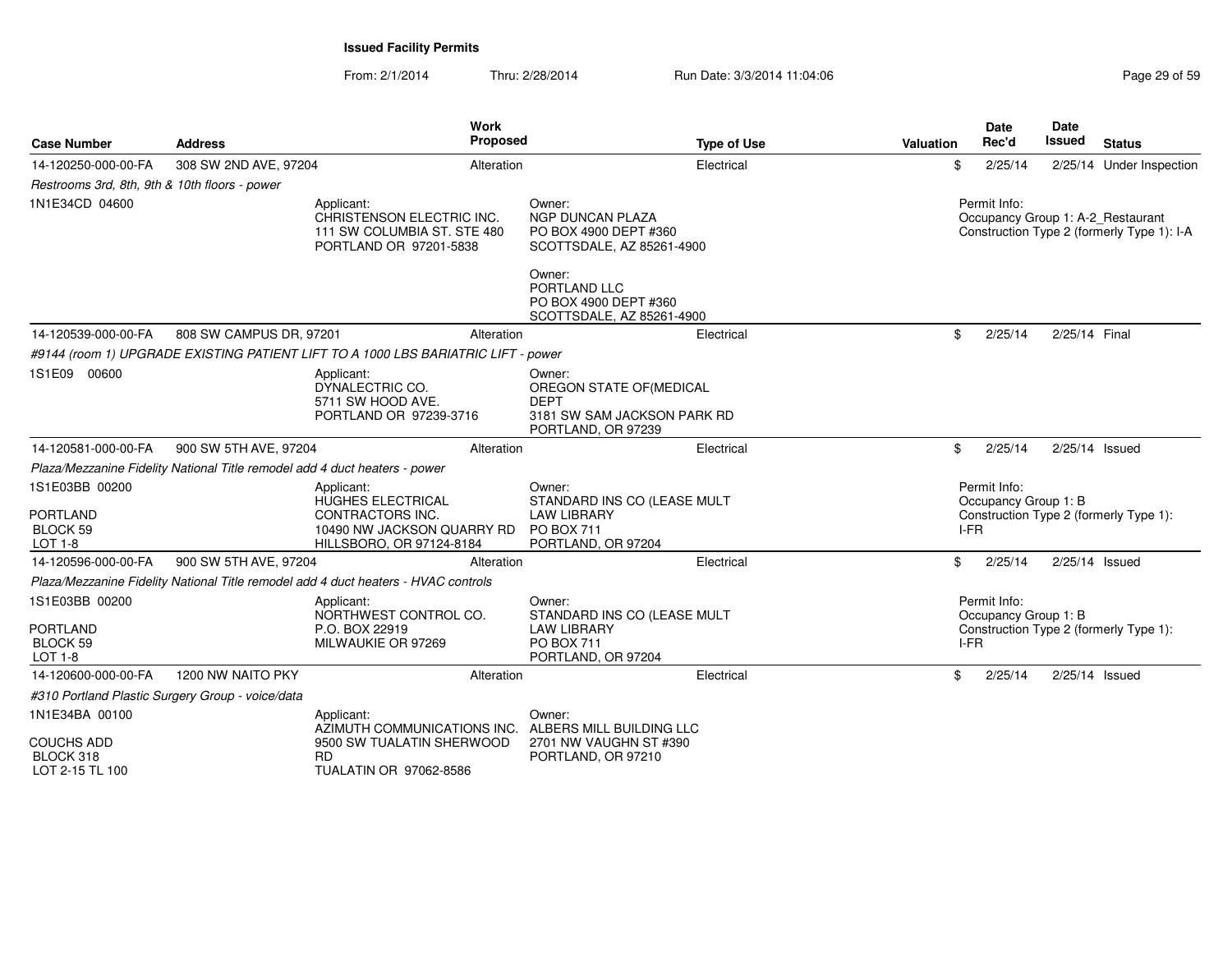| <b>Case Number</b>                                                     | Address                                                                    | <b>Work</b><br>Proposed                                                                                              |                                                                                                        | <b>Type of Use</b> | <b>Valuation</b> | <b>Date</b><br>Rec'd                              | <b>Date</b><br><b>Issued</b> | <b>Status</b>                              |
|------------------------------------------------------------------------|----------------------------------------------------------------------------|----------------------------------------------------------------------------------------------------------------------|--------------------------------------------------------------------------------------------------------|--------------------|------------------|---------------------------------------------------|------------------------------|--------------------------------------------|
| 14-120250-000-00-FA                                                    | 308 SW 2ND AVE, 97204                                                      | Alteration                                                                                                           |                                                                                                        | Electrical         | \$               | 2/25/14                                           |                              | 2/25/14 Under Inspection                   |
| Restrooms 3rd, 8th, 9th & 10th floors - power                          |                                                                            |                                                                                                                      |                                                                                                        |                    |                  |                                                   |                              |                                            |
| 1N1E34CD 04600                                                         |                                                                            | Applicant:<br>CHRISTENSON ELECTRIC INC.<br>111 SW COLUMBIA ST. STE 480<br>PORTLAND OR 97201-5838                     | Owner:<br><b>NGP DUNCAN PLAZA</b><br>PO BOX 4900 DEPT #360<br>SCOTTSDALE, AZ 85261-4900                |                    |                  | Permit Info:<br>Occupancy Group 1: A-2_Restaurant |                              | Construction Type 2 (formerly Type 1): I-A |
|                                                                        |                                                                            |                                                                                                                      | Owner:<br>PORTLAND LLC<br>PO BOX 4900 DEPT #360<br>SCOTTSDALE, AZ 85261-4900                           |                    |                  |                                                   |                              |                                            |
| 14-120539-000-00-FA                                                    | 808 SW CAMPUS DR, 97201                                                    | Alteration                                                                                                           |                                                                                                        | Electrical         | \$               | 2/25/14                                           | 2/25/14 Final                |                                            |
|                                                                        |                                                                            | #9144 (room 1) UPGRADE EXISTING PATIENT LIFT TO A 1000 LBS BARIATRIC LIFT - power                                    |                                                                                                        |                    |                  |                                                   |                              |                                            |
| 1S1E09 00600                                                           |                                                                            | Applicant:<br>DYNALECTRIC CO.<br>5711 SW HOOD AVE.<br>PORTLAND OR 97239-3716                                         | Owner:<br>OREGON STATE OF (MEDICAL<br><b>DEPT</b><br>3181 SW SAM JACKSON PARK RD<br>PORTLAND, OR 97239 |                    |                  |                                                   |                              |                                            |
| 14-120581-000-00-FA                                                    | 900 SW 5TH AVE, 97204                                                      | Alteration                                                                                                           |                                                                                                        | Electrical         | \$               | 2/25/14                                           | 2/25/14 Issued               |                                            |
|                                                                        | Plaza/Mezzanine Fidelity National Title remodel add 4 duct heaters - power |                                                                                                                      |                                                                                                        |                    |                  |                                                   |                              |                                            |
| 1S1E03BB 00200<br><b>PORTLAND</b><br><b>BLOCK 59</b><br><b>LOT 1-8</b> |                                                                            | Applicant:<br><b>HUGHES ELECTRICAL</b><br>CONTRACTORS INC.<br>10490 NW JACKSON QUARRY RD<br>HILLSBORO, OR 97124-8184 | Owner:<br>STANDARD INS CO (LEASE MULT<br><b>LAW LIBRARY</b><br><b>PO BOX 711</b><br>PORTLAND, OR 97204 |                    |                  | Permit Info:<br>Occupancy Group 1: B<br>I-FR      |                              | Construction Type 2 (formerly Type 1):     |
| 14-120596-000-00-FA                                                    | 900 SW 5TH AVE, 97204                                                      | Alteration                                                                                                           |                                                                                                        | Electrical         | \$               | 2/25/14                                           | $2/25/14$ Issued             |                                            |
|                                                                        |                                                                            | Plaza/Mezzanine Fidelity National Title remodel add 4 duct heaters - HVAC controls                                   |                                                                                                        |                    |                  |                                                   |                              |                                            |
| 1S1E03BB 00200                                                         |                                                                            | Applicant:<br>NORTHWEST CONTROL CO.                                                                                  | Owner:<br>STANDARD INS CO (LEASE MULT                                                                  |                    |                  | Permit Info:<br>Occupancy Group 1: B              |                              |                                            |
| <b>PORTLAND</b><br>BLOCK 59<br><b>LOT 1-8</b>                          |                                                                            | P.O. BOX 22919<br>MILWAUKIE OR 97269                                                                                 | <b>LAW LIBRARY</b><br><b>PO BOX 711</b><br>PORTLAND, OR 97204                                          |                    |                  | I-FR                                              |                              | Construction Type 2 (formerly Type 1):     |
| 14-120600-000-00-FA                                                    | 1200 NW NAITO PKY                                                          | Alteration                                                                                                           |                                                                                                        | Electrical         | \$               | 2/25/14                                           | 2/25/14 Issued               |                                            |
|                                                                        | #310 Portland Plastic Surgery Group - voice/data                           |                                                                                                                      |                                                                                                        |                    |                  |                                                   |                              |                                            |
| 1N1E34BA 00100                                                         |                                                                            | Applicant:<br>AZIMUTH COMMUNICATIONS INC.                                                                            | Owner:<br>ALBERS MILL BUILDING LLC                                                                     |                    |                  |                                                   |                              |                                            |
| <b>COUCHS ADD</b><br>BLOCK 318<br>LOT 2-15 TL 100                      |                                                                            | 9500 SW TUALATIN SHERWOOD<br>RD.<br>TUALATIN OR 97062-8586                                                           | 2701 NW VAUGHN ST #390<br>PORTLAND, OR 97210                                                           |                    |                  |                                                   |                              |                                            |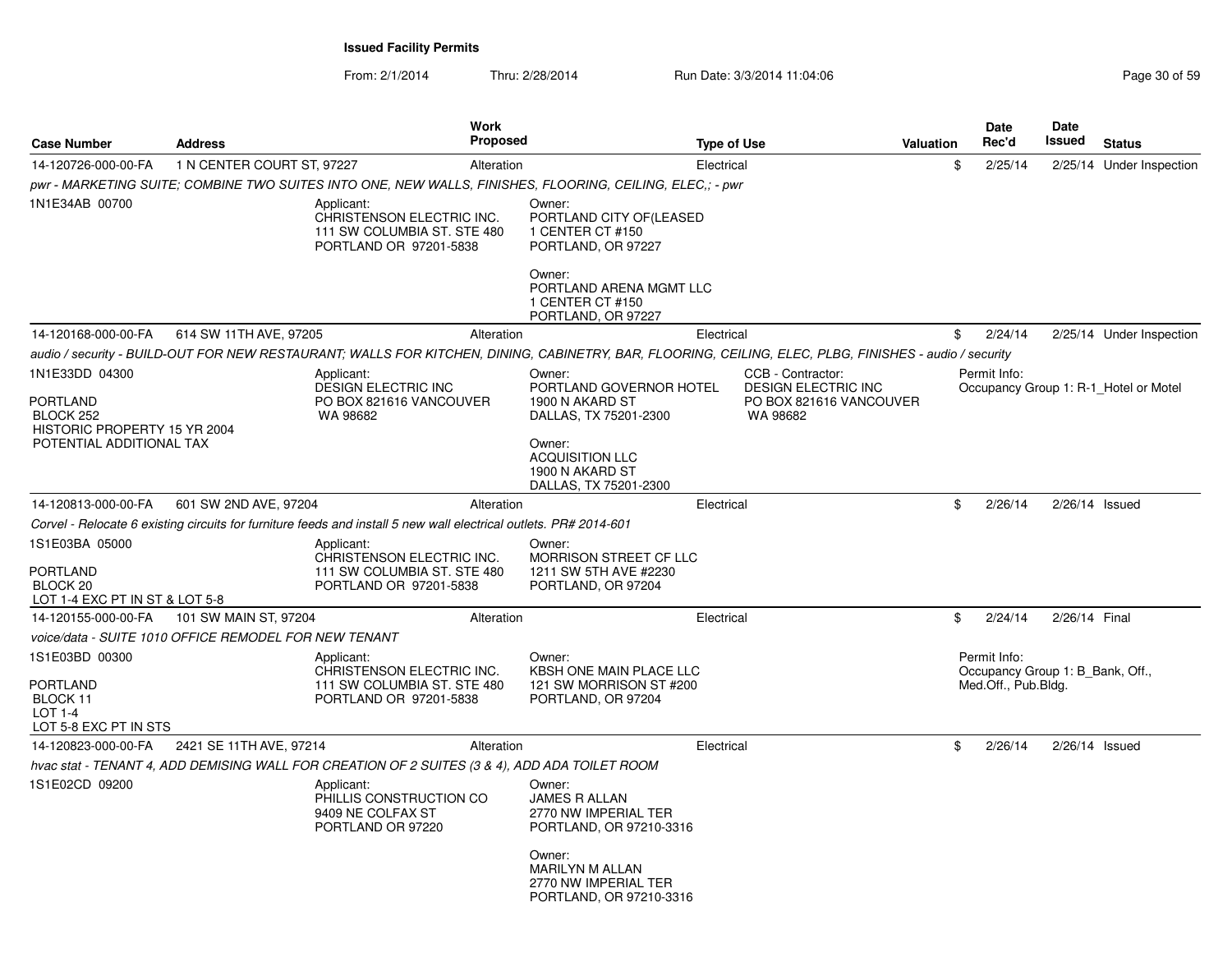From: 2/1/2014

Thru: 2/28/2014 Run Date: 3/3/2014 11:04:06 Research 20 and 20 of 59

| <b>Case Number</b>                                                              | <b>Address</b>                                        | <b>Work</b><br><b>Proposed</b>                                                                                                                         |                                                                                                                                       | <b>Type of Use</b>                                                                     | <b>Valuation</b> | Date<br>Rec'd                                                           | <b>Date</b><br>Issued | <b>Status</b>                         |
|---------------------------------------------------------------------------------|-------------------------------------------------------|--------------------------------------------------------------------------------------------------------------------------------------------------------|---------------------------------------------------------------------------------------------------------------------------------------|----------------------------------------------------------------------------------------|------------------|-------------------------------------------------------------------------|-----------------------|---------------------------------------|
| 14-120726-000-00-FA                                                             | 1 N CENTER COURT ST, 97227                            | Alteration                                                                                                                                             |                                                                                                                                       | Electrical                                                                             | \$               | 2/25/14                                                                 |                       | 2/25/14 Under Inspection              |
|                                                                                 |                                                       | pwr - MARKETING SUITE; COMBINE TWO SUITES INTO ONE, NEW WALLS, FINISHES, FLOORING, CEILING, ELEC,; - pwr                                               |                                                                                                                                       |                                                                                        |                  |                                                                         |                       |                                       |
| 1N1E34AB 00700                                                                  |                                                       | Applicant:<br>CHRISTENSON ELECTRIC INC.<br>111 SW COLUMBIA ST. STE 480<br>PORTLAND OR 97201-5838                                                       | Owner:<br>PORTLAND CITY OF (LEASED<br>1 CENTER CT #150<br>PORTLAND, OR 97227<br>Owner:<br>PORTLAND ARENA MGMT LLC<br>1 CENTER CT #150 |                                                                                        |                  |                                                                         |                       |                                       |
|                                                                                 |                                                       |                                                                                                                                                        | PORTLAND, OR 97227                                                                                                                    |                                                                                        |                  |                                                                         |                       |                                       |
| 14-120168-000-00-FA                                                             | 614 SW 11TH AVE, 97205                                | Alteration                                                                                                                                             |                                                                                                                                       | Electrical                                                                             | \$               | 2/24/14                                                                 |                       | 2/25/14 Under Inspection              |
|                                                                                 |                                                       | audio / security - BUILD-OUT FOR NEW RESTAURANT; WALLS FOR KITCHEN, DINING, CABINETRY, BAR, FLOORING, CEILING, ELEC, PLBG, FINISHES - audio / security |                                                                                                                                       |                                                                                        |                  |                                                                         |                       |                                       |
| 1N1E33DD 04300<br><b>PORTLAND</b><br>BLOCK 252<br>HISTORIC PROPERTY 15 YR 2004  |                                                       | Applicant:<br><b>DESIGN ELECTRIC INC</b><br>PO BOX 821616 VANCOUVER<br>WA 98682                                                                        | Owner:<br>PORTLAND GOVERNOR HOTEL<br>1900 N AKARD ST<br>DALLAS, TX 75201-2300                                                         | CCB - Contractor:<br><b>DESIGN ELECTRIC INC</b><br>PO BOX 821616 VANCOUVER<br>WA 98682 |                  | Permit Info:                                                            |                       | Occupancy Group 1: R-1 Hotel or Motel |
| POTENTIAL ADDITIONAL TAX                                                        |                                                       |                                                                                                                                                        | Owner:<br><b>ACQUISITION LLC</b><br>1900 N AKARD ST<br>DALLAS, TX 75201-2300                                                          |                                                                                        |                  |                                                                         |                       |                                       |
| 14-120813-000-00-FA                                                             | 601 SW 2ND AVE, 97204                                 | Alteration                                                                                                                                             |                                                                                                                                       | Electrical                                                                             | \$               | 2/26/14                                                                 | $2/26/14$ Issued      |                                       |
|                                                                                 |                                                       | Corvel - Relocate 6 existing circuits for furniture feeds and install 5 new wall electrical outlets. PR# 2014-601                                      |                                                                                                                                       |                                                                                        |                  |                                                                         |                       |                                       |
| 1S1E03BA 05000<br><b>PORTLAND</b><br>BLOCK 20<br>LOT 1-4 EXC PT IN ST & LOT 5-8 |                                                       | Applicant:<br>CHRISTENSON ELECTRIC INC.<br>111 SW COLUMBIA ST. STE 480<br>PORTLAND OR 97201-5838                                                       | Owner:<br><b>MORRISON STREET CF LLC</b><br>1211 SW 5TH AVE #2230<br>PORTLAND, OR 97204                                                |                                                                                        |                  |                                                                         |                       |                                       |
| 14-120155-000-00-FA                                                             | 101 SW MAIN ST, 97204                                 | Alteration                                                                                                                                             |                                                                                                                                       | Electrical                                                                             | \$               | 2/24/14                                                                 | 2/26/14 Final         |                                       |
|                                                                                 | voice/data - SUITE 1010 OFFICE REMODEL FOR NEW TENANT |                                                                                                                                                        |                                                                                                                                       |                                                                                        |                  |                                                                         |                       |                                       |
| 1S1E03BD 00300<br>PORTLAND<br>BLOCK 11<br>LOT 1-4<br>LOT 5-8 EXC PT IN STS      |                                                       | Applicant:<br>CHRISTENSON ELECTRIC INC.<br>111 SW COLUMBIA ST. STE 480<br>PORTLAND OR 97201-5838                                                       | Owner:<br>KBSH ONE MAIN PLACE LLC<br>121 SW MORRISON ST #200<br>PORTLAND, OR 97204                                                    |                                                                                        |                  | Permit Info:<br>Occupancy Group 1: B Bank, Off.,<br>Med.Off., Pub.Bldg. |                       |                                       |
| 14-120823-000-00-FA                                                             | 2421 SE 11TH AVE, 97214                               | Alteration                                                                                                                                             |                                                                                                                                       | Electrical                                                                             | \$               | 2/26/14                                                                 | $2/26/14$ Issued      |                                       |
|                                                                                 |                                                       | hvac stat - TENANT 4, ADD DEMISING WALL FOR CREATION OF 2 SUITES (3 & 4), ADD ADA TOILET ROOM                                                          |                                                                                                                                       |                                                                                        |                  |                                                                         |                       |                                       |
| 1S1E02CD 09200                                                                  |                                                       | Applicant:<br>PHILLIS CONSTRUCTION CO<br>9409 NE COLFAX ST<br>PORTLAND OR 97220                                                                        | Owner:<br><b>JAMES R ALLAN</b><br>2770 NW IMPERIAL TER<br>PORTLAND, OR 97210-3316                                                     |                                                                                        |                  |                                                                         |                       |                                       |
|                                                                                 |                                                       |                                                                                                                                                        | Owner:<br><b>MARILYN M ALLAN</b><br>2770 NW IMPERIAL TER<br>PORTLAND, OR 97210-3316                                                   |                                                                                        |                  |                                                                         |                       |                                       |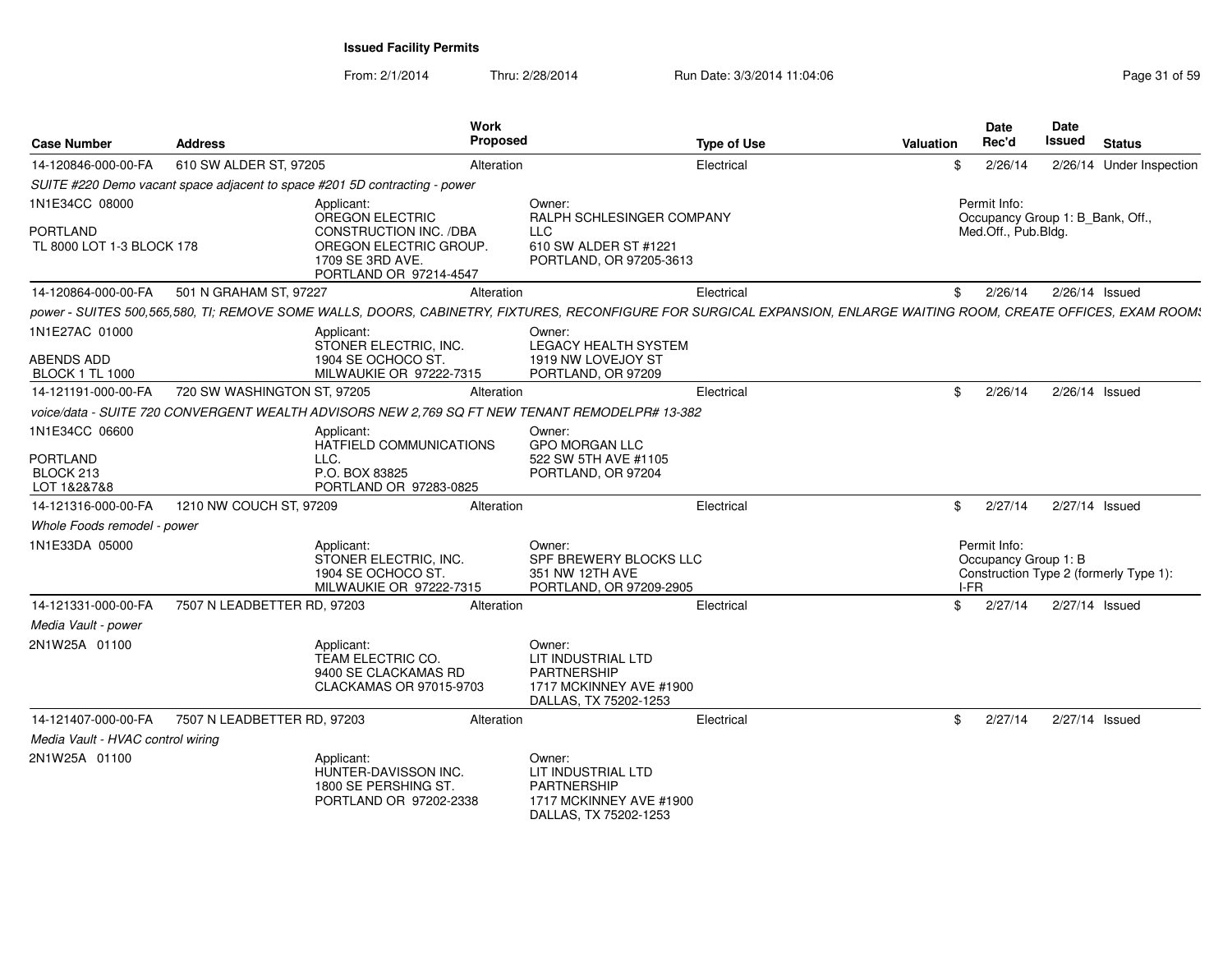From: 2/1/2014Thru: 2/28/2014 Run Date: 3/3/2014 11:04:06 Research 2010 12:04:06

| <b>Case Number</b>                                      | <b>Address</b>              | Work<br><b>Proposed</b>                                                                                                                                             |                                                                                                        | <b>Type of Use</b> | Valuation | <b>Date</b><br>Rec'd                         | Date<br>Issued<br><b>Status</b>        |
|---------------------------------------------------------|-----------------------------|---------------------------------------------------------------------------------------------------------------------------------------------------------------------|--------------------------------------------------------------------------------------------------------|--------------------|-----------|----------------------------------------------|----------------------------------------|
| 14-120846-000-00-FA                                     | 610 SW ALDER ST, 97205      | Alteration                                                                                                                                                          |                                                                                                        | Electrical         | \$        | 2/26/14                                      | 2/26/14 Under Inspection               |
|                                                         |                             | SUITE #220 Demo vacant space adjacent to space #201 5D contracting - power                                                                                          |                                                                                                        |                    |           |                                              |                                        |
| 1N1E34CC 08000<br>PORTLAND<br>TL 8000 LOT 1-3 BLOCK 178 |                             | Applicant:<br>OREGON ELECTRIC<br>CONSTRUCTION INC. /DBA<br>OREGON ELECTRIC GROUP.<br>1709 SE 3RD AVE.<br>PORTLAND OR 97214-4547                                     | Owner:<br>RALPH SCHLESINGER COMPANY<br><b>LLC</b><br>610 SW ALDER ST #1221<br>PORTLAND, OR 97205-3613  |                    |           | Permit Info:<br>Med.Off., Pub.Bldg.          | Occupancy Group 1: B_Bank, Off.,       |
| 14-120864-000-00-FA                                     | 501 N GRAHAM ST, 97227      | Alteration                                                                                                                                                          |                                                                                                        | Electrical         | S.        | 2/26/14                                      | 2/26/14 Issued                         |
|                                                         |                             | power - SUITES 500,565,580, TI; REMOVE SOME WALLS, DOORS, CABINETRY, FIXTURES, RECONFIGURE FOR SURGICAL EXPANSION, ENLARGE WAITING ROOM, CREATE OFFICES, EXAM ROOM: |                                                                                                        |                    |           |                                              |                                        |
| 1N1E27AC 01000<br>ABENDS ADD<br><b>BLOCK 1 TL 1000</b>  |                             | Applicant:<br>STONER ELECTRIC, INC.<br>1904 SE OCHOCO ST<br>MILWAUKIE OR 97222-7315                                                                                 | Owner:<br>LEGACY HEALTH SYSTEM<br>1919 NW LOVEJOY ST<br>PORTLAND, OR 97209                             |                    |           |                                              |                                        |
| 14-121191-000-00-FA                                     | 720 SW WASHINGTON ST, 97205 | Alteration                                                                                                                                                          |                                                                                                        | Electrical         |           | \$2/26/14                                    | 2/26/14 Issued                         |
|                                                         |                             | voice/data - SUITE 720 CONVERGENT WEALTH ADVISORS NEW 2,769 SQ FT NEW TENANT REMODELPR# 13-382                                                                      |                                                                                                        |                    |           |                                              |                                        |
| 1N1E34CC 06600<br>PORTLAND<br>BLOCK 213<br>LOT 1&2&7&8  |                             | Applicant:<br>HATFIELD COMMUNICATIONS<br>LLC.<br>P.O. BOX 83825<br>PORTLAND OR 97283-0825                                                                           | Owner:<br><b>GPO MORGAN LLC</b><br>522 SW 5TH AVE #1105<br>PORTLAND, OR 97204                          |                    |           |                                              |                                        |
| 14-121316-000-00-FA                                     | 1210 NW COUCH ST, 97209     | Alteration                                                                                                                                                          |                                                                                                        | Electrical         |           | $\frac{1}{2}$ 2/27/14                        | 2/27/14 Issued                         |
| Whole Foods remodel - power                             |                             |                                                                                                                                                                     |                                                                                                        |                    |           |                                              |                                        |
| 1N1E33DA 05000                                          |                             | Applicant:<br>STONER ELECTRIC. INC.<br>1904 SE OCHOCO ST<br>MILWAUKIE OR 97222-7315                                                                                 | Owner:<br>SPF BREWERY BLOCKS LLC<br>351 NW 12TH AVE<br>PORTLAND, OR 97209-2905                         |                    |           | Permit Info:<br>Occupancy Group 1: B<br>I-FR | Construction Type 2 (formerly Type 1): |
| 14-121331-000-00-FA                                     | 7507 N LEADBETTER RD, 97203 | Alteration                                                                                                                                                          |                                                                                                        | Electrical         | \$        | 2/27/14                                      | 2/27/14 Issued                         |
| Media Vault - power                                     |                             |                                                                                                                                                                     |                                                                                                        |                    |           |                                              |                                        |
| 2N1W25A 01100                                           |                             | Applicant:<br>TEAM ELECTRIC CO.<br>9400 SE CLACKAMAS RD<br>CLACKAMAS OR 97015-9703                                                                                  | Owner:<br>LIT INDUSTRIAL LTD<br><b>PARTNERSHIP</b><br>1717 MCKINNEY AVE #1900<br>DALLAS, TX 75202-1253 |                    |           |                                              |                                        |
| 14-121407-000-00-FA                                     | 7507 N LEADBETTER RD, 97203 | Alteration                                                                                                                                                          |                                                                                                        | Electrical         | \$        | 2/27/14                                      | 2/27/14 Issued                         |
| Media Vault - HVAC control wiring                       |                             |                                                                                                                                                                     |                                                                                                        |                    |           |                                              |                                        |
| 2N1W25A 01100                                           |                             | Applicant:<br>HUNTER-DAVISSON INC.<br>1800 SE PERSHING ST<br>PORTLAND OR 97202-2338                                                                                 | Owner:<br>LIT INDUSTRIAL LTD<br><b>PARTNERSHIP</b><br>1717 MCKINNEY AVE #1900<br>DALLAS, TX 75202-1253 |                    |           |                                              |                                        |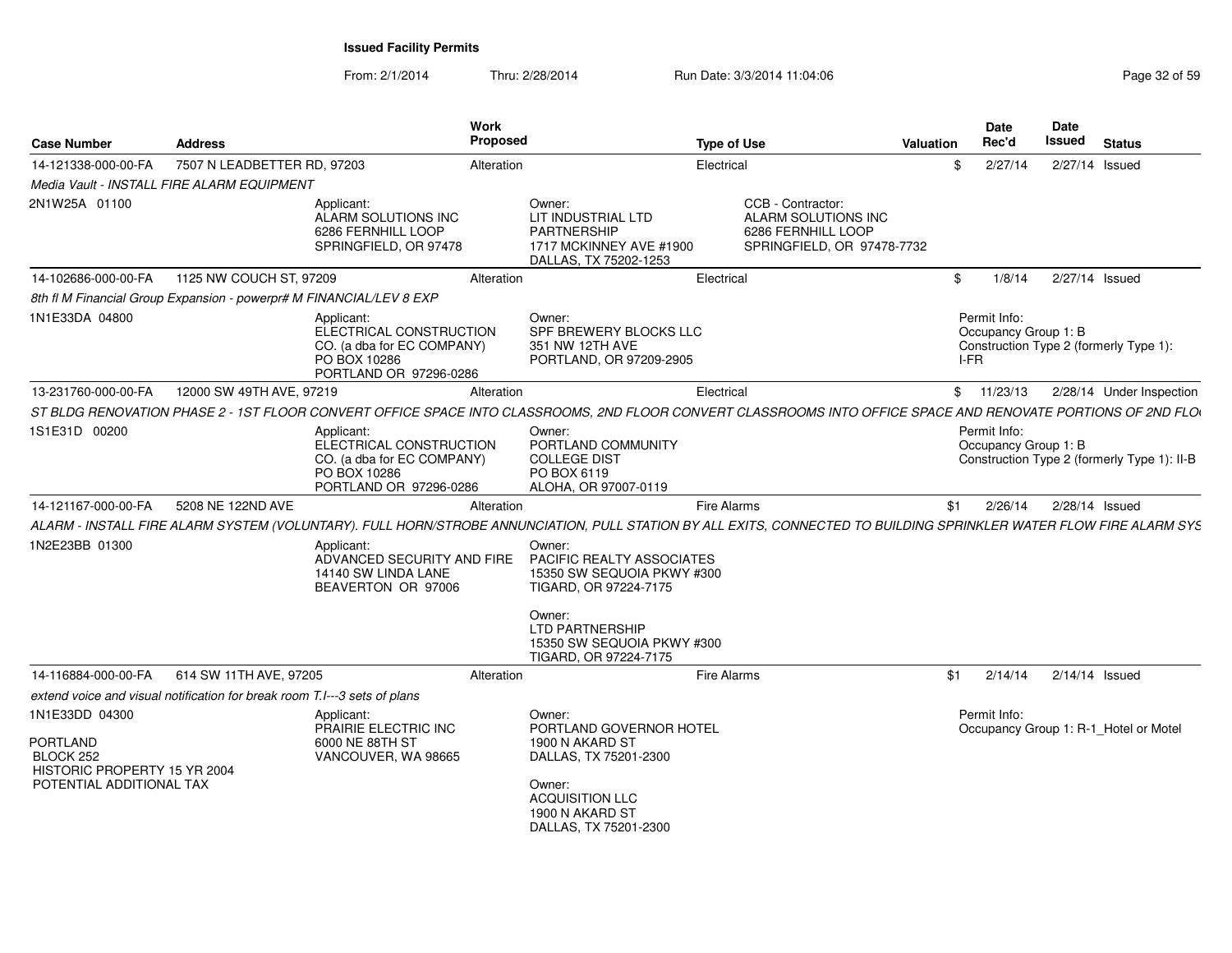From: 2/1/2014Thru: 2/28/2014 Run Date: 3/3/2014 11:04:06 Research 2010 2014 13:04:06

| <b>Case Number</b>                                                                                         | <b>Address</b>              |                                                                                                               | <b>Work</b><br><b>Proposed</b> |                                                                                                                                                                     | <b>Type of Use</b> |                                                                                              | Valuation |      | <b>Date</b><br>Rec'd                 | Date<br>Issued | <b>Status</b>                               |
|------------------------------------------------------------------------------------------------------------|-----------------------------|---------------------------------------------------------------------------------------------------------------|--------------------------------|---------------------------------------------------------------------------------------------------------------------------------------------------------------------|--------------------|----------------------------------------------------------------------------------------------|-----------|------|--------------------------------------|----------------|---------------------------------------------|
| 14-121338-000-00-FA                                                                                        | 7507 N LEADBETTER RD, 97203 |                                                                                                               | Alteration                     |                                                                                                                                                                     | Electrical         |                                                                                              |           | \$   | 2/27/14                              |                | 2/27/14 Issued                              |
| Media Vault - INSTALL FIRE ALARM EQUIPMENT                                                                 |                             |                                                                                                               |                                |                                                                                                                                                                     |                    |                                                                                              |           |      |                                      |                |                                             |
| 2N1W25A 01100                                                                                              |                             | Applicant:<br>ALARM SOLUTIONS INC<br>6286 FERNHILL LOOP<br>SPRINGFIELD, OR 97478                              |                                | Owner:<br>LIT INDUSTRIAL LTD<br><b>PARTNERSHIP</b><br>1717 MCKINNEY AVE #1900<br>DALLAS, TX 75202-1253                                                              |                    | CCB - Contractor:<br>ALARM SOLUTIONS INC<br>6286 FERNHILL LOOP<br>SPRINGFIELD, OR 97478-7732 |           |      |                                      |                |                                             |
| 14-102686-000-00-FA                                                                                        | 1125 NW COUCH ST, 97209     |                                                                                                               | Alteration                     |                                                                                                                                                                     | Electrical         |                                                                                              |           | \$   | 1/8/14                               |                | 2/27/14 Issued                              |
| 8th fl M Financial Group Expansion - powerpr# M FINANCIAL/LEV 8 EXP                                        |                             |                                                                                                               |                                |                                                                                                                                                                     |                    |                                                                                              |           |      |                                      |                |                                             |
| 1N1E33DA 04800                                                                                             |                             | Applicant:<br>ELECTRICAL CONSTRUCTION<br>CO. (a dba for EC COMPANY)<br>PO BOX 10286<br>PORTLAND OR 97296-0286 |                                | Owner:<br>SPF BREWERY BLOCKS LLC<br>351 NW 12TH AVE<br>PORTLAND, OR 97209-2905                                                                                      |                    |                                                                                              |           | I-FR | Permit Info:<br>Occupancy Group 1: B |                | Construction Type 2 (formerly Type 1):      |
| 13-231760-000-00-FA                                                                                        | 12000 SW 49TH AVE, 97219    |                                                                                                               | Alteration                     |                                                                                                                                                                     | Electrical         |                                                                                              |           |      | \$11/23/13                           |                | 2/28/14 Under Inspection                    |
|                                                                                                            |                             |                                                                                                               |                                | ST BLDG RENOVATION PHASE 2 - 1ST FLOOR CONVERT OFFICE SPACE INTO CLASSROOMS, 2ND FLOOR CONVERT CLASSROOMS INTO OFFICE SPACE AND RENOVATE PORTIONS OF 2ND FLO        |                    |                                                                                              |           |      |                                      |                |                                             |
| 1S1E31D 00200                                                                                              |                             | Applicant:<br>ELECTRICAL CONSTRUCTION<br>CO. (a dba for EC COMPANY)<br>PO BOX 10286<br>PORTLAND OR 97296-0286 |                                | Owner:<br>PORTLAND COMMUNITY<br><b>COLLEGE DIST</b><br>PO BOX 6119<br>ALOHA, OR 97007-0119                                                                          |                    |                                                                                              |           |      | Permit Info:<br>Occupancy Group 1: B |                | Construction Type 2 (formerly Type 1): II-B |
| 14-121167-000-00-FA                                                                                        | 5208 NE 122ND AVE           |                                                                                                               | Alteration                     |                                                                                                                                                                     | Fire Alarms        |                                                                                              |           | \$1  | 2/26/14                              |                | 2/28/14 Issued                              |
|                                                                                                            |                             |                                                                                                               |                                | ALARM - INSTALL FIRE ALARM SYSTEM (VOLUNTARY). FULL HORN/STROBE ANNUNCIATION, PULL STATION BY ALL EXITS, CONNECTED TO BUILDING SPRINKLER WATER FLOW FIRE ALARM SYS  |                    |                                                                                              |           |      |                                      |                |                                             |
| 1N2E23BB 01300                                                                                             |                             | Applicant:<br>ADVANCED SECURITY AND FIRE<br>14140 SW LINDA LANE<br>BEAVERTON OR 97006                         |                                | Owner:<br><b>PACIFIC REALTY ASSOCIATES</b><br>15350 SW SEQUOIA PKWY #300<br>TIGARD, OR 97224-7175<br>Owner:<br><b>LTD PARTNERSHIP</b><br>15350 SW SEQUOIA PKWY #300 |                    |                                                                                              |           |      |                                      |                |                                             |
|                                                                                                            |                             |                                                                                                               |                                | TIGARD, OR 97224-7175                                                                                                                                               |                    |                                                                                              |           |      |                                      |                |                                             |
| 14-116884-000-00-FA                                                                                        | 614 SW 11TH AVE, 97205      |                                                                                                               | Alteration                     |                                                                                                                                                                     | Fire Alarms        |                                                                                              |           | \$1  | 2/14/14                              |                | $2/14/14$ Issued                            |
| extend voice and visual notification for break room T.I---3 sets of plans                                  |                             |                                                                                                               |                                |                                                                                                                                                                     |                    |                                                                                              |           |      |                                      |                |                                             |
| 1N1E33DD 04300<br><b>PORTLAND</b><br>BLOCK 252<br>HISTORIC PROPERTY 15 YR 2004<br>POTENTIAL ADDITIONAL TAX |                             | Applicant:<br>PRAIRIE ELECTRIC INC<br>6000 NE 88TH ST<br>VANCOUVER, WA 98665                                  |                                | Owner:<br>PORTLAND GOVERNOR HOTEL<br>1900 N AKARD ST<br>DALLAS, TX 75201-2300<br>Owner:<br><b>ACQUISITION LLC</b><br>1900 N AKARD ST<br>DALLAS, TX 75201-2300       |                    |                                                                                              |           |      | Permit Info:                         |                | Occupancy Group 1: R-1 Hotel or Motel       |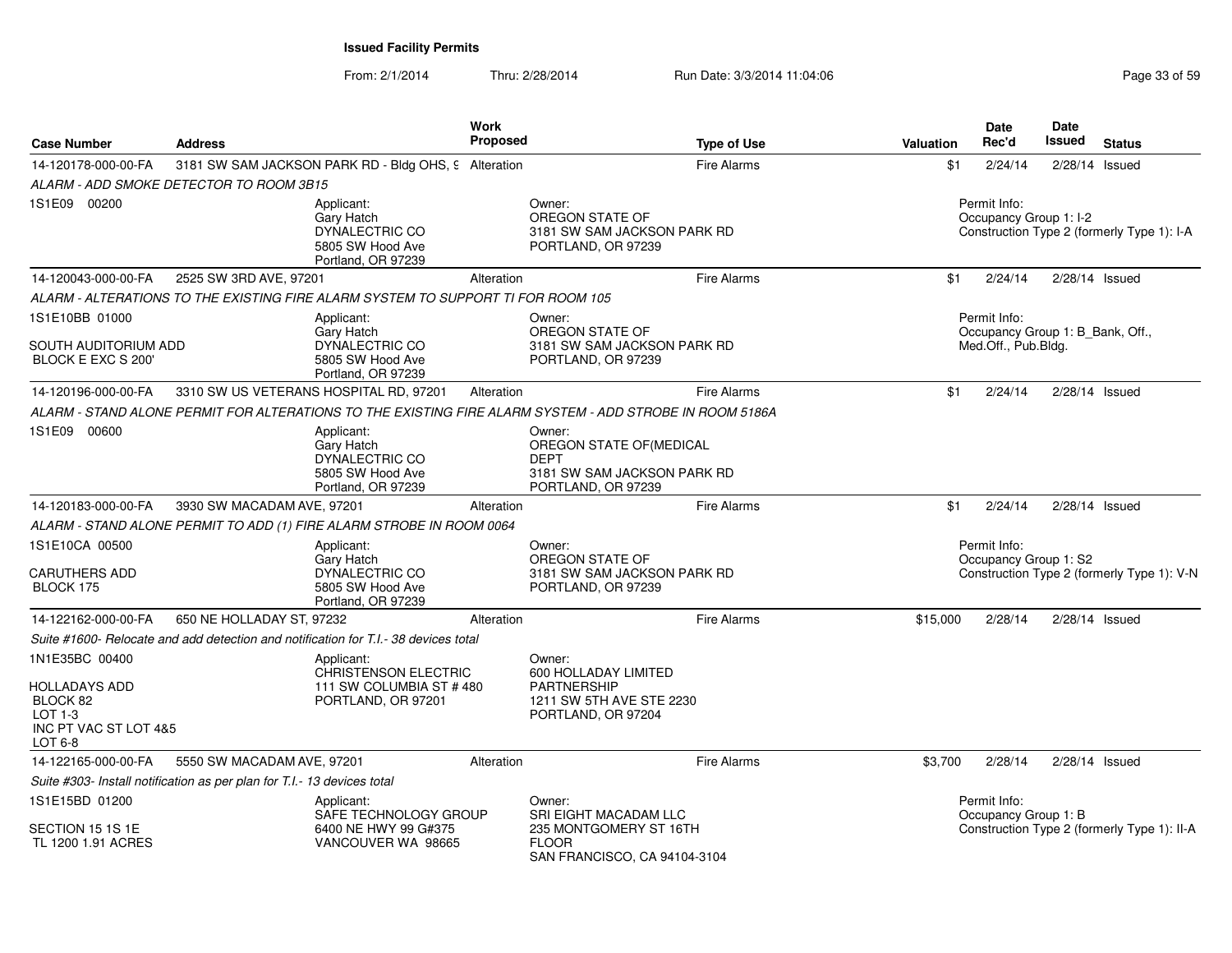From: 2/1/2014Thru: 2/28/2014 Run Date: 3/3/2014 11:04:06 Research 2010 2014 13:04:06

| <b>Case Number</b>                                                                                  | <b>Address</b>                                                                                          | <b>Work</b><br><b>Proposed</b> | <b>Type of Use</b>                                                                                     | Valuation                                                                            | <b>Date</b><br>Rec'd                  | <b>Date</b><br>Issued<br><b>Status</b>      |  |  |
|-----------------------------------------------------------------------------------------------------|---------------------------------------------------------------------------------------------------------|--------------------------------|--------------------------------------------------------------------------------------------------------|--------------------------------------------------------------------------------------|---------------------------------------|---------------------------------------------|--|--|
| 14-120178-000-00-FA                                                                                 | 3181 SW SAM JACKSON PARK RD - Bldg OHS, 9 Alteration                                                    |                                | <b>Fire Alarms</b>                                                                                     | \$1                                                                                  | 2/24/14                               | 2/28/14 Issued                              |  |  |
|                                                                                                     | ALARM - ADD SMOKE DETECTOR TO ROOM 3B15                                                                 |                                |                                                                                                        |                                                                                      |                                       |                                             |  |  |
| 1S1E09 00200                                                                                        | Applicant:<br>Gary Hatch<br>DYNALECTRIC CO<br>5805 SW Hood Ave<br>Portland, OR 97239                    |                                | Owner:<br>OREGON STATE OF<br>3181 SW SAM JACKSON PARK RD<br>PORTLAND, OR 97239                         | Permit Info:<br>Occupancy Group 1: I-2<br>Construction Type 2 (formerly Type 1): I-A |                                       |                                             |  |  |
| 14-120043-000-00-FA                                                                                 | 2525 SW 3RD AVE, 97201                                                                                  | Alteration                     | <b>Fire Alarms</b>                                                                                     | \$1                                                                                  | 2/24/14                               | $2/28/14$ Issued                            |  |  |
|                                                                                                     | ALARM - ALTERATIONS TO THE EXISTING FIRE ALARM SYSTEM TO SUPPORT TI FOR ROOM 105                        |                                |                                                                                                        |                                                                                      |                                       |                                             |  |  |
| 1S1E10BB 01000<br>SOUTH AUDITORIUM ADD<br>BLOCK E EXC S 200'                                        | Applicant:<br><b>Garv Hatch</b><br>DYNALECTRIC CO<br>5805 SW Hood Ave<br>Portland, OR 97239             |                                | Owner:<br>OREGON STATE OF<br>3181 SW SAM JACKSON PARK RD<br>PORTLAND, OR 97239                         |                                                                                      | Permit Info:<br>Med.Off., Pub.Bldg.   | Occupancy Group 1: B_Bank, Off.,            |  |  |
| 14-120196-000-00-FA                                                                                 | 3310 SW US VETERANS HOSPITAL RD, 97201                                                                  | Alteration                     | <b>Fire Alarms</b>                                                                                     | \$1                                                                                  | 2/24/14                               | $2/28/14$ Issued                            |  |  |
|                                                                                                     | ALARM - STAND ALONE PERMIT FOR ALTERATIONS TO THE EXISTING FIRE ALARM SYSTEM - ADD STROBE IN ROOM 5186A |                                |                                                                                                        |                                                                                      |                                       |                                             |  |  |
| 1S1E09 00600                                                                                        | Applicant:<br>Gary Hatch<br>DYNALECTRIC CO<br>5805 SW Hood Ave<br>Portland, OR 97239                    |                                | Owner:<br>OREGON STATE OF (MEDICAL<br><b>DEPT</b><br>3181 SW SAM JACKSON PARK RD<br>PORTLAND, OR 97239 |                                                                                      |                                       |                                             |  |  |
| 14-120183-000-00-FA                                                                                 | 3930 SW MACADAM AVE, 97201                                                                              | Alteration                     | <b>Fire Alarms</b>                                                                                     | \$1                                                                                  | 2/24/14                               | 2/28/14 Issued                              |  |  |
|                                                                                                     | ALARM - STAND ALONE PERMIT TO ADD (1) FIRE ALARM STROBE IN ROOM 0064                                    |                                |                                                                                                        |                                                                                      |                                       |                                             |  |  |
| 1S1E10CA 00500<br><b>CARUTHERS ADD</b><br>BLOCK 175                                                 | Applicant:<br>Gary Hatch<br>DYNALECTRIC CO<br>5805 SW Hood Ave<br>Portland, OR 97239                    |                                | Owner:<br>OREGON STATE OF<br>3181 SW SAM JACKSON PARK RD<br>PORTLAND, OR 97239                         |                                                                                      | Permit Info:<br>Occupancy Group 1: S2 | Construction Type 2 (formerly Type 1): V-N  |  |  |
| 14-122162-000-00-FA                                                                                 | 650 NE HOLLADAY ST, 97232                                                                               | Alteration                     | <b>Fire Alarms</b>                                                                                     | \$15,000                                                                             | 2/28/14                               | $2/28/14$ Issued                            |  |  |
|                                                                                                     | Suite #1600- Relocate and add detection and notification for T.I.- 38 devices total                     |                                |                                                                                                        |                                                                                      |                                       |                                             |  |  |
| 1N1E35BC 00400<br><b>HOLLADAYS ADD</b><br>BLOCK 82<br>$LOT 1-3$<br>INC PT VAC ST LOT 4&5<br>LOT 6-8 | Applicant:<br><b>CHRISTENSON ELECTRIC</b><br>111 SW COLUMBIA ST #480<br>PORTLAND, OR 97201              |                                | Owner:<br>600 HOLLADAY LIMITED<br><b>PARTNERSHIP</b><br>1211 SW 5TH AVE STE 2230<br>PORTLAND, OR 97204 |                                                                                      |                                       |                                             |  |  |
| 14-122165-000-00-FA                                                                                 | 5550 SW MACADAM AVE, 97201                                                                              | Alteration                     | <b>Fire Alarms</b>                                                                                     | \$3,700                                                                              | 2/28/14                               | $2/28/14$ Issued                            |  |  |
|                                                                                                     | Suite #303- Install notification as per plan for T.I.- 13 devices total                                 |                                |                                                                                                        |                                                                                      |                                       |                                             |  |  |
| 1S1E15BD 01200<br>SECTION 15 1S 1E                                                                  | Applicant:<br>SAFE TECHNOLOGY GROUP<br>6400 NE HWY 99 G#375                                             |                                | Owner:<br><b>SRI EIGHT MACADAM LLC</b><br>235 MONTGOMERY ST 16TH                                       |                                                                                      | Permit Info:<br>Occupancy Group 1: B  | Construction Type 2 (formerly Type 1): II-A |  |  |
| TL 1200 1.91 ACRES                                                                                  | VANCOUVER WA 98665                                                                                      |                                | <b>FLOOR</b><br>SAN FRANCISCO, CA 94104-3104                                                           |                                                                                      |                                       |                                             |  |  |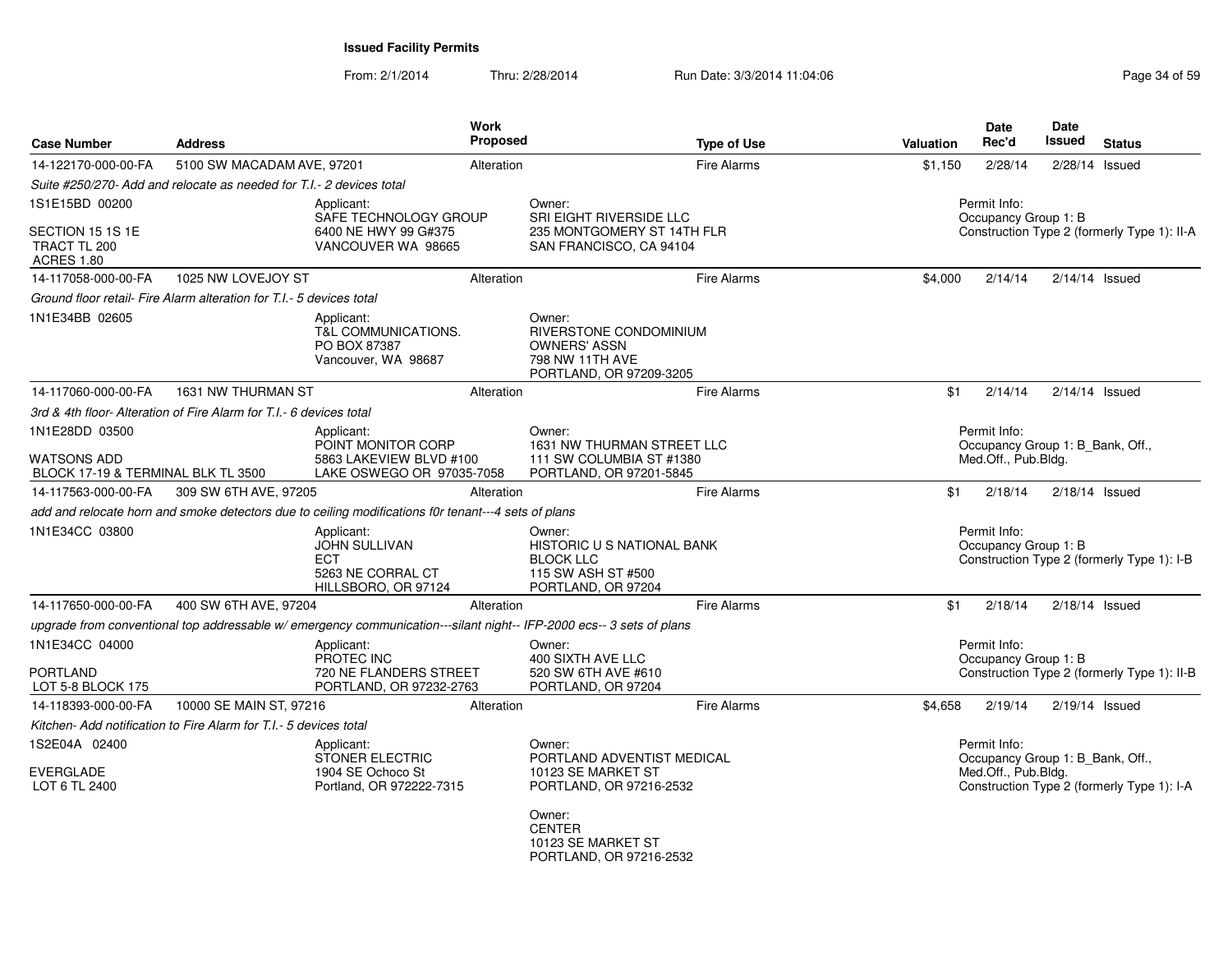From: 2/1/2014Thru: 2/28/2014 Run Date: 3/3/2014 11:04:06 Research 2010 21:04:06

| <b>Case Number</b>                                       | <b>Address</b>                                                       |                                                                                                                      | <b>Work</b><br><b>Proposed</b> |                                                                                                              | <b>Type of Use</b> | <b>Valuation</b>                            | <b>Date</b><br>Rec'd                             | Date<br>Issued | <b>Status</b>                               |
|----------------------------------------------------------|----------------------------------------------------------------------|----------------------------------------------------------------------------------------------------------------------|--------------------------------|--------------------------------------------------------------------------------------------------------------|--------------------|---------------------------------------------|--------------------------------------------------|----------------|---------------------------------------------|
| 14-122170-000-00-FA                                      | 5100 SW MACADAM AVE, 97201                                           |                                                                                                                      | Alteration                     |                                                                                                              | Fire Alarms        | \$1.150                                     | 2/28/14                                          |                | 2/28/14 Issued                              |
|                                                          | Suite #250/270- Add and relocate as needed for T.I.- 2 devices total |                                                                                                                      |                                |                                                                                                              |                    |                                             |                                                  |                |                                             |
| 1S1E15BD 00200                                           |                                                                      | Applicant:<br>SAFE TECHNOLOGY GROUP                                                                                  |                                | Owner:<br>SRI EIGHT RIVERSIDE LLC                                                                            |                    |                                             | Permit Info:<br>Occupancy Group 1: B             |                |                                             |
| SECTION 15 1S 1E<br>TRACT TL 200<br><b>ACRES 1.80</b>    |                                                                      | 6400 NE HWY 99 G#375<br>VANCOUVER WA 98665                                                                           |                                | 235 MONTGOMERY ST 14TH FLR<br>SAN FRANCISCO, CA 94104                                                        |                    | Construction Type 2 (formerly Type 1): II-A |                                                  |                |                                             |
| 14-117058-000-00-FA                                      | 1025 NW LOVEJOY ST                                                   |                                                                                                                      | Alteration                     |                                                                                                              | Fire Alarms        | \$4,000                                     | 2/14/14                                          |                | $2/14/14$ Issued                            |
|                                                          | Ground floor retail- Fire Alarm alteration for T.I.- 5 devices total |                                                                                                                      |                                |                                                                                                              |                    |                                             |                                                  |                |                                             |
| 1N1E34BB 02605                                           |                                                                      | Applicant:<br><b>T&amp;L COMMUNICATIONS.</b><br>PO BOX 87387<br>Vancouver, WA 98687                                  |                                | Owner:<br><b>RIVERSTONE CONDOMINIUM</b><br><b>OWNERS' ASSN</b><br>798 NW 11TH AVE<br>PORTLAND, OR 97209-3205 |                    |                                             |                                                  |                |                                             |
| 14-117060-000-00-FA                                      | 1631 NW THURMAN ST                                                   |                                                                                                                      | Alteration                     |                                                                                                              | Fire Alarms        | \$1                                         | 2/14/14                                          |                | $2/14/14$ Issued                            |
|                                                          | 3rd & 4th floor- Alteration of Fire Alarm for T.I. - 6 devices total |                                                                                                                      |                                |                                                                                                              |                    |                                             |                                                  |                |                                             |
| 1N1E28DD 03500                                           |                                                                      | Applicant:<br>POINT MONITOR CORP                                                                                     |                                | Owner:<br>1631 NW THURMAN STREET LLC                                                                         |                    |                                             | Permit Info:<br>Occupancy Group 1: B_Bank, Off., |                |                                             |
| <b>WATSONS ADD</b><br>BLOCK 17-19 & TERMINAL BLK TL 3500 |                                                                      | 5863 LAKEVIEW BLVD #100<br>LAKE OSWEGO OR 97035-7058                                                                 |                                | 111 SW COLUMBIA ST #1380<br>PORTLAND, OR 97201-5845                                                          |                    |                                             | Med.Off., Pub.Bldg.                              |                |                                             |
| 14-117563-000-00-FA                                      | 309 SW 6TH AVE, 97205                                                |                                                                                                                      | Alteration                     |                                                                                                              | Fire Alarms        | \$1                                         | 2/18/14                                          |                | $2/18/14$ Issued                            |
|                                                          |                                                                      | add and relocate horn and smoke detectors due to ceiling modifications f0r tenant---4 sets of plans                  |                                |                                                                                                              |                    |                                             |                                                  |                |                                             |
| 1N1E34CC 03800                                           |                                                                      | Applicant:<br>JOHN SULLIVAN<br><b>ECT</b><br>5263 NE CORRAL CT<br>HILLSBORO, OR 97124                                |                                | Owner:<br>HISTORIC U S NATIONAL BANK<br><b>BLOCK LLC</b><br>115 SW ASH ST #500<br>PORTLAND, OR 97204         |                    |                                             | Permit Info:<br>Occupancy Group 1: B             |                | Construction Type 2 (formerly Type 1): I-B  |
| 14-117650-000-00-FA                                      | 400 SW 6TH AVE, 97204                                                |                                                                                                                      | Alteration                     |                                                                                                              | Fire Alarms        | \$1                                         | 2/18/14                                          |                | $2/18/14$ Issued                            |
|                                                          |                                                                      | upgrade from conventional top addressable w/ emergency communication---silant night-- IFP-2000 ecs-- 3 sets of plans |                                |                                                                                                              |                    |                                             |                                                  |                |                                             |
| 1N1E34CC 04000                                           |                                                                      | Applicant:<br>PROTEC INC                                                                                             |                                | Owner:<br>400 SIXTH AVE LLC                                                                                  |                    |                                             | Permit Info:<br>Occupancy Group 1: B             |                |                                             |
| PORTLAND<br>LOT 5-8 BLOCK 175                            |                                                                      | 720 NE FLANDERS STREET<br>PORTLAND, OR 97232-2763                                                                    |                                | 520 SW 6TH AVE #610<br>PORTLAND, OR 97204                                                                    |                    |                                             |                                                  |                | Construction Type 2 (formerly Type 1): II-B |
| 14-118393-000-00-FA                                      | 10000 SE MAIN ST, 97216                                              |                                                                                                                      | Alteration                     |                                                                                                              | <b>Fire Alarms</b> | \$4,658                                     | 2/19/14                                          |                | $2/19/14$ Issued                            |
|                                                          | Kitchen- Add notification to Fire Alarm for T.I.- 5 devices total    |                                                                                                                      |                                |                                                                                                              |                    |                                             |                                                  |                |                                             |
| 1S2E04A 02400                                            |                                                                      | Applicant:<br>STONER ELECTRIC                                                                                        |                                | Owner:<br>PORTLAND ADVENTIST MEDICAL                                                                         |                    |                                             | Permit Info:<br>Occupancy Group 1: B_Bank, Off., |                |                                             |
| <b>EVERGLADE</b><br>LOT 6 TL 2400                        |                                                                      | 1904 SE Ochoco St<br>Portland, OR 972222-7315                                                                        |                                | 10123 SE MARKET ST<br>PORTLAND, OR 97216-2532                                                                |                    |                                             | Med.Off., Pub.Bldg.                              |                | Construction Type 2 (formerly Type 1): I-A  |
|                                                          |                                                                      |                                                                                                                      |                                | Owner:<br><b>CENTER</b><br>10123 SE MARKET ST<br>PORTLAND, OR 97216-2532                                     |                    |                                             |                                                  |                |                                             |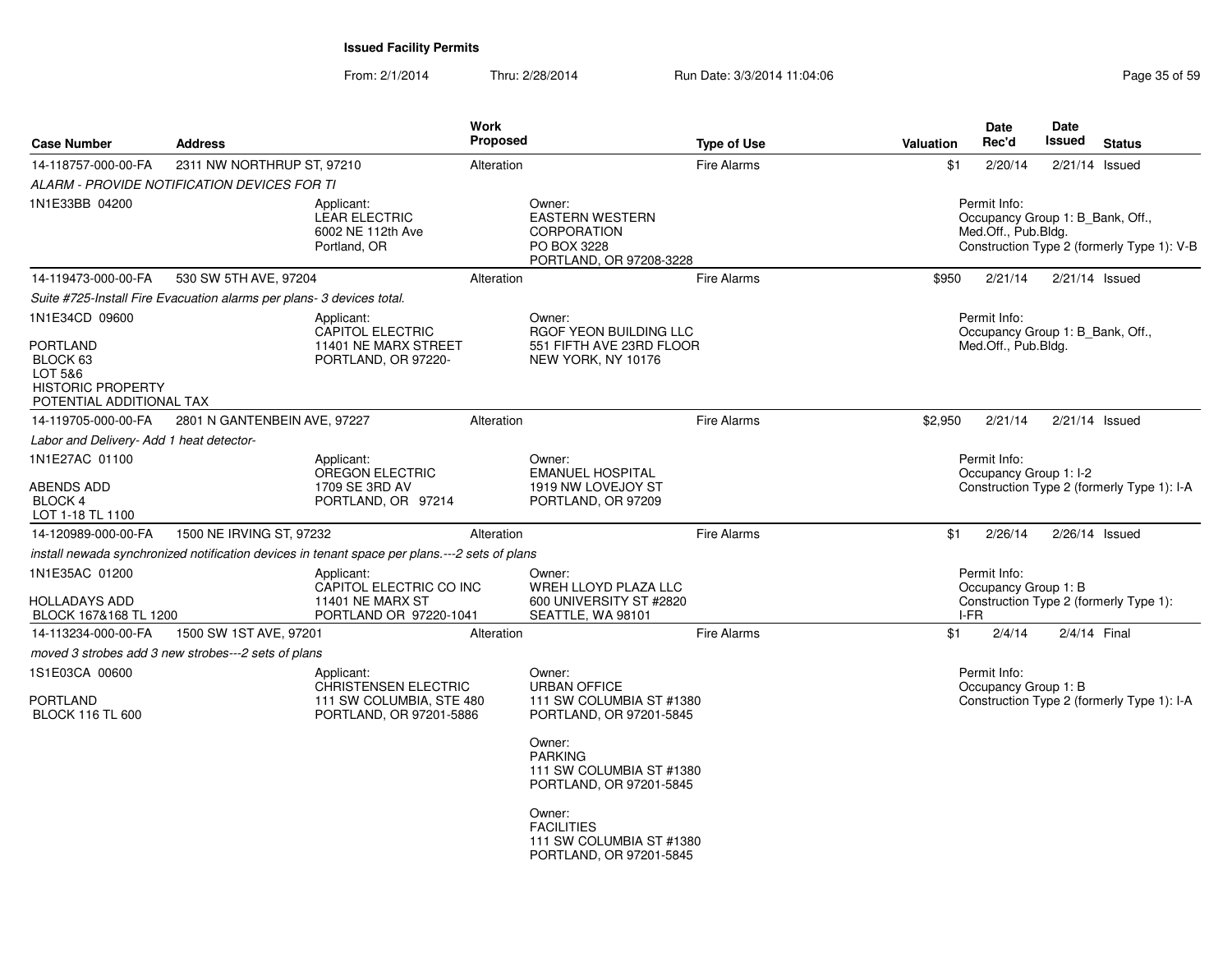| <b>Case Number</b>                                                                                        | <b>Address</b>                                                                                |                                                                                                  | Work<br><b>Proposed</b> |                                                                                                                                                                       | <b>Type of Use</b> | Valuation                                                                            | <b>Date</b><br>Rec'd                                                    | <b>Date</b><br>Issued | <b>Status</b>                              |
|-----------------------------------------------------------------------------------------------------------|-----------------------------------------------------------------------------------------------|--------------------------------------------------------------------------------------------------|-------------------------|-----------------------------------------------------------------------------------------------------------------------------------------------------------------------|--------------------|--------------------------------------------------------------------------------------|-------------------------------------------------------------------------|-----------------------|--------------------------------------------|
| 14-118757-000-00-FA                                                                                       | 2311 NW NORTHRUP ST, 97210                                                                    |                                                                                                  | Alteration              |                                                                                                                                                                       | <b>Fire Alarms</b> | \$1                                                                                  | 2/20/14                                                                 |                       | 2/21/14 Issued                             |
|                                                                                                           | ALARM - PROVIDE NOTIFICATION DEVICES FOR TI                                                   |                                                                                                  |                         |                                                                                                                                                                       |                    |                                                                                      |                                                                         |                       |                                            |
| 1N1E33BB 04200                                                                                            |                                                                                               | Applicant:<br>LEAR ELECTRIC<br>6002 NE 112th Ave<br>Portland, OR                                 |                         | Owner:<br><b>EASTERN WESTERN</b><br><b>CORPORATION</b><br>PO BOX 3228<br>PORTLAND, OR 97208-3228                                                                      |                    |                                                                                      | Permit Info:<br>Occupancy Group 1: B_Bank, Off.,<br>Med.Off., Pub.Bldg. |                       | Construction Type 2 (formerly Type 1): V-B |
| 14-119473-000-00-FA                                                                                       | 530 SW 5TH AVE, 97204                                                                         |                                                                                                  | Alteration              |                                                                                                                                                                       | <b>Fire Alarms</b> | \$950                                                                                | 2/21/14                                                                 |                       | $2/21/14$ Issued                           |
|                                                                                                           | Suite #725-Install Fire Evacuation alarms per plans- 3 devices total.                         |                                                                                                  |                         |                                                                                                                                                                       |                    |                                                                                      |                                                                         |                       |                                            |
| 1N1E34CD 09600<br>PORTLAND<br>BLOCK 63<br>LOT 5&6<br><b>HISTORIC PROPERTY</b><br>POTENTIAL ADDITIONAL TAX |                                                                                               | Applicant:<br><b>CAPITOL ELECTRIC</b><br>11401 NE MARX STREET<br>PORTLAND, OR 97220-             |                         | Owner:<br><b>RGOF YEON BUILDING LLC</b><br>551 FIFTH AVE 23RD FLOOR<br>NEW YORK, NY 10176                                                                             |                    |                                                                                      | Permit Info:<br>Occupancy Group 1: B_Bank, Off.,<br>Med.Off., Pub.Bldg. |                       |                                            |
| 14-119705-000-00-FA                                                                                       | 2801 N GANTENBEIN AVE, 97227                                                                  |                                                                                                  | Alteration              |                                                                                                                                                                       | <b>Fire Alarms</b> | \$2,950                                                                              | 2/21/14                                                                 |                       | $2/21/14$ Issued                           |
| Labor and Delivery- Add 1 heat detector-                                                                  |                                                                                               |                                                                                                  |                         |                                                                                                                                                                       |                    |                                                                                      |                                                                         |                       |                                            |
| 1N1E27AC 01100<br><b>ABENDS ADD</b><br>BLOCK 4<br>LOT 1-18 TL 1100                                        |                                                                                               | Applicant:<br>OREGON ELECTRIC<br>1709 SE 3RD AV<br>PORTLAND, OR 97214                            |                         | Owner:<br><b>EMANUEL HOSPITAL</b><br>1919 NW LOVEJOY ST<br>PORTLAND, OR 97209                                                                                         |                    | Permit Info:<br>Occupancy Group 1: I-2<br>Construction Type 2 (formerly Type 1): I-A |                                                                         |                       |                                            |
| 14-120989-000-00-FA                                                                                       | 1500 NE IRVING ST, 97232                                                                      |                                                                                                  | Alteration              |                                                                                                                                                                       | <b>Fire Alarms</b> | \$1                                                                                  | 2/26/14                                                                 |                       | $2/26/14$ Issued                           |
|                                                                                                           | install newada synchronized notification devices in tenant space per plans.---2 sets of plans |                                                                                                  |                         |                                                                                                                                                                       |                    |                                                                                      |                                                                         |                       |                                            |
| 1N1E35AC 01200<br>HOLLADAYS ADD<br>BLOCK 167&168 TL 1200                                                  |                                                                                               | Applicant:<br>CAPITOL ELECTRIC CO INC<br>11401 NE MARX ST<br>PORTLAND OR 97220-1041              |                         | Owner:<br>WREH LLOYD PLAZA LLC<br>600 UNIVERSITY ST #2820<br>SEATTLE, WA 98101                                                                                        |                    |                                                                                      | Permit Info:<br>Occupancy Group 1: B<br>I-FR                            |                       | Construction Type 2 (formerly Type 1):     |
| 14-113234-000-00-FA                                                                                       | 1500 SW 1ST AVE, 97201                                                                        |                                                                                                  | Alteration              |                                                                                                                                                                       | <b>Fire Alarms</b> | \$1                                                                                  | 2/4/14                                                                  |                       | 2/4/14 Final                               |
|                                                                                                           | moved 3 strobes add 3 new strobes---2 sets of plans                                           |                                                                                                  |                         |                                                                                                                                                                       |                    |                                                                                      |                                                                         |                       |                                            |
| 1S1E03CA 00600<br>PORTLAND<br><b>BLOCK 116 TL 600</b>                                                     |                                                                                               | Applicant:<br><b>CHRISTENSEN ELECTRIC</b><br>111 SW COLUMBIA, STE 480<br>PORTLAND, OR 97201-5886 |                         | Owner:<br><b>URBAN OFFICE</b><br>111 SW COLUMBIA ST #1380<br>PORTLAND, OR 97201-5845                                                                                  |                    |                                                                                      | Permit Info:<br>Occupancy Group 1: B                                    |                       | Construction Type 2 (formerly Type 1): I-A |
|                                                                                                           |                                                                                               |                                                                                                  |                         | Owner:<br><b>PARKING</b><br>111 SW COLUMBIA ST #1380<br>PORTLAND, OR 97201-5845<br>Owner:<br><b>FACILITIES</b><br>111 SW COLUMBIA ST #1380<br>PORTLAND, OR 97201-5845 |                    |                                                                                      |                                                                         |                       |                                            |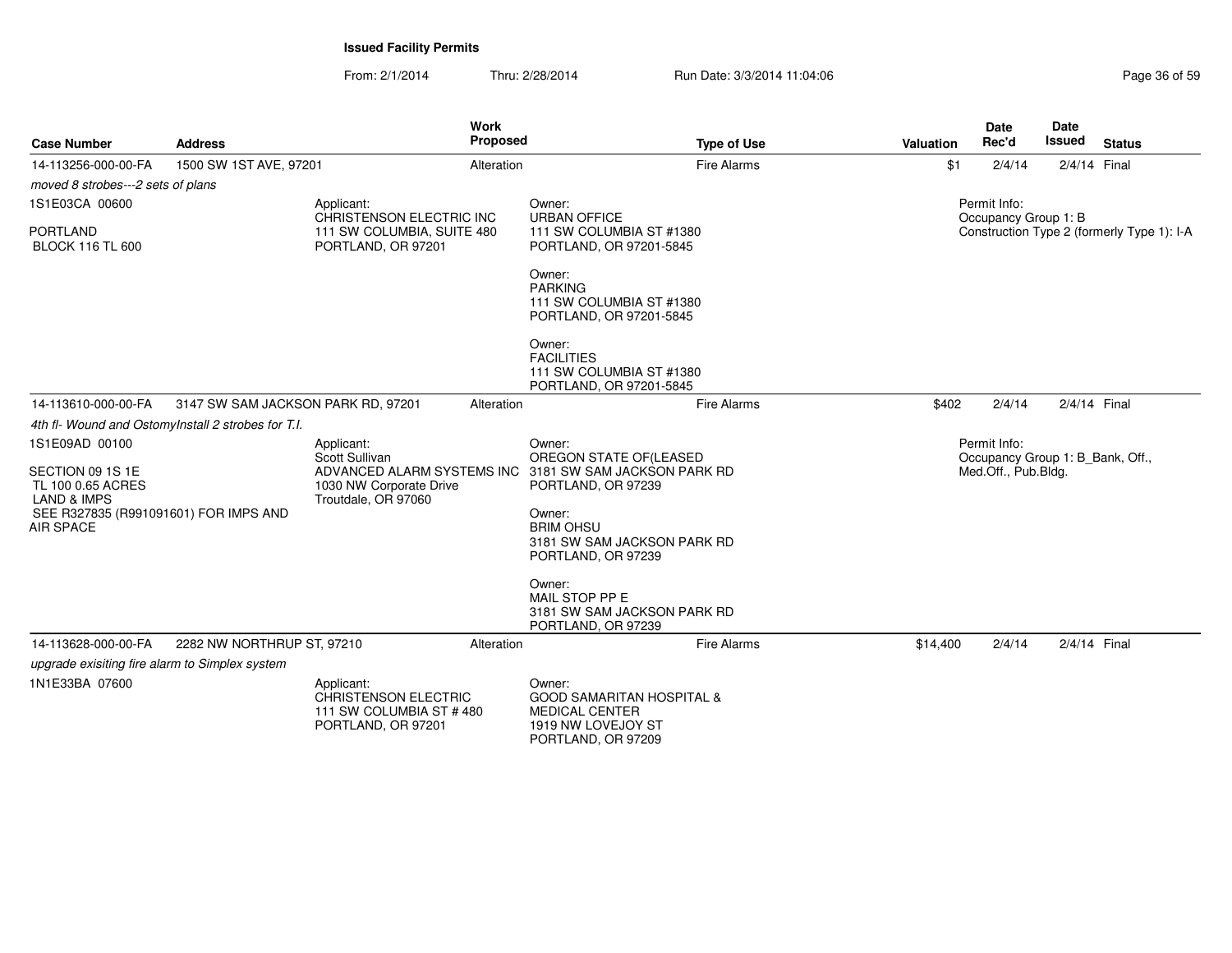From: 2/1/2014Thru: 2/28/2014 Run Date: 3/3/2014 11:04:06 Research 2010 Page 36 of 59

| <b>Case Number</b>                                                                                                                             | <b>Address</b>                                     | <b>Work</b><br><b>Proposed</b>                                                                                                           |                                                                                                                                                                        | <b>Type of Use</b> | Valuation | <b>Date</b><br>Rec'd                                                    | <b>Date</b><br><b>Issued</b> | <b>Status</b>                              |
|------------------------------------------------------------------------------------------------------------------------------------------------|----------------------------------------------------|------------------------------------------------------------------------------------------------------------------------------------------|------------------------------------------------------------------------------------------------------------------------------------------------------------------------|--------------------|-----------|-------------------------------------------------------------------------|------------------------------|--------------------------------------------|
| 14-113256-000-00-FA                                                                                                                            | 1500 SW 1ST AVE, 97201                             | Alteration                                                                                                                               |                                                                                                                                                                        | Fire Alarms        | \$1       | 2/4/14                                                                  | 2/4/14 Final                 |                                            |
| moved 8 strobes---2 sets of plans                                                                                                              |                                                    |                                                                                                                                          |                                                                                                                                                                        |                    |           |                                                                         |                              |                                            |
| 1S1E03CA 00600                                                                                                                                 |                                                    | Applicant:                                                                                                                               | Owner:                                                                                                                                                                 |                    |           | Permit Info:                                                            |                              |                                            |
| <b>PORTLAND</b><br><b>BLOCK 116 TL 600</b>                                                                                                     |                                                    | CHRISTENSON ELECTRIC INC<br>111 SW COLUMBIA, SUITE 480<br>PORTLAND, OR 97201                                                             | <b>URBAN OFFICE</b><br>111 SW COLUMBIA ST #1380<br>PORTLAND, OR 97201-5845                                                                                             |                    |           | Occupancy Group 1: B                                                    |                              | Construction Type 2 (formerly Type 1): I-A |
|                                                                                                                                                |                                                    |                                                                                                                                          | Owner:<br><b>PARKING</b><br>111 SW COLUMBIA ST #1380<br>PORTLAND, OR 97201-5845                                                                                        |                    |           |                                                                         |                              |                                            |
|                                                                                                                                                |                                                    |                                                                                                                                          | Owner:<br><b>FACILITIES</b><br>111 SW COLUMBIA ST #1380<br>PORTLAND, OR 97201-5845                                                                                     |                    |           |                                                                         |                              |                                            |
| 14-113610-000-00-FA                                                                                                                            | 3147 SW SAM JACKSON PARK RD, 97201                 | Alteration                                                                                                                               |                                                                                                                                                                        | <b>Fire Alarms</b> | \$402     | 2/4/14                                                                  | 2/4/14 Final                 |                                            |
|                                                                                                                                                | 4th fl- Wound and OstomyInstall 2 strobes for T.I. |                                                                                                                                          |                                                                                                                                                                        |                    |           |                                                                         |                              |                                            |
| 1S1E09AD 00100<br>SECTION 09 1S 1E<br>TL 100 0.65 ACRES<br><b>LAND &amp; IMPS</b><br>SEE R327835 (R991091601) FOR IMPS AND<br><b>AIR SPACE</b> |                                                    | Applicant:<br>Scott Sullivan<br>ADVANCED ALARM SYSTEMS INC 3181 SW SAM JACKSON PARK RD<br>1030 NW Corporate Drive<br>Troutdale, OR 97060 | Owner:<br>OREGON STATE OF (LEASED<br>PORTLAND, OR 97239<br>Owner:<br><b>BRIM OHSU</b><br>3181 SW SAM JACKSON PARK RD<br>PORTLAND, OR 97239<br>Owner:<br>MAIL STOP PP E |                    |           | Permit Info:<br>Occupancy Group 1: B Bank, Off.,<br>Med.Off., Pub.Bldg. |                              |                                            |
|                                                                                                                                                |                                                    |                                                                                                                                          | 3181 SW SAM JACKSON PARK RD<br>PORTLAND, OR 97239                                                                                                                      |                    |           |                                                                         |                              |                                            |
| 14-113628-000-00-FA                                                                                                                            | 2282 NW NORTHRUP ST, 97210                         | Alteration                                                                                                                               |                                                                                                                                                                        | <b>Fire Alarms</b> | \$14,400  | 2/4/14                                                                  | 2/4/14 Final                 |                                            |
| upgrade exisiting fire alarm to Simplex system                                                                                                 |                                                    |                                                                                                                                          |                                                                                                                                                                        |                    |           |                                                                         |                              |                                            |
| 1N1E33BA 07600                                                                                                                                 |                                                    | Applicant:<br><b>CHRISTENSON ELECTRIC</b><br>111 SW COLUMBIA ST #480<br>PORTLAND, OR 97201                                               | Owner:<br><b>GOOD SAMARITAN HOSPITAL &amp;</b><br><b>MEDICAL CENTER</b><br>1919 NW LOVEJOY ST<br>PORTLAND, OR 97209                                                    |                    |           |                                                                         |                              |                                            |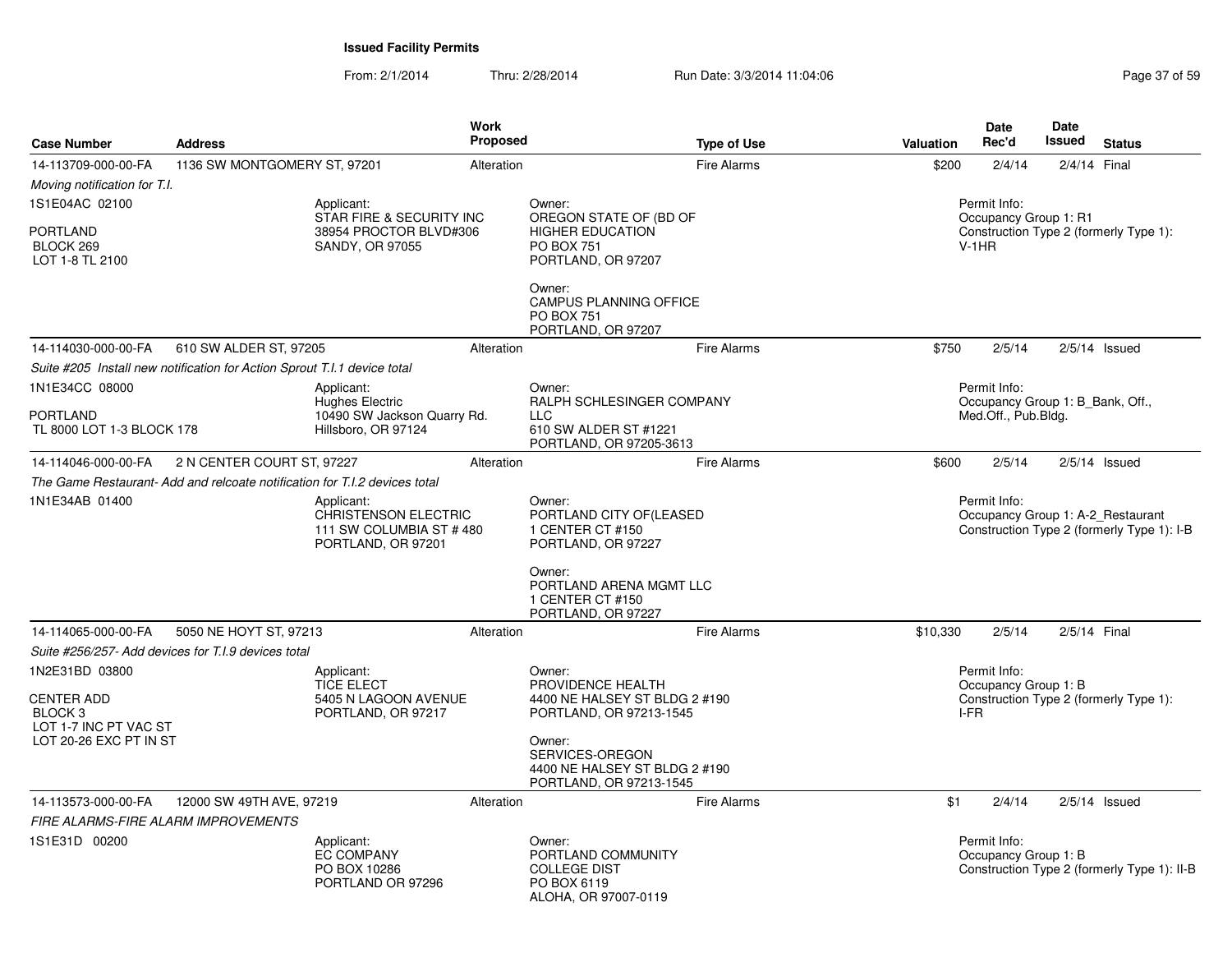| <b>Case Number</b>                                                              | <b>Address</b>                                                             |                                                                                            | Work<br><b>Proposed</b> | <b>Type of Use</b>                                                                                    | Valuation | <b>Date</b><br>Rec'd                                                    | Date<br>Issued | <b>Status</b>                                                                   |
|---------------------------------------------------------------------------------|----------------------------------------------------------------------------|--------------------------------------------------------------------------------------------|-------------------------|-------------------------------------------------------------------------------------------------------|-----------|-------------------------------------------------------------------------|----------------|---------------------------------------------------------------------------------|
| 14-113709-000-00-FA                                                             | 1136 SW MONTGOMERY ST, 97201                                               |                                                                                            | Alteration              | <b>Fire Alarms</b>                                                                                    | \$200     | 2/4/14                                                                  |                | 2/4/14 Final                                                                    |
| Moving notification for T.I.                                                    |                                                                            |                                                                                            |                         |                                                                                                       |           |                                                                         |                |                                                                                 |
| 1S1E04AC 02100                                                                  |                                                                            | Applicant:<br>STAR FIRE & SECURITY INC                                                     |                         | Owner:<br>OREGON STATE OF (BD OF                                                                      |           | Permit Info:<br>Occupancy Group 1: R1                                   |                |                                                                                 |
| <b>PORTLAND</b><br>BLOCK 269<br>LOT 1-8 TL 2100                                 |                                                                            | 38954 PROCTOR BLVD#306<br>SANDY, OR 97055                                                  |                         | <b>HIGHER EDUCATION</b><br><b>PO BOX 751</b><br>PORTLAND, OR 97207                                    |           | $V-1HR$                                                                 |                | Construction Type 2 (formerly Type 1):                                          |
|                                                                                 |                                                                            |                                                                                            |                         | Owner:<br>CAMPUS PLANNING OFFICE<br><b>PO BOX 751</b><br>PORTLAND, OR 97207                           |           |                                                                         |                |                                                                                 |
| 14-114030-000-00-FA                                                             | 610 SW ALDER ST, 97205                                                     |                                                                                            | Alteration              | <b>Fire Alarms</b>                                                                                    | \$750     | 2/5/14                                                                  |                | $2/5/14$ Issued                                                                 |
|                                                                                 | Suite #205 Install new notification for Action Sprout T.I.1 device total   |                                                                                            |                         |                                                                                                       |           |                                                                         |                |                                                                                 |
| 1N1E34CC 08000<br>PORTLAND<br>TL 8000 LOT 1-3 BLOCK 178                         |                                                                            | Applicant:<br><b>Hughes Electric</b><br>10490 SW Jackson Quarry Rd.<br>Hillsboro, OR 97124 |                         | Owner:<br>RALPH SCHLESINGER COMPANY<br><b>LLC</b><br>610 SW ALDER ST #1221<br>PORTLAND, OR 97205-3613 |           | Permit Info:<br>Occupancy Group 1: B Bank, Off.,<br>Med.Off., Pub.Bldg. |                |                                                                                 |
| 14-114046-000-00-FA                                                             | 2 N CENTER COURT ST, 97227                                                 |                                                                                            | Alteration              | <b>Fire Alarms</b>                                                                                    | \$600     | 2/5/14                                                                  |                | $2/5/14$ Issued                                                                 |
|                                                                                 | The Game Restaurant- Add and relcoate notification for T.I.2 devices total |                                                                                            |                         |                                                                                                       |           |                                                                         |                |                                                                                 |
| 1N1E34AB 01400                                                                  |                                                                            | Applicant:<br><b>CHRISTENSON ELECTRIC</b><br>111 SW COLUMBIA ST #480<br>PORTLAND, OR 97201 |                         | Owner:<br>PORTLAND CITY OF(LEASED<br>1 CENTER CT #150<br>PORTLAND, OR 97227                           |           | Permit Info:                                                            |                | Occupancy Group 1: A-2 Restaurant<br>Construction Type 2 (formerly Type 1): I-B |
|                                                                                 |                                                                            |                                                                                            |                         | Owner:<br>PORTLAND ARENA MGMT LLC<br>1 CENTER CT #150<br>PORTLAND, OR 97227                           |           |                                                                         |                |                                                                                 |
| 14-114065-000-00-FA                                                             | 5050 NE HOYT ST, 97213                                                     |                                                                                            | Alteration              | <b>Fire Alarms</b>                                                                                    | \$10,330  | 2/5/14                                                                  |                | 2/5/14 Final                                                                    |
|                                                                                 | Suite #256/257- Add devices for T.I.9 devices total                        |                                                                                            |                         |                                                                                                       |           |                                                                         |                |                                                                                 |
| 1N2E31BD 03800                                                                  |                                                                            | Applicant:<br><b>TICE ELECT</b>                                                            |                         | Owner:<br>PROVIDENCE HEALTH                                                                           |           | Permit Info:<br>Occupancy Group 1: B                                    |                |                                                                                 |
| <b>CENTER ADD</b><br>BLOCK 3<br>LOT 1-7 INC PT VAC ST<br>LOT 20-26 EXC PT IN ST |                                                                            | 5405 N LAGOON AVENUE<br>PORTLAND, OR 97217                                                 |                         | 4400 NE HALSEY ST BLDG 2 #190<br>PORTLAND, OR 97213-1545<br>Owner:<br>SERVICES-OREGON                 | I-FR      |                                                                         |                | Construction Type 2 (formerly Type 1):                                          |
|                                                                                 |                                                                            |                                                                                            |                         | 4400 NE HALSEY ST BLDG 2 #190<br>PORTLAND, OR 97213-1545                                              |           |                                                                         |                |                                                                                 |
| 14-113573-000-00-FA                                                             | 12000 SW 49TH AVE, 97219                                                   |                                                                                            | Alteration              | <b>Fire Alarms</b>                                                                                    | \$1       | 2/4/14                                                                  |                | $2/5/14$ Issued                                                                 |
|                                                                                 | FIRE ALARMS-FIRE ALARM IMPROVEMENTS                                        |                                                                                            |                         |                                                                                                       |           |                                                                         |                |                                                                                 |
| 1S1E31D 00200                                                                   |                                                                            | Applicant:<br><b>EC COMPANY</b><br>PO BOX 10286<br>PORTLAND OR 97296                       |                         | Owner:<br>PORTLAND COMMUNITY<br><b>COLLEGE DIST</b><br>PO BOX 6119<br>ALOHA, OR 97007-0119            |           | Permit Info:<br>Occupancy Group 1: B                                    |                | Construction Type 2 (formerly Type 1): II-B                                     |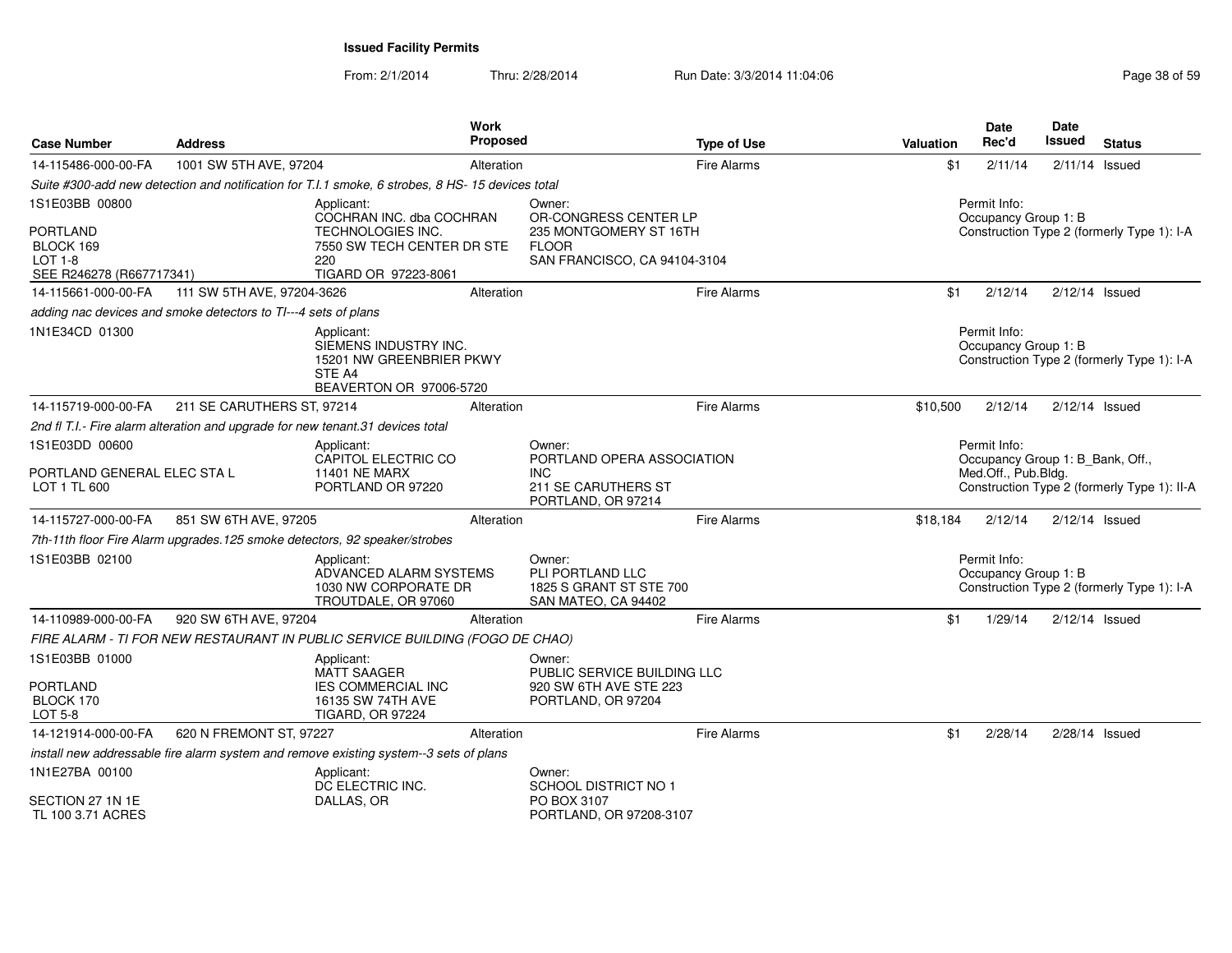| <b>Case Number</b>                                                                           | <b>Address</b>                                                 | Work                                                                                                                     | Proposed   |                                                                                                           | <b>Type of Use</b> | Valuation | <b>Date</b><br>Rec'd                                                    | Date<br>Issued   | <b>Status</b>                               |
|----------------------------------------------------------------------------------------------|----------------------------------------------------------------|--------------------------------------------------------------------------------------------------------------------------|------------|-----------------------------------------------------------------------------------------------------------|--------------------|-----------|-------------------------------------------------------------------------|------------------|---------------------------------------------|
| 14-115486-000-00-FA                                                                          | 1001 SW 5TH AVE, 97204                                         |                                                                                                                          | Alteration |                                                                                                           | <b>Fire Alarms</b> | \$1       | 2/11/14                                                                 |                  | $2/11/14$ Issued                            |
|                                                                                              |                                                                | Suite #300-add new detection and notification for T.I.1 smoke, 6 strobes, 8 HS- 15 devices total                         |            |                                                                                                           |                    |           |                                                                         |                  |                                             |
| 1S1E03BB 00800<br><b>PORTLAND</b><br>BLOCK 169<br><b>LOT 1-8</b><br>SEE R246278 (R667717341) |                                                                | Applicant:<br>COCHRAN INC. dba COCHRAN<br>TECHNOLOGIES INC.<br>7550 SW TECH CENTER DR STE<br>220<br>TIGARD OR 97223-8061 |            | Owner:<br>OR-CONGRESS CENTER LP<br>235 MONTGOMERY ST 16TH<br><b>FLOOR</b><br>SAN FRANCISCO, CA 94104-3104 |                    |           | Permit Info:<br>Occupancy Group 1: B                                    |                  | Construction Type 2 (formerly Type 1): I-A  |
| 14-115661-000-00-FA                                                                          | 111 SW 5TH AVE, 97204-3626                                     |                                                                                                                          | Alteration |                                                                                                           | <b>Fire Alarms</b> | \$1       | 2/12/14                                                                 |                  | $2/12/14$ Issued                            |
|                                                                                              | adding nac devices and smoke detectors to TI---4 sets of plans |                                                                                                                          |            |                                                                                                           |                    |           |                                                                         |                  |                                             |
| 1N1E34CD 01300                                                                               |                                                                | Applicant:<br>SIEMENS INDUSTRY INC.<br>15201 NW GREENBRIER PKWY<br>STE A4<br>BEAVERTON OR 97006-5720                     |            |                                                                                                           |                    |           | Permit Info:<br>Occupancy Group 1: B                                    |                  | Construction Type 2 (formerly Type 1): I-A  |
| 14-115719-000-00-FA                                                                          | 211 SE CARUTHERS ST, 97214                                     |                                                                                                                          | Alteration |                                                                                                           | <b>Fire Alarms</b> | \$10,500  | 2/12/14                                                                 | $2/12/14$ Issued |                                             |
|                                                                                              |                                                                | 2nd fl T.I.- Fire alarm alteration and upgrade for new tenant.31 devices total                                           |            |                                                                                                           |                    |           |                                                                         |                  |                                             |
| 1S1E03DD 00600<br>PORTLAND GENERAL ELEC STA L<br>LOT 1 TL 600                                |                                                                | Applicant:<br>CAPITOL ELECTRIC CO<br><b>11401 NE MARX</b><br>PORTLAND OR 97220                                           |            | Owner:<br>PORTLAND OPERA ASSOCIATION<br><b>INC</b><br>211 SE CARUTHERS ST                                 |                    |           | Permit Info:<br>Occupancy Group 1: B_Bank, Off.,<br>Med.Off., Pub.Bldg. |                  | Construction Type 2 (formerly Type 1): II-A |
| 14-115727-000-00-FA                                                                          | 851 SW 6TH AVE, 97205                                          |                                                                                                                          | Alteration | PORTLAND, OR 97214                                                                                        | Fire Alarms        | \$18,184  | 2/12/14                                                                 |                  | $2/12/14$ Issued                            |
|                                                                                              |                                                                | 7th-11th floor Fire Alarm upgrades. 125 smoke detectors, 92 speaker/strobes                                              |            |                                                                                                           |                    |           |                                                                         |                  |                                             |
| 1S1E03BB 02100                                                                               |                                                                | Applicant:<br>ADVANCED ALARM SYSTEMS<br>1030 NW CORPORATE DR<br>TROUTDALE, OR 97060                                      |            | Owner:<br>PLI PORTLAND LLC<br>1825 S GRANT ST STE 700<br>SAN MATEO, CA 94402                              |                    |           | Permit Info:<br>Occupancy Group 1: B                                    |                  | Construction Type 2 (formerly Type 1): I-A  |
| 14-110989-000-00-FA                                                                          | 920 SW 6TH AVE, 97204                                          |                                                                                                                          | Alteration |                                                                                                           | Fire Alarms        | \$1       | 1/29/14                                                                 |                  | $2/12/14$ Issued                            |
|                                                                                              |                                                                | FIRE ALARM - TI FOR NEW RESTAURANT IN PUBLIC SERVICE BUILDING (FOGO DE CHAO)                                             |            |                                                                                                           |                    |           |                                                                         |                  |                                             |
| 1S1E03BB 01000<br><b>PORTLAND</b><br>BLOCK 170<br>LOT 5-8                                    |                                                                | Applicant:<br><b>MATT SAAGER</b><br><b>IES COMMERCIAL INC</b><br>16135 SW 74TH AVE<br><b>TIGARD, OR 97224</b>            |            | Owner:<br>PUBLIC SERVICE BUILDING LLC<br>920 SW 6TH AVE STE 223<br>PORTLAND, OR 97204                     |                    |           |                                                                         |                  |                                             |
| 14-121914-000-00-FA                                                                          | 620 N FREMONT ST, 97227                                        |                                                                                                                          | Alteration |                                                                                                           | <b>Fire Alarms</b> | \$1       | 2/28/14                                                                 | 2/28/14 Issued   |                                             |
|                                                                                              |                                                                | install new addressable fire alarm system and remove existing system--3 sets of plans                                    |            |                                                                                                           |                    |           |                                                                         |                  |                                             |
| 1N1E27BA 00100<br>SECTION 27 1N 1E<br>TL 100 3.71 ACRES                                      |                                                                | Applicant:<br>DC ELECTRIC INC.<br>DALLAS, OR                                                                             |            | Owner:<br><b>SCHOOL DISTRICT NO 1</b><br>PO BOX 3107<br>PORTLAND, OR 97208-3107                           |                    |           |                                                                         |                  |                                             |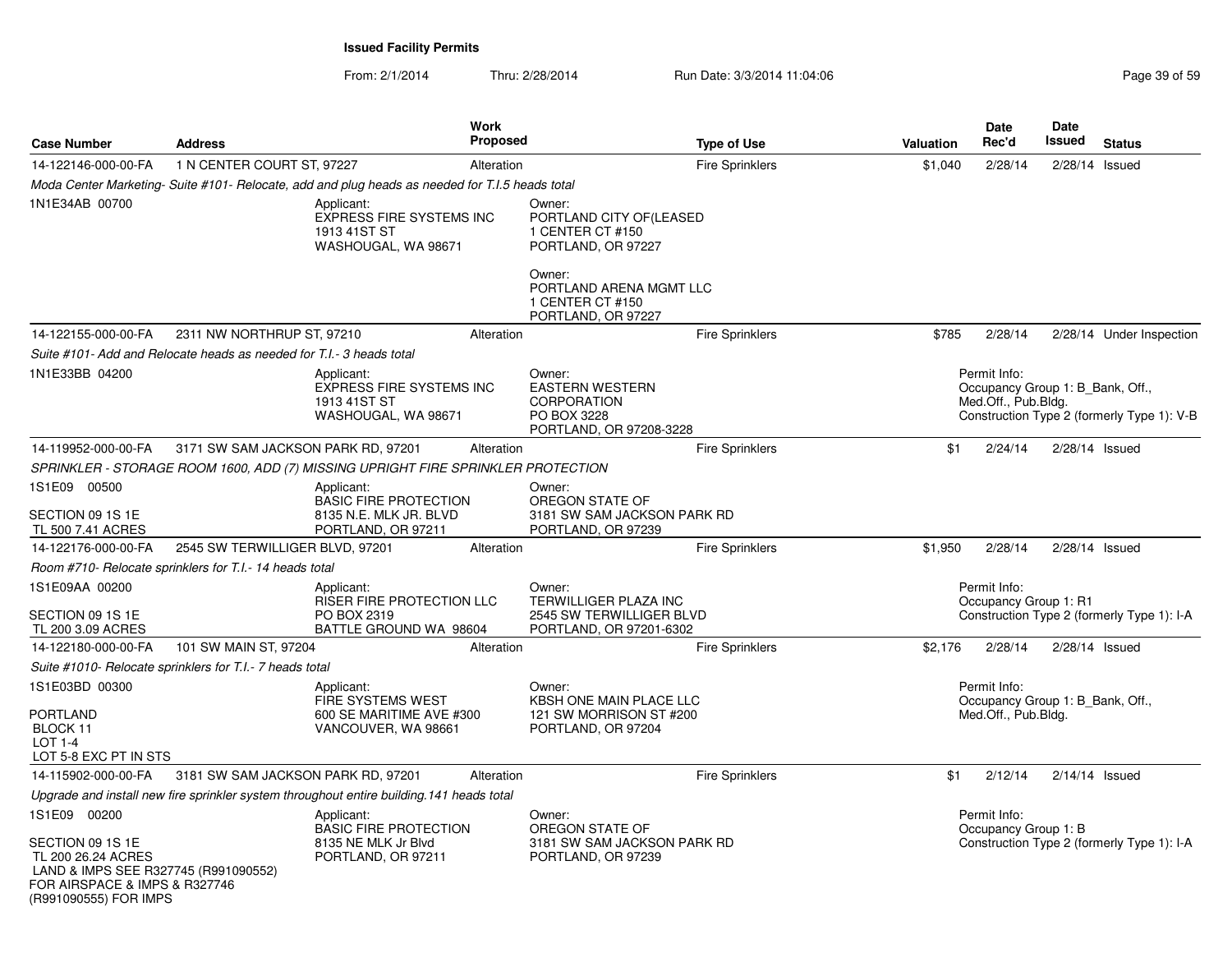| 14-122146-000-00-FA<br>1N1E34AB 00700                                                                                                                    | 1 N CENTER COURT ST, 97227<br>Moda Center Marketing-Suite #101- Relocate, add and plug heads as needed for T.I.5 heads total<br>Applicant: | Alteration<br><b>EXPRESS FIRE SYSTEMS INC</b><br>1913 41ST ST             | Owner:<br>PORTLAND CITY OF (LEASED                                                               | <b>Fire Sprinklers</b> | \$1,040 | 2/28/14                                                                 | 2/28/14          | Issued                                     |
|----------------------------------------------------------------------------------------------------------------------------------------------------------|--------------------------------------------------------------------------------------------------------------------------------------------|---------------------------------------------------------------------------|--------------------------------------------------------------------------------------------------|------------------------|---------|-------------------------------------------------------------------------|------------------|--------------------------------------------|
|                                                                                                                                                          |                                                                                                                                            |                                                                           |                                                                                                  |                        |         |                                                                         |                  |                                            |
|                                                                                                                                                          |                                                                                                                                            |                                                                           |                                                                                                  |                        |         |                                                                         |                  |                                            |
|                                                                                                                                                          |                                                                                                                                            | WASHOUGAL, WA 98671                                                       | 1 CENTER CT #150<br>PORTLAND, OR 97227                                                           |                        |         |                                                                         |                  |                                            |
|                                                                                                                                                          |                                                                                                                                            |                                                                           | Owner:<br>PORTLAND ARENA MGMT LLC<br>1 CENTER CT #150<br>PORTLAND, OR 97227                      |                        |         |                                                                         |                  |                                            |
| 14-122155-000-00-FA                                                                                                                                      | 2311 NW NORTHRUP ST, 97210                                                                                                                 | Alteration                                                                |                                                                                                  | <b>Fire Sprinklers</b> | \$785   | 2/28/14                                                                 |                  | 2/28/14 Under Inspection                   |
|                                                                                                                                                          | Suite #101- Add and Relocate heads as needed for T.I.- 3 heads total                                                                       |                                                                           |                                                                                                  |                        |         |                                                                         |                  |                                            |
| 1N1E33BB 04200                                                                                                                                           | Applicant:                                                                                                                                 | <b>EXPRESS FIRE SYSTEMS INC</b><br>1913 41ST ST<br>WASHOUGAL, WA 98671    | Owner:<br><b>EASTERN WESTERN</b><br><b>CORPORATION</b><br>PO BOX 3228<br>PORTLAND, OR 97208-3228 |                        |         | Permit Info:<br>Occupancy Group 1: B_Bank, Off.,<br>Med.Off., Pub.Bldg. |                  | Construction Type 2 (formerly Type 1): V-B |
| 14-119952-000-00-FA                                                                                                                                      | 3171 SW SAM JACKSON PARK RD, 97201                                                                                                         | Alteration                                                                |                                                                                                  | <b>Fire Sprinklers</b> | \$1     | 2/24/14                                                                 | $2/28/14$ Issued |                                            |
|                                                                                                                                                          | SPRINKLER - STORAGE ROOM 1600, ADD (7) MISSING UPRIGHT FIRE SPRINKLER PROTECTION                                                           |                                                                           |                                                                                                  |                        |         |                                                                         |                  |                                            |
| 1S1E09 00500<br>SECTION 09 1S 1E                                                                                                                         | Applicant:                                                                                                                                 | BASIC FIRE PROTECTION<br>8135 N.E. MLK JR. BLVD                           | Owner:<br>OREGON STATE OF<br>3181 SW SAM JACKSON PARK RD                                         |                        |         |                                                                         |                  |                                            |
| TL 500 7.41 ACRES                                                                                                                                        |                                                                                                                                            | PORTLAND, OR 97211                                                        | PORTLAND, OR 97239                                                                               |                        |         |                                                                         |                  |                                            |
| 14-122176-000-00-FA                                                                                                                                      | 2545 SW TERWILLIGER BLVD, 97201                                                                                                            | Alteration                                                                |                                                                                                  | <b>Fire Sprinklers</b> | \$1,950 | 2/28/14                                                                 | $2/28/14$ Issued |                                            |
|                                                                                                                                                          | Room #710- Relocate sprinklers for T.I.- 14 heads total                                                                                    |                                                                           |                                                                                                  |                        |         |                                                                         |                  |                                            |
| 1S1E09AA 00200                                                                                                                                           | Applicant:                                                                                                                                 | RISER FIRE PROTECTION LLC                                                 | Owner:<br>TERWILLIGER PLAZA INC                                                                  |                        |         | Permit Info:<br>Occupancy Group 1: R1                                   |                  |                                            |
| SECTION 09 1S 1E<br>TL 200 3.09 ACRES                                                                                                                    |                                                                                                                                            | PO BOX 2319<br>BATTLE GROUND WA 98604                                     | 2545 SW TERWILLIGER BLVD<br>PORTLAND, OR 97201-6302                                              |                        |         |                                                                         |                  | Construction Type 2 (formerly Type 1): I-A |
| 14-122180-000-00-FA                                                                                                                                      | 101 SW MAIN ST, 97204                                                                                                                      | Alteration                                                                |                                                                                                  | <b>Fire Sprinklers</b> | \$2,176 | 2/28/14                                                                 | $2/28/14$ Issued |                                            |
|                                                                                                                                                          | Suite #1010- Relocate sprinklers for T.I.- 7 heads total                                                                                   |                                                                           |                                                                                                  |                        |         |                                                                         |                  |                                            |
| 1S1E03BD 00300                                                                                                                                           | Applicant:                                                                                                                                 | FIRE SYSTEMS WEST                                                         | Owner:<br>KBSH ONE MAIN PLACE LLC                                                                |                        |         | Permit Info:<br>Occupancy Group 1: B_Bank, Off.,                        |                  |                                            |
| <b>PORTLAND</b><br>BLOCK 11<br><b>LOT 1-4</b>                                                                                                            |                                                                                                                                            | 600 SE MARITIME AVE #300<br>VANCOUVER, WA 98661                           | 121 SW MORRISON ST #200<br>PORTLAND, OR 97204                                                    |                        |         | Med.Off., Pub.Bldg.                                                     |                  |                                            |
| LOT 5-8 EXC PT IN STS                                                                                                                                    |                                                                                                                                            |                                                                           |                                                                                                  |                        |         |                                                                         |                  |                                            |
| 14-115902-000-00-FA                                                                                                                                      | 3181 SW SAM JACKSON PARK RD, 97201                                                                                                         | Alteration                                                                |                                                                                                  | <b>Fire Sprinklers</b> | \$1     | 2/12/14                                                                 | $2/14/14$ Issued |                                            |
|                                                                                                                                                          | Upgrade and install new fire sprinkler system throughout entire building. 141 heads total                                                  |                                                                           |                                                                                                  |                        |         |                                                                         |                  |                                            |
| 1S1E09 00200<br>SECTION 09 1S 1E<br>TL 200 26.24 ACRES<br>LAND & IMPS SEE R327745 (R991090552)<br>FOR AIRSPACE & IMPS & R327746<br>(R991090555) FOR IMPS | Applicant:                                                                                                                                 | <b>BASIC FIRE PROTECTION</b><br>8135 NE MLK Jr Blvd<br>PORTLAND, OR 97211 | Owner:<br>OREGON STATE OF<br>3181 SW SAM JACKSON PARK RD<br>PORTLAND, OR 97239                   |                        |         | Permit Info:<br>Occupancy Group 1: B                                    |                  | Construction Type 2 (formerly Type 1): I-A |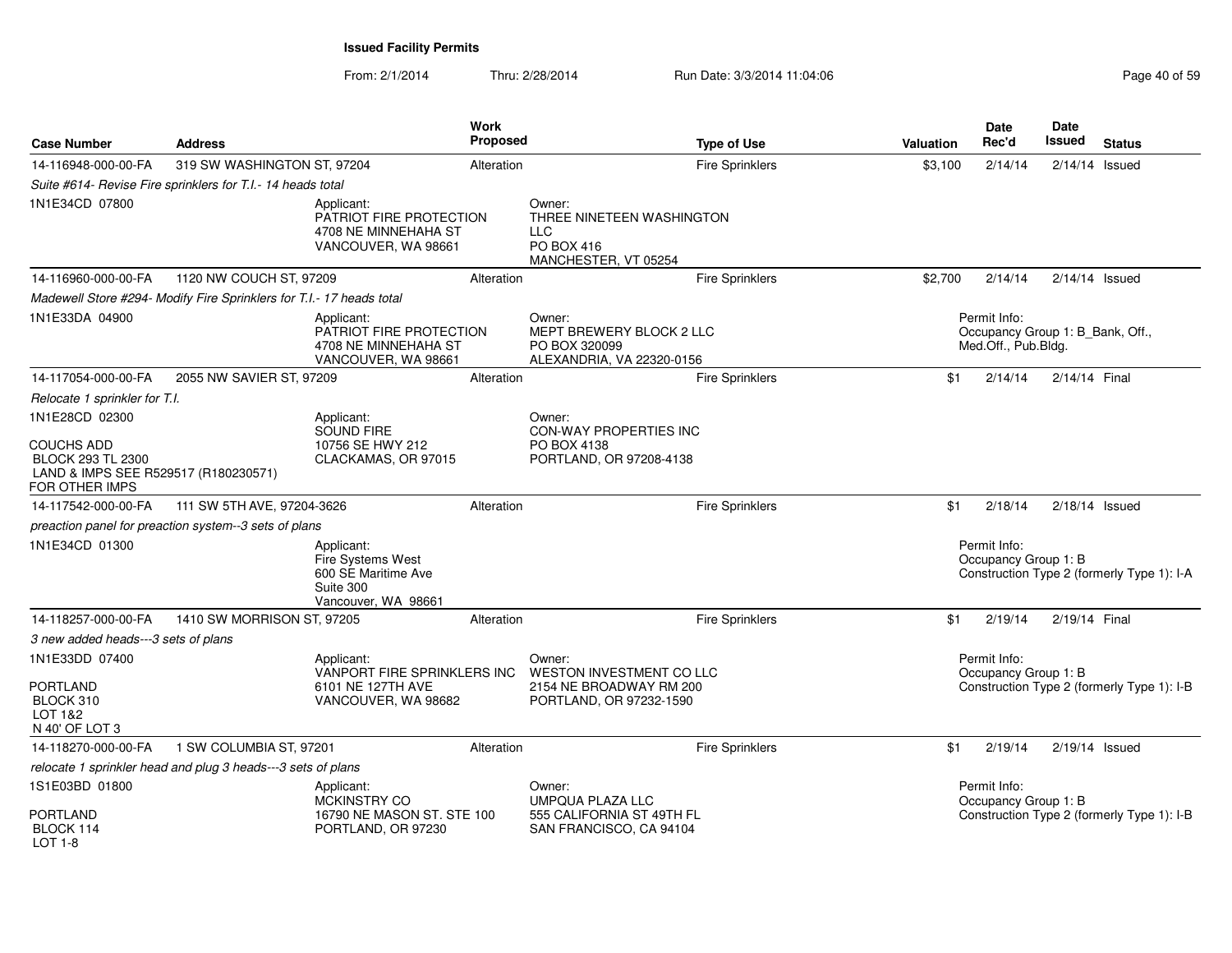| <b>Case Number</b>                                                                                      | <b>Address</b>                                                       |                                                                                            | Work<br><b>Proposed</b> |                                                                                         | <b>Type of Use</b>     | Valuation | <b>Date</b><br>Rec'd                                                    | Date<br>Issued   | <b>Status</b>                              |
|---------------------------------------------------------------------------------------------------------|----------------------------------------------------------------------|--------------------------------------------------------------------------------------------|-------------------------|-----------------------------------------------------------------------------------------|------------------------|-----------|-------------------------------------------------------------------------|------------------|--------------------------------------------|
| 14-116948-000-00-FA                                                                                     | 319 SW WASHINGTON ST, 97204                                          |                                                                                            | Alteration              |                                                                                         | Fire Sprinklers        | \$3,100   | 2/14/14                                                                 | $2/14/14$ Issued |                                            |
|                                                                                                         | Suite #614- Revise Fire sprinklers for T.I.- 14 heads total          |                                                                                            |                         |                                                                                         |                        |           |                                                                         |                  |                                            |
| 1N1E34CD 07800                                                                                          |                                                                      | Applicant:<br>PATRIOT FIRE PROTECTION<br>4708 NE MINNEHAHA ST<br>VANCOUVER, WA 98661       |                         | Owner:<br>THREE NINETEEN WASHINGTON<br><b>LLC</b><br>PO BOX 416<br>MANCHESTER, VT 05254 |                        |           |                                                                         |                  |                                            |
| 14-116960-000-00-FA                                                                                     | 1120 NW COUCH ST, 97209                                              |                                                                                            | Alteration              |                                                                                         | <b>Fire Sprinklers</b> | \$2,700   | 2/14/14                                                                 | $2/14/14$ Issued |                                            |
|                                                                                                         | Madewell Store #294- Modify Fire Sprinklers for T.I.- 17 heads total |                                                                                            |                         |                                                                                         |                        |           |                                                                         |                  |                                            |
| 1N1E33DA 04900                                                                                          |                                                                      | Applicant:<br>PATRIOT FIRE PROTECTION<br>4708 NE MINNEHAHA ST<br>VANCOUVER, WA 98661       |                         | Owner:<br>MEPT BREWERY BLOCK 2 LLC<br>PO BOX 320099<br>ALEXANDRIA, VA 22320-0156        |                        |           | Permit Info:<br>Occupancy Group 1: B_Bank, Off.,<br>Med.Off., Pub.Bldg. |                  |                                            |
| 14-117054-000-00-FA                                                                                     | 2055 NW SAVIER ST, 97209                                             |                                                                                            | Alteration              |                                                                                         | <b>Fire Sprinklers</b> | \$1       | 2/14/14                                                                 | 2/14/14 Final    |                                            |
| Relocate 1 sprinkler for T.I.                                                                           |                                                                      |                                                                                            |                         |                                                                                         |                        |           |                                                                         |                  |                                            |
| 1N1E28CD 02300                                                                                          |                                                                      | Applicant:                                                                                 |                         | Owner:                                                                                  |                        |           |                                                                         |                  |                                            |
| <b>COUCHS ADD</b><br><b>BLOCK 293 TL 2300</b><br>LAND & IMPS SEE R529517 (R180230571)<br>FOR OTHER IMPS |                                                                      | <b>SOUND FIRE</b><br>10756 SE HWY 212<br>CLACKAMAS, OR 97015                               |                         | CON-WAY PROPERTIES INC<br>PO BOX 4138<br>PORTLAND, OR 97208-4138                        |                        |           |                                                                         |                  |                                            |
| 14-117542-000-00-FA                                                                                     | 111 SW 5TH AVE, 97204-3626                                           |                                                                                            | Alteration              |                                                                                         | Fire Sprinklers        | \$1       | 2/18/14                                                                 | $2/18/14$ Issued |                                            |
|                                                                                                         | preaction panel for preaction system--3 sets of plans                |                                                                                            |                         |                                                                                         |                        |           |                                                                         |                  |                                            |
| 1N1E34CD 01300                                                                                          |                                                                      | Applicant:<br>Fire Systems West<br>600 SE Maritime Ave<br>Suite 300<br>Vancouver, WA 98661 |                         |                                                                                         |                        |           | Permit Info:<br>Occupancy Group 1: B                                    |                  | Construction Type 2 (formerly Type 1): I-A |
| 14-118257-000-00-FA                                                                                     | 1410 SW MORRISON ST, 97205                                           |                                                                                            | Alteration              |                                                                                         | Fire Sprinklers        | \$1       | 2/19/14                                                                 | 2/19/14 Final    |                                            |
| 3 new added heads---3 sets of plans                                                                     |                                                                      |                                                                                            |                         |                                                                                         |                        |           |                                                                         |                  |                                            |
| 1N1E33DD 07400                                                                                          |                                                                      | Applicant:<br>VANPORT FIRE SPRINKLERS INC                                                  |                         | Owner:<br>WESTON INVESTMENT CO LLC                                                      |                        |           | Permit Info:<br>Occupancy Group 1: B                                    |                  |                                            |
| <b>PORTLAND</b><br>BLOCK 310<br>LOT 1&2<br>N 40' OF LOT 3                                               |                                                                      | 6101 NE 127TH AVE<br>VANCOUVER, WA 98682                                                   |                         | 2154 NE BROADWAY RM 200<br>PORTLAND, OR 97232-1590                                      |                        |           |                                                                         |                  | Construction Type 2 (formerly Type 1): I-B |
| 14-118270-000-00-FA                                                                                     | 1 SW COLUMBIA ST, 97201                                              |                                                                                            | Alteration              |                                                                                         | <b>Fire Sprinklers</b> | \$1       | 2/19/14                                                                 | $2/19/14$ Issued |                                            |
|                                                                                                         | relocate 1 sprinkler head and plug 3 heads---3 sets of plans         |                                                                                            |                         |                                                                                         |                        |           |                                                                         |                  |                                            |
| 1S1E03BD 01800                                                                                          |                                                                      | Applicant:<br>MCKINSTRY CO                                                                 |                         | Owner:<br><b>UMPQUA PLAZA LLC</b>                                                       |                        |           | Permit Info:<br>Occupancy Group 1: B                                    |                  |                                            |
| PORTLAND<br>BLOCK 114<br>$LOT 1-8$                                                                      |                                                                      | 16790 NE MASON ST. STE 100<br>PORTLAND, OR 97230                                           |                         | 555 CALIFORNIA ST 49TH FL<br>SAN FRANCISCO, CA 94104                                    |                        |           |                                                                         |                  | Construction Type 2 (formerly Type 1): I-B |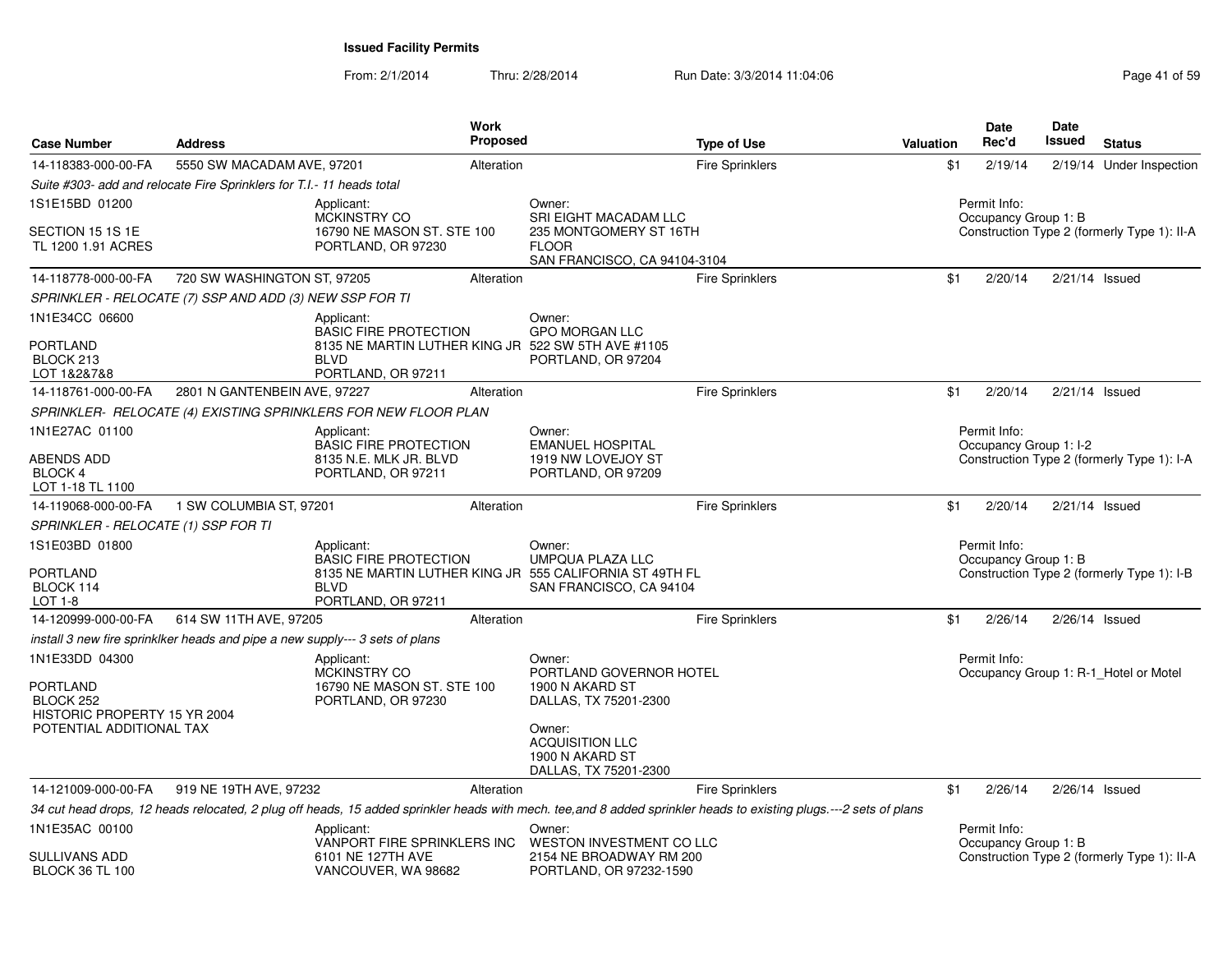| <b>Case Number</b>                                                      | <b>Address</b>                                                               | Work<br><b>Proposed</b>                                                                                          |                                                                                    | <b>Type of Use</b>                                                                                                                                                 | Valuation | <b>Date</b><br>Rec'd                   | <b>Date</b><br>Issued | <b>Status</b>                               |
|-------------------------------------------------------------------------|------------------------------------------------------------------------------|------------------------------------------------------------------------------------------------------------------|------------------------------------------------------------------------------------|--------------------------------------------------------------------------------------------------------------------------------------------------------------------|-----------|----------------------------------------|-----------------------|---------------------------------------------|
| 14-118383-000-00-FA                                                     | 5550 SW MACADAM AVE, 97201                                                   | Alteration                                                                                                       |                                                                                    | <b>Fire Sprinklers</b>                                                                                                                                             | \$1       | 2/19/14                                |                       | 2/19/14 Under Inspection                    |
|                                                                         | Suite #303- add and relocate Fire Sprinklers for T.I.- 11 heads total        |                                                                                                                  |                                                                                    |                                                                                                                                                                    |           |                                        |                       |                                             |
| 1S1E15BD 01200                                                          |                                                                              | Applicant:<br><b>MCKINSTRY CO</b>                                                                                | Owner:<br>SRI EIGHT MACADAM LLC                                                    |                                                                                                                                                                    |           | Permit Info:<br>Occupancy Group 1: B   |                       |                                             |
| SECTION 15 1S 1E<br>TL 1200 1.91 ACRES                                  |                                                                              | 16790 NE MASON ST. STE 100<br>PORTLAND, OR 97230                                                                 | 235 MONTGOMERY ST 16TH<br><b>FLOOR</b><br>SAN FRANCISCO, CA 94104-3104             |                                                                                                                                                                    |           |                                        |                       | Construction Type 2 (formerly Type 1): II-A |
| 14-118778-000-00-FA                                                     | 720 SW WASHINGTON ST, 97205                                                  | Alteration                                                                                                       |                                                                                    | <b>Fire Sprinklers</b>                                                                                                                                             | \$1       | 2/20/14                                |                       | $2/21/14$ Issued                            |
|                                                                         | SPRINKLER - RELOCATE (7) SSP AND ADD (3) NEW SSP FOR TI                      |                                                                                                                  |                                                                                    |                                                                                                                                                                    |           |                                        |                       |                                             |
| 1N1E34CC 06600<br>PORTLAND                                              |                                                                              | Applicant:<br><b>BASIC FIRE PROTECTION</b><br>8135 NE MARTIN LUTHER KING JR 522 SW 5TH AVE #1105                 | Owner:<br><b>GPO MORGAN LLC</b>                                                    |                                                                                                                                                                    |           |                                        |                       |                                             |
| BLOCK 213<br>LOT 1&2&7&8                                                |                                                                              | <b>BLVD</b><br>PORTLAND, OR 97211                                                                                | PORTLAND, OR 97204                                                                 |                                                                                                                                                                    |           |                                        |                       |                                             |
| 14-118761-000-00-FA                                                     | 2801 N GANTENBEIN AVE, 97227                                                 | Alteration                                                                                                       |                                                                                    | <b>Fire Sprinklers</b>                                                                                                                                             | \$1       | 2/20/14                                |                       | $2/21/14$ Issued                            |
|                                                                         |                                                                              | SPRINKLER- RELOCATE (4) EXISTING SPRINKLERS FOR NEW FLOOR PLAN                                                   |                                                                                    |                                                                                                                                                                    |           |                                        |                       |                                             |
| 1N1E27AC 01100                                                          |                                                                              | Applicant:<br><b>BASIC FIRE PROTECTION</b>                                                                       | Owner:<br><b>EMANUEL HOSPITAL</b>                                                  |                                                                                                                                                                    |           | Permit Info:<br>Occupancy Group 1: I-2 |                       |                                             |
| ABENDS ADD<br><b>BLOCK 4</b><br>LOT 1-18 TL 1100                        |                                                                              | 8135 N.E. MLK JR. BLVD<br>PORTLAND, OR 97211                                                                     | 1919 NW LOVEJOY ST<br>PORTLAND, OR 97209                                           |                                                                                                                                                                    |           |                                        |                       | Construction Type 2 (formerly Type 1): I-A  |
| 14-119068-000-00-FA                                                     | 1 SW COLUMBIA ST, 97201                                                      | Alteration                                                                                                       |                                                                                    | Fire Sprinklers                                                                                                                                                    | \$1       | 2/20/14                                |                       | $2/21/14$ Issued                            |
| SPRINKLER - RELOCATE (1) SSP FOR TI                                     |                                                                              |                                                                                                                  |                                                                                    |                                                                                                                                                                    |           |                                        |                       |                                             |
| 1S1E03BD 01800<br>PORTLAND<br>BLOCK 114<br>LOT 1-8                      |                                                                              | Applicant:<br><b>BASIC FIRE PROTECTION</b><br>8135 NE MARTIN LUTHER KING JR<br><b>BLVD</b><br>PORTLAND, OR 97211 | Owner:<br>UMPQUA PLAZA LLC<br>555 CALIFORNIA ST 49TH FL<br>SAN FRANCISCO, CA 94104 |                                                                                                                                                                    |           | Permit Info:<br>Occupancy Group 1: B   |                       | Construction Type 2 (formerly Type 1): I-B  |
| 14-120999-000-00-FA                                                     | 614 SW 11TH AVE, 97205                                                       | Alteration                                                                                                       |                                                                                    | <b>Fire Sprinklers</b>                                                                                                                                             | \$1       | 2/26/14                                |                       | $2/26/14$ Issued                            |
|                                                                         | install 3 new fire sprinklker heads and pipe a new supply--- 3 sets of plans |                                                                                                                  |                                                                                    |                                                                                                                                                                    |           |                                        |                       |                                             |
| 1N1E33DD 04300<br>PORTLAND<br>BLOCK 252<br>HISTORIC PROPERTY 15 YR 2004 |                                                                              | Applicant:<br><b>MCKINSTRY CO</b><br>16790 NE MASON ST. STE 100<br>PORTLAND, OR 97230                            | Owner:<br>PORTLAND GOVERNOR HOTEL<br>1900 N AKARD ST<br>DALLAS, TX 75201-2300      |                                                                                                                                                                    |           | Permit Info:                           |                       | Occupancy Group 1: R-1 Hotel or Motel       |
| POTENTIAL ADDITIONAL TAX                                                |                                                                              |                                                                                                                  | Owner:<br><b>ACQUISITION LLC</b><br>1900 N AKARD ST<br>DALLAS, TX 75201-2300       |                                                                                                                                                                    |           |                                        |                       |                                             |
| 14-121009-000-00-FA                                                     | 919 NE 19TH AVE, 97232                                                       | Alteration                                                                                                       |                                                                                    | <b>Fire Sprinklers</b>                                                                                                                                             | \$1       | 2/26/14                                |                       | $2/26/14$ Issued                            |
|                                                                         |                                                                              |                                                                                                                  |                                                                                    | 34 cut head drops, 12 heads relocated, 2 plug off heads, 15 added sprinkler heads with mech. tee, and 8 added sprinkler heads to existing plugs.---2 sets of plans |           |                                        |                       |                                             |
| 1N1E35AC 00100                                                          |                                                                              | Applicant:<br>VANPORT FIRE SPRINKLERS INC                                                                        | Owner:<br>WESTON INVESTMENT CO LLC                                                 |                                                                                                                                                                    |           | Permit Info:<br>Occupancy Group 1: B   |                       |                                             |
| <b>SULLIVANS ADD</b><br><b>BLOCK 36 TL 100</b>                          |                                                                              | 6101 NE 127TH AVE<br>VANCOUVER, WA 98682                                                                         | 2154 NE BROADWAY RM 200<br>PORTLAND, OR 97232-1590                                 |                                                                                                                                                                    |           |                                        |                       | Construction Type 2 (formerly Type 1): II-A |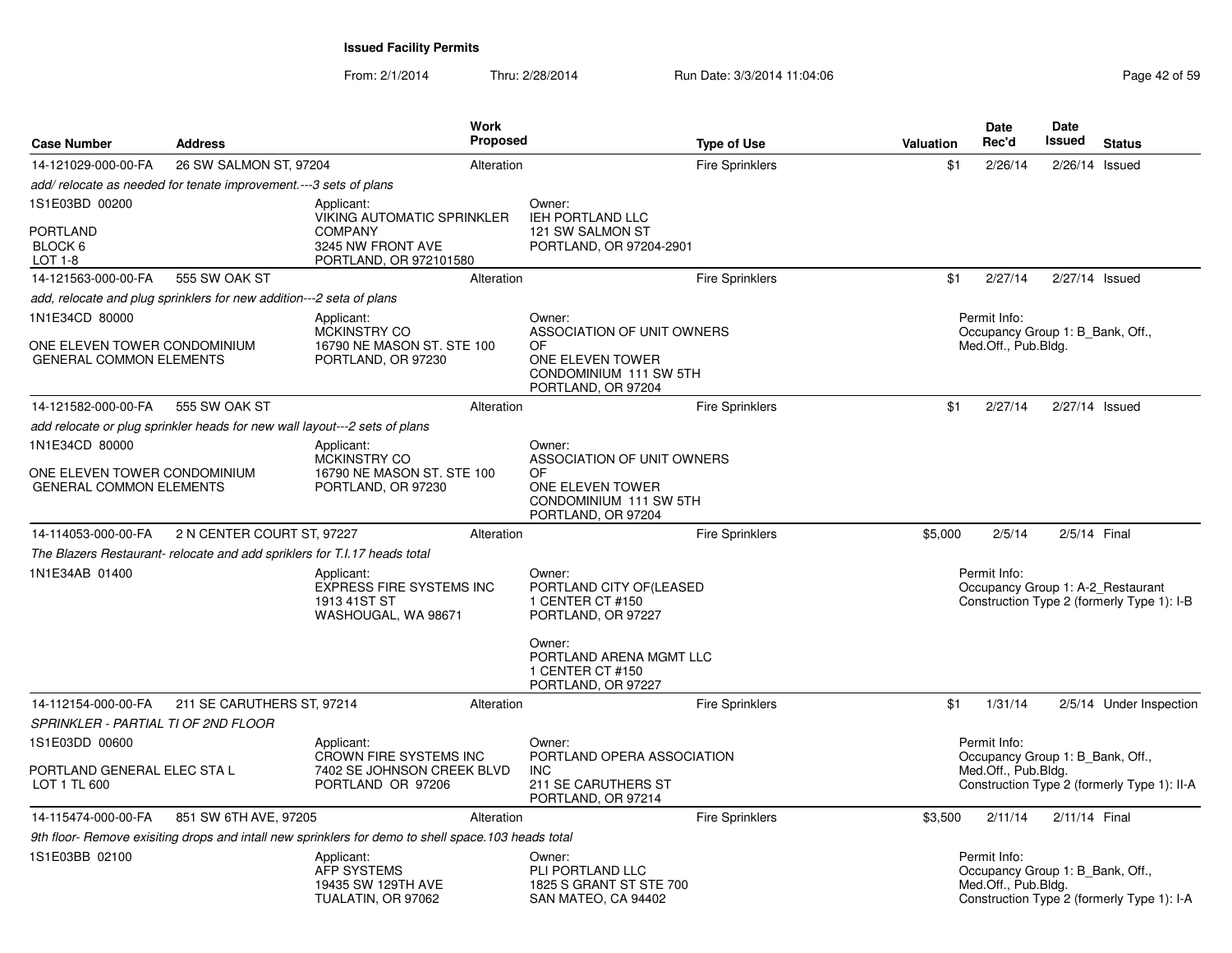| <b>Case Number</b>                                             | <b>Address</b>                                                             |                                                                                                           | <b>Work</b><br><b>Proposed</b> |                                                                                       | <b>Type of Use</b>     | <b>Valuation</b> | <b>Date</b><br>Rec'd                                                    | Date<br><b>Issued</b> | <b>Status</b>                               |
|----------------------------------------------------------------|----------------------------------------------------------------------------|-----------------------------------------------------------------------------------------------------------|--------------------------------|---------------------------------------------------------------------------------------|------------------------|------------------|-------------------------------------------------------------------------|-----------------------|---------------------------------------------|
| 14-121029-000-00-FA                                            | 26 SW SALMON ST, 97204                                                     |                                                                                                           | Alteration                     |                                                                                       | <b>Fire Sprinklers</b> | \$1              | 2/26/14                                                                 | $2/26/14$ Issued      |                                             |
|                                                                | add/relocate as needed for tenate improvement.---3 sets of plans           |                                                                                                           |                                |                                                                                       |                        |                  |                                                                         |                       |                                             |
| 1S1E03BD 00200<br><b>PORTLAND</b><br>BLOCK 6<br>LOT 1-8        |                                                                            | Applicant:<br>VIKING AUTOMATIC SPRINKLER<br><b>COMPANY</b><br>3245 NW FRONT AVE<br>PORTLAND, OR 972101580 |                                | Owner:<br><b>IEH PORTLAND LLC</b><br>121 SW SALMON ST<br>PORTLAND, OR 97204-2901      |                        |                  |                                                                         |                       |                                             |
| 14-121563-000-00-FA                                            | 555 SW OAK ST                                                              |                                                                                                           | Alteration                     |                                                                                       | <b>Fire Sprinklers</b> | \$1              | 2/27/14                                                                 | 2/27/14 Issued        |                                             |
|                                                                | add, relocate and plug sprinklers for new addition---2 seta of plans       |                                                                                                           |                                |                                                                                       |                        |                  |                                                                         |                       |                                             |
| 1N1E34CD 80000<br>ONE ELEVEN TOWER CONDOMINIUM                 |                                                                            | Applicant:<br>MCKINSTRY CO<br>16790 NE MASON ST. STE 100                                                  |                                | Owner:<br>ASSOCIATION OF UNIT OWNERS<br>OF                                            |                        |                  | Permit Info:<br>Occupancy Group 1: B Bank, Off.,<br>Med.Off., Pub.Bldg. |                       |                                             |
| <b>GENERAL COMMON ELEMENTS</b>                                 |                                                                            | PORTLAND, OR 97230                                                                                        |                                | ONE ELEVEN TOWER<br>CONDOMINIUM 111 SW 5TH<br>PORTLAND, OR 97204                      |                        |                  |                                                                         |                       |                                             |
| 14-121582-000-00-FA                                            | 555 SW OAK ST                                                              |                                                                                                           | Alteration                     |                                                                                       | <b>Fire Sprinklers</b> | \$1              | 2/27/14                                                                 | 2/27/14 Issued        |                                             |
|                                                                | add relocate or plug sprinkler heads for new wall layout---2 sets of plans |                                                                                                           |                                |                                                                                       |                        |                  |                                                                         |                       |                                             |
| 1N1E34CD 80000                                                 |                                                                            | Applicant:<br>MCKINSTRY CO                                                                                |                                | Owner:<br>ASSOCIATION OF UNIT OWNERS                                                  |                        |                  |                                                                         |                       |                                             |
| ONE ELEVEN TOWER CONDOMINIUM<br><b>GENERAL COMMON ELEMENTS</b> |                                                                            | 16790 NE MASON ST. STE 100<br>PORTLAND, OR 97230                                                          |                                | OF<br>ONE ELEVEN TOWER<br>CONDOMINIUM 111 SW 5TH<br>PORTLAND, OR 97204                |                        |                  |                                                                         |                       |                                             |
| 14-114053-000-00-FA                                            | 2 N CENTER COURT ST, 97227                                                 |                                                                                                           | Alteration                     |                                                                                       | Fire Sprinklers        | \$5,000          | 2/5/14                                                                  | 2/5/14 Final          |                                             |
|                                                                | The Blazers Restaurant- relocate and add spriklers for T.I.17 heads total  |                                                                                                           |                                |                                                                                       |                        |                  |                                                                         |                       |                                             |
| 1N1E34AB 01400                                                 |                                                                            | Applicant:<br><b>EXPRESS FIRE SYSTEMS INC</b><br>1913 41ST ST<br>WASHOUGAL, WA 98671                      |                                | Owner:<br>PORTLAND CITY OF(LEASED<br>1 CENTER CT #150<br>PORTLAND, OR 97227           |                        |                  | Permit Info:<br>Occupancy Group 1: A-2_Restaurant                       |                       | Construction Type 2 (formerly Type 1): I-B  |
|                                                                |                                                                            |                                                                                                           |                                | Owner:<br>PORTLAND ARENA MGMT LLC<br>1 CENTER CT #150<br>PORTLAND, OR 97227           |                        |                  |                                                                         |                       |                                             |
| 14-112154-000-00-FA                                            | 211 SE CARUTHERS ST, 97214                                                 |                                                                                                           | Alteration                     |                                                                                       | <b>Fire Sprinklers</b> | \$1              | 1/31/14                                                                 |                       | 2/5/14 Under Inspection                     |
| SPRINKLER - PARTIAL TI OF 2ND FLOOR<br>1S1E03DD 00600          |                                                                            | Applicant:                                                                                                |                                | Owner:                                                                                |                        |                  | Permit Info:                                                            |                       |                                             |
| PORTLAND GENERAL ELEC STA L<br>LOT 1 TL 600                    |                                                                            | <b>CROWN FIRE SYSTEMS INC</b><br>7402 SE JOHNSON CREEK BLVD<br>PORTLAND OR 97206                          |                                | PORTLAND OPERA ASSOCIATION<br><b>INC</b><br>211 SE CARUTHERS ST<br>PORTLAND, OR 97214 |                        |                  | Occupancy Group 1: B Bank, Off.,<br>Med.Off., Pub.Bldg.                 |                       | Construction Type 2 (formerly Type 1): II-A |
| 14-115474-000-00-FA                                            | 851 SW 6TH AVE, 97205                                                      |                                                                                                           | Alteration                     |                                                                                       | <b>Fire Sprinklers</b> | \$3,500          | 2/11/14                                                                 | 2/11/14 Final         |                                             |
|                                                                |                                                                            | 9th floor- Remove exisiting drops and intall new sprinklers for demo to shell space.103 heads total       |                                |                                                                                       |                        |                  |                                                                         |                       |                                             |
| 1S1E03BB 02100                                                 |                                                                            | Applicant:<br>AFP SYSTEMS<br>19435 SW 129TH AVE<br>TUALATIN, OR 97062                                     |                                | Owner:<br>PLI PORTLAND LLC<br>1825 S GRANT ST STE 700<br>SAN MATEO, CA 94402          |                        |                  | Permit Info:<br>Occupancy Group 1: B_Bank, Off.,<br>Med.Off., Pub.Bldg. |                       | Construction Type 2 (formerly Type 1): I-A  |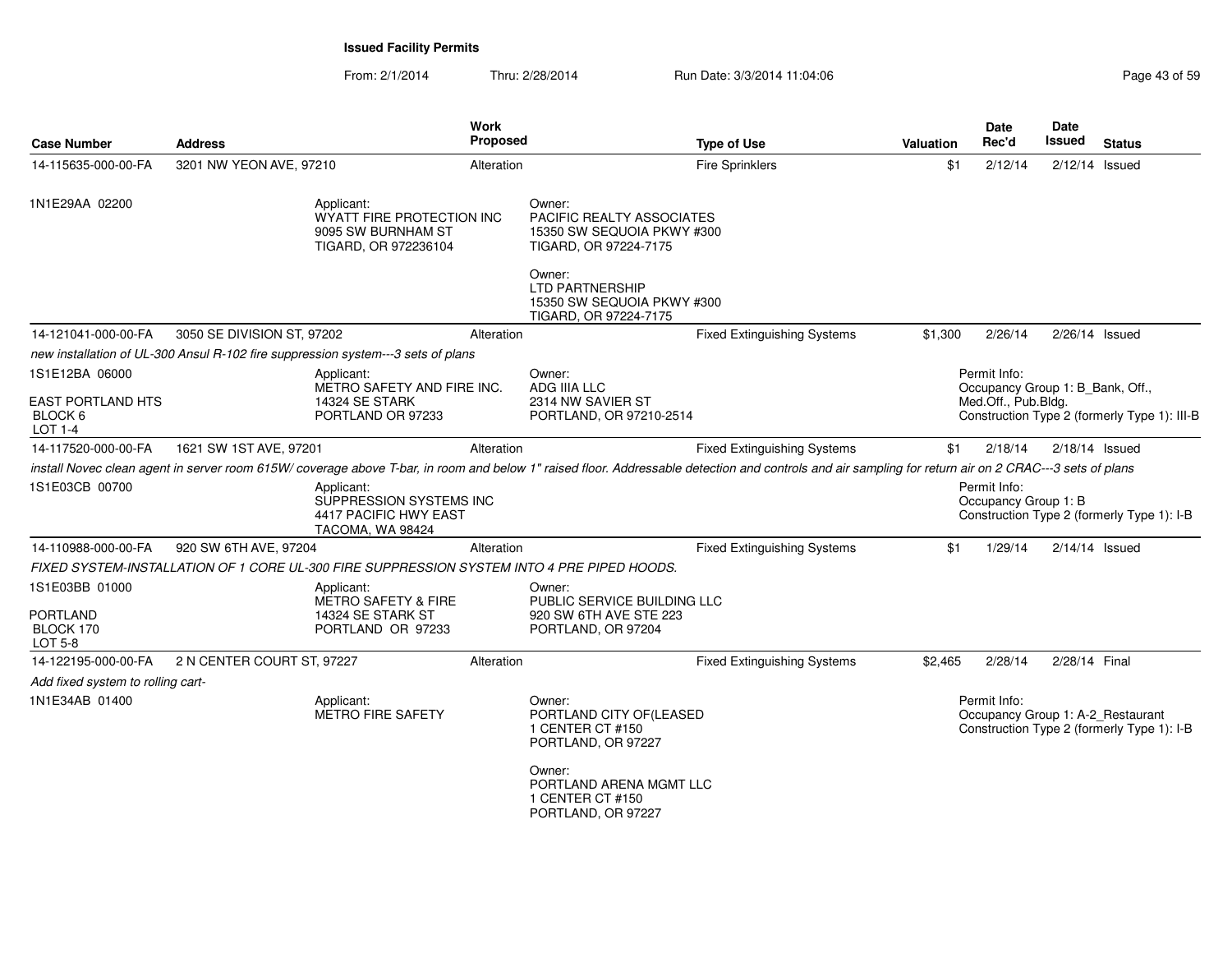From: 2/1/2014Thru: 2/28/2014 Run Date: 3/3/2014 11:04:06 Research 2010 12:05 Page 43 of 59

| <b>Case Number</b>                                        | <b>Address</b>             |                                                                                            | <b>Work</b><br><b>Proposed</b> |                                                                                            | <b>Type of Use</b>                                                                                                                                                                                     | <b>Valuation</b> | Date<br>Rec'd                                    | Date<br>Issued   | <b>Status</b>                                                                   |
|-----------------------------------------------------------|----------------------------|--------------------------------------------------------------------------------------------|--------------------------------|--------------------------------------------------------------------------------------------|--------------------------------------------------------------------------------------------------------------------------------------------------------------------------------------------------------|------------------|--------------------------------------------------|------------------|---------------------------------------------------------------------------------|
| 14-115635-000-00-FA                                       | 3201 NW YEON AVE, 97210    |                                                                                            | Alteration                     |                                                                                            | <b>Fire Sprinklers</b>                                                                                                                                                                                 | \$1              | 2/12/14                                          | $2/12/14$ Issued |                                                                                 |
| 1N1E29AA 02200                                            |                            | Applicant:<br>WYATT FIRE PROTECTION INC<br>9095 SW BURNHAM ST<br>TIGARD, OR 972236104      |                                | Owner:<br>PACIFIC REALTY ASSOCIATES<br>15350 SW SEQUOIA PKWY #300<br>TIGARD, OR 97224-7175 |                                                                                                                                                                                                        |                  |                                                  |                  |                                                                                 |
|                                                           |                            |                                                                                            |                                | Owner:<br><b>LTD PARTNERSHIP</b><br>15350 SW SEQUOIA PKWY #300<br>TIGARD, OR 97224-7175    |                                                                                                                                                                                                        |                  |                                                  |                  |                                                                                 |
| 14-121041-000-00-FA                                       | 3050 SE DIVISION ST, 97202 |                                                                                            | Alteration                     |                                                                                            | <b>Fixed Extinguishing Systems</b>                                                                                                                                                                     | \$1,300          | 2/26/14                                          | $2/26/14$ Issued |                                                                                 |
|                                                           |                            | new installation of UL-300 Ansul R-102 fire suppression system---3 sets of plans           |                                |                                                                                            |                                                                                                                                                                                                        |                  |                                                  |                  |                                                                                 |
| 1S1E12BA 06000                                            |                            | Applicant:<br>METRO SAFETY AND FIRE INC.                                                   |                                | Owner:<br>ADG IIIA LLC                                                                     |                                                                                                                                                                                                        |                  | Permit Info:<br>Occupancy Group 1: B Bank, Off., |                  |                                                                                 |
| <b>EAST PORTLAND HTS</b><br>BLOCK <sub>6</sub><br>LOT 1-4 |                            | 14324 SE STARK<br>PORTLAND OR 97233                                                        |                                | 2314 NW SAVIER ST<br>PORTLAND, OR 97210-2514                                               |                                                                                                                                                                                                        |                  | Med.Off., Pub.Bldg.                              |                  | Construction Type 2 (formerly Type 1): III-B                                    |
| 14-117520-000-00-FA                                       | 1621 SW 1ST AVE, 97201     |                                                                                            | Alteration                     |                                                                                            | <b>Fixed Extinguishing Systems</b>                                                                                                                                                                     | \$1              | 2/18/14                                          | 2/18/14 Issued   |                                                                                 |
|                                                           |                            |                                                                                            |                                |                                                                                            | install Novec clean agent in server room 615W/ coverage above T-bar, in room and below 1" raised floor. Addressable detection and controls and air sampling for return air on 2 CRAC---3 sets of plans |                  |                                                  |                  |                                                                                 |
| 1S1E03CB 00700                                            |                            | Applicant:<br>SUPPRESSION SYSTEMS INC<br>4417 PACIFIC HWY EAST<br>TACOMA, WA 98424         |                                |                                                                                            |                                                                                                                                                                                                        |                  | Permit Info:<br>Occupancy Group 1: B             |                  | Construction Type 2 (formerly Type 1): I-B                                      |
| 14-110988-000-00-FA                                       | 920 SW 6TH AVE, 97204      |                                                                                            | Alteration                     |                                                                                            | <b>Fixed Extinguishing Systems</b>                                                                                                                                                                     | \$1              | 1/29/14                                          | $2/14/14$ Issued |                                                                                 |
|                                                           |                            | FIXED SYSTEM-INSTALLATION OF 1 CORE UL-300 FIRE SUPPRESSION SYSTEM INTO 4 PRE PIPED HOODS. |                                |                                                                                            |                                                                                                                                                                                                        |                  |                                                  |                  |                                                                                 |
| 1S1E03BB 01000                                            |                            | Applicant:<br>METRO SAFETY & FIRE                                                          |                                | Owner:<br>PUBLIC SERVICE BUILDING LLC                                                      |                                                                                                                                                                                                        |                  |                                                  |                  |                                                                                 |
| <b>PORTLAND</b><br>BLOCK 170<br>LOT 5-8                   |                            | 14324 SE STARK ST<br>PORTLAND OR 97233                                                     |                                | 920 SW 6TH AVE STE 223<br>PORTLAND, OR 97204                                               |                                                                                                                                                                                                        |                  |                                                  |                  |                                                                                 |
| 14-122195-000-00-FA                                       | 2 N CENTER COURT ST, 97227 |                                                                                            | Alteration                     |                                                                                            | <b>Fixed Extinguishing Systems</b>                                                                                                                                                                     | \$2,465          | 2/28/14                                          | 2/28/14 Final    |                                                                                 |
| Add fixed system to rolling cart-                         |                            |                                                                                            |                                |                                                                                            |                                                                                                                                                                                                        |                  |                                                  |                  |                                                                                 |
| 1N1E34AB 01400                                            |                            | Applicant:<br><b>METRO FIRE SAFETY</b>                                                     |                                | Owner:<br>PORTLAND CITY OF(LEASED<br>1 CENTER CT #150<br>PORTLAND, OR 97227                |                                                                                                                                                                                                        |                  | Permit Info:                                     |                  | Occupancy Group 1: A-2_Restaurant<br>Construction Type 2 (formerly Type 1): I-B |
|                                                           |                            |                                                                                            |                                | Owner:<br>PORTLAND ARENA MGMT LLC<br>1 CENTER CT #150<br>PORTLAND, OR 97227                |                                                                                                                                                                                                        |                  |                                                  |                  |                                                                                 |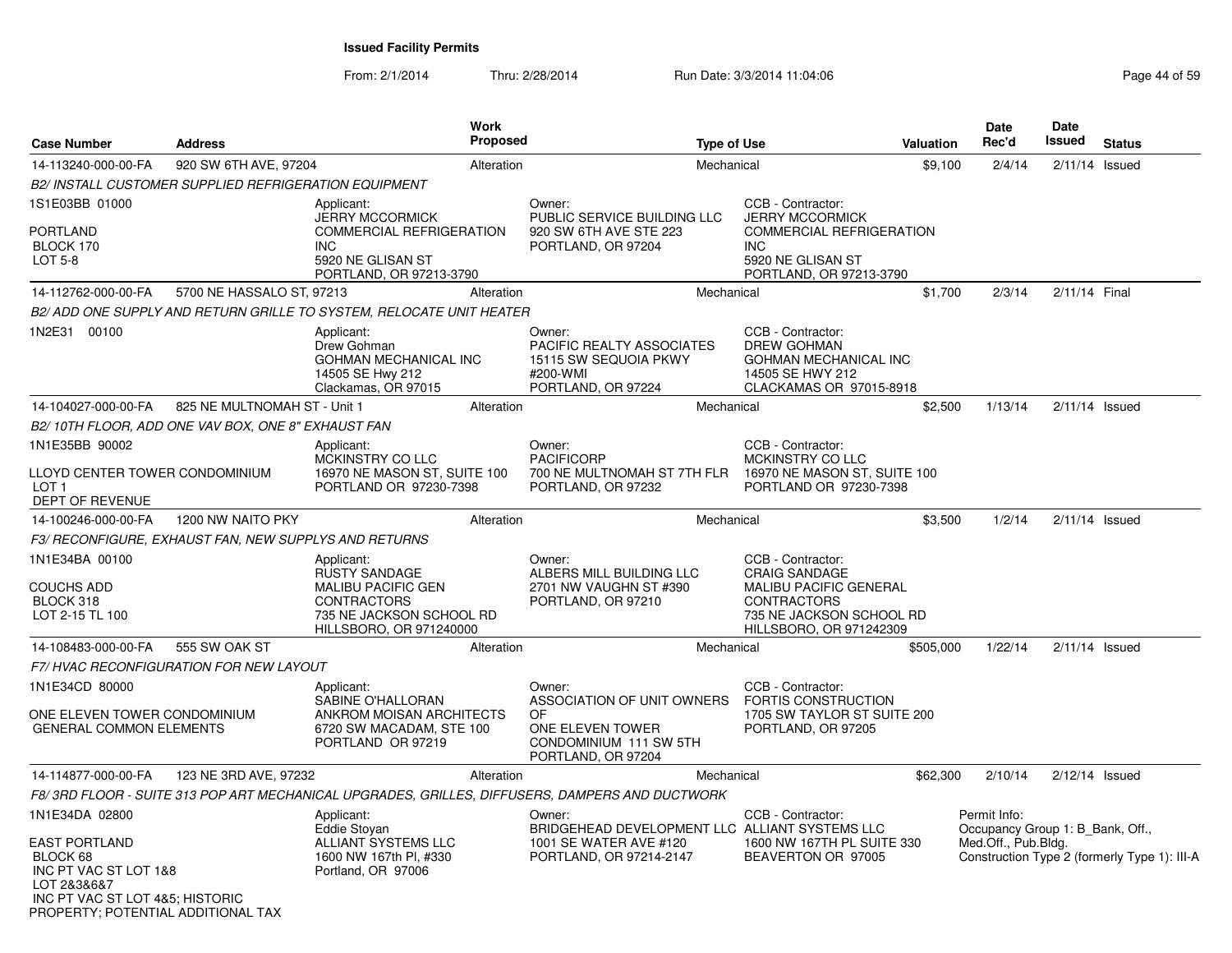| <b>Case Number</b>                                                                                                                                                  | <b>Address</b>                                               |                                                                                                                         | <b>Work</b><br>Proposed |                                                                                                                       | <b>Type of Use</b> |                                                                                                                                    | Valuation | Date<br>Rec'd                                                           | Date<br>Issued   | <b>Status</b>                                |
|---------------------------------------------------------------------------------------------------------------------------------------------------------------------|--------------------------------------------------------------|-------------------------------------------------------------------------------------------------------------------------|-------------------------|-----------------------------------------------------------------------------------------------------------------------|--------------------|------------------------------------------------------------------------------------------------------------------------------------|-----------|-------------------------------------------------------------------------|------------------|----------------------------------------------|
| 14-113240-000-00-FA                                                                                                                                                 | 920 SW 6TH AVE, 97204                                        |                                                                                                                         | Alteration              |                                                                                                                       | Mechanical         |                                                                                                                                    | \$9,100   | 2/4/14                                                                  | $2/11/14$ Issued |                                              |
|                                                                                                                                                                     | <b>B2/ INSTALL CUSTOMER SUPPLIED REFRIGERATION EQUIPMENT</b> |                                                                                                                         |                         |                                                                                                                       |                    |                                                                                                                                    |           |                                                                         |                  |                                              |
| 1S1E03BB 01000<br><b>PORTLAND</b><br>BLOCK 170<br>LOT 5-8                                                                                                           |                                                              | Applicant:<br><b>JERRY MCCORMICK</b><br>COMMERCIAL REFRIGERATION<br><b>INC</b><br>5920 NE GLISAN ST                     |                         | Owner:<br>PUBLIC SERVICE BUILDING LLC<br>920 SW 6TH AVE STE 223<br>PORTLAND, OR 97204                                 |                    | CCB - Contractor:<br><b>JERRY MCCORMICK</b><br><b>COMMERCIAL REFRIGERATION</b><br><b>INC</b><br>5920 NE GLISAN ST                  |           |                                                                         |                  |                                              |
|                                                                                                                                                                     |                                                              | PORTLAND, OR 97213-3790                                                                                                 |                         |                                                                                                                       |                    | PORTLAND, OR 97213-3790                                                                                                            |           |                                                                         |                  |                                              |
| 14-112762-000-00-FA                                                                                                                                                 | 5700 NE HASSALO ST, 97213                                    |                                                                                                                         | Alteration              |                                                                                                                       | Mechanical         |                                                                                                                                    | \$1,700   | 2/3/14                                                                  | 2/11/14 Final    |                                              |
|                                                                                                                                                                     |                                                              | B2/ ADD ONE SUPPLY AND RETURN GRILLE TO SYSTEM, RELOCATE UNIT HEATER                                                    |                         |                                                                                                                       |                    |                                                                                                                                    |           |                                                                         |                  |                                              |
| 1N2E31 00100                                                                                                                                                        |                                                              | Applicant:<br>Drew Gohman<br><b>GOHMAN MECHANICAL INC</b><br>14505 SE Hwy 212<br>Clackamas, OR 97015                    |                         | Owner:<br>PACIFIC REALTY ASSOCIATES<br>15115 SW SEQUOIA PKWY<br>#200-WMI<br>PORTLAND, OR 97224                        |                    | CCB - Contractor:<br><b>DREW GOHMAN</b><br><b>GOHMAN MECHANICAL INC</b><br>14505 SE HWY 212<br>CLACKAMAS OR 97015-8918             |           |                                                                         |                  |                                              |
| 14-104027-000-00-FA                                                                                                                                                 | 825 NE MULTNOMAH ST - Unit 1                                 |                                                                                                                         | Alteration              |                                                                                                                       | Mechanical         |                                                                                                                                    | \$2,500   | 1/13/14                                                                 | $2/11/14$ Issued |                                              |
|                                                                                                                                                                     | B2/10TH FLOOR, ADD ONE VAV BOX, ONE 8" EXHAUST FAN           |                                                                                                                         |                         |                                                                                                                       |                    |                                                                                                                                    |           |                                                                         |                  |                                              |
| 1N1E35BB 90002                                                                                                                                                      |                                                              | Applicant:                                                                                                              |                         | Owner:                                                                                                                |                    | CCB - Contractor:                                                                                                                  |           |                                                                         |                  |                                              |
| LLOYD CENTER TOWER CONDOMINIUM<br>LOT <sub>1</sub><br>DEPT OF REVENUE                                                                                               |                                                              | MCKINSTRY CO LLC<br>16970 NE MASON ST, SUITE 100<br>PORTLAND OR 97230-7398                                              |                         | <b>PACIFICORP</b><br>700 NE MULTNOMAH ST 7TH FLR<br>PORTLAND, OR 97232                                                |                    | MCKINSTRY CO LLC<br>16970 NE MASON ST, SUITE 100<br>PORTLAND OR 97230-7398                                                         |           |                                                                         |                  |                                              |
| 14-100246-000-00-FA                                                                                                                                                 | 1200 NW NAITO PKY                                            |                                                                                                                         | Alteration              |                                                                                                                       | Mechanical         |                                                                                                                                    | \$3,500   | 1/2/14                                                                  | $2/11/14$ Issued |                                              |
|                                                                                                                                                                     | F3/ RECONFIGURE, EXHAUST FAN, NEW SUPPLYS AND RETURNS        |                                                                                                                         |                         |                                                                                                                       |                    |                                                                                                                                    |           |                                                                         |                  |                                              |
| 1N1E34BA 00100                                                                                                                                                      |                                                              | Applicant:                                                                                                              |                         | Owner:                                                                                                                |                    | CCB - Contractor:                                                                                                                  |           |                                                                         |                  |                                              |
| <b>COUCHS ADD</b><br>BLOCK 318<br>LOT 2-15 TL 100                                                                                                                   |                                                              | RUSTY SANDAGE<br><b>MALIBU PACIFIC GEN</b><br><b>CONTRACTORS</b><br>735 NE JACKSON SCHOOL RD<br>HILLSBORO, OR 971240000 |                         | ALBERS MILL BUILDING LLC<br>2701 NW VAUGHN ST #390<br>PORTLAND, OR 97210                                              |                    | <b>CRAIG SANDAGE</b><br><b>MALIBU PACIFIC GENERAL</b><br><b>CONTRACTORS</b><br>735 NE JACKSON SCHOOL RD<br>HILLSBORO, OR 971242309 |           |                                                                         |                  |                                              |
| 14-108483-000-00-FA                                                                                                                                                 | 555 SW OAK ST                                                |                                                                                                                         | Alteration              |                                                                                                                       | Mechanical         |                                                                                                                                    | \$505.000 | 1/22/14                                                                 | $2/11/14$ Issued |                                              |
|                                                                                                                                                                     | F7/HVAC RECONFIGURATION FOR NEW LAYOUT                       |                                                                                                                         |                         |                                                                                                                       |                    |                                                                                                                                    |           |                                                                         |                  |                                              |
| 1N1E34CD 80000<br>ONE ELEVEN TOWER CONDOMINIUM<br><b>GENERAL COMMON ELEMENTS</b>                                                                                    |                                                              | Applicant:<br>SABINE O'HALLORAN<br>ANKROM MOISAN ARCHITECTS<br>6720 SW MACADAM, STE 100<br>PORTLAND OR 97219            |                         | Owner:<br>ASSOCIATION OF UNIT OWNERS<br><b>OF</b><br>ONE ELEVEN TOWER<br>CONDOMINIUM 111 SW 5TH<br>PORTLAND, OR 97204 |                    | CCB - Contractor:<br><b>FORTIS CONSTRUCTION</b><br>1705 SW TAYLOR ST SUITE 200<br>PORTLAND, OR 97205                               |           |                                                                         |                  |                                              |
| 14-114877-000-00-FA                                                                                                                                                 | 123 NE 3RD AVE, 97232                                        |                                                                                                                         | Alteration              |                                                                                                                       | Mechanical         |                                                                                                                                    | \$62,300  | 2/10/14                                                                 | $2/12/14$ Issued |                                              |
|                                                                                                                                                                     |                                                              |                                                                                                                         |                         | F8/3RD FLOOR - SUITE 313 POP ART MECHANICAL UPGRADES, GRILLES, DIFFUSERS, DAMPERS AND DUCTWORK                        |                    |                                                                                                                                    |           |                                                                         |                  |                                              |
| 1N1E34DA 02800<br><b>EAST PORTLAND</b><br>BLOCK 68<br>INC PT VAC ST LOT 1&8<br>LOT 2&3&6&7<br>INC PT VAC ST LOT 4&5; HISTORIC<br>PROPERTY; POTENTIAL ADDITIONAL TAX |                                                              | Applicant:<br>Eddie Stoyan<br>ALLIANT SYSTEMS LLC<br>1600 NW 167th Pl, #330<br>Portland, OR 97006                       |                         | Owner:<br>BRIDGEHEAD DEVELOPMENT LLC ALLIANT SYSTEMS LLC<br>1001 SE WATER AVE #120<br>PORTLAND, OR 97214-2147         |                    | CCB - Contractor:<br>1600 NW 167TH PL SUITE 330<br>BEAVERTON OR 97005                                                              |           | Permit Info:<br>Occupancy Group 1: B Bank, Off.,<br>Med.Off., Pub.Bldg. |                  | Construction Type 2 (formerly Type 1): III-A |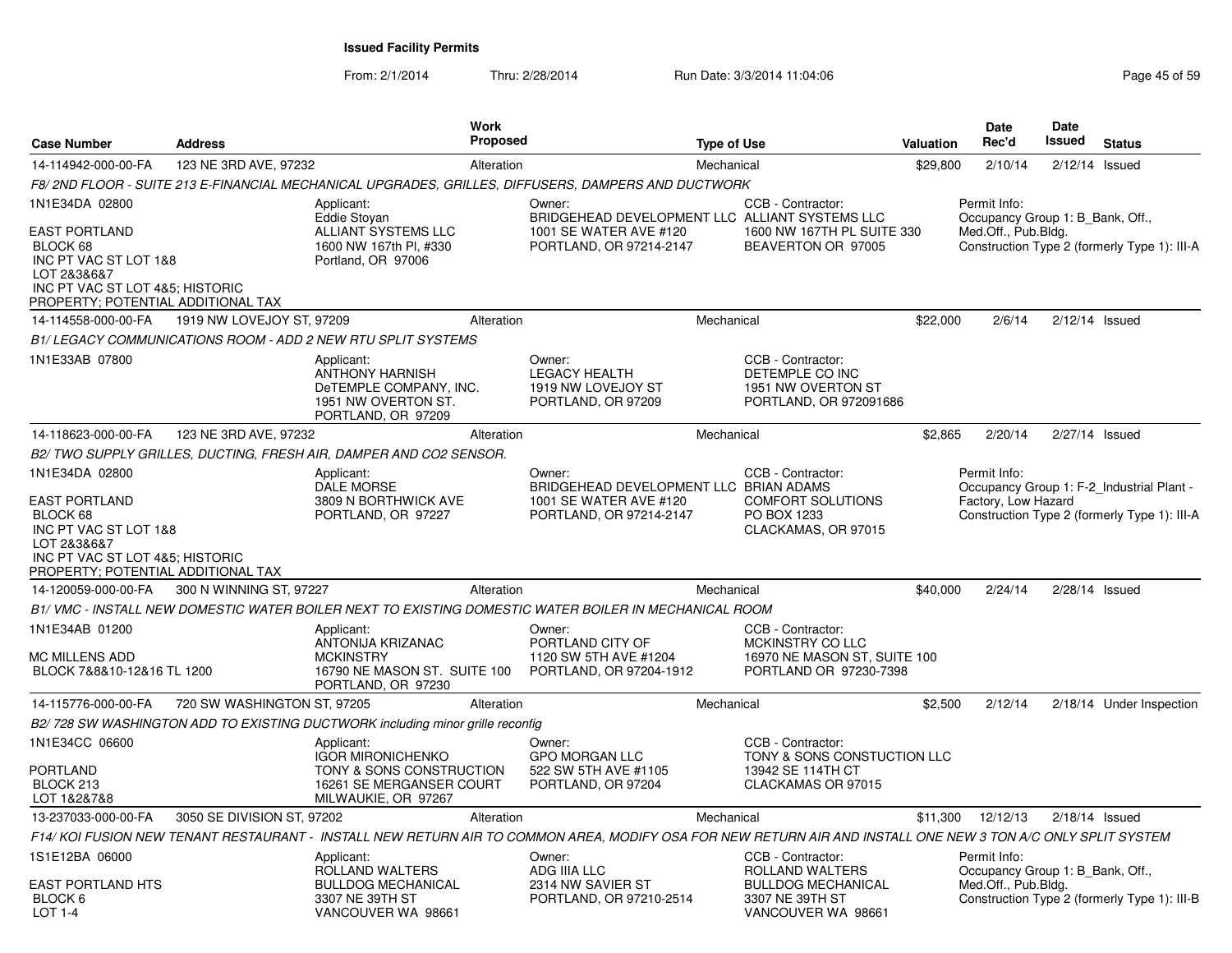| <b>Case Number</b>                                                                                                                                                  | <b>Address</b>              |                                                                                                                       | Work<br>Proposed |                                                                                                                                                              | <b>Type of Use</b> |                                                                                                                   | Valuation | <b>Date</b><br>Rec'd                                                    | Date<br><b>Issued</b> | <b>Status</b>                                                                             |
|---------------------------------------------------------------------------------------------------------------------------------------------------------------------|-----------------------------|-----------------------------------------------------------------------------------------------------------------------|------------------|--------------------------------------------------------------------------------------------------------------------------------------------------------------|--------------------|-------------------------------------------------------------------------------------------------------------------|-----------|-------------------------------------------------------------------------|-----------------------|-------------------------------------------------------------------------------------------|
| 14-114942-000-00-FA                                                                                                                                                 | 123 NE 3RD AVE, 97232       |                                                                                                                       | Alteration       |                                                                                                                                                              | Mechanical         |                                                                                                                   | \$29,800  | 2/10/14                                                                 |                       | $2/12/14$ Issued                                                                          |
|                                                                                                                                                                     |                             |                                                                                                                       |                  | F8/ 2ND FLOOR - SUITE 213 E-FINANCIAL MECHANICAL UPGRADES, GRILLES, DIFFUSERS, DAMPERS AND DUCTWORK                                                          |                    |                                                                                                                   |           |                                                                         |                       |                                                                                           |
| 1N1E34DA 02800<br><b>EAST PORTLAND</b><br>BLOCK 68<br>INC PT VAC ST LOT 1&8<br>LOT 2&3&6&7<br>INC PT VAC ST LOT 4&5; HISTORIC<br>PROPERTY; POTENTIAL ADDITIONAL TAX |                             | Applicant:<br>Eddie Stoyan<br>ALLIANT SYSTEMS LLC<br>1600 NW 167th Pl. #330<br>Portland, OR 97006                     |                  | Owner:<br>BRIDGEHEAD DEVELOPMENT LLC ALLIANT SYSTEMS LLC<br>1001 SE WATER AVE #120<br>PORTLAND, OR 97214-2147                                                |                    | CCB - Contractor:<br>1600 NW 167TH PL SUITE 330<br>BEAVERTON OR 97005                                             |           | Permit Info:<br>Occupancy Group 1: B Bank, Off.,<br>Med.Off., Pub.Bldg. |                       | Construction Type 2 (formerly Type 1): III-A                                              |
| 14-114558-000-00-FA                                                                                                                                                 | 1919 NW LOVEJOY ST, 97209   |                                                                                                                       | Alteration       |                                                                                                                                                              | Mechanical         |                                                                                                                   | \$22,000  | 2/6/14                                                                  |                       | $2/12/14$ Issued                                                                          |
|                                                                                                                                                                     |                             | B1/ LEGACY COMMUNICATIONS ROOM - ADD 2 NEW RTU SPLIT SYSTEMS                                                          |                  |                                                                                                                                                              |                    |                                                                                                                   |           |                                                                         |                       |                                                                                           |
| 1N1E33AB 07800                                                                                                                                                      |                             | Applicant:<br><b>ANTHONY HARNISH</b><br>DeTEMPLE COMPANY, INC.<br>1951 NW OVERTON ST.<br>PORTLAND, OR 97209           |                  | Owner:<br><b>LEGACY HEALTH</b><br>1919 NW LOVEJOY ST<br>PORTLAND, OR 97209                                                                                   |                    | CCB - Contractor:<br>DETEMPLE CO INC<br>1951 NW OVERTON ST<br>PORTLAND, OR 972091686                              |           |                                                                         |                       |                                                                                           |
| 14-118623-000-00-FA                                                                                                                                                 | 123 NE 3RD AVE, 97232       |                                                                                                                       | Alteration       |                                                                                                                                                              | Mechanical         |                                                                                                                   | \$2,865   | 2/20/14                                                                 |                       | $2/27/14$ Issued                                                                          |
|                                                                                                                                                                     |                             | B2/ TWO SUPPLY GRILLES, DUCTING, FRESH AIR, DAMPER AND CO2 SENSOR.                                                    |                  |                                                                                                                                                              |                    |                                                                                                                   |           |                                                                         |                       |                                                                                           |
| 1N1E34DA 02800<br><b>EAST PORTLAND</b><br>BLOCK 68<br>INC PT VAC ST LOT 1&8<br>LOT 2&3&6&7<br>INC PT VAC ST LOT 4&5; HISTORIC<br>PROPERTY; POTENTIAL ADDITIONAL TAX |                             | Applicant:<br><b>DALE MORSE</b><br>3809 N BORTHWICK AVE<br>PORTLAND, OR 97227                                         |                  | Owner:<br>BRIDGEHEAD DEVELOPMENT LLC BRIAN ADAMS<br>1001 SE WATER AVE #120<br>PORTLAND, OR 97214-2147                                                        |                    | CCB - Contractor:<br><b>COMFORT SOLUTIONS</b><br>PO BOX 1233<br>CLACKAMAS, OR 97015                               |           | Permit Info:<br>Factory, Low Hazard                                     |                       | Occupancy Group 1: F-2 Industrial Plant -<br>Construction Type 2 (formerly Type 1): III-A |
| 14-120059-000-00-FA                                                                                                                                                 | 300 N WINNING ST, 97227     |                                                                                                                       | Alteration       |                                                                                                                                                              | Mechanical         |                                                                                                                   | \$40,000  | 2/24/14                                                                 |                       | $2/28/14$ Issued                                                                          |
|                                                                                                                                                                     |                             |                                                                                                                       |                  | B1/ VMC - INSTALL NEW DOMESTIC WATER BOILER NEXT TO EXISTING DOMESTIC WATER BOILER IN MECHANICAL ROOM                                                        |                    |                                                                                                                   |           |                                                                         |                       |                                                                                           |
| 1N1E34AB 01200<br><b>MC MILLENS ADD</b><br>BLOCK 7&8&10-12&16 TL 1200                                                                                               |                             | Applicant:<br><b>ANTONIJA KRIZANAC</b><br><b>MCKINSTRY</b><br>16790 NE MASON ST. SUITE 100<br>PORTLAND, OR 97230      |                  | Owner:<br>PORTLAND CITY OF<br>1120 SW 5TH AVE #1204<br>PORTLAND, OR 97204-1912                                                                               |                    | CCB - Contractor:<br>MCKINSTRY CO LLC<br>16970 NE MASON ST, SUITE 100<br>PORTLAND OR 97230-7398                   |           |                                                                         |                       |                                                                                           |
| 14-115776-000-00-FA                                                                                                                                                 | 720 SW WASHINGTON ST, 97205 |                                                                                                                       | Alteration       |                                                                                                                                                              | Mechanical         |                                                                                                                   | \$2,500   | 2/12/14                                                                 |                       | 2/18/14 Under Inspection                                                                  |
|                                                                                                                                                                     |                             | B2/728 SW WASHINGTON ADD TO EXISTING DUCTWORK including minor grille reconfig                                         |                  |                                                                                                                                                              |                    |                                                                                                                   |           |                                                                         |                       |                                                                                           |
| 1N1E34CC 06600<br><b>PORTLAND</b><br>BLOCK 213<br>LOT 1&2&7&8                                                                                                       |                             | Applicant:<br><b>IGOR MIRONICHENKO</b><br>TONY & SONS CONSTRUCTION<br>16261 SE MERGANSER COURT<br>MILWAUKIE, OR 97267 |                  | Owner:<br><b>GPO MORGAN LLC</b><br>522 SW 5TH AVE #1105<br>PORTLAND, OR 97204                                                                                |                    | CCB - Contractor:<br>TONY & SONS CONSTUCTION LLC<br>13942 SE 114TH CT<br>CLACKAMAS OR 97015                       |           |                                                                         |                       |                                                                                           |
| 13-237033-000-00-FA                                                                                                                                                 | 3050 SE DIVISION ST, 97202  |                                                                                                                       | Alteration       |                                                                                                                                                              | Mechanical         |                                                                                                                   |           | \$11,300 12/12/13                                                       |                       | $2/18/14$ Issued                                                                          |
|                                                                                                                                                                     |                             |                                                                                                                       |                  | F14/ KOI FUSION NEW TENANT RESTAURANT - INSTALL NEW RETURN AIR TO COMMON AREA, MODIFY OSA FOR NEW RETURN AIR AND INSTALL ONE NEW 3 TON A/C ONLY SPLIT SYSTEM |                    |                                                                                                                   |           |                                                                         |                       |                                                                                           |
| 1S1E12BA 06000<br>EAST PORTLAND HTS<br>BLOCK 6<br>$I$ OT 1-4                                                                                                        |                             | Applicant:<br>ROLLAND WALTERS<br><b>BULLDOG MECHANICAL</b><br>3307 NE 39TH ST<br>VANCOUVER WA 98661                   |                  | Owner:<br>ADG IIIA LLC<br>2314 NW SAVIER ST<br>PORTLAND, OR 97210-2514                                                                                       |                    | CCB - Contractor:<br><b>ROLLAND WALTERS</b><br><b>BULLDOG MECHANICAL</b><br>3307 NE 39TH ST<br>VANCOUVER WA 98661 |           | Permit Info:<br>Occupancy Group 1: B Bank, Off.,<br>Med.Off., Pub.Bldg. |                       | Construction Type 2 (formerly Type 1): III-B                                              |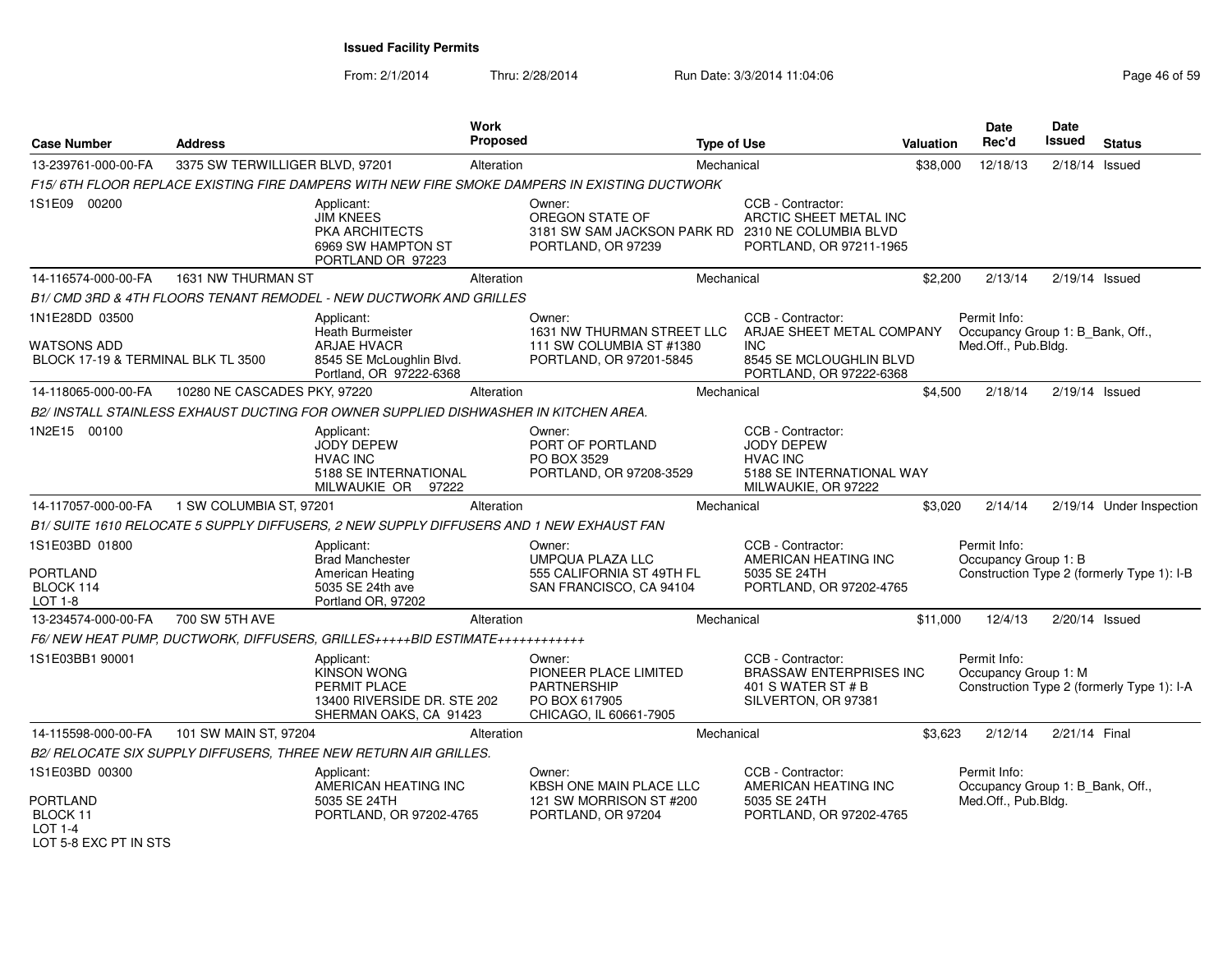From: 2/1/2014Thru: 2/28/2014 Run Date: 3/3/2014 11:04:06 Run Date: 3/3/2014 11:04:06

| <b>Case Number</b>                                                  | <b>Address</b>                  |                                                                                                           | Work<br><b>Proposed</b> |                                                                                                      | <b>Type of Use</b> |                                                                                                               | <b>Valuation</b> | Date<br>Rec'd                                                           | Date<br><b>Issued</b> | <b>Status</b>                              |
|---------------------------------------------------------------------|---------------------------------|-----------------------------------------------------------------------------------------------------------|-------------------------|------------------------------------------------------------------------------------------------------|--------------------|---------------------------------------------------------------------------------------------------------------|------------------|-------------------------------------------------------------------------|-----------------------|--------------------------------------------|
| 13-239761-000-00-FA                                                 | 3375 SW TERWILLIGER BLVD, 97201 |                                                                                                           | Alteration              |                                                                                                      | Mechanical         |                                                                                                               | \$38,000         | 12/18/13                                                                |                       | $2/18/14$ Issued                           |
|                                                                     |                                 |                                                                                                           |                         | F15/6TH FLOOR REPLACE EXISTING FIRE DAMPERS WITH NEW FIRE SMOKE DAMPERS IN EXISTING DUCTWORK         |                    |                                                                                                               |                  |                                                                         |                       |                                            |
| 1S1E09 00200                                                        |                                 | Applicant:<br><b>JIM KNEES</b><br><b>PKA ARCHITECTS</b><br>6969 SW HAMPTON ST<br>PORTLAND OR 97223        |                         | Owner:<br>OREGON STATE OF<br>3181 SW SAM JACKSON PARK RD 2310 NE COLUMBIA BLVD<br>PORTLAND, OR 97239 |                    | CCB - Contractor:<br>ARCTIC SHEET METAL INC<br>PORTLAND, OR 97211-1965                                        |                  |                                                                         |                       |                                            |
| 14-116574-000-00-FA                                                 | 1631 NW THURMAN ST              |                                                                                                           | Alteration              |                                                                                                      | Mechanical         |                                                                                                               | \$2,200          | 2/13/14                                                                 | 2/19/14 Issued        |                                            |
|                                                                     |                                 | B1/ CMD 3RD & 4TH FLOORS TENANT REMODEL - NEW DUCTWORK AND GRILLES                                        |                         |                                                                                                      |                    |                                                                                                               |                  |                                                                         |                       |                                            |
| 1N1E28DD 03500<br>WATSONS ADD<br>BLOCK 17-19 & TERMINAL BLK TL 3500 |                                 | Applicant:<br><b>Heath Burmeister</b><br><b>ARJAE HVACR</b><br>8545 SE McLoughlin Blvd.                   |                         | Owner:<br>1631 NW THURMAN STREET LLC<br>111 SW COLUMBIA ST #1380<br>PORTLAND, OR 97201-5845          |                    | CCB - Contractor:<br>ARJAE SHEET METAL COMPANY<br><b>INC</b><br>8545 SE MCLOUGHLIN BLVD                       |                  | Permit Info:<br>Occupancy Group 1: B_Bank, Off.,<br>Med.Off., Pub.Bldg. |                       |                                            |
|                                                                     |                                 | Portland, OR 97222-6368                                                                                   |                         |                                                                                                      |                    | PORTLAND, OR 97222-6368                                                                                       |                  |                                                                         |                       |                                            |
| 14-118065-000-00-FA                                                 | 10280 NE CASCADES PKY, 97220    |                                                                                                           | Alteration              |                                                                                                      | Mechanical         |                                                                                                               | \$4,500          | 2/18/14                                                                 | $2/19/14$ Issued      |                                            |
|                                                                     |                                 | B2/ INSTALL STAINLESS EXHAUST DUCTING FOR OWNER SUPPLIED DISHWASHER IN KITCHEN AREA.                      |                         |                                                                                                      |                    |                                                                                                               |                  |                                                                         |                       |                                            |
| 1N2E15 00100                                                        |                                 | Applicant:<br><b>JODY DEPEW</b><br><b>HVAC INC</b><br>5188 SE INTERNATIONAL<br>MILWAUKIE OR 97222         |                         | Owner:<br>PORT OF PORTLAND<br>PO BOX 3529<br>PORTLAND, OR 97208-3529                                 |                    | CCB - Contractor:<br><b>JODY DEPEW</b><br><b>HVAC INC</b><br>5188 SE INTERNATIONAL WAY<br>MILWAUKIE, OR 97222 |                  |                                                                         |                       |                                            |
| 14-117057-000-00-FA                                                 | 1 SW COLUMBIA ST, 97201         |                                                                                                           | Alteration              |                                                                                                      | Mechanical         |                                                                                                               | \$3,020          | 2/14/14                                                                 |                       | 2/19/14 Under Inspection                   |
|                                                                     |                                 | B1/ SUITE 1610 RELOCATE 5 SUPPLY DIFFUSERS, 2 NEW SUPPLY DIFFUSERS AND 1 NEW EXHAUST FAN                  |                         |                                                                                                      |                    |                                                                                                               |                  |                                                                         |                       |                                            |
| 1S1E03BD 01800<br><b>PORTLAND</b><br>BLOCK 114                      |                                 | Applicant:<br><b>Brad Manchester</b><br>American Heating<br>5035 SE 24th ave                              |                         | Owner:<br>UMPQUA PLAZA LLC<br>555 CALIFORNIA ST 49TH FL<br>SAN FRANCISCO, CA 94104                   |                    | CCB - Contractor:<br>AMERICAN HEATING INC<br>5035 SE 24TH<br>PORTLAND, OR 97202-4765                          |                  | Permit Info:<br>Occupancy Group 1: B                                    |                       | Construction Type 2 (formerly Type 1): I-B |
| LOT 1-8                                                             |                                 | Portland OR, 97202                                                                                        |                         |                                                                                                      |                    |                                                                                                               |                  |                                                                         |                       |                                            |
| 13-234574-000-00-FA                                                 | 700 SW 5TH AVE                  |                                                                                                           | Alteration              |                                                                                                      | Mechanical         |                                                                                                               | \$11,000         | 12/4/13                                                                 | 2/20/14 Issued        |                                            |
| 1S1E03BB1 90001                                                     |                                 | F6/ NEW HEAT PUMP, DUCTWORK, DIFFUSERS, GRILLES+++++BID ESTIMATE++++++++++++                              |                         |                                                                                                      |                    | CCB - Contractor:                                                                                             |                  | Permit Info:                                                            |                       |                                            |
|                                                                     |                                 | Applicant:<br><b>KINSON WONG</b><br>PERMIT PLACE<br>13400 RIVERSIDE DR. STE 202<br>SHERMAN OAKS, CA 91423 |                         | Owner:<br>PIONEER PLACE LIMITED<br>PARTNERSHIP<br>PO BOX 617905<br>CHICAGO. IL 60661-7905            |                    | <b>BRASSAW ENTERPRISES INC</b><br>401 S WATER ST # B<br>SILVERTON, OR 97381                                   |                  | Occupancy Group 1: M                                                    |                       | Construction Type 2 (formerly Type 1): I-A |
| 14-115598-000-00-FA                                                 | 101 SW MAIN ST, 97204           |                                                                                                           | Alteration              |                                                                                                      | Mechanical         |                                                                                                               | \$3,623          | 2/12/14                                                                 | 2/21/14 Final         |                                            |
|                                                                     |                                 | B2/ RELOCATE SIX SUPPLY DIFFUSERS, THREE NEW RETURN AIR GRILLES.                                          |                         |                                                                                                      |                    |                                                                                                               |                  |                                                                         |                       |                                            |
| 1S1E03BD 00300                                                      |                                 | Applicant:<br>AMERICAN HEATING INC                                                                        |                         | Owner:<br>KBSH ONE MAIN PLACE LLC                                                                    |                    | CCB - Contractor:<br>AMERICAN HEATING INC                                                                     |                  | Permit Info:<br>Occupancy Group 1: B_Bank, Off.,                        |                       |                                            |
| <b>PORTLAND</b><br>BLOCK 11<br>$LOT 1-4$                            |                                 | 5035 SE 24TH<br>PORTLAND, OR 97202-4765                                                                   |                         | 121 SW MORRISON ST #200<br>PORTLAND, OR 97204                                                        |                    | 5035 SE 24TH<br>PORTLAND, OR 97202-4765                                                                       |                  | Med.Off., Pub.Bldg.                                                     |                       |                                            |

LOT 5-8 EXC PT IN STS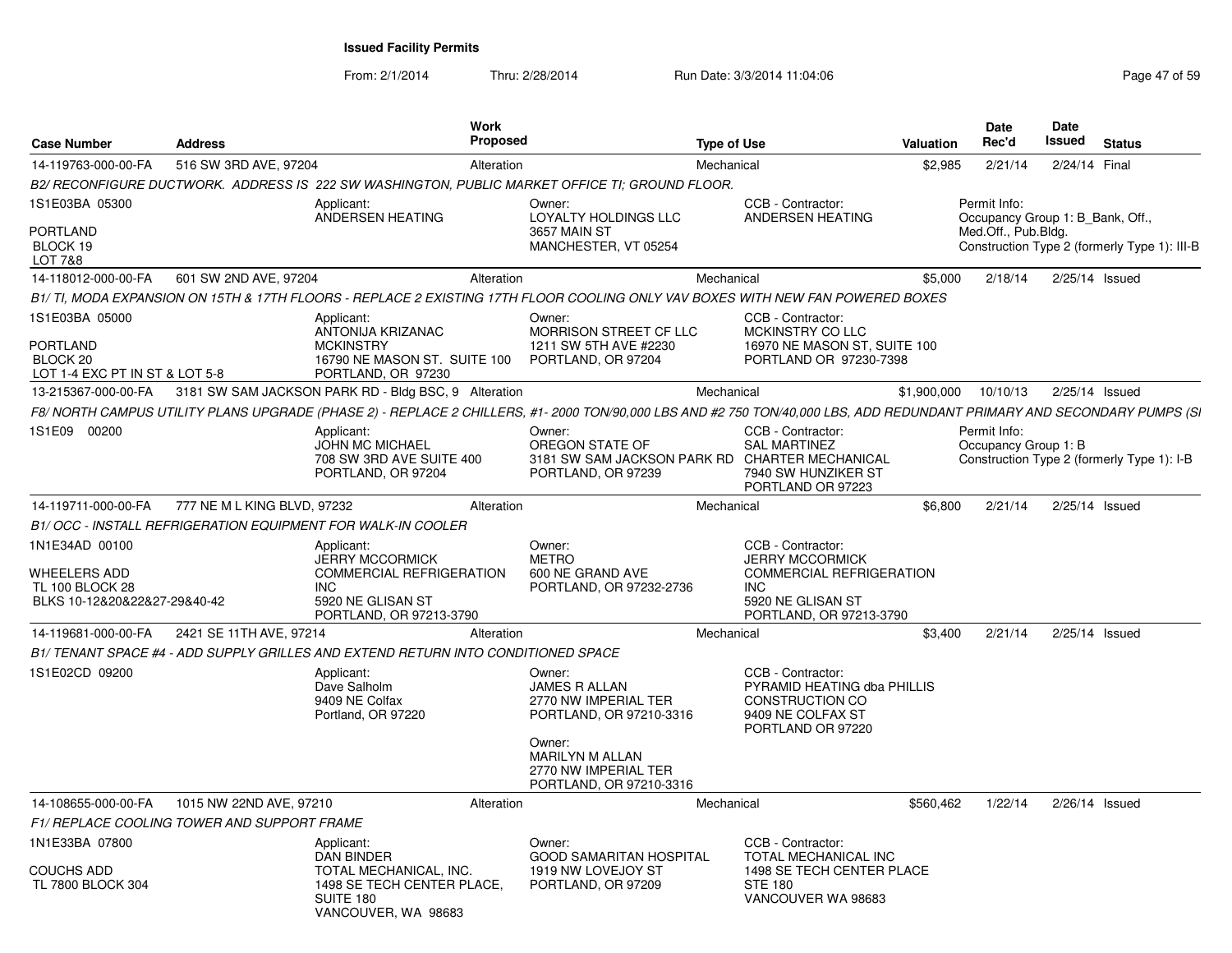From: 2/1/2014Thru: 2/28/2014 Run Date: 3/3/2014 11:04:06 Research 2015 9

| <b>Case Number</b>                                                                       | <b>Address</b>                              |                                                                                                                                       | <b>Work</b><br><b>Proposed</b> |                                                                                                                                                                         | <b>Type of Use</b> |                                                                                                                                              | Valuation   | Date<br>Rec'd                                    | <b>Date</b><br>Issued | <b>Status</b>                                |
|------------------------------------------------------------------------------------------|---------------------------------------------|---------------------------------------------------------------------------------------------------------------------------------------|--------------------------------|-------------------------------------------------------------------------------------------------------------------------------------------------------------------------|--------------------|----------------------------------------------------------------------------------------------------------------------------------------------|-------------|--------------------------------------------------|-----------------------|----------------------------------------------|
| 14-119763-000-00-FA                                                                      | 516 SW 3RD AVE, 97204                       |                                                                                                                                       | Alteration                     |                                                                                                                                                                         | Mechanical         |                                                                                                                                              | \$2,985     | 2/21/14                                          | 2/24/14 Final         |                                              |
|                                                                                          |                                             |                                                                                                                                       |                                | B2/ RECONFIGURE DUCTWORK. ADDRESS IS 222 SW WASHINGTON, PUBLIC MARKET OFFICE TI; GROUND FLOOR.                                                                          |                    |                                                                                                                                              |             |                                                  |                       |                                              |
| 1S1E03BA 05300                                                                           |                                             | Applicant:<br>ANDERSEN HEATING                                                                                                        |                                | Owner:<br>LOYALTY HOLDINGS LLC                                                                                                                                          |                    | CCB - Contractor:<br>ANDERSEN HEATING                                                                                                        |             | Permit Info:<br>Occupancy Group 1: B Bank, Off., |                       |                                              |
| PORTLAND<br>BLOCK 19<br><b>LOT 7&amp;8</b>                                               |                                             |                                                                                                                                       |                                | 3657 MAIN ST<br>MANCHESTER, VT 05254                                                                                                                                    |                    |                                                                                                                                              |             | Med.Off., Pub.Bldg.                              |                       | Construction Type 2 (formerly Type 1): III-B |
| 14-118012-000-00-FA                                                                      | 601 SW 2ND AVE, 97204                       |                                                                                                                                       | Alteration                     |                                                                                                                                                                         | Mechanical         |                                                                                                                                              | \$5,000     | 2/18/14                                          |                       | $2/25/14$ Issued                             |
|                                                                                          |                                             |                                                                                                                                       |                                | B1/TI, MODA EXPANSION ON 15TH & 17TH FLOORS - REPLACE 2 EXISTING 17TH FLOOR COOLING ONLY VAV BOXES WITH NEW FAN POWERED BOXES                                           |                    |                                                                                                                                              |             |                                                  |                       |                                              |
| 1S1E03BA 05000                                                                           |                                             | Applicant:<br>ANTONIJA KRIZANAC                                                                                                       |                                | Owner:<br>MORRISON STREET CF LLC                                                                                                                                        |                    | CCB - Contractor:<br>MCKINSTRY CO LLC                                                                                                        |             |                                                  |                       |                                              |
| <b>PORTLAND</b><br>BLOCK <sub>20</sub><br>LOT 1-4 EXC PT IN ST & LOT 5-8                 |                                             | <b>MCKINSTRY</b><br>16790 NE MASON ST. SUITE 100<br>PORTLAND, OR 97230                                                                |                                | 1211 SW 5TH AVE #2230<br>PORTLAND, OR 97204                                                                                                                             |                    | 16970 NE MASON ST, SUITE 100<br>PORTLAND OR 97230-7398                                                                                       |             |                                                  |                       |                                              |
| 13-215367-000-00-FA                                                                      |                                             | 3181 SW SAM JACKSON PARK RD - Bldg BSC, 9 Alteration                                                                                  |                                |                                                                                                                                                                         | Mechanical         |                                                                                                                                              | \$1,900,000 | 10/10/13                                         |                       | 2/25/14 Issued                               |
|                                                                                          |                                             |                                                                                                                                       |                                | F8/ NORTH CAMPUS UTILITY PLANS UPGRADE (PHASE 2) - REPLACE 2 CHILLERS, #1- 2000 TON/90,000 LBS AND #2 750 TON/40,000 LBS, ADD REDUNDANT PRIMARY AND SECONDARY PUMPS (SI |                    |                                                                                                                                              |             |                                                  |                       |                                              |
| 1S1E09 00200                                                                             |                                             | Applicant:<br><b>JOHN MC MICHAEL</b><br>708 SW 3RD AVE SUITE 400<br>PORTLAND, OR 97204                                                |                                | Owner:<br>OREGON STATE OF<br>3181 SW SAM JACKSON PARK RD CHARTER MECHANICAL<br>PORTLAND, OR 97239                                                                       |                    | CCB - Contractor:<br><b>SAL MARTINEZ</b><br>7940 SW HUNZIKER ST<br>PORTLAND OR 97223                                                         |             | Permit Info:<br>Occupancy Group 1: B             |                       | Construction Type 2 (formerly Type 1): I-B   |
| 14-119711-000-00-FA                                                                      | 777 NE M L KING BLVD, 97232                 |                                                                                                                                       | Alteration                     |                                                                                                                                                                         | Mechanical         |                                                                                                                                              | \$6.800     | 2/21/14                                          |                       | 2/25/14 Issued                               |
|                                                                                          |                                             | B1/ OCC - INSTALL REFRIGERATION EQUIPMENT FOR WALK-IN COOLER                                                                          |                                |                                                                                                                                                                         |                    |                                                                                                                                              |             |                                                  |                       |                                              |
| 1N1E34AD 00100<br>WHEELERS ADD<br><b>TL 100 BLOCK 28</b><br>BLKS 10-12&20&22&27-29&40-42 |                                             | Applicant:<br><b>JERRY MCCORMICK</b><br><b>COMMERCIAL REFRIGERATION</b><br><b>INC</b><br>5920 NE GLISAN ST<br>PORTLAND, OR 97213-3790 |                                | Owner:<br><b>METRO</b><br>600 NE GRAND AVE<br>PORTLAND, OR 97232-2736                                                                                                   |                    | CCB - Contractor:<br><b>JERRY MCCORMICK</b><br><b>COMMERCIAL REFRIGERATION</b><br><b>INC</b><br>5920 NE GLISAN ST<br>PORTLAND, OR 97213-3790 |             |                                                  |                       |                                              |
| 14-119681-000-00-FA                                                                      | 2421 SE 11TH AVE, 97214                     |                                                                                                                                       | Alteration                     |                                                                                                                                                                         | Mechanical         |                                                                                                                                              | \$3,400     | 2/21/14                                          |                       | $2/25/14$ Issued                             |
|                                                                                          |                                             | B1/ TENANT SPACE #4 - ADD SUPPLY GRILLES AND EXTEND RETURN INTO CONDITIONED SPACE                                                     |                                |                                                                                                                                                                         |                    |                                                                                                                                              |             |                                                  |                       |                                              |
| 1S1E02CD 09200                                                                           |                                             | Applicant:<br>Dave Salholm<br>9409 NE Colfax<br>Portland, OR 97220                                                                    |                                | Owner:<br><b>JAMES R ALLAN</b><br>2770 NW IMPERIAL TER<br>PORTLAND, OR 97210-3316                                                                                       |                    | CCB - Contractor:<br>PYRAMID HEATING dba PHILLIS<br>CONSTRUCTION CO<br>9409 NE COLFAX ST<br>PORTLAND OR 97220                                |             |                                                  |                       |                                              |
|                                                                                          |                                             |                                                                                                                                       |                                | Owner:<br><b>MARILYN M ALLAN</b><br>2770 NW IMPERIAL TER<br>PORTLAND, OR 97210-3316                                                                                     |                    |                                                                                                                                              |             |                                                  |                       |                                              |
| 14-108655-000-00-FA                                                                      | 1015 NW 22ND AVE, 97210                     |                                                                                                                                       | Alteration                     |                                                                                                                                                                         | Mechanical         |                                                                                                                                              | \$560,462   | 1/22/14                                          |                       | $2/26/14$ Issued                             |
|                                                                                          | F1/ REPLACE COOLING TOWER AND SUPPORT FRAME |                                                                                                                                       |                                |                                                                                                                                                                         |                    |                                                                                                                                              |             |                                                  |                       |                                              |
| 1N1E33BA 07800                                                                           |                                             | Applicant:<br><b>DAN BINDER</b>                                                                                                       |                                | Owner:<br><b>GOOD SAMARITAN HOSPITAL</b>                                                                                                                                |                    | CCB - Contractor:<br>TOTAL MECHANICAL INC                                                                                                    |             |                                                  |                       |                                              |
| COUCHS ADD<br>TL 7800 BLOCK 304                                                          |                                             | TOTAL MECHANICAL, INC.<br>1498 SE TECH CENTER PLACE,<br>SUITE 180<br>VANCOUVER, WA 98683                                              |                                | 1919 NW LOVEJOY ST<br>PORTLAND, OR 97209                                                                                                                                |                    | 1498 SE TECH CENTER PLACE<br><b>STE 180</b><br>VANCOUVER WA 98683                                                                            |             |                                                  |                       |                                              |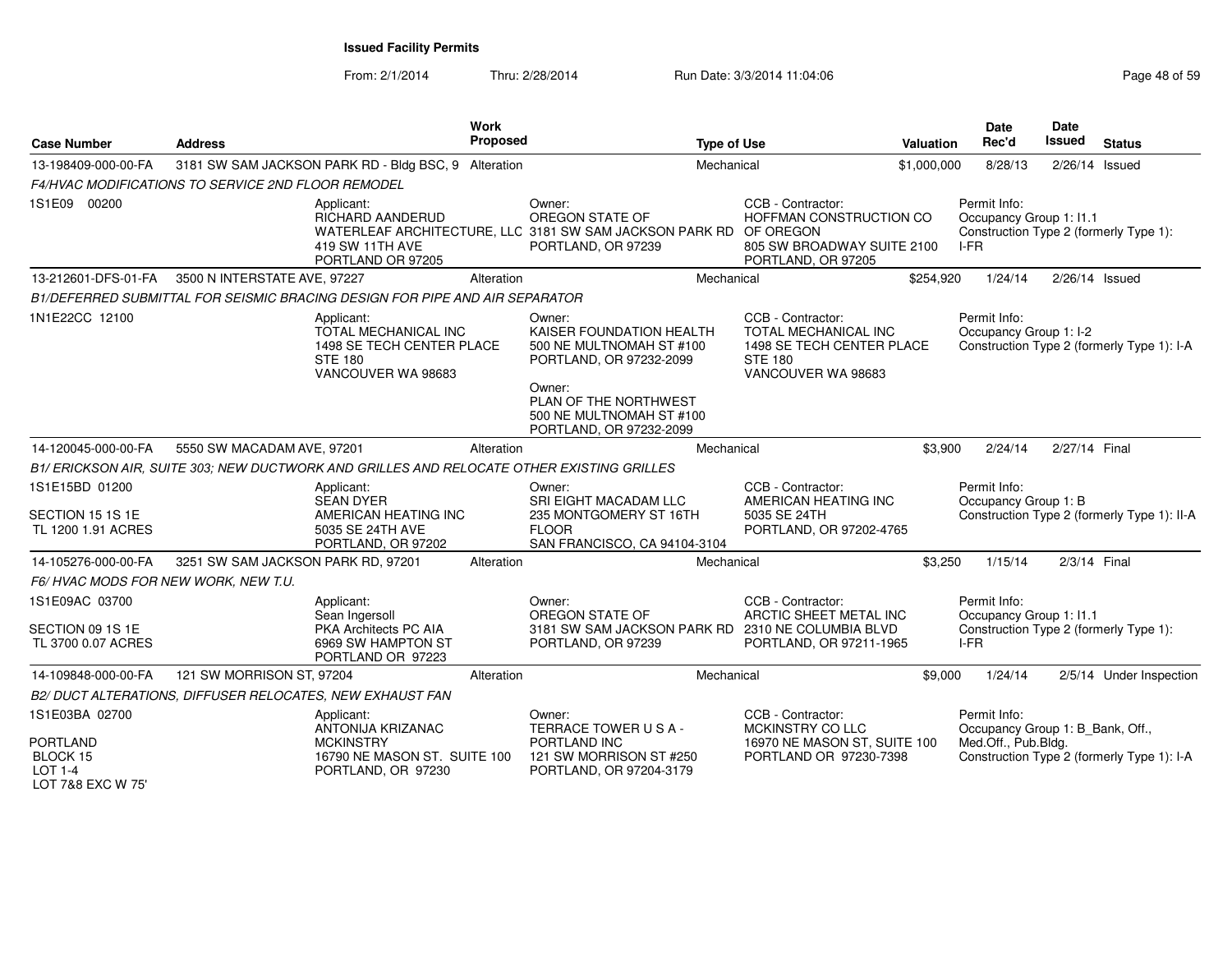| <b>Case Number</b>                                                 | <b>Address</b>                                            | <b>Work</b><br>Proposed                                                                                                                     |              | <b>Type of Use</b>                                                              |                                                                                                                       | Valuation   | <b>Date</b><br>Rec'd                                                                     | <b>Date</b><br><b>Issued</b> | <b>Status</b>                               |
|--------------------------------------------------------------------|-----------------------------------------------------------|---------------------------------------------------------------------------------------------------------------------------------------------|--------------|---------------------------------------------------------------------------------|-----------------------------------------------------------------------------------------------------------------------|-------------|------------------------------------------------------------------------------------------|------------------------------|---------------------------------------------|
| 13-198409-000-00-FA                                                |                                                           | 3181 SW SAM JACKSON PARK RD - Bldg BSC, 9 Alteration                                                                                        |              | Mechanical                                                                      |                                                                                                                       | \$1,000,000 | 8/28/13                                                                                  | $2/26/14$ Issued             |                                             |
|                                                                    | <b>F4/HVAC MODIFICATIONS TO SERVICE 2ND FLOOR REMODEL</b> |                                                                                                                                             |              |                                                                                 |                                                                                                                       |             |                                                                                          |                              |                                             |
| 1S1E09 00200                                                       |                                                           | Applicant:<br>RICHARD AANDERUD<br>WATERLEAF ARCHITECTURE, LLC 3181 SW SAM JACKSON PARK RD OF OREGON<br>419 SW 11TH AVE<br>PORTLAND OR 97205 | Owner:       | OREGON STATE OF<br>PORTLAND, OR 97239                                           | CCB - Contractor:<br>HOFFMAN CONSTRUCTION CO<br>805 SW BROADWAY SUITE 2100<br>PORTLAND, OR 97205                      |             | Permit Info:<br>Occupancy Group 1: I1.1<br>Construction Type 2 (formerly Type 1):<br>IFR |                              |                                             |
| 13-212601-DFS-01-FA                                                | 3500 N INTERSTATE AVE, 97227                              | Alteration                                                                                                                                  |              | Mechanical                                                                      |                                                                                                                       | \$254,920   | 1/24/14                                                                                  | 2/26/14 Issued               |                                             |
|                                                                    |                                                           | B1/DEFERRED SUBMITTAL FOR SEISMIC BRACING DESIGN FOR PIPE AND AIR SEPARATOR                                                                 |              |                                                                                 |                                                                                                                       |             |                                                                                          |                              |                                             |
| 1N1E22CC 12100                                                     |                                                           | Applicant:<br>TOTAL MECHANICAL INC<br>1498 SE TECH CENTER PLACE<br><b>STE 180</b><br>VANCOUVER WA 98683                                     | Owner:       | KAISER FOUNDATION HEALTH<br>500 NE MULTNOMAH ST #100<br>PORTLAND, OR 97232-2099 | CCB - Contractor:<br><b>TOTAL MECHANICAL INC</b><br>1498 SE TECH CENTER PLACE<br><b>STE 180</b><br>VANCOUVER WA 98683 |             | Permit Info:<br>Occupancy Group 1: I-2                                                   |                              | Construction Type 2 (formerly Type 1): I-A  |
|                                                                    |                                                           |                                                                                                                                             | Owner:       | PLAN OF THE NORTHWEST<br>500 NE MULTNOMAH ST #100<br>PORTLAND, OR 97232-2099    |                                                                                                                       |             |                                                                                          |                              |                                             |
| 14-120045-000-00-FA                                                | 5550 SW MACADAM AVE, 97201                                | Alteration                                                                                                                                  |              | Mechanical                                                                      |                                                                                                                       | \$3,900     | 2/24/14                                                                                  | 2/27/14 Final                |                                             |
|                                                                    |                                                           | B1/ ERICKSON AIR, SUITE 303; NEW DUCTWORK AND GRILLES AND RELOCATE OTHER EXISTING GRILLES                                                   |              |                                                                                 |                                                                                                                       |             |                                                                                          |                              |                                             |
| 1S1E15BD 01200                                                     |                                                           | Applicant:<br><b>SEAN DYER</b>                                                                                                              | Owner:       | SRI EIGHT MACADAM LLC                                                           | CCB - Contractor:<br>AMERICAN HEATING INC                                                                             |             | Permit Info:<br>Occupancy Group 1: B                                                     |                              |                                             |
| SECTION 15 1S 1E<br>TL 1200 1.91 ACRES                             |                                                           | AMERICAN HEATING INC<br>5035 SE 24TH AVE<br>PORTLAND, OR 97202                                                                              | <b>FLOOR</b> | 235 MONTGOMERY ST 16TH<br>SAN FRANCISCO, CA 94104-3104                          | 5035 SE 24TH<br>PORTLAND, OR 97202-4765                                                                               |             |                                                                                          |                              | Construction Type 2 (formerly Type 1): II-A |
| 14-105276-000-00-FA                                                | 3251 SW SAM JACKSON PARK RD, 97201                        | Alteration                                                                                                                                  |              | Mechanical                                                                      |                                                                                                                       | \$3,250     | 1/15/14                                                                                  | 2/3/14 Final                 |                                             |
| F6/HVAC MODS FOR NEW WORK, NEW T.U.                                |                                                           |                                                                                                                                             |              |                                                                                 |                                                                                                                       |             |                                                                                          |                              |                                             |
| 1S1E09AC 03700                                                     |                                                           | Applicant:<br>Sean Ingersoll                                                                                                                | Owner:       | OREGON STATE OF                                                                 | CCB - Contractor:<br>ARCTIC SHEET METAL INC                                                                           |             | Permit Info:<br>Occupancy Group 1: I1.1                                                  |                              |                                             |
| SECTION 09 1S 1E<br>TL 3700 0.07 ACRES                             |                                                           | PKA Architects PC AIA<br>6969 SW HAMPTON ST<br>PORTLAND OR 97223                                                                            |              | 3181 SW SAM JACKSON PARK RD 2310 NE COLUMBIA BLVD<br>PORTLAND, OR 97239         | PORTLAND, OR 97211-1965                                                                                               |             | Construction Type 2 (formerly Type 1):<br>I-FR                                           |                              |                                             |
| 14-109848-000-00-FA                                                | 121 SW MORRISON ST, 97204                                 | Alteration                                                                                                                                  |              | Mechanical                                                                      |                                                                                                                       | \$9,000     | 1/24/14                                                                                  |                              | 2/5/14 Under Inspection                     |
|                                                                    | B2/ DUCT ALTERATIONS, DIFFUSER RELOCATES, NEW EXHAUST FAN |                                                                                                                                             |              |                                                                                 |                                                                                                                       |             |                                                                                          |                              |                                             |
| 1S1E03BA 02700                                                     |                                                           | Applicant:<br>ANTONIJA KRIZANAC                                                                                                             | Owner:       | TERRACE TOWER USA-                                                              | CCB - Contractor:<br>MCKINSTRY CO LLC                                                                                 |             | Permit Info:<br>Occupancy Group 1: B_Bank, Off.,                                         |                              |                                             |
| <b>PORTLAND</b><br>BLOCK 15<br><b>LOT 1-4</b><br>LOT 7&8 EXC W 75' |                                                           | <b>MCKINSTRY</b><br>16790 NE MASON ST. SUITE 100<br>PORTLAND, OR 97230                                                                      | PORTLAND INC | 121 SW MORRISON ST #250<br>PORTLAND, OR 97204-3179                              | 16970 NE MASON ST, SUITE 100<br>PORTLAND OR 97230-7398                                                                |             | Med.Off., Pub.Bldg.                                                                      |                              | Construction Type 2 (formerly Type 1): I-A  |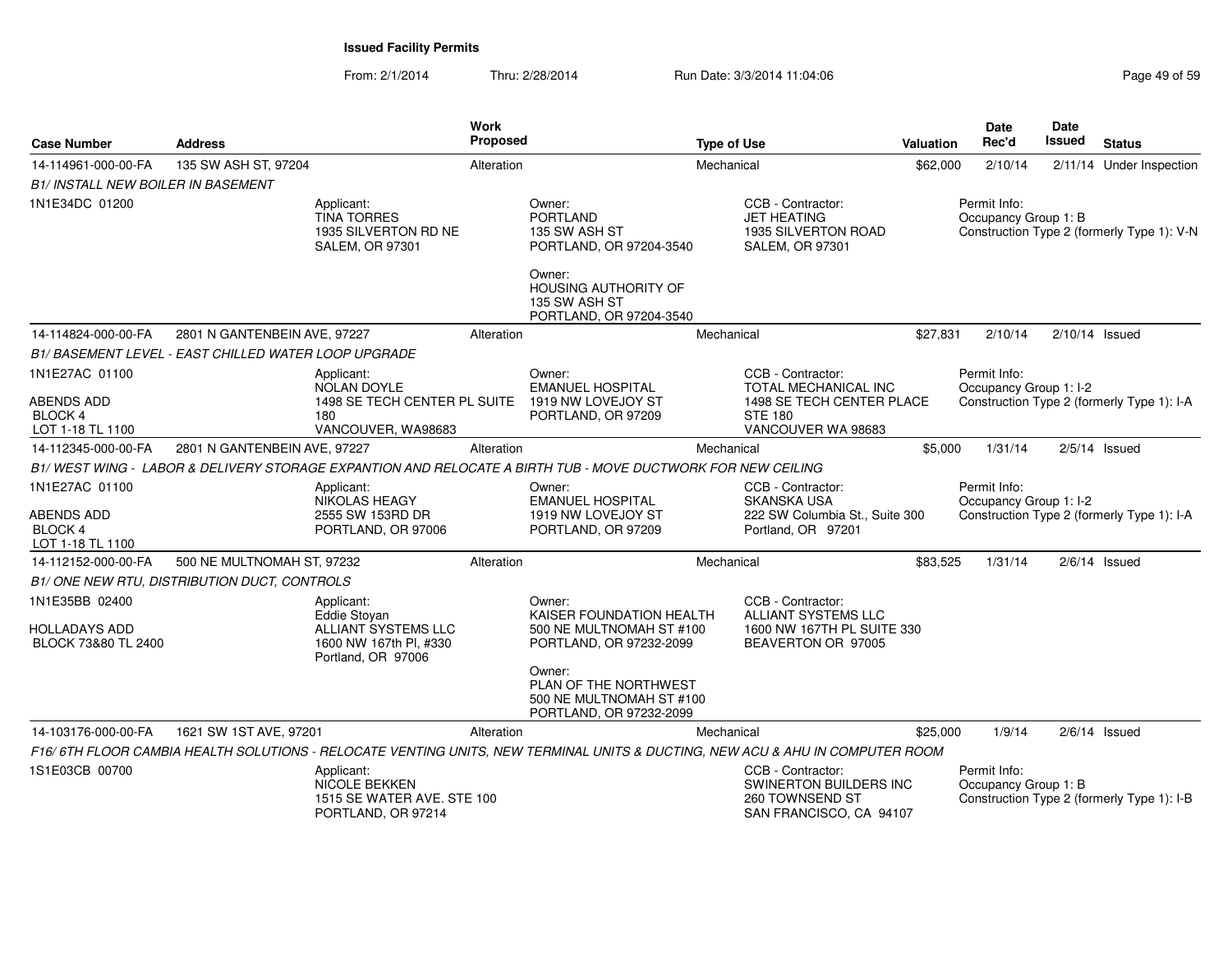| <b>Case Number</b>                                     | <b>Address</b>               |                                                                                        | Work<br>Proposed |                                                                                                                              | <b>Type of Use</b> |                                                                                                     | <b>Valuation</b> | <b>Date</b><br>Rec'd | Date<br>Issued         | <b>Status</b>                              |
|--------------------------------------------------------|------------------------------|----------------------------------------------------------------------------------------|------------------|------------------------------------------------------------------------------------------------------------------------------|--------------------|-----------------------------------------------------------------------------------------------------|------------------|----------------------|------------------------|--------------------------------------------|
| 14-114961-000-00-FA                                    | 135 SW ASH ST, 97204         |                                                                                        | Alteration       |                                                                                                                              | Mechanical         |                                                                                                     | \$62,000         | 2/10/14              |                        | 2/11/14 Under Inspection                   |
| <b>B1/ INSTALL NEW BOILER IN BASEMENT</b>              |                              |                                                                                        |                  |                                                                                                                              |                    |                                                                                                     |                  |                      |                        |                                            |
| 1N1E34DC 01200                                         |                              | Applicant:<br><b>TINA TORRES</b><br>1935 SILVERTON RD NE<br><b>SALEM, OR 97301</b>     |                  | Owner:<br><b>PORTLAND</b><br>135 SW ASH ST<br>PORTLAND, OR 97204-3540                                                        |                    | CCB - Contractor:<br><b>JET HEATING</b><br><b>1935 SILVERTON ROAD</b><br><b>SALEM, OR 97301</b>     |                  | Permit Info:         | Occupancy Group 1: B   | Construction Type 2 (formerly Type 1): V-N |
|                                                        |                              |                                                                                        |                  | Owner:<br><b>HOUSING AUTHORITY OF</b><br>135 SW ASH ST<br>PORTLAND, OR 97204-3540                                            |                    |                                                                                                     |                  |                      |                        |                                            |
| 14-114824-000-00-FA                                    | 2801 N GANTENBEIN AVE, 97227 |                                                                                        | Alteration       |                                                                                                                              | Mechanical         |                                                                                                     | \$27,831         | 2/10/14              |                        | $2/10/14$ Issued                           |
| B1/BASEMENT LEVEL - EAST CHILLED WATER LOOP UPGRADE    |                              |                                                                                        |                  |                                                                                                                              |                    |                                                                                                     |                  |                      |                        |                                            |
| 1N1E27AC 01100                                         |                              | Applicant:<br>NOLAN DOYLE                                                              |                  | Owner:<br><b>EMANUEL HOSPITAL</b>                                                                                            |                    | CCB - Contractor:<br><b>TOTAL MECHANICAL INC</b>                                                    |                  | Permit Info:         | Occupancy Group 1: I-2 |                                            |
| <b>ABENDS ADD</b>                                      |                              | 1498 SE TECH CENTER PL SUITE                                                           |                  | 1919 NW LOVEJOY ST                                                                                                           |                    | 1498 SE TECH CENTER PLACE                                                                           |                  |                      |                        | Construction Type 2 (formerly Type 1): I-A |
| BLOCK 4<br>LOT 1-18 TL 1100                            |                              | 180<br>VANCOUVER, WA98683                                                              |                  | PORTLAND, OR 97209                                                                                                           |                    | <b>STE 180</b><br>VANCOUVER WA 98683                                                                |                  |                      |                        |                                            |
| 14-112345-000-00-FA                                    | 2801 N GANTENBEIN AVE, 97227 |                                                                                        | Alteration       |                                                                                                                              | Mechanical         |                                                                                                     | \$5,000          | 1/31/14              |                        | $2/5/14$ Issued                            |
|                                                        |                              |                                                                                        |                  | B1/WEST WING - LABOR & DELIVERY STORAGE EXPANTION AND RELOCATE A BIRTH TUB - MOVE DUCTWORK FOR NEW CEILING                   |                    |                                                                                                     |                  |                      |                        |                                            |
| 1N1E27AC 01100                                         |                              | Applicant:                                                                             |                  | Owner:                                                                                                                       |                    | CCB - Contractor:                                                                                   |                  | Permit Info:         |                        |                                            |
|                                                        |                              | NIKOLAS HEAGY                                                                          |                  | <b>EMANUEL HOSPITAL</b>                                                                                                      |                    | SKANSKA USA                                                                                         |                  |                      | Occupancy Group 1: I-2 |                                            |
| ABENDS ADD<br><b>BLOCK 4</b><br>LOT 1-18 TL 1100       |                              | 2555 SW 153RD DR<br>PORTLAND, OR 97006                                                 |                  | 1919 NW LOVEJOY ST<br>PORTLAND, OR 97209                                                                                     |                    | 222 SW Columbia St., Suite 300<br>Portland, OR 97201                                                |                  |                      |                        | Construction Type 2 (formerly Type 1): I-A |
| 14-112152-000-00-FA                                    | 500 NE MULTNOMAH ST, 97232   |                                                                                        | Alteration       |                                                                                                                              | Mechanical         |                                                                                                     | \$83,525         | 1/31/14              |                        | $2/6/14$ Issued                            |
| B1/ONE NEW RTU, DISTRIBUTION DUCT, CONTROLS            |                              |                                                                                        |                  |                                                                                                                              |                    |                                                                                                     |                  |                      |                        |                                            |
| 1N1E35BB 02400<br>HOLLADAYS ADD<br>BLOCK 73&80 TL 2400 |                              | Applicant:<br>Eddie Stoyan<br>ALLIANT SYSTEMS LLC<br>1600 NW 167th Pl, #330            |                  | Owner:<br>KAISER FOUNDATION HEALTH<br>500 NE MULTNOMAH ST #100<br>PORTLAND, OR 97232-2099                                    |                    | CCB - Contractor:<br><b>ALLIANT SYSTEMS LLC</b><br>1600 NW 167TH PL SUITE 330<br>BEAVERTON OR 97005 |                  |                      |                        |                                            |
|                                                        |                              | Portland, OR 97006                                                                     |                  | Owner:<br>PLAN OF THE NORTHWEST<br>500 NE MULTNOMAH ST #100<br>PORTLAND, OR 97232-2099                                       |                    |                                                                                                     |                  |                      |                        |                                            |
| 14-103176-000-00-FA                                    | 1621 SW 1ST AVE, 97201       |                                                                                        | Alteration       |                                                                                                                              | Mechanical         |                                                                                                     | \$25,000         | 1/9/14               |                        | $2/6/14$ Issued                            |
|                                                        |                              |                                                                                        |                  | F16/6TH FLOOR CAMBIA HEALTH SOLUTIONS - RELOCATE VENTING UNITS, NEW TERMINAL UNITS & DUCTING, NEW ACU & AHU IN COMPUTER ROOM |                    |                                                                                                     |                  |                      |                        |                                            |
| 1S1E03CB 00700                                         |                              | Applicant:<br><b>NICOLE BEKKEN</b><br>1515 SE WATER AVE, STE 100<br>PORTLAND, OR 97214 |                  |                                                                                                                              |                    | CCB - Contractor:<br>SWINERTON BUILDERS INC<br>260 TOWNSEND ST<br>SAN FRANCISCO, CA 94107           |                  | Permit Info:         | Occupancy Group 1: B   | Construction Type 2 (formerly Type 1): I-B |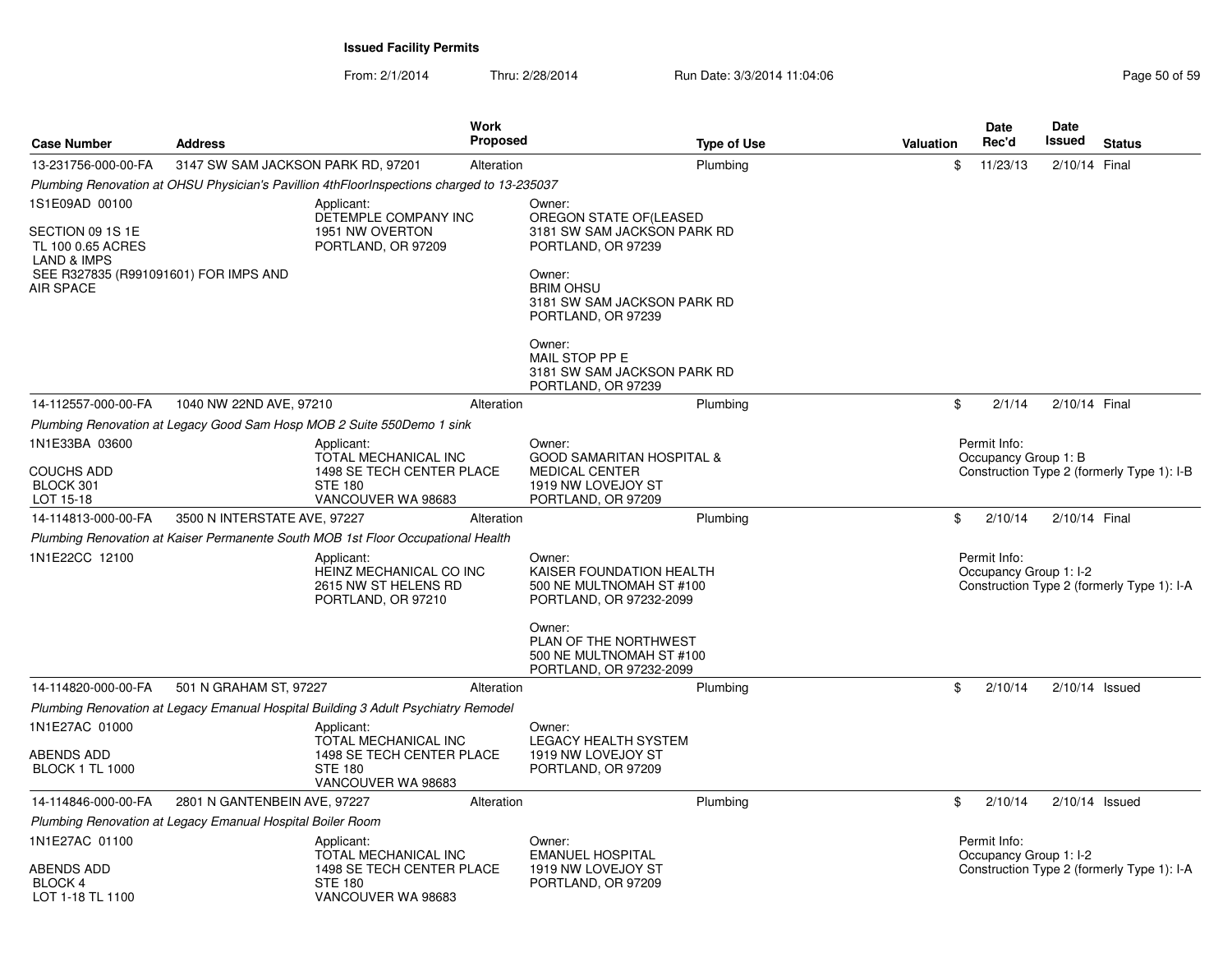| <b>Case Number</b>                                                                                                                      | <b>Address</b>                                             | <b>Work</b><br><b>Proposed</b>                                                                          |                                                                                                                                                     | <b>Type of Use</b> | <b>Valuation</b> | Date<br>Rec'd                          | Date<br>Issued<br><b>Status</b>            |
|-----------------------------------------------------------------------------------------------------------------------------------------|------------------------------------------------------------|---------------------------------------------------------------------------------------------------------|-----------------------------------------------------------------------------------------------------------------------------------------------------|--------------------|------------------|----------------------------------------|--------------------------------------------|
| 13-231756-000-00-FA                                                                                                                     | 3147 SW SAM JACKSON PARK RD, 97201                         | Alteration                                                                                              |                                                                                                                                                     | Plumbing           | \$               | 11/23/13                               | 2/10/14 Final                              |
|                                                                                                                                         |                                                            | Plumbing Renovation at OHSU Physician's Pavillion 4thFloorInspections charged to 13-235037              |                                                                                                                                                     |                    |                  |                                        |                                            |
| 1S1E09AD 00100<br>SECTION 09 1S 1E<br>TL 100 0.65 ACRES<br><b>LAND &amp; IMPS</b><br>SEE R327835 (R991091601) FOR IMPS AND<br>AIR SPACE |                                                            | Applicant:<br>DETEMPLE COMPANY INC<br>1951 NW OVERTON<br>PORTLAND, OR 97209                             | Owner:<br>OREGON STATE OF (LEASED<br>3181 SW SAM JACKSON PARK RD<br>PORTLAND, OR 97239<br>Owner:<br><b>BRIM OHSU</b><br>3181 SW SAM JACKSON PARK RD |                    |                  |                                        |                                            |
|                                                                                                                                         |                                                            |                                                                                                         | PORTLAND, OR 97239<br>Owner:<br>MAIL STOP PP E<br>3181 SW SAM JACKSON PARK RD<br>PORTLAND, OR 97239                                                 |                    |                  |                                        |                                            |
| 14-112557-000-00-FA                                                                                                                     | 1040 NW 22ND AVE, 97210                                    | Alteration                                                                                              |                                                                                                                                                     | Plumbing           | \$               | 2/1/14                                 | 2/10/14 Final                              |
|                                                                                                                                         |                                                            | Plumbing Renovation at Legacy Good Sam Hosp MOB 2 Suite 550 Demo 1 sink                                 |                                                                                                                                                     |                    |                  |                                        |                                            |
| 1N1E33BA 03600<br><b>COUCHS ADD</b><br>BLOCK 301<br>LOT 15-18                                                                           |                                                            | Applicant:<br>TOTAL MECHANICAL INC<br>1498 SE TECH CENTER PLACE<br><b>STE 180</b><br>VANCOUVER WA 98683 | Owner:<br><b>GOOD SAMARITAN HOSPITAL &amp;</b><br><b>MEDICAL CENTER</b><br>1919 NW LOVEJOY ST<br>PORTLAND, OR 97209                                 |                    |                  | Permit Info:<br>Occupancy Group 1: B   | Construction Type 2 (formerly Type 1): I-B |
| 14-114813-000-00-FA                                                                                                                     | 3500 N INTERSTATE AVE, 97227                               | Alteration                                                                                              |                                                                                                                                                     | Plumbing           | \$               | 2/10/14                                | 2/10/14 Final                              |
|                                                                                                                                         |                                                            | Plumbing Renovation at Kaiser Permanente South MOB 1st Floor Occupational Health                        |                                                                                                                                                     |                    |                  |                                        |                                            |
| 1N1E22CC 12100                                                                                                                          |                                                            | Applicant:<br>HEINZ MECHANICAL CO INC<br>2615 NW ST HELENS RD<br>PORTLAND, OR 97210                     | Owner:<br>KAISER FOUNDATION HEALTH<br>500 NE MULTNOMAH ST #100<br>PORTLAND, OR 97232-2099                                                           |                    |                  | Permit Info:<br>Occupancy Group 1: I-2 | Construction Type 2 (formerly Type 1): I-A |
|                                                                                                                                         |                                                            |                                                                                                         | Owner:<br>PLAN OF THE NORTHWEST<br>500 NE MULTNOMAH ST #100<br>PORTLAND, OR 97232-2099                                                              |                    |                  |                                        |                                            |
| 14-114820-000-00-FA                                                                                                                     | 501 N GRAHAM ST, 97227                                     | Alteration                                                                                              |                                                                                                                                                     | Plumbing           | \$               | 2/10/14                                | $2/10/14$ Issued                           |
|                                                                                                                                         |                                                            | Plumbing Renovation at Legacy Emanual Hospital Building 3 Adult Psychiatry Remodel                      |                                                                                                                                                     |                    |                  |                                        |                                            |
| 1N1E27AC 01000                                                                                                                          |                                                            | Applicant:                                                                                              | Owner:                                                                                                                                              |                    |                  |                                        |                                            |
| ABENDS ADD<br><b>BLOCK 1 TL 1000</b>                                                                                                    |                                                            | TOTAL MECHANICAL INC<br>1498 SE TECH CENTER PLACE<br><b>STE 180</b><br>VANCOUVER WA 98683               | <b>LEGACY HEALTH SYSTEM</b><br>1919 NW LOVEJOY ST<br>PORTLAND, OR 97209                                                                             |                    |                  |                                        |                                            |
| 14-114846-000-00-FA                                                                                                                     | 2801 N GANTENBEIN AVE, 97227                               | Alteration                                                                                              |                                                                                                                                                     | Plumbing           | \$               | 2/10/14                                | $2/10/14$ Issued                           |
|                                                                                                                                         | Plumbing Renovation at Legacy Emanual Hospital Boiler Room |                                                                                                         |                                                                                                                                                     |                    |                  |                                        |                                            |
| 1N1E27AC 01100<br><b>ABENDS ADD</b><br>BLOCK 4                                                                                          |                                                            | Applicant:<br>TOTAL MECHANICAL INC<br>1498 SE TECH CENTER PLACE<br><b>STE 180</b>                       | Owner:<br><b>EMANUEL HOSPITAL</b><br>1919 NW LOVEJOY ST<br>PORTLAND, OR 97209                                                                       |                    |                  | Permit Info:<br>Occupancy Group 1: I-2 | Construction Type 2 (formerly Type 1): I-A |
| LOT 1-18 TL 1100                                                                                                                        |                                                            | VANCOUVER WA 98683                                                                                      |                                                                                                                                                     |                    |                  |                                        |                                            |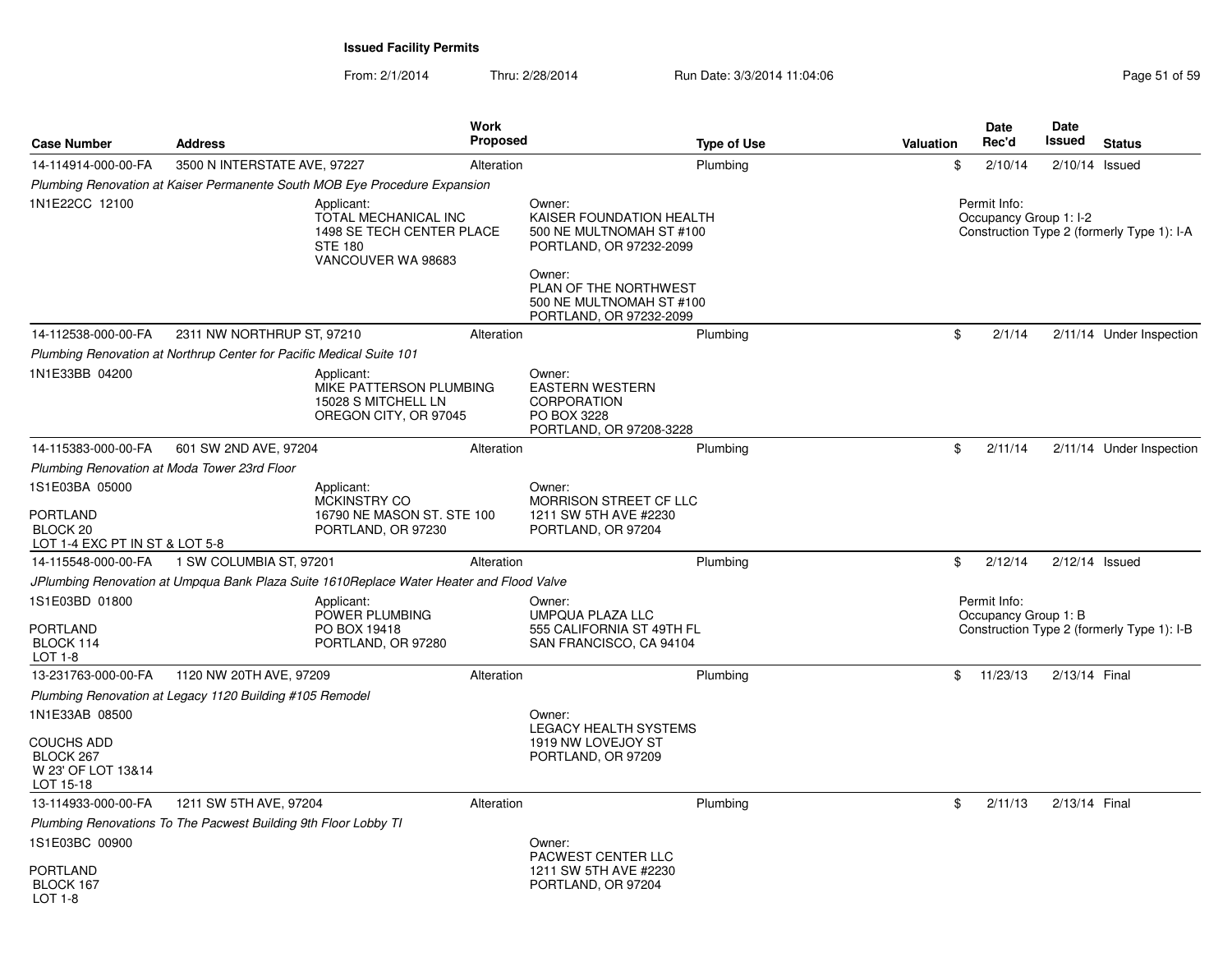| <b>Case Number</b>                                                                         | <b>Address</b>                                                                           | <b>Work</b><br><b>Proposed</b>                                          | <b>Type of Use</b>                                                                                                                                                                  | Valuation | <b>Date</b><br>Rec'd                   | Date<br>Issued   | <b>Status</b>                              |
|--------------------------------------------------------------------------------------------|------------------------------------------------------------------------------------------|-------------------------------------------------------------------------|-------------------------------------------------------------------------------------------------------------------------------------------------------------------------------------|-----------|----------------------------------------|------------------|--------------------------------------------|
| 14-114914-000-00-FA                                                                        | 3500 N INTERSTATE AVE, 97227                                                             | Alteration                                                              | Plumbing                                                                                                                                                                            | \$        | 2/10/14                                | $2/10/14$ Issued |                                            |
|                                                                                            | Plumbing Renovation at Kaiser Permanente South MOB Eye Procedure Expansion               |                                                                         |                                                                                                                                                                                     |           |                                        |                  |                                            |
| 1N1E22CC 12100                                                                             | Applicant:<br><b>STE 180</b>                                                             | TOTAL MECHANICAL INC<br>1498 SE TECH CENTER PLACE<br>VANCOUVER WA 98683 | Owner:<br>KAISER FOUNDATION HEALTH<br>500 NE MULTNOMAH ST #100<br>PORTLAND, OR 97232-2099<br>Owner:<br>PLAN OF THE NORTHWEST<br>500 NE MULTNOMAH ST #100<br>PORTLAND, OR 97232-2099 |           | Permit Info:<br>Occupancy Group 1: I-2 |                  | Construction Type 2 (formerly Type 1): I-A |
| 14-112538-000-00-FA                                                                        | 2311 NW NORTHRUP ST, 97210                                                               | Alteration                                                              | Plumbing                                                                                                                                                                            | \$        | 2/1/14                                 |                  | 2/11/14 Under Inspection                   |
|                                                                                            | Plumbing Renovation at Northrup Center for Pacific Medical Suite 101                     |                                                                         |                                                                                                                                                                                     |           |                                        |                  |                                            |
| 1N1E33BB 04200                                                                             | Applicant:                                                                               | MIKE PATTERSON PLUMBING<br>15028 S MITCHELL LN<br>OREGON CITY, OR 97045 | Owner:<br><b>EASTERN WESTERN</b><br><b>CORPORATION</b><br>PO BOX 3228<br>PORTLAND, OR 97208-3228                                                                                    |           |                                        |                  |                                            |
| 14-115383-000-00-FA                                                                        | 601 SW 2ND AVE, 97204                                                                    | Alteration                                                              | Plumbing                                                                                                                                                                            | \$        | 2/11/14                                |                  | 2/11/14 Under Inspection                   |
| Plumbing Renovation at Moda Tower 23rd Floor                                               |                                                                                          |                                                                         |                                                                                                                                                                                     |           |                                        |                  |                                            |
| 1S1E03BA 05000<br><b>PORTLAND</b><br>BLOCK <sub>20</sub><br>LOT 1-4 EXC PT IN ST & LOT 5-8 | Applicant:                                                                               | <b>MCKINSTRY CO</b><br>16790 NE MASON ST. STE 100<br>PORTLAND, OR 97230 | Owner:<br>MORRISON STREET CF LLC<br>1211 SW 5TH AVE #2230<br>PORTLAND, OR 97204                                                                                                     |           |                                        |                  |                                            |
| 14-115548-000-00-FA                                                                        | 1 SW COLUMBIA ST, 97201                                                                  | Alteration                                                              | Plumbing                                                                                                                                                                            | \$        | 2/12/14                                | $2/12/14$ Issued |                                            |
|                                                                                            | JPlumbing Renovation at Umpqua Bank Plaza Suite 1610Replace Water Heater and Flood Valve |                                                                         |                                                                                                                                                                                     |           |                                        |                  |                                            |
| 1S1E03BD 01800<br><b>PORTLAND</b><br>BLOCK 114<br>LOT 1-8                                  | Applicant:                                                                               | POWER PLUMBING<br>PO BOX 19418<br>PORTLAND, OR 97280                    | Owner:<br>UMPQUA PLAZA LLC<br>555 CALIFORNIA ST 49TH FL<br>SAN FRANCISCO, CA 94104                                                                                                  |           | Permit Info:<br>Occupancy Group 1: B   |                  | Construction Type 2 (formerly Type 1): I-B |
| 13-231763-000-00-FA                                                                        | 1120 NW 20TH AVE, 97209                                                                  | Alteration                                                              | Plumbing                                                                                                                                                                            | \$        | 11/23/13                               | 2/13/14 Final    |                                            |
| 1N1E33AB 08500<br><b>COUCHS ADD</b>                                                        | Plumbing Renovation at Legacy 1120 Building #105 Remodel                                 |                                                                         | Owner:<br><b>LEGACY HEALTH SYSTEMS</b><br>1919 NW LOVEJOY ST                                                                                                                        |           |                                        |                  |                                            |
| BLOCK 267<br>W 23' OF LOT 13&14<br>LOT 15-18                                               |                                                                                          |                                                                         | PORTLAND, OR 97209                                                                                                                                                                  |           |                                        |                  |                                            |
| 13-114933-000-00-FA                                                                        | 1211 SW 5TH AVE, 97204                                                                   | Alteration                                                              | Plumbing                                                                                                                                                                            | \$        | 2/11/13                                | 2/13/14 Final    |                                            |
|                                                                                            | Plumbing Renovations To The Pacwest Building 9th Floor Lobby TI                          |                                                                         |                                                                                                                                                                                     |           |                                        |                  |                                            |
| 1S1E03BC 00900<br>PORTLAND<br>BLOCK 167<br>LOT 1-8                                         |                                                                                          |                                                                         | Owner:<br>PACWEST CENTER LLC<br>1211 SW 5TH AVE #2230<br>PORTLAND, OR 97204                                                                                                         |           |                                        |                  |                                            |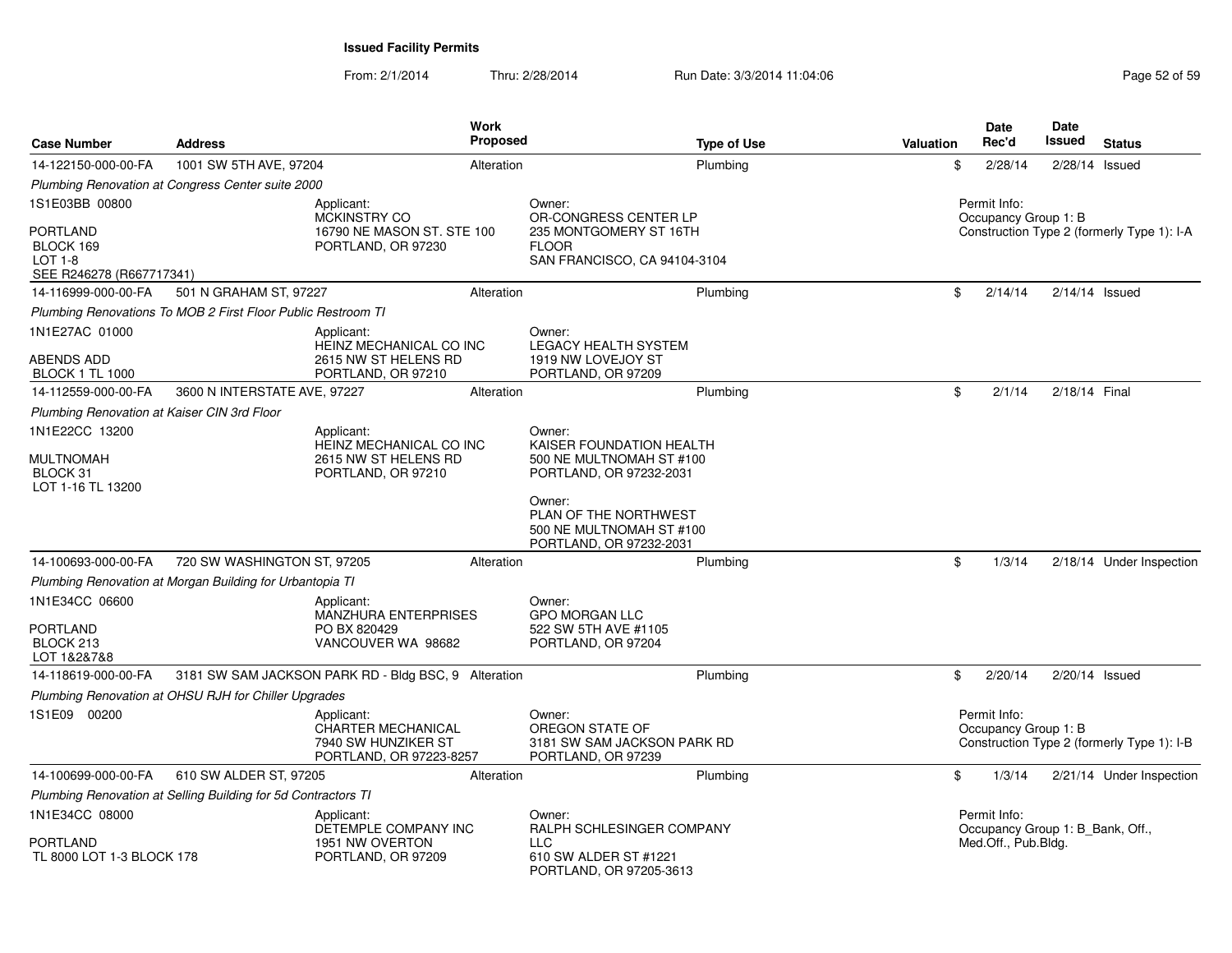| <b>Case Number</b>                                        | <b>Address</b>                                                | Work<br><b>Proposed</b>                                                                   |                                                                                                           | <b>Type of Use</b> | <b>Valuation</b> | Date<br>Rec'd                                    | Date<br><b>Issued</b> | <b>Status</b>                              |
|-----------------------------------------------------------|---------------------------------------------------------------|-------------------------------------------------------------------------------------------|-----------------------------------------------------------------------------------------------------------|--------------------|------------------|--------------------------------------------------|-----------------------|--------------------------------------------|
| 14-122150-000-00-FA                                       | 1001 SW 5TH AVE, 97204                                        | Alteration                                                                                |                                                                                                           | Plumbing           | \$               | 2/28/14                                          | 2/28/14 Issued        |                                            |
|                                                           | Plumbing Renovation at Congress Center suite 2000             |                                                                                           |                                                                                                           |                    |                  |                                                  |                       |                                            |
| 1S1E03BB 00800<br>PORTLAND<br>BLOCK 169<br><b>LOT 1-8</b> |                                                               | Applicant:<br>MCKINSTRY CO<br>16790 NE MASON ST. STE 100<br>PORTLAND, OR 97230            | Owner:<br>OR-CONGRESS CENTER LP<br>235 MONTGOMERY ST 16TH<br><b>FLOOR</b><br>SAN FRANCISCO, CA 94104-3104 |                    |                  | Permit Info:<br>Occupancy Group 1: B             |                       | Construction Type 2 (formerly Type 1): I-A |
| SEE R246278 (R667717341)                                  |                                                               |                                                                                           |                                                                                                           |                    |                  |                                                  |                       |                                            |
| 14-116999-000-00-FA                                       | 501 N GRAHAM ST, 97227                                        | Alteration                                                                                |                                                                                                           | Plumbing           | \$               | 2/14/14                                          | $2/14/14$ Issued      |                                            |
|                                                           | Plumbing Renovations To MOB 2 First Floor Public Restroom TI  |                                                                                           |                                                                                                           |                    |                  |                                                  |                       |                                            |
| 1N1E27AC 01000<br>ABENDS ADD                              |                                                               | Applicant:<br>HEINZ MECHANICAL CO INC<br>2615 NW ST HELENS RD                             | Owner:<br><b>LEGACY HEALTH SYSTEM</b><br>1919 NW LOVEJOY ST                                               |                    |                  |                                                  |                       |                                            |
| <b>BLOCK 1 TL 1000</b>                                    |                                                               | PORTLAND, OR 97210                                                                        | PORTLAND, OR 97209                                                                                        |                    |                  |                                                  |                       |                                            |
| 14-112559-000-00-FA                                       | 3600 N INTERSTATE AVE, 97227                                  | Alteration                                                                                |                                                                                                           | Plumbing           | \$               | 2/1/14                                           | 2/18/14 Final         |                                            |
| Plumbing Renovation at Kaiser CIN 3rd Floor               |                                                               |                                                                                           |                                                                                                           |                    |                  |                                                  |                       |                                            |
| 1N1E22CC 13200<br>MULTNOMAH                               |                                                               | Applicant:<br>HEINZ MECHANICAL CO INC<br>2615 NW ST HELENS RD                             | Owner:<br>KAISER FOUNDATION HEALTH<br>500 NE MULTNOMAH ST #100                                            |                    |                  |                                                  |                       |                                            |
| BLOCK 31<br>LOT 1-16 TL 13200                             |                                                               | PORTLAND, OR 97210                                                                        | PORTLAND, OR 97232-2031<br>Owner:                                                                         |                    |                  |                                                  |                       |                                            |
|                                                           |                                                               |                                                                                           | PLAN OF THE NORTHWEST<br>500 NE MULTNOMAH ST #100<br>PORTLAND, OR 97232-2031                              |                    |                  |                                                  |                       |                                            |
| 14-100693-000-00-FA                                       | 720 SW WASHINGTON ST, 97205                                   | Alteration                                                                                |                                                                                                           | Plumbing           | \$               | 1/3/14                                           |                       | 2/18/14 Under Inspection                   |
|                                                           | Plumbing Renovation at Morgan Building for Urbantopia TI      |                                                                                           |                                                                                                           |                    |                  |                                                  |                       |                                            |
| 1N1E34CC 06600<br>PORTLAND<br>BLOCK 213<br>LOT 1&2&7&8    |                                                               | Applicant:<br>MANZHURA ENTERPRISES<br>PO BX 820429<br>VANCOUVER WA 98682                  | Owner:<br><b>GPO MORGAN LLC</b><br>522 SW 5TH AVE #1105<br>PORTLAND, OR 97204                             |                    |                  |                                                  |                       |                                            |
| 14-118619-000-00-FA                                       |                                                               | 3181 SW SAM JACKSON PARK RD - Bldg BSC, 9 Alteration                                      |                                                                                                           | Plumbing           | \$               | 2/20/14                                          | 2/20/14 Issued        |                                            |
|                                                           | Plumbing Renovation at OHSU RJH for Chiller Upgrades          |                                                                                           |                                                                                                           |                    |                  |                                                  |                       |                                            |
| 1S1E09 00200                                              |                                                               | Applicant:<br><b>CHARTER MECHANICAL</b><br>7940 SW HUNZIKER ST<br>PORTLAND, OR 97223-8257 | Owner:<br>OREGON STATE OF<br>3181 SW SAM JACKSON PARK RD<br>PORTLAND, OR 97239                            |                    |                  | Permit Info:<br>Occupancy Group 1: B             |                       | Construction Type 2 (formerly Type 1): I-B |
| 14-100699-000-00-FA                                       | 610 SW ALDER ST, 97205                                        | Alteration                                                                                |                                                                                                           | Plumbing           | \$               | 1/3/14                                           |                       | 2/21/14 Under Inspection                   |
|                                                           | Plumbing Renovation at Selling Building for 5d Contractors TI |                                                                                           |                                                                                                           |                    |                  |                                                  |                       |                                            |
| 1N1E34CC 08000                                            |                                                               | Applicant:<br>DETEMPLE COMPANY INC                                                        | Owner:<br>RALPH SCHLESINGER COMPANY                                                                       |                    |                  | Permit Info:<br>Occupancy Group 1: B_Bank, Off., |                       |                                            |
| PORTLAND<br>TL 8000 LOT 1-3 BLOCK 178                     |                                                               | 1951 NW OVERTON<br>PORTLAND, OR 97209                                                     | <b>LLC</b><br>610 SW ALDER ST #1221<br>PORTLAND, OR 97205-3613                                            |                    |                  | Med.Off., Pub.Bldg.                              |                       |                                            |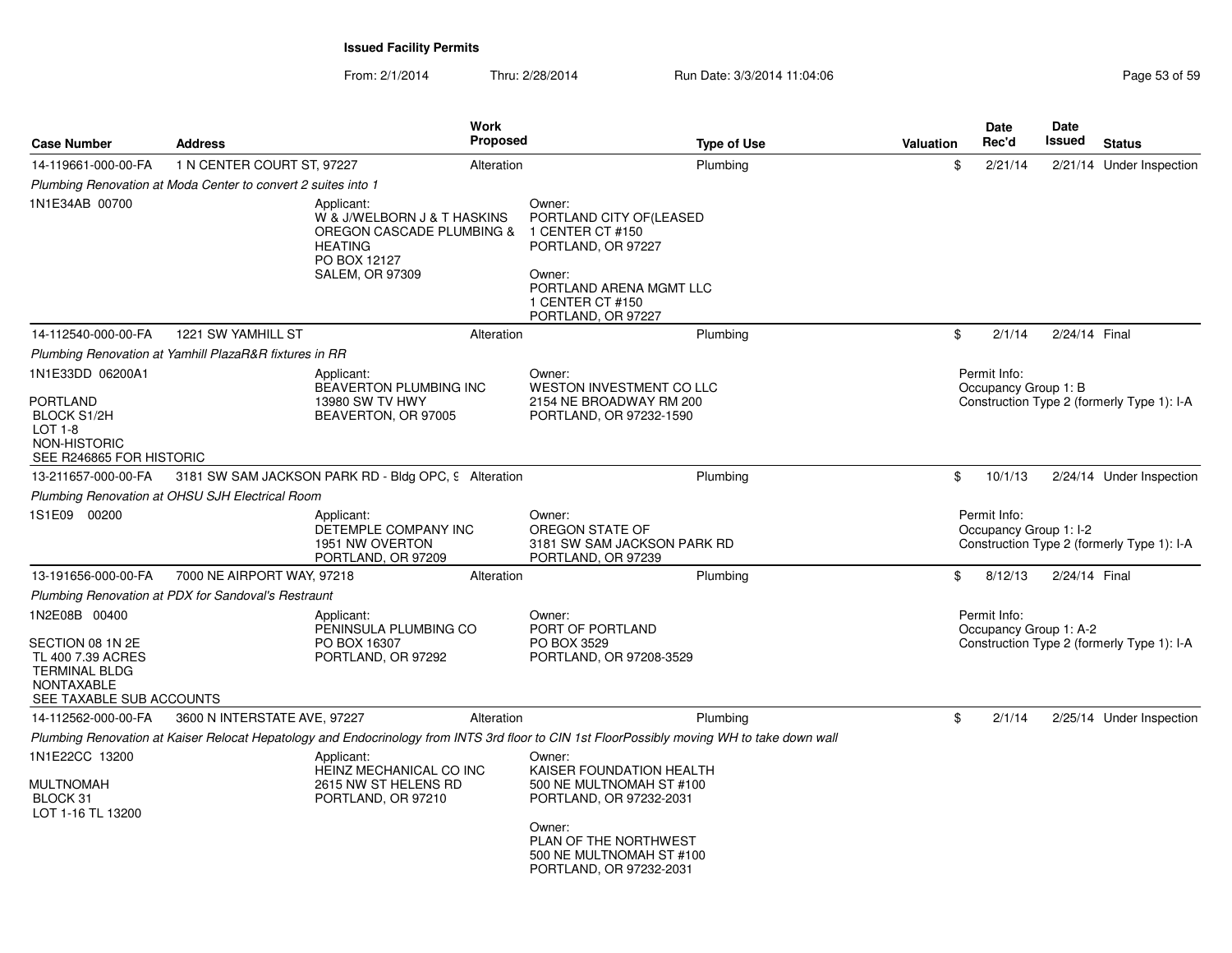| <b>Case Number</b>                                                                                                              | <b>Address</b>                                                |                                                                                                                                    | <b>Work</b><br><b>Proposed</b> | <b>Type of Use</b>                                                                                                                                                                  | <b>Valuation</b> | Date<br>Rec'd                          | Date<br>Issued | <b>Status</b>                              |
|---------------------------------------------------------------------------------------------------------------------------------|---------------------------------------------------------------|------------------------------------------------------------------------------------------------------------------------------------|--------------------------------|-------------------------------------------------------------------------------------------------------------------------------------------------------------------------------------|------------------|----------------------------------------|----------------|--------------------------------------------|
| 14-119661-000-00-FA                                                                                                             | 1 N CENTER COURT ST, 97227                                    |                                                                                                                                    | Alteration                     | Plumbing                                                                                                                                                                            | \$               | 2/21/14                                |                | 2/21/14 Under Inspection                   |
|                                                                                                                                 | Plumbing Renovation at Moda Center to convert 2 suites into 1 |                                                                                                                                    |                                |                                                                                                                                                                                     |                  |                                        |                |                                            |
| 1N1E34AB 00700                                                                                                                  |                                                               | Applicant:<br>W & J/WELBORN J & T HASKINS<br>OREGON CASCADE PLUMBING &<br><b>HEATING</b><br>PO BOX 12127<br><b>SALEM, OR 97309</b> |                                | Owner:<br>PORTLAND CITY OF(LEASED<br>1 CENTER CT #150<br>PORTLAND, OR 97227<br>Owner:<br>PORTLAND ARENA MGMT LLC<br>1 CENTER CT #150<br>PORTLAND, OR 97227                          |                  |                                        |                |                                            |
| 14-112540-000-00-FA                                                                                                             | 1221 SW YAMHILL ST                                            |                                                                                                                                    | Alteration                     | Plumbing                                                                                                                                                                            | \$               | 2/1/14                                 | 2/24/14 Final  |                                            |
|                                                                                                                                 | Plumbing Renovation at Yamhill PlazaR&R fixtures in RR        |                                                                                                                                    |                                |                                                                                                                                                                                     |                  |                                        |                |                                            |
| 1N1E33DD 06200A1<br>PORTLAND<br><b>BLOCK S1/2H</b><br>LOT 1-8<br>NON-HISTORIC<br>SEE R246865 FOR HISTORIC                       |                                                               | Applicant:<br><b>BEAVERTON PLUMBING INC</b><br>13980 SW TV HWY<br>BEAVERTON, OR 97005                                              |                                | Owner:<br>WESTON INVESTMENT CO LLC<br>2154 NE BROADWAY RM 200<br>PORTLAND, OR 97232-1590                                                                                            |                  | Permit Info:<br>Occupancy Group 1: B   |                | Construction Type 2 (formerly Type 1): I-A |
| 13-211657-000-00-FA                                                                                                             |                                                               | 3181 SW SAM JACKSON PARK RD - Bldg OPC, 9 Alteration                                                                               |                                | Plumbing                                                                                                                                                                            | \$               | 10/1/13                                |                | 2/24/14 Under Inspection                   |
|                                                                                                                                 | Plumbing Renovation at OHSU SJH Electrical Room               |                                                                                                                                    |                                |                                                                                                                                                                                     |                  |                                        |                |                                            |
| 1S1E09 00200                                                                                                                    |                                                               | Applicant:<br>DETEMPLE COMPANY INC<br>1951 NW OVERTON<br>PORTLAND, OR 97209                                                        |                                | Owner:<br>OREGON STATE OF<br>3181 SW SAM JACKSON PARK RD<br>PORTLAND, OR 97239                                                                                                      |                  | Permit Info:<br>Occupancy Group 1: I-2 |                | Construction Type 2 (formerly Type 1): I-A |
| 13-191656-000-00-FA                                                                                                             | 7000 NE AIRPORT WAY, 97218                                    |                                                                                                                                    | Alteration                     | Plumbing                                                                                                                                                                            | \$               | 8/12/13                                | 2/24/14 Final  |                                            |
|                                                                                                                                 | Plumbing Renovation at PDX for Sandoval's Restraunt           |                                                                                                                                    |                                |                                                                                                                                                                                     |                  |                                        |                |                                            |
| 1N2E08B 00400<br>SECTION 08 1N 2E<br>TL 400 7.39 ACRES<br><b>TERMINAL BLDG</b><br><b>NONTAXABLE</b><br>SEE TAXABLE SUB ACCOUNTS |                                                               | Applicant:<br>PENINSULA PLUMBING CO<br>PO BOX 16307<br>PORTLAND, OR 97292                                                          |                                | Owner:<br>PORT OF PORTLAND<br>PO BOX 3529<br>PORTLAND, OR 97208-3529                                                                                                                |                  | Permit Info:<br>Occupancy Group 1: A-2 |                | Construction Type 2 (formerly Type 1): I-A |
| 14-112562-000-00-FA                                                                                                             | 3600 N INTERSTATE AVE, 97227                                  |                                                                                                                                    | Alteration                     | Plumbing                                                                                                                                                                            | \$               | 2/1/14                                 |                | 2/25/14 Under Inspection                   |
|                                                                                                                                 |                                                               |                                                                                                                                    |                                | Plumbing Renovation at Kaiser Relocat Hepatology and Endocrinology from INTS 3rd floor to CIN 1st FloorPossibly moving WH to take down wall                                         |                  |                                        |                |                                            |
| 1N1E22CC 13200<br>MULTNOMAH<br>BLOCK 31<br>LOT 1-16 TL 13200                                                                    |                                                               | Applicant:<br>HEINZ MECHANICAL CO INC<br>2615 NW ST HELENS RD<br>PORTLAND, OR 97210                                                |                                | Owner:<br>KAISER FOUNDATION HEALTH<br>500 NE MULTNOMAH ST #100<br>PORTLAND, OR 97232-2031<br>Owner:<br>PLAN OF THE NORTHWEST<br>500 NE MULTNOMAH ST #100<br>PORTLAND, OR 97232-2031 |                  |                                        |                |                                            |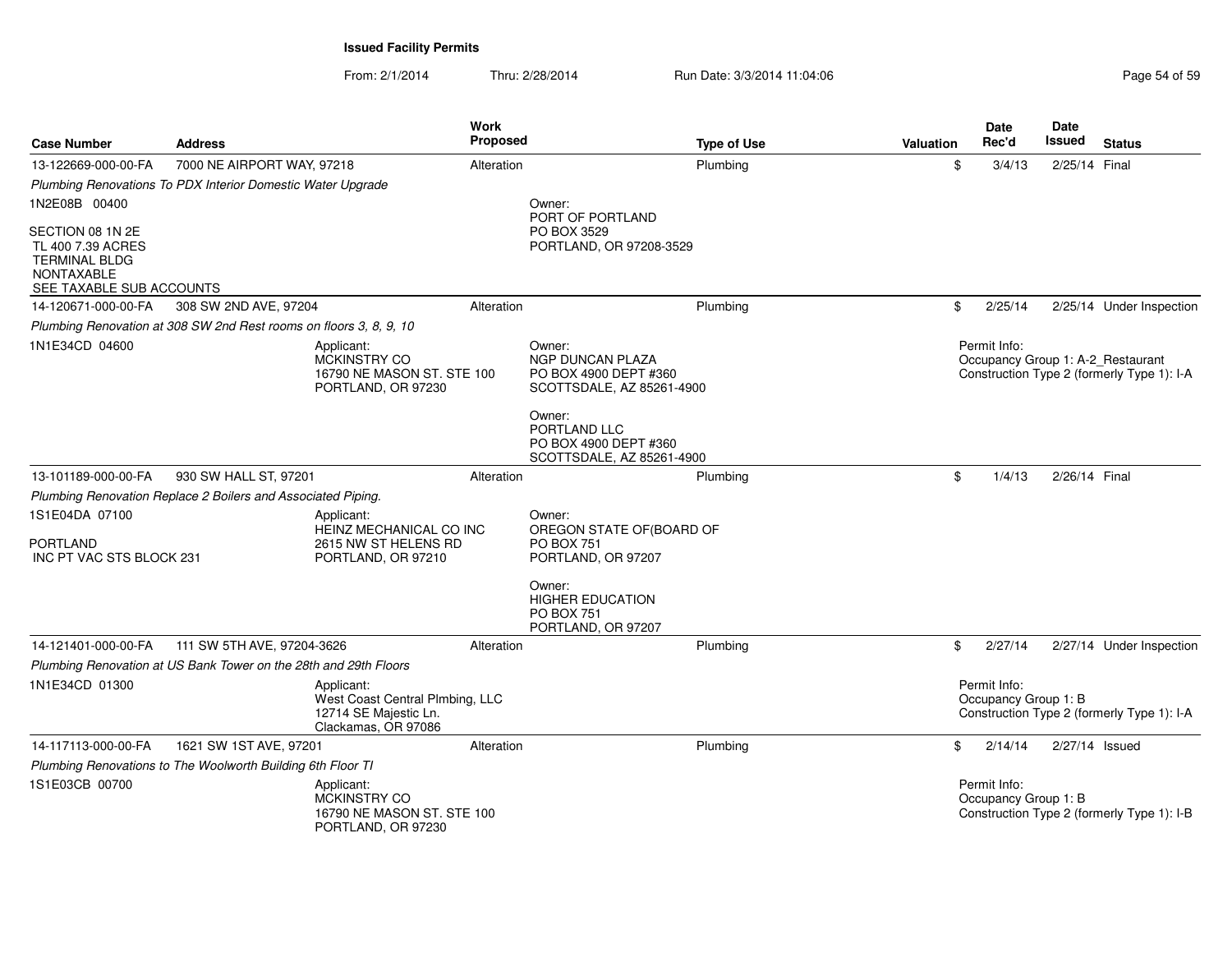From: 2/1/2014

Thru: 2/28/2014 Run Date: 3/3/2014 11:04:06 Research 2010 Page 54 of 59

| <b>Case Number</b>                                                                                             | <b>Address</b>                                                     |                                                                                               | Work<br><b>Proposed</b> |                                                                                         | <b>Type of Use</b> | Valuation | Date<br>Rec'd                        | <b>Date</b><br>Issued | <b>Status</b>                                                                   |
|----------------------------------------------------------------------------------------------------------------|--------------------------------------------------------------------|-----------------------------------------------------------------------------------------------|-------------------------|-----------------------------------------------------------------------------------------|--------------------|-----------|--------------------------------------|-----------------------|---------------------------------------------------------------------------------|
| 13-122669-000-00-FA                                                                                            | 7000 NE AIRPORT WAY, 97218                                         |                                                                                               | Alteration              |                                                                                         | Plumbing           | \$        | 3/4/13                               | 2/25/14 Final         |                                                                                 |
|                                                                                                                | Plumbing Renovations To PDX Interior Domestic Water Upgrade        |                                                                                               |                         |                                                                                         |                    |           |                                      |                       |                                                                                 |
| 1N2E08B 00400                                                                                                  |                                                                    |                                                                                               |                         | Owner:<br>PORT OF PORTLAND                                                              |                    |           |                                      |                       |                                                                                 |
| SECTION 08 1N 2E<br>TL 400 7.39 ACRES<br><b>TERMINAL BLDG</b><br><b>NONTAXABLE</b><br>SEE TAXABLE SUB ACCOUNTS |                                                                    |                                                                                               |                         | PO BOX 3529<br>PORTLAND, OR 97208-3529                                                  |                    |           |                                      |                       |                                                                                 |
| 14-120671-000-00-FA                                                                                            | 308 SW 2ND AVE, 97204                                              |                                                                                               | Alteration              |                                                                                         | Plumbing           | \$        | 2/25/14                              |                       | 2/25/14 Under Inspection                                                        |
|                                                                                                                | Plumbing Renovation at 308 SW 2nd Rest rooms on floors 3, 8, 9, 10 |                                                                                               |                         |                                                                                         |                    |           |                                      |                       |                                                                                 |
| 1N1E34CD 04600                                                                                                 |                                                                    | Applicant:<br><b>MCKINSTRY CO</b><br>16790 NE MASON ST. STE 100<br>PORTLAND, OR 97230         |                         | Owner:<br><b>NGP DUNCAN PLAZA</b><br>PO BOX 4900 DEPT #360<br>SCOTTSDALE, AZ 85261-4900 |                    |           | Permit Info:                         |                       | Occupancy Group 1: A-2_Restaurant<br>Construction Type 2 (formerly Type 1): I-A |
|                                                                                                                |                                                                    |                                                                                               |                         | Owner:<br>PORTLAND LLC<br>PO BOX 4900 DEPT #360<br>SCOTTSDALE, AZ 85261-4900            |                    |           |                                      |                       |                                                                                 |
| 13-101189-000-00-FA                                                                                            | 930 SW HALL ST, 97201                                              |                                                                                               | Alteration              |                                                                                         | Plumbing           | \$        | 1/4/13                               | 2/26/14 Final         |                                                                                 |
|                                                                                                                | Plumbing Renovation Replace 2 Boilers and Associated Piping.       |                                                                                               |                         |                                                                                         |                    |           |                                      |                       |                                                                                 |
| 1S1E04DA 07100                                                                                                 |                                                                    | Applicant:<br>HEINZ MECHANICAL CO INC                                                         |                         | Owner:<br>OREGON STATE OF(BOARD OF                                                      |                    |           |                                      |                       |                                                                                 |
| <b>PORTLAND</b><br>INC PT VAC STS BLOCK 231                                                                    |                                                                    | 2615 NW ST HELENS RD<br>PORTLAND, OR 97210                                                    |                         | <b>PO BOX 751</b><br>PORTLAND, OR 97207                                                 |                    |           |                                      |                       |                                                                                 |
|                                                                                                                |                                                                    |                                                                                               |                         | Owner:<br><b>HIGHER EDUCATION</b><br><b>PO BOX 751</b><br>PORTLAND, OR 97207            |                    |           |                                      |                       |                                                                                 |
| 14-121401-000-00-FA                                                                                            | 111 SW 5TH AVE, 97204-3626                                         |                                                                                               | Alteration              |                                                                                         | Plumbing           | \$        | 2/27/14                              |                       | 2/27/14 Under Inspection                                                        |
|                                                                                                                | Plumbing Renovation at US Bank Tower on the 28th and 29th Floors   |                                                                                               |                         |                                                                                         |                    |           |                                      |                       |                                                                                 |
| 1N1E34CD 01300                                                                                                 |                                                                    | Applicant:<br>West Coast Central Plmbing, LLC<br>12714 SE Majestic Ln.<br>Clackamas, OR 97086 |                         |                                                                                         |                    |           | Permit Info:<br>Occupancy Group 1: B |                       | Construction Type 2 (formerly Type 1): I-A                                      |
| 14-117113-000-00-FA                                                                                            | 1621 SW 1ST AVE, 97201                                             |                                                                                               | Alteration              |                                                                                         | Plumbing           | \$        | 2/14/14                              | 2/27/14 Issued        |                                                                                 |
|                                                                                                                | Plumbing Renovations to The Woolworth Building 6th Floor TI        |                                                                                               |                         |                                                                                         |                    |           |                                      |                       |                                                                                 |
| 1S1E03CB 00700                                                                                                 |                                                                    | Applicant:<br>MCKINSTRY CO<br>16790 NE MASON ST. STE 100<br>PORTLAND, OR 97230                |                         |                                                                                         |                    |           | Permit Info:<br>Occupancy Group 1: B |                       | Construction Type 2 (formerly Type 1): I-B                                      |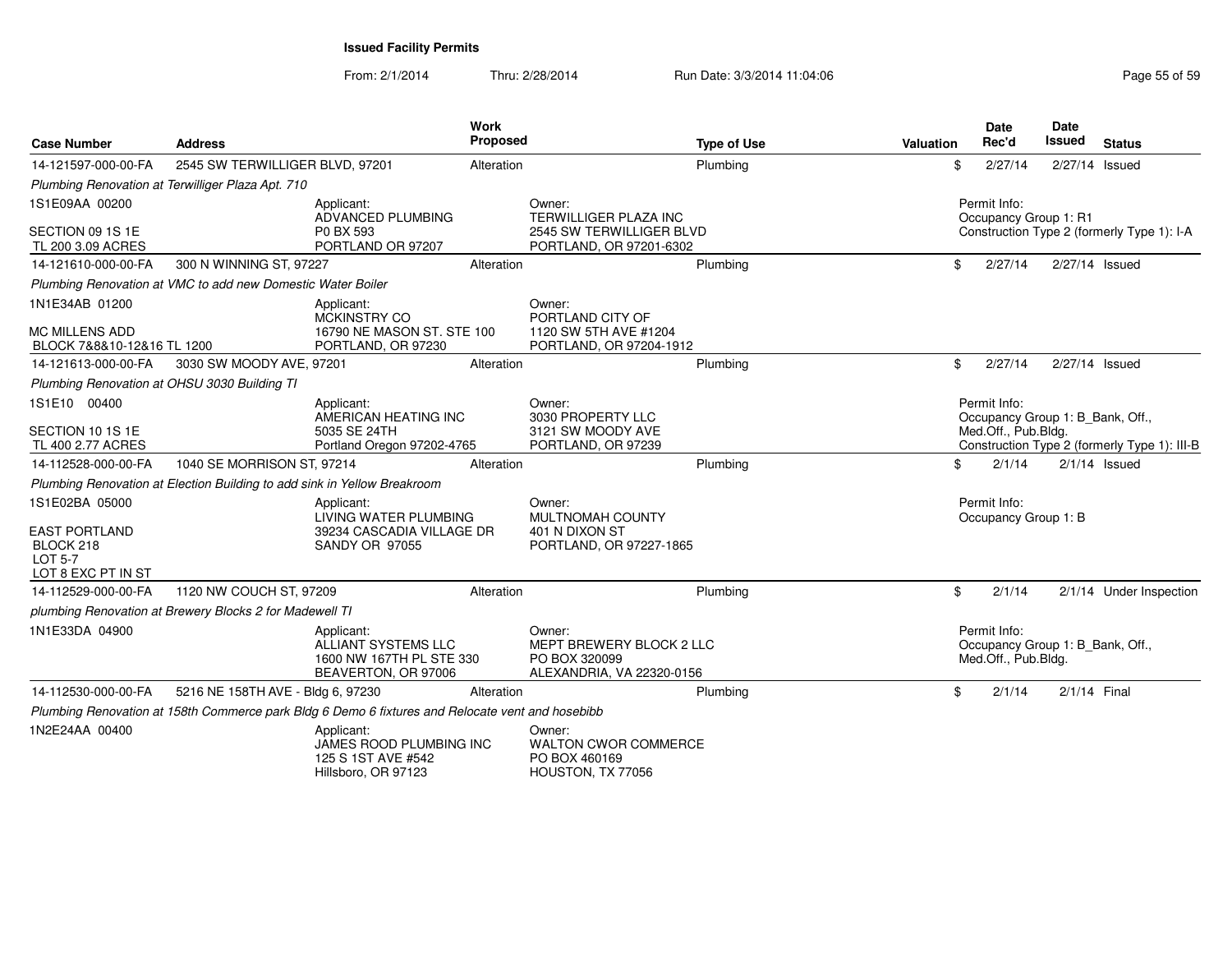From: 2/1/2014Thru: 2/28/2014 Run Date: 3/3/2014 11:04:06 Research 2010 Page 55 of 59

| <b>Case Number</b>                                                                   | <b>Address</b>                                                           |                                                                                                  | <b>Work</b><br>Proposed |                                                                                        | <b>Type of Use</b> | Valuation | <b>Date</b><br>Rec'd                  | Date<br>Issued | <b>Status</b>                                |
|--------------------------------------------------------------------------------------|--------------------------------------------------------------------------|--------------------------------------------------------------------------------------------------|-------------------------|----------------------------------------------------------------------------------------|--------------------|-----------|---------------------------------------|----------------|----------------------------------------------|
| 14-121597-000-00-FA                                                                  | 2545 SW TERWILLIGER BLVD, 97201                                          |                                                                                                  | Alteration              |                                                                                        | Plumbing           |           | \$<br>2/27/14                         |                | 2/27/14 Issued                               |
|                                                                                      | Plumbing Renovation at Terwilliger Plaza Apt. 710                        |                                                                                                  |                         |                                                                                        |                    |           |                                       |                |                                              |
| 1S1E09AA 00200<br>SECTION 09 1S 1E<br>TL 200 3.09 ACRES                              |                                                                          | Applicant:<br>ADVANCED PLUMBING<br>P0 BX 593<br>PORTLAND OR 97207                                |                         | Owner:<br>TERWILLIGER PLAZA INC<br>2545 SW TERWILLIGER BLVD<br>PORTLAND, OR 97201-6302 |                    |           | Permit Info:<br>Occupancy Group 1: R1 |                | Construction Type 2 (formerly Type 1): I-A   |
| 14-121610-000-00-FA                                                                  | 300 N WINNING ST, 97227                                                  |                                                                                                  | Alteration              |                                                                                        | Plumbing           |           | \$<br>2/27/14                         |                | 2/27/14 Issued                               |
|                                                                                      | Plumbing Renovation at VMC to add new Domestic Water Boiler              |                                                                                                  |                         |                                                                                        |                    |           |                                       |                |                                              |
| 1N1E34AB 01200<br>MC MILLENS ADD<br>BLOCK 7&8&10-12&16 TL 1200                       |                                                                          | Applicant:<br>MCKINSTRY CO<br>16790 NE MASON ST. STE 100<br>PORTLAND, OR 97230                   |                         | Owner:<br>PORTLAND CITY OF<br>1120 SW 5TH AVE #1204<br>PORTLAND, OR 97204-1912         |                    |           |                                       |                |                                              |
| 14-121613-000-00-FA                                                                  | 3030 SW MOODY AVE, 97201                                                 |                                                                                                  | Alteration              |                                                                                        | Plumbing           |           | \$<br>2/27/14                         |                | 2/27/14 Issued                               |
|                                                                                      | Plumbing Renovation at OHSU 3030 Building TI                             |                                                                                                  |                         |                                                                                        |                    |           |                                       |                |                                              |
| 1S1E10 00400                                                                         |                                                                          | Applicant:<br>AMERICAN HEATING INC                                                               |                         | Owner:<br>3030 PROPERTY LLC                                                            |                    |           | Permit Info:                          |                | Occupancy Group 1: B_Bank, Off.,             |
| SECTION 10 1S 1E<br>TL 400 2.77 ACRES                                                |                                                                          | 5035 SE 24TH<br>Portland Oregon 97202-4765                                                       |                         | 3121 SW MOODY AVE<br>PORTLAND, OR 97239                                                |                    |           | Med.Off., Pub.Bldg.                   |                | Construction Type 2 (formerly Type 1): III-B |
| 14-112528-000-00-FA                                                                  | 1040 SE MORRISON ST. 97214                                               |                                                                                                  | Alteration              |                                                                                        | Plumbing           |           | \$<br>2/1/14                          |                | $2/1/14$ Issued                              |
|                                                                                      | Plumbing Renovation at Election Building to add sink in Yellow Breakroom |                                                                                                  |                         |                                                                                        |                    |           |                                       |                |                                              |
| 1S1E02BA 05000<br><b>EAST PORTLAND</b><br>BLOCK 218<br>LOT 5-7<br>LOT 8 EXC PT IN ST |                                                                          | Applicant:<br>LIVING WATER PLUMBING<br>39234 CASCADIA VILLAGE DR<br><b>SANDY OR 97055</b>        |                         | Owner:<br>MULTNOMAH COUNTY<br>401 N DIXON ST<br>PORTLAND, OR 97227-1865                |                    |           | Permit Info:<br>Occupancy Group 1: B  |                |                                              |
| 14-112529-000-00-FA                                                                  | 1120 NW COUCH ST, 97209                                                  |                                                                                                  | Alteration              |                                                                                        | Plumbing           |           | \$<br>2/1/14                          |                | 2/1/14 Under Inspection                      |
|                                                                                      | plumbing Renovation at Brewery Blocks 2 for Madewell TI                  |                                                                                                  |                         |                                                                                        |                    |           |                                       |                |                                              |
| 1N1E33DA 04900                                                                       |                                                                          | Applicant:<br>ALLIANT SYSTEMS LLC<br>1600 NW 167TH PL STE 330<br>BEAVERTON, OR 97006             |                         | Owner:<br>MEPT BREWERY BLOCK 2 LLC<br>PO BOX 320099<br>ALEXANDRIA, VA 22320-0156       |                    |           | Permit Info:<br>Med.Off., Pub.Bldg.   |                | Occupancy Group 1: B_Bank, Off.,             |
| 14-112530-000-00-FA                                                                  | 5216 NE 158TH AVE - Bldg 6, 97230                                        |                                                                                                  | Alteration              |                                                                                        | Plumbing           |           | \$<br>2/1/14                          |                | 2/1/14 Final                                 |
|                                                                                      |                                                                          | Plumbing Renovation at 158th Commerce park Bldg 6 Demo 6 fixtures and Relocate vent and hosebibb |                         |                                                                                        |                    |           |                                       |                |                                              |
| 1N2E24AA 00400                                                                       |                                                                          | Applicant:<br>JAMES ROOD PLUMBING INC<br>125 S 1ST AVE #542<br>Hillsboro, OR 97123               |                         | Owner:<br><b>WALTON CWOR COMMERCE</b><br>PO BOX 460169<br>HOUSTON, TX 77056            |                    |           |                                       |                |                                              |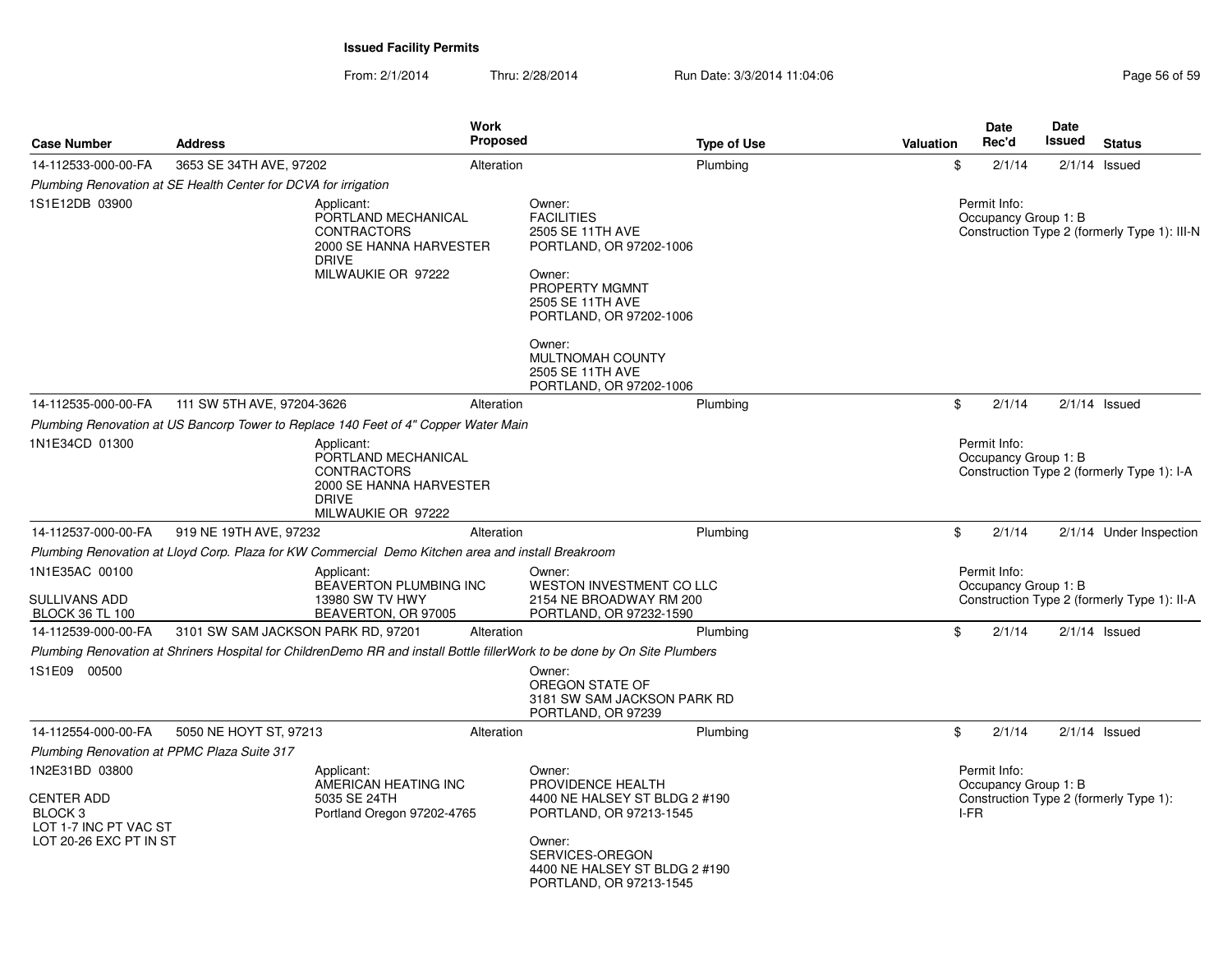| <b>Case Number</b>                                                                                           | <b>Address</b>                                                                      | <b>Work</b><br><b>Proposed</b>                                                                                            | <b>Type of Use</b>                                                                                                                                                               | Valuation | <b>Date</b><br>Rec'd                         | <b>Date</b><br>Issued | <b>Status</b>                                |
|--------------------------------------------------------------------------------------------------------------|-------------------------------------------------------------------------------------|---------------------------------------------------------------------------------------------------------------------------|----------------------------------------------------------------------------------------------------------------------------------------------------------------------------------|-----------|----------------------------------------------|-----------------------|----------------------------------------------|
| 14-112533-000-00-FA                                                                                          | 3653 SE 34TH AVE, 97202                                                             | Alteration                                                                                                                | Plumbing                                                                                                                                                                         | \$        | 2/1/14                                       |                       | $2/1/14$ Issued                              |
|                                                                                                              | Plumbing Renovation at SE Health Center for DCVA for irrigation                     |                                                                                                                           |                                                                                                                                                                                  |           |                                              |                       |                                              |
| 1S1E12DB 03900                                                                                               | Applicant:<br><b>DRIVE</b>                                                          | PORTLAND MECHANICAL<br><b>CONTRACTORS</b><br>2000 SE HANNA HARVESTER<br>MILWAUKIE OR 97222                                | Owner:<br><b>FACILITIES</b><br>2505 SE 11TH AVE<br>PORTLAND, OR 97202-1006<br>Owner:<br>PROPERTY MGMNT<br>2505 SE 11TH AVE<br>PORTLAND, OR 97202-1006                            |           | Permit Info:<br>Occupancy Group 1: B         |                       | Construction Type 2 (formerly Type 1): III-N |
|                                                                                                              |                                                                                     |                                                                                                                           | Owner:<br>MULTNOMAH COUNTY<br>2505 SE 11TH AVE<br>PORTLAND, OR 97202-1006                                                                                                        |           |                                              |                       |                                              |
| 14-112535-000-00-FA                                                                                          | 111 SW 5TH AVE, 97204-3626                                                          | Alteration                                                                                                                | Plumbing                                                                                                                                                                         | \$        | 2/1/14                                       |                       | $2/1/14$ Issued                              |
|                                                                                                              | Plumbing Renovation at US Bancorp Tower to Replace 140 Feet of 4" Copper Water Main |                                                                                                                           |                                                                                                                                                                                  |           |                                              |                       |                                              |
| 1N1E34CD 01300                                                                                               | Applicant:<br><b>DRIVE</b>                                                          | PORTLAND MECHANICAL<br><b>CONTRACTORS</b><br>2000 SE HANNA HARVESTER<br>MILWAUKIE OR 97222                                |                                                                                                                                                                                  |           | Permit Info:<br>Occupancy Group 1: B         |                       | Construction Type 2 (formerly Type 1): I-A   |
| 14-112537-000-00-FA                                                                                          | 919 NE 19TH AVE, 97232                                                              | Alteration                                                                                                                | Plumbing                                                                                                                                                                         | \$        | 2/1/14                                       |                       | 2/1/14 Under Inspection                      |
|                                                                                                              |                                                                                     | Plumbing Renovation at Lloyd Corp. Plaza for KW Commercial Demo Kitchen area and install Breakroom                        |                                                                                                                                                                                  |           |                                              |                       |                                              |
| 1N1E35AC 00100<br><b>SULLIVANS ADD</b><br><b>BLOCK 36 TL 100</b>                                             | Applicant:                                                                          | BEAVERTON PLUMBING INC<br>13980 SW TV HWY<br>BEAVERTON, OR 97005                                                          | Owner:<br>WESTON INVESTMENT CO LLC<br>2154 NE BROADWAY RM 200<br>PORTLAND, OR 97232-1590                                                                                         |           | Permit Info:<br>Occupancy Group 1: B         |                       | Construction Type 2 (formerly Type 1): II-A  |
| 14-112539-000-00-FA                                                                                          | 3101 SW SAM JACKSON PARK RD, 97201                                                  | Alteration                                                                                                                | Plumbing                                                                                                                                                                         | \$        | 2/1/14                                       |                       | $2/1/14$ Issued                              |
|                                                                                                              |                                                                                     | Plumbing Renovation at Shriners Hospital for ChildrenDemo RR and install Bottle fillerWork to be done by On Site Plumbers |                                                                                                                                                                                  |           |                                              |                       |                                              |
| 1S1E09 00500                                                                                                 |                                                                                     |                                                                                                                           | Owner:<br>OREGON STATE OF<br>3181 SW SAM JACKSON PARK RD<br>PORTLAND, OR 97239                                                                                                   |           |                                              |                       |                                              |
| 14-112554-000-00-FA                                                                                          | 5050 NE HOYT ST, 97213                                                              | Alteration                                                                                                                | Plumbing                                                                                                                                                                         | \$        | 2/1/14                                       |                       | $2/1/14$ Issued                              |
| Plumbing Renovation at PPMC Plaza Suite 317                                                                  |                                                                                     |                                                                                                                           |                                                                                                                                                                                  |           |                                              |                       |                                              |
| 1N2E31BD 03800<br><b>CENTER ADD</b><br>BLOCK <sub>3</sub><br>LOT 1-7 INC PT VAC ST<br>LOT 20-26 EXC PT IN ST | Applicant:                                                                          | AMERICAN HEATING INC<br>5035 SE 24TH<br>Portland Oregon 97202-4765                                                        | Owner:<br>PROVIDENCE HEALTH<br>4400 NE HALSEY ST BLDG 2 #190<br>PORTLAND, OR 97213-1545<br>Owner:<br>SERVICES-OREGON<br>4400 NE HALSEY ST BLDG 2 #190<br>PORTLAND, OR 97213-1545 |           | Permit Info:<br>Occupancy Group 1: B<br>I-FR |                       | Construction Type 2 (formerly Type 1):       |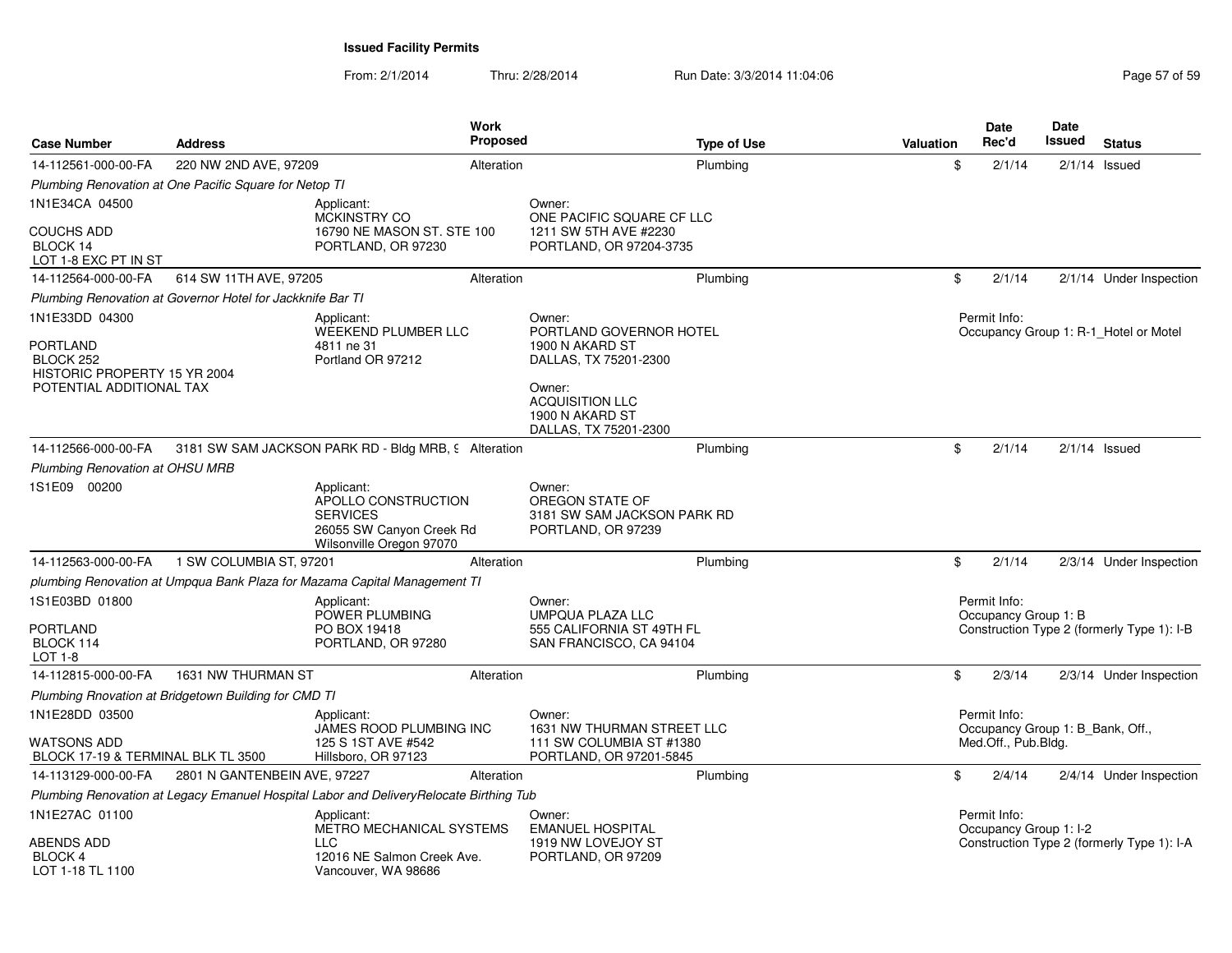From: 2/1/2014Thru: 2/28/2014 Run Date: 3/3/2014 11:04:06 Research 2010 2014 12:04:06

| <b>Case Number</b>                                                                                         | <b>Address</b>                                             | <b>Work</b><br><b>Proposed</b>                                                                               |                                                                                                                                                               | <b>Type of Use</b> | <b>Valuation</b> | <b>Date</b><br>Rec'd                             | Date<br>Issued | <b>Status</b>                              |
|------------------------------------------------------------------------------------------------------------|------------------------------------------------------------|--------------------------------------------------------------------------------------------------------------|---------------------------------------------------------------------------------------------------------------------------------------------------------------|--------------------|------------------|--------------------------------------------------|----------------|--------------------------------------------|
| 14-112561-000-00-FA                                                                                        | 220 NW 2ND AVE, 97209                                      | Alteration                                                                                                   |                                                                                                                                                               | Plumbing           | \$               | 2/1/14                                           |                | $2/1/14$ Issued                            |
|                                                                                                            | Plumbing Renovation at One Pacific Square for Netop TI     |                                                                                                              |                                                                                                                                                               |                    |                  |                                                  |                |                                            |
| 1N1E34CA 04500                                                                                             |                                                            | Applicant:                                                                                                   | Owner:                                                                                                                                                        |                    |                  |                                                  |                |                                            |
| <b>COUCHS ADD</b><br>BLOCK 14<br>LOT 1-8 EXC PT IN ST                                                      |                                                            | MCKINSTRY CO<br>16790 NE MASON ST, STE 100<br>PORTLAND, OR 97230                                             | ONE PACIFIC SQUARE CF LLC<br>1211 SW 5TH AVE #2230<br>PORTLAND, OR 97204-3735                                                                                 |                    |                  |                                                  |                |                                            |
| 14-112564-000-00-FA                                                                                        | 614 SW 11TH AVE, 97205                                     | Alteration                                                                                                   |                                                                                                                                                               | Plumbing           | \$               | 2/1/14                                           |                | 2/1/14 Under Inspection                    |
|                                                                                                            | Plumbing Renovation at Governor Hotel for Jackknife Bar TI |                                                                                                              |                                                                                                                                                               |                    |                  |                                                  |                |                                            |
| 1N1E33DD 04300<br><b>PORTLAND</b><br>BLOCK 252<br>HISTORIC PROPERTY 15 YR 2004<br>POTENTIAL ADDITIONAL TAX |                                                            | Applicant:<br>WEEKEND PLUMBER LLC<br>4811 ne 31<br>Portland OR 97212                                         | Owner:<br>PORTLAND GOVERNOR HOTEL<br>1900 N AKARD ST<br>DALLAS, TX 75201-2300<br>Owner:<br><b>ACQUISITION LLC</b><br>1900 N AKARD ST<br>DALLAS, TX 75201-2300 |                    |                  | Permit Info:                                     |                | Occupancy Group 1: R-1 Hotel or Motel      |
| 14-112566-000-00-FA                                                                                        |                                                            | 3181 SW SAM JACKSON PARK RD - Bldg MRB, 9 Alteration                                                         |                                                                                                                                                               | Plumbing           | \$               | 2/1/14                                           |                | $2/1/14$ Issued                            |
| Plumbing Renovation at OHSU MRB                                                                            |                                                            |                                                                                                              |                                                                                                                                                               |                    |                  |                                                  |                |                                            |
| 1S1E09 00200                                                                                               |                                                            | Applicant:<br>APOLLO CONSTRUCTION<br><b>SERVICES</b><br>26055 SW Canyon Creek Rd<br>Wilsonville Oregon 97070 | Owner:<br>OREGON STATE OF<br>3181 SW SAM JACKSON PARK RD<br>PORTLAND, OR 97239                                                                                |                    |                  |                                                  |                |                                            |
| 14-112563-000-00-FA                                                                                        | 1 SW COLUMBIA ST, 97201                                    | Alteration                                                                                                   |                                                                                                                                                               | Plumbing           | \$               | 2/1/14                                           |                | 2/3/14 Under Inspection                    |
|                                                                                                            |                                                            | plumbing Renovation at Umpqua Bank Plaza for Mazama Capital Management TI                                    |                                                                                                                                                               |                    |                  |                                                  |                |                                            |
| 1S1E03BD 01800<br><b>PORTLAND</b><br>BLOCK 114<br>LOT 1-8                                                  |                                                            | Applicant:<br>POWER PLUMBING<br>PO BOX 19418<br>PORTLAND, OR 97280                                           | Owner:<br><b>UMPQUA PLAZA LLC</b><br>555 CALIFORNIA ST 49TH FL<br>SAN FRANCISCO, CA 94104                                                                     |                    |                  | Permit Info:<br>Occupancy Group 1: B             |                | Construction Type 2 (formerly Type 1): I-B |
| 14-112815-000-00-FA                                                                                        | 1631 NW THURMAN ST                                         | Alteration                                                                                                   |                                                                                                                                                               | Plumbing           | \$               | 2/3/14                                           |                | 2/3/14 Under Inspection                    |
|                                                                                                            | Plumbing Rnovation at Bridgetown Building for CMD TI       |                                                                                                              |                                                                                                                                                               |                    |                  |                                                  |                |                                            |
| 1N1E28DD 03500                                                                                             |                                                            | Applicant:<br>JAMES ROOD PLUMBING INC                                                                        | Owner:<br>1631 NW THURMAN STREET LLC                                                                                                                          |                    |                  | Permit Info:<br>Occupancy Group 1: B Bank, Off., |                |                                            |
| <b>WATSONS ADD</b><br>BLOCK 17-19 & TERMINAL BLK TL 3500                                                   |                                                            | 125 S 1ST AVE #542<br>Hillsboro, OR 97123                                                                    | 111 SW COLUMBIA ST #1380<br>PORTLAND, OR 97201-5845                                                                                                           |                    |                  | Med.Off., Pub.Bldg.                              |                |                                            |
| 14-113129-000-00-FA                                                                                        | 2801 N GANTENBEIN AVE, 97227                               | Alteration                                                                                                   |                                                                                                                                                               | Plumbing           | \$               | 2/4/14                                           |                | 2/4/14 Under Inspection                    |
|                                                                                                            |                                                            | Plumbing Renovation at Legacy Emanuel Hospital Labor and DeliveryRelocate Birthing Tub                       |                                                                                                                                                               |                    |                  |                                                  |                |                                            |
| 1N1E27AC 01100<br>ABENDS ADD                                                                               |                                                            | Applicant:<br>METRO MECHANICAL SYSTEMS<br>TT C                                                               | Owner:<br><b>EMANUEL HOSPITAL</b><br>1919 NW LOVEJOY ST                                                                                                       |                    |                  | Permit Info:<br>Occupancy Group 1: I-2           |                | Construction Type 2 (formerly Type 1): I-A |
| <b>BLOCK 4</b><br>LOT 1-18 TL 1100                                                                         |                                                            | 12016 NE Salmon Creek Ave.<br>Vancouver, WA 98686                                                            | PORTLAND, OR 97209                                                                                                                                            |                    |                  |                                                  |                |                                            |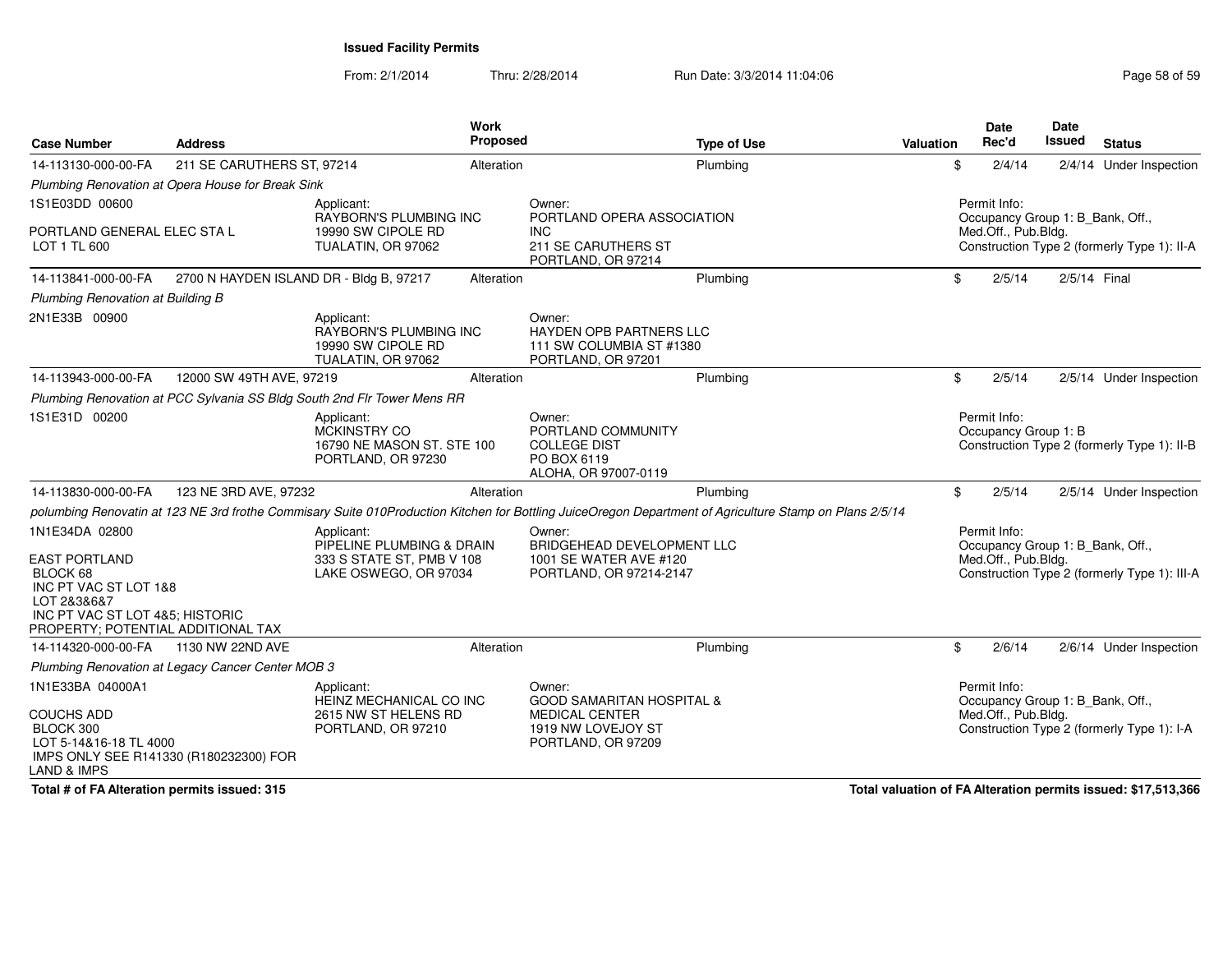From: 2/1/2014Thru: 2/28/2014 Run Date: 3/3/2014 11:04:06 Run Date: 3/3/2014 11:04:06

| <b>Case Number</b>                                                                                                                    | <b>Address</b>                                    | <b>Work</b><br><b>Proposed</b>                                                                |            | <b>Type of Use</b>                                                                                                                                      | Valuation | <b>Date</b><br>Rec'd                                                    | <b>Date</b><br>Issued | <b>Status</b>                                |
|---------------------------------------------------------------------------------------------------------------------------------------|---------------------------------------------------|-----------------------------------------------------------------------------------------------|------------|---------------------------------------------------------------------------------------------------------------------------------------------------------|-----------|-------------------------------------------------------------------------|-----------------------|----------------------------------------------|
| 14-113130-000-00-FA                                                                                                                   | 211 SE CARUTHERS ST, 97214                        | Alteration                                                                                    |            | Plumbing                                                                                                                                                |           | \$<br>2/4/14                                                            |                       | 2/4/14 Under Inspection                      |
|                                                                                                                                       | Plumbing Renovation at Opera House for Break Sink |                                                                                               |            |                                                                                                                                                         |           |                                                                         |                       |                                              |
| 1S1E03DD 00600                                                                                                                        |                                                   | Applicant:                                                                                    |            | Owner:                                                                                                                                                  |           | Permit Info:                                                            |                       |                                              |
| PORTLAND GENERAL ELEC STA L<br>LOT 1 TL 600                                                                                           |                                                   | RAYBORN'S PLUMBING INC<br>19990 SW CIPOLE RD<br>TUALATIN, OR 97062                            | <b>INC</b> | PORTLAND OPERA ASSOCIATION<br>211 SE CARUTHERS ST<br>PORTLAND, OR 97214                                                                                 |           | Occupancy Group 1: B_Bank, Off.,<br>Med.Off., Pub.Bldg.                 |                       | Construction Type 2 (formerly Type 1): II-A  |
| 14-113841-000-00-FA                                                                                                                   | 2700 N HAYDEN ISLAND DR - Bldg B, 97217           | Alteration                                                                                    |            | Plumbing                                                                                                                                                |           | \$<br>2/5/14                                                            | 2/5/14 Final          |                                              |
| Plumbing Renovation at Building B                                                                                                     |                                                   |                                                                                               |            |                                                                                                                                                         |           |                                                                         |                       |                                              |
| 2N1E33B 00900                                                                                                                         |                                                   | Applicant:<br><b>RAYBORN'S PLUMBING INC</b><br>19990 SW CIPOLE RD<br>TUALATIN, OR 97062       | Owner:     | <b>HAYDEN OPB PARTNERS LLC</b><br>111 SW COLUMBIA ST #1380<br>PORTLAND, OR 97201                                                                        |           |                                                                         |                       |                                              |
| 14-113943-000-00-FA                                                                                                                   | 12000 SW 49TH AVE, 97219                          | Alteration                                                                                    |            | Plumbing                                                                                                                                                |           | \$<br>2/5/14                                                            |                       | 2/5/14 Under Inspection                      |
|                                                                                                                                       |                                                   | Plumbing Renovation at PCC Sylvania SS Bldg South 2nd Flr Tower Mens RR                       |            |                                                                                                                                                         |           |                                                                         |                       |                                              |
| 1S1E31D 00200                                                                                                                         |                                                   | Applicant:<br><b>MCKINSTRY CO</b><br>16790 NE MASON ST. STE 100<br>PORTLAND, OR 97230         |            | Owner:<br>PORTLAND COMMUNITY<br><b>COLLEGE DIST</b><br>PO BOX 6119<br>ALOHA, OR 97007-0119                                                              |           | Permit Info:<br>Occupancy Group 1: B                                    |                       | Construction Type 2 (formerly Type 1): II-B  |
| 14-113830-000-00-FA                                                                                                                   | 123 NE 3RD AVE, 97232                             | Alteration                                                                                    |            | Plumbing                                                                                                                                                |           | \$<br>2/5/14                                                            |                       | 2/5/14 Under Inspection                      |
|                                                                                                                                       |                                                   |                                                                                               |            | polumbing Renovatin at 123 NE 3rd frothe Commisary Suite 010Production Kitchen for Bottling JuiceOregon Department of Agriculture Stamp on Plans 2/5/14 |           |                                                                         |                       |                                              |
| 1N1E34DA 02800<br><b>EAST PORTLAND</b><br>BLOCK 68<br>INC PT VAC ST LOT 1&8<br>LOT 2&3&6&7                                            |                                                   | Applicant:<br>PIPELINE PLUMBING & DRAIN<br>333 S STATE ST, PMB V 108<br>LAKE OSWEGO, OR 97034 | Owner:     | BRIDGEHEAD DEVELOPMENT LLC<br>1001 SE WATER AVE #120<br>PORTLAND, OR 97214-2147                                                                         |           | Permit Info:<br>Occupancy Group 1: B Bank, Off.,<br>Med.Off., Pub.Bldg. |                       | Construction Type 2 (formerly Type 1): III-A |
| INC PT VAC ST LOT 4&5; HISTORIC<br>PROPERTY; POTENTIAL ADDITIONAL TAX                                                                 |                                                   |                                                                                               |            |                                                                                                                                                         |           |                                                                         |                       |                                              |
| 14-114320-000-00-FA                                                                                                                   | 1130 NW 22ND AVE                                  | Alteration                                                                                    |            | Plumbing                                                                                                                                                |           | \$<br>2/6/14                                                            |                       | 2/6/14 Under Inspection                      |
|                                                                                                                                       | Plumbing Renovation at Legacy Cancer Center MOB 3 |                                                                                               |            |                                                                                                                                                         |           |                                                                         |                       |                                              |
| 1N1E33BA 04000A1<br><b>COUCHS ADD</b><br>BLOCK 300<br>LOT 5-14&16-18 TL 4000<br>IMPS ONLY SEE R141330 (R180232300) FOR<br>LAND & IMPS |                                                   | Applicant:<br>HEINZ MECHANICAL CO INC<br>2615 NW ST HELENS RD<br>PORTLAND, OR 97210           |            | Owner:<br><b>GOOD SAMARITAN HOSPITAL &amp;</b><br>MEDICAL CENTER<br>1919 NW LOVEJOY ST<br>PORTLAND, OR 97209                                            |           | Permit Info:<br>Occupancy Group 1: B Bank, Off.,<br>Med.Off., Pub.Bldg. |                       | Construction Type 2 (formerly Type 1): I-A   |

**Total # of FA Alteration permits issued: 315**

**Total valuation of FA Alteration permits issued: \$17,513,366**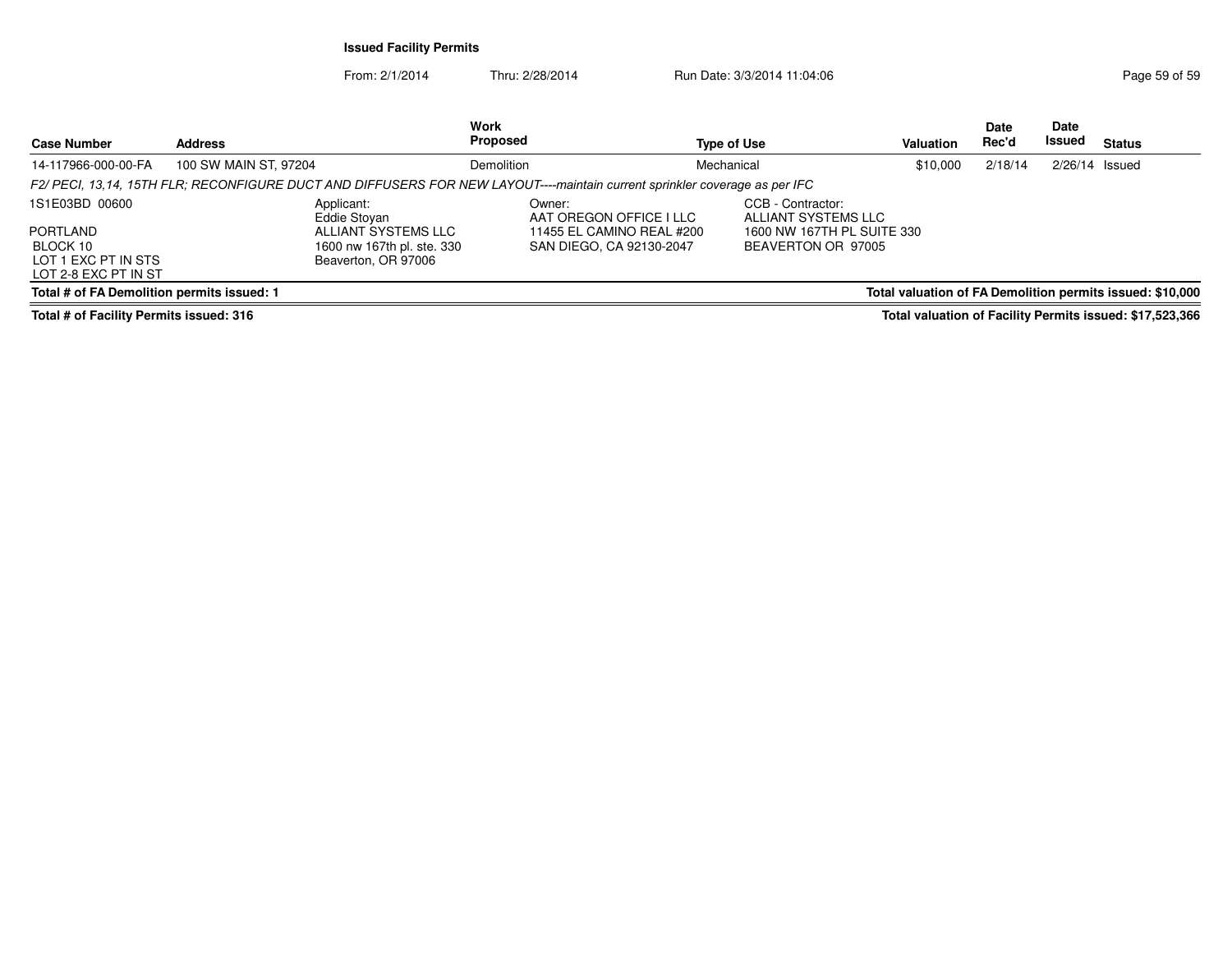From: 2/1/2014Thru: 2/28/2014 Run Date: 3/3/2014 11:04:06 Page 59 of 59

**StatusDate Rec'd Issued DateIssued Type of Use ValuationWork S** Proposed **Case Number Address***F2/ PECI, 13,14, 15TH FLR; RECONFIGURE DUCT AND DIFFUSERS FOR NEW LAYOUT----maintain current sprinkler coverage as per IFC*  CCB - Contractor:1S1E03BD 00600PORTLAND BLOCK 10 LOT 1 EXC PT IN STS LOT 2-8 EXC PT IN ST **Total # of FA Demolition permits issued: 1**Applicant: Eddie Stoyan ALLIANT SYSTEMS LLC 1600 nw 167th pl. ste. 330Beaverton, OR 97006Owner: AAT OREGON OFFICE I LLC 11455 EL CAMINO REAL #200SAN DIEGO, CA 92130-2047 ALLIANT SYSTEMS LLC 1600 NW 167TH PL SUITE 330BEAVERTON OR 9700514-117966-000-00-FAA 100 SW MAIN ST, 97204 **Demolition** Demolition **Mechanical** Mechanical 510,000 2/18/14 2/26/14 Issued **Total valuation of FA Demolition permits issued: \$10,000**

**Total # of Facility Permits issued: 316**

**Total valuation of Facility Permits issued: \$17,523,366**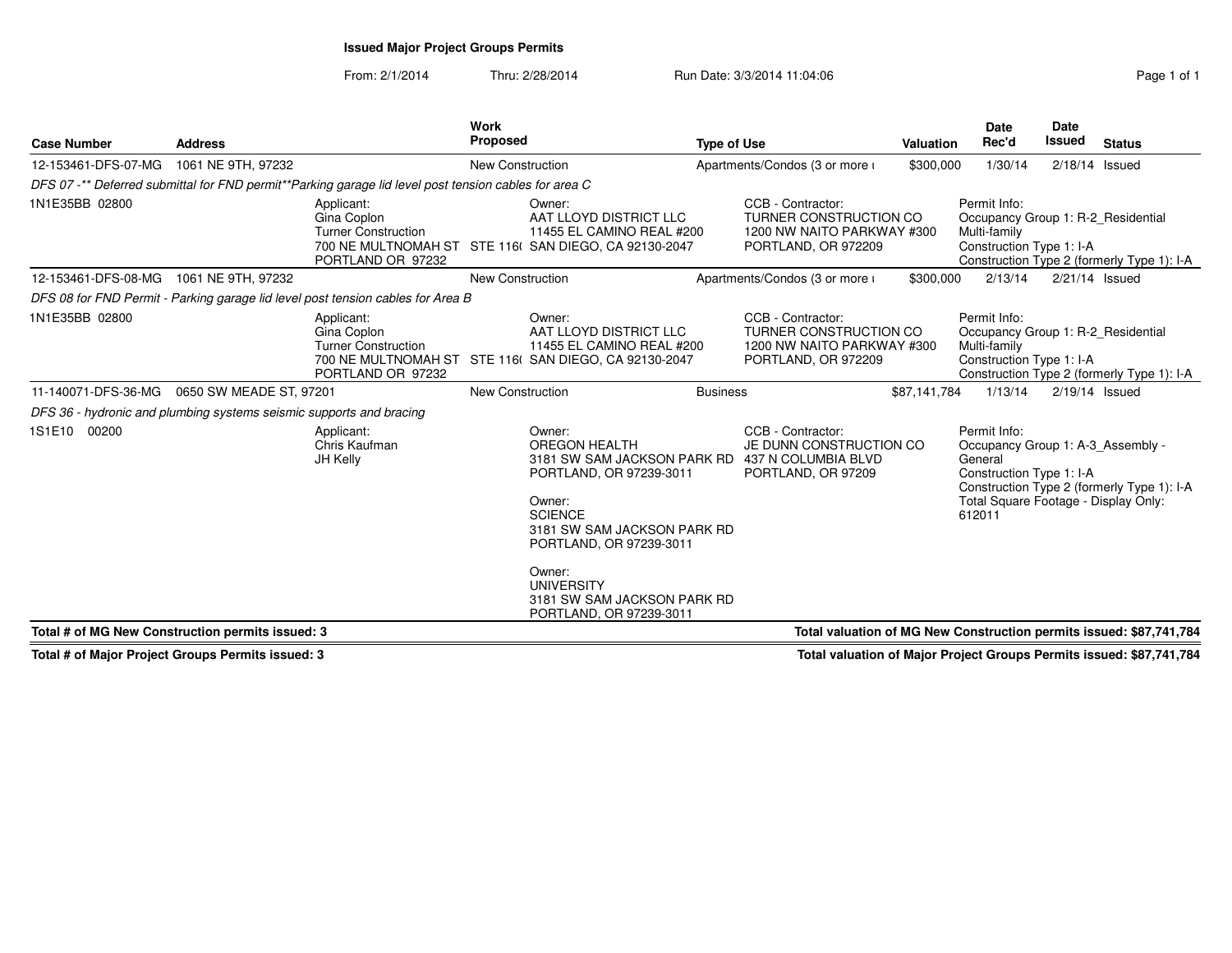# **Issued Major Project Groups Permits**

From: 2/1/2014Thru: 2/28/2014 Run Date: 3/3/2014 11:04:06 Run Date: 3/3/2014 11:04:06

| <b>Case Number</b>                                                  | <b>Address</b>          |                                                                                                       | Work<br><b>Proposed</b> |                                                                                                                                                                                                                                                                                      | <b>Type of Use</b> |                                                                                                  | <b>Valuation</b> | <b>Date</b><br>Rec'd                                                                                                                       | <b>Date</b><br><b>Issued</b> | <b>Status</b>                              |
|---------------------------------------------------------------------|-------------------------|-------------------------------------------------------------------------------------------------------|-------------------------|--------------------------------------------------------------------------------------------------------------------------------------------------------------------------------------------------------------------------------------------------------------------------------------|--------------------|--------------------------------------------------------------------------------------------------|------------------|--------------------------------------------------------------------------------------------------------------------------------------------|------------------------------|--------------------------------------------|
| 12-153461-DFS-07-MG                                                 | 1061 NE 9TH, 97232      |                                                                                                       | <b>New Construction</b> |                                                                                                                                                                                                                                                                                      |                    | Apartments/Condos (3 or more i                                                                   | \$300,000        | 1/30/14                                                                                                                                    | 2/18/14                      | Issued                                     |
|                                                                     |                         | DFS 07 -** Deferred submittal for FND permit**Parking garage lid level post tension cables for area C |                         |                                                                                                                                                                                                                                                                                      |                    |                                                                                                  |                  |                                                                                                                                            |                              |                                            |
| 1N1E35BB 02800                                                      |                         | Applicant:<br>Gina Coplon<br><b>Turner Construction</b><br>PORTLAND OR 97232                          |                         | Owner:<br>AAT LLOYD DISTRICT LLC<br>11455 EL CAMINO REAL #200<br>700 NE MULTNOMAH ST STE 116( SAN DIEGO, CA 92130-2047                                                                                                                                                               |                    | CCB - Contractor:<br>TURNER CONSTRUCTION CO<br>1200 NW NAITO PARKWAY #300<br>PORTLAND, OR 972209 |                  | Permit Info:<br>Occupancy Group 1: R-2 Residential<br>Multi-family<br>Construction Type 1: I-A                                             |                              | Construction Type 2 (formerly Type 1): I-A |
| 12-153461-DFS-08-MG                                                 | 1061 NE 9TH, 97232      |                                                                                                       | <b>New Construction</b> |                                                                                                                                                                                                                                                                                      |                    | Apartments/Condos (3 or more i                                                                   | \$300,000        | 2/13/14                                                                                                                                    | 2/21/14 Issued               |                                            |
|                                                                     |                         | DFS 08 for FND Permit - Parking garage lid level post tension cables for Area B                       |                         |                                                                                                                                                                                                                                                                                      |                    |                                                                                                  |                  |                                                                                                                                            |                              |                                            |
| 1N1E35BB 02800                                                      |                         | Applicant:<br>Gina Coplon<br><b>Turner Construction</b><br>PORTLAND OR 97232                          |                         | Owner:<br>AAT LLOYD DISTRICT LLC<br>11455 EL CAMINO REAL #200<br>700 NE MULTNOMAH ST STE 116( SAN DIEGO, CA 92130-2047                                                                                                                                                               |                    | CCB - Contractor:<br>TURNER CONSTRUCTION CO<br>1200 NW NAITO PARKWAY #300<br>PORTLAND, OR 972209 |                  | Permit Info:<br>Occupancy Group 1: R-2 Residential<br>Multi-family<br>Construction Type 1: I-A                                             |                              | Construction Type 2 (formerly Type 1): I-A |
| 11-140071-DFS-36-MG                                                 | 0650 SW MEADE ST, 97201 |                                                                                                       | <b>New Construction</b> |                                                                                                                                                                                                                                                                                      | <b>Business</b>    |                                                                                                  | \$87,141,784     | 1/13/14                                                                                                                                    | $2/19/14$ Issued             |                                            |
| DFS 36 - hydronic and plumbing systems seismic supports and bracing |                         |                                                                                                       |                         |                                                                                                                                                                                                                                                                                      |                    |                                                                                                  |                  |                                                                                                                                            |                              |                                            |
| 1S1E10 00200                                                        |                         | Applicant:<br>Chris Kaufman<br>JH Kelly                                                               |                         | Owner:<br>OREGON HEALTH<br>3181 SW SAM JACKSON PARK RD 437 N COLUMBIA BLVD<br>PORTLAND, OR 97239-3011<br>Owner:<br><b>SCIENCE</b><br>3181 SW SAM JACKSON PARK RD<br>PORTLAND, OR 97239-3011<br>Owner:<br><b>UNIVERSITY</b><br>3181 SW SAM JACKSON PARK RD<br>PORTLAND, OR 97239-3011 |                    | CCB - Contractor:<br>JE DUNN CONSTRUCTION CO<br>PORTLAND, OR 97209                               |                  | Permit Info:<br>Occupancy Group 1: A-3 Assembly -<br>General<br>Construction Type 1: I-A<br>Total Square Footage - Display Only:<br>612011 |                              | Construction Type 2 (formerly Type 1): I-A |
| Total # of MG New Construction permits issued: 3                    |                         |                                                                                                       |                         |                                                                                                                                                                                                                                                                                      |                    | Total valuation of MG New Construction permits issued: \$87,741,784                              |                  |                                                                                                                                            |                              |                                            |

**Total # of Major Project Groups Permits issued: 3**

**Total valuation of Major Project Groups Permits issued: \$87,741,784**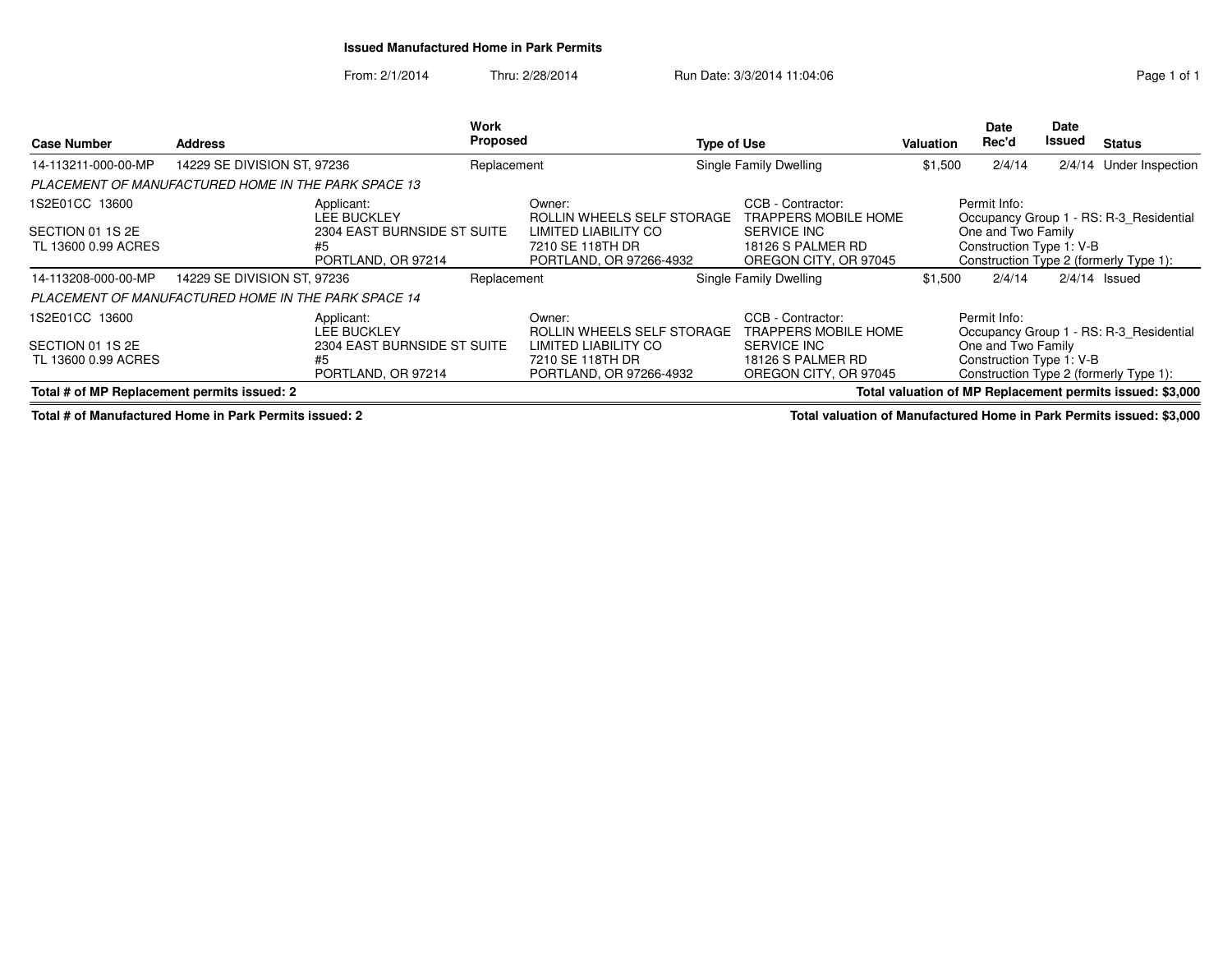## **Issued Manufactured Home in Park Permits**

From: 2/1/2014Thru: 2/28/2014 Run Date: 3/3/2014 11:04:06 Run Date: 3/3/2014 11:04:06

| <b>Case Number</b>                                                                                                                                       | <b>Address</b>                                                                                           |                                                                                             | Work<br>Proposed |                                                                                                             | <b>Type of Use</b> |                                                                                                        | <b>Valuation</b> | Date<br>Rec'd                                                  | <b>Date</b><br>Issued | <b>Status</b>                                                                     |
|----------------------------------------------------------------------------------------------------------------------------------------------------------|----------------------------------------------------------------------------------------------------------|---------------------------------------------------------------------------------------------|------------------|-------------------------------------------------------------------------------------------------------------|--------------------|--------------------------------------------------------------------------------------------------------|------------------|----------------------------------------------------------------|-----------------------|-----------------------------------------------------------------------------------|
| 14-113211-000-00-MP                                                                                                                                      | 14229 SE DIVISION ST, 97236                                                                              |                                                                                             | Replacement      |                                                                                                             |                    | Single Family Dwelling                                                                                 | \$1,500          | 2/4/14                                                         | 2/4/14                | Under Inspection                                                                  |
| PLACEMENT OF MANUFACTURED HOME IN THE PARK SPACE 13                                                                                                      |                                                                                                          |                                                                                             |                  |                                                                                                             |                    |                                                                                                        |                  |                                                                |                       |                                                                                   |
| 1S2E01CC 13600<br>Applicant:<br><b>LEE BUCKLEY</b><br>2304 EAST BURNSIDE ST SUITE<br>SECTION 01 1S 2E<br>TL 13600 0.99 ACRES<br>#5<br>PORTLAND, OR 97214 |                                                                                                          |                                                                                             |                  | Owner:<br>ROLLIN WHEELS SELF STORAGE<br>LIMITED LIABILITY CO<br>7210 SE 118TH DR<br>PORTLAND, OR 97266-4932 |                    | CCB - Contractor:<br>TRAPPERS MOBILE HOME<br>SERVICE INC<br>18126 S PALMER RD<br>OREGON CITY, OR 97045 |                  | Permit Info:<br>One and Two Family<br>Construction Type 1: V-B |                       | Occupancy Group 1 - RS: R-3 Residential<br>Construction Type 2 (formerly Type 1): |
| 14-113208-000-00-MP                                                                                                                                      | 14229 SE DIVISION ST, 97236                                                                              |                                                                                             | Replacement      |                                                                                                             |                    | Single Family Dwelling                                                                                 | \$1,500          | 2/4/14                                                         |                       | $2/4/14$ Issued                                                                   |
| <b>PLACEMENT OF MANUFACTURED HOME IN THE PARK SPACE 14</b>                                                                                               |                                                                                                          |                                                                                             |                  |                                                                                                             |                    |                                                                                                        |                  |                                                                |                       |                                                                                   |
| 1S2E01CC 13600<br>SECTION 01 1S 2E<br>TL 13600 0.99 ACRES                                                                                                |                                                                                                          | Applicant:<br><b>LEE BUCKLEY</b><br>2304 EAST BURNSIDE ST SUITE<br>#5<br>PORTLAND, OR 97214 |                  | Owner:<br>ROLLIN WHEELS SELF STORAGE<br>LIMITED LIABILITY CO<br>7210 SE 118TH DR<br>PORTLAND, OR 97266-4932 |                    | CCB - Contractor:<br>TRAPPERS MOBILE HOME<br>SERVICE INC<br>18126 S PALMER RD<br>OREGON CITY, OR 97045 |                  | Permit Info:<br>One and Two Family<br>Construction Type 1: V-B |                       | Occupancy Group 1 - RS: R-3 Residential<br>Construction Type 2 (formerly Type 1): |
|                                                                                                                                                          | Total # of MP Replacement permits issued: 2<br>Total valuation of MP Replacement permits issued: \$3,000 |                                                                                             |                  |                                                                                                             |                    |                                                                                                        |                  |                                                                |                       |                                                                                   |

**Total # of Manufactured Home in Park Permits issued: 2**

**Total valuation of Manufactured Home in Park Permits issued: \$3,000**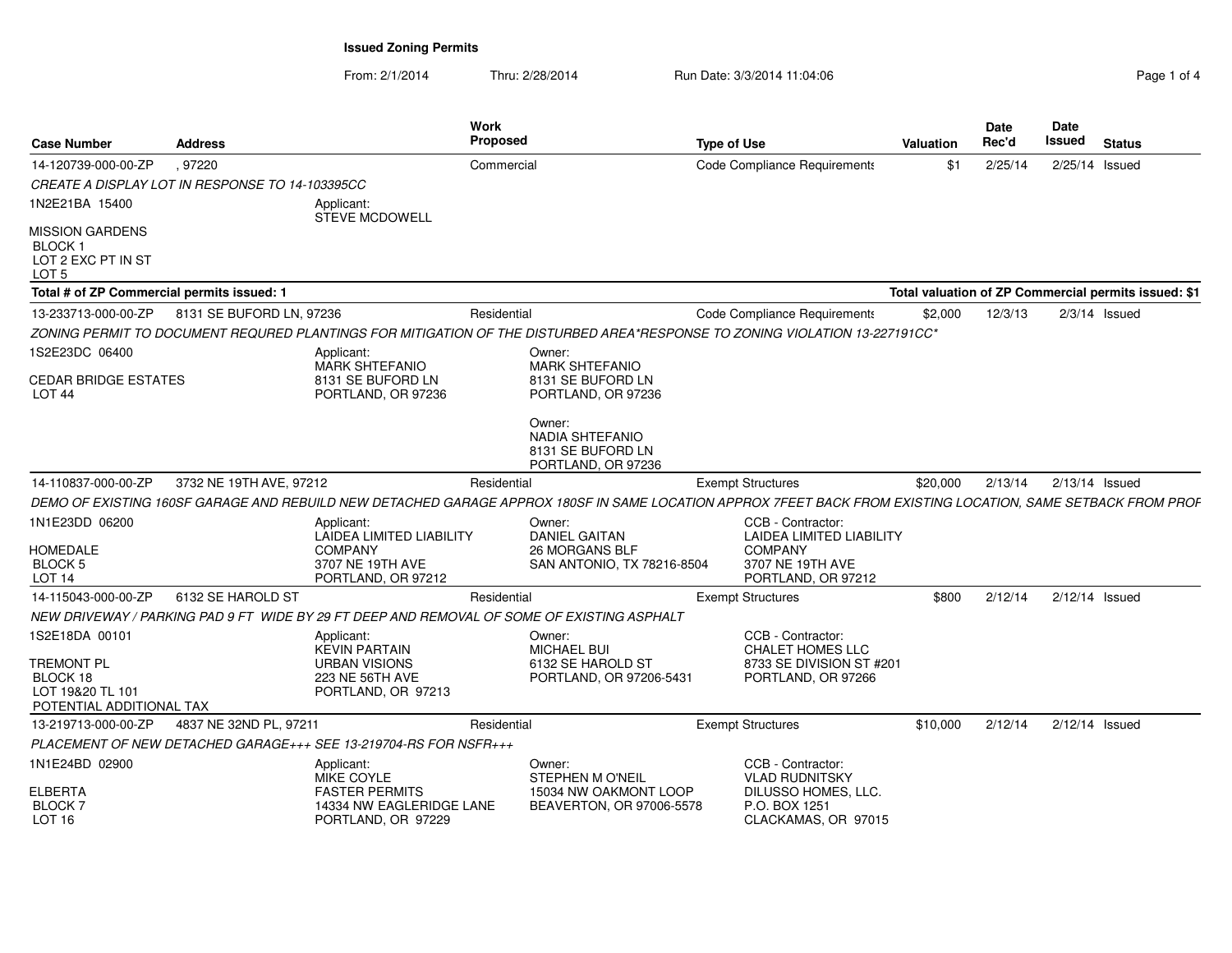From: 2/1/2014Thru: 2/28/2014 Run Date: 3/3/2014 11:04:06 Page 1 of 4

| Page 1 of 4 |  |  |  |
|-------------|--|--|--|
|-------------|--|--|--|

| <b>Case Number</b>                                                          | <b>Address</b>           |                                                                                       | Work<br><b>Proposed</b>                                                                                                                                      | <b>Type of Use</b>                                                                   | Valuation                                            | Date<br>Rec'd | <b>Date</b><br>Issued | <b>Status</b>   |
|-----------------------------------------------------------------------------|--------------------------|---------------------------------------------------------------------------------------|--------------------------------------------------------------------------------------------------------------------------------------------------------------|--------------------------------------------------------------------------------------|------------------------------------------------------|---------------|-----------------------|-----------------|
| 14-120739-000-00-ZP                                                         | .97220                   |                                                                                       | Commercial                                                                                                                                                   | Code Compliance Requirements                                                         | \$1                                                  | 2/25/14       | 2/25/14 Issued        |                 |
| CREATE A DISPLAY LOT IN RESPONSE TO 14-103395CC                             |                          |                                                                                       |                                                                                                                                                              |                                                                                      |                                                      |               |                       |                 |
| 1N2E21BA 15400                                                              |                          | Applicant:<br><b>STEVE MCDOWELL</b>                                                   |                                                                                                                                                              |                                                                                      |                                                      |               |                       |                 |
| <b>MISSION GARDENS</b><br>BLOCK 1<br>LOT 2 EXC PT IN ST<br>LOT <sub>5</sub> |                          |                                                                                       |                                                                                                                                                              |                                                                                      |                                                      |               |                       |                 |
| Total # of ZP Commercial permits issued: 1                                  |                          |                                                                                       |                                                                                                                                                              |                                                                                      | Total valuation of ZP Commercial permits issued: \$1 |               |                       |                 |
| 13-233713-000-00-ZP                                                         | 8131 SE BUFORD LN, 97236 |                                                                                       | Residential                                                                                                                                                  | Code Compliance Requirements                                                         | \$2,000                                              | 12/3/13       |                       | $2/3/14$ Issued |
|                                                                             |                          |                                                                                       | ZONING PERMIT TO DOCUMENT REQURED PLANTINGS FOR MITIGATION OF THE DISTURBED AREA*RESPONSE TO ZONING VIOLATION 13-227191CC*                                   |                                                                                      |                                                      |               |                       |                 |
| 1S2E23DC 06400                                                              |                          | Applicant:<br><b>MARK SHTEFANIO</b>                                                   | Owner:<br><b>MARK SHTEFANIO</b>                                                                                                                              |                                                                                      |                                                      |               |                       |                 |
| CEDAR BRIDGE ESTATES<br><b>LOT 44</b>                                       |                          | 8131 SE BUFORD LN<br>PORTLAND, OR 97236                                               | 8131 SE BUFORD LN<br>PORTLAND, OR 97236                                                                                                                      |                                                                                      |                                                      |               |                       |                 |
|                                                                             |                          |                                                                                       | Owner:<br>NADIA SHTEFANIO<br>8131 SE BUFORD LN<br>PORTLAND, OR 97236                                                                                         |                                                                                      |                                                      |               |                       |                 |
| 14-110837-000-00-ZP                                                         | 3732 NE 19TH AVE, 97212  |                                                                                       | Residential                                                                                                                                                  | <b>Exempt Structures</b>                                                             | \$20,000                                             | 2/13/14       | $2/13/14$ Issued      |                 |
|                                                                             |                          |                                                                                       | DEMO OF EXISTING 160SF GARAGE AND REBUILD NEW DETACHED GARAGE APPROX 180SF IN SAME LOCATION APPROX 7FEET BACK FROM EXISTING LOCATION, SAME SETBACK FROM PROF |                                                                                      |                                                      |               |                       |                 |
| 1N1E23DD 06200                                                              |                          | Applicant:                                                                            | Owner:                                                                                                                                                       | CCB - Contractor:                                                                    |                                                      |               |                       |                 |
|                                                                             |                          | <b>LAIDEA LIMITED LIABILITY</b>                                                       | <b>DANIEL GAITAN</b>                                                                                                                                         | <b>LAIDEA LIMITED LIABILITY</b>                                                      |                                                      |               |                       |                 |
| <b>HOMEDALE</b><br>BLOCK 5                                                  |                          | <b>COMPANY</b><br>3707 NE 19TH AVE                                                    | 26 MORGANS BLF<br>SAN ANTONIO, TX 78216-8504                                                                                                                 | <b>COMPANY</b><br>3707 NE 19TH AVE                                                   |                                                      |               |                       |                 |
| LOT <sub>14</sub>                                                           |                          | PORTLAND, OR 97212                                                                    |                                                                                                                                                              | PORTLAND, OR 97212                                                                   |                                                      |               |                       |                 |
| 14-115043-000-00-ZP                                                         | 6132 SE HAROLD ST        |                                                                                       | Residential                                                                                                                                                  | <b>Exempt Structures</b>                                                             | \$800                                                | 2/12/14       | $2/12/14$ Issued      |                 |
|                                                                             |                          |                                                                                       | NEW DRIVEWAY / PARKING PAD 9 FT WIDE BY 29 FT DEEP AND REMOVAL OF SOME OF EXISTING ASPHALT                                                                   |                                                                                      |                                                      |               |                       |                 |
| 1S2E18DA 00101                                                              |                          | Applicant:<br><b>KEVIN PARTAIN</b>                                                    | Owner:<br><b>MICHAEL BUI</b>                                                                                                                                 | CCB - Contractor:<br><b>CHALET HOMES LLC</b>                                         |                                                      |               |                       |                 |
| Tremont Pl<br>BLOCK 18<br>LOT 19&20 TL 101<br>POTENTIAL ADDITIONAL TAX      |                          | <b>URBAN VISIONS</b><br>223 NE 56TH AVE<br>PORTLAND, OR 97213                         | 6132 SE HAROLD ST<br>PORTLAND, OR 97206-5431                                                                                                                 | 8733 SE DIVISION ST #201<br>PORTLAND, OR 97266                                       |                                                      |               |                       |                 |
| 13-219713-000-00-ZP                                                         | 4837 NE 32ND PL, 97211   |                                                                                       | Residential                                                                                                                                                  | <b>Exempt Structures</b>                                                             | \$10,000                                             | 2/12/14       | $2/12/14$ Issued      |                 |
|                                                                             |                          | PLACEMENT OF NEW DETACHED GARAGE+++ SEE 13-219704-RS FOR NSFR+++                      |                                                                                                                                                              |                                                                                      |                                                      |               |                       |                 |
| 1N1E24BD 02900                                                              |                          | Applicant:                                                                            | Owner:                                                                                                                                                       | CCB - Contractor:                                                                    |                                                      |               |                       |                 |
| ELBERTA<br><b>BLOCK7</b><br><b>LOT 16</b>                                   |                          | MIKE COYLE<br><b>FASTER PERMITS</b><br>14334 NW EAGLERIDGE LANE<br>PORTLAND, OR 97229 | STEPHEN M O'NEIL<br>15034 NW OAKMONT LOOP<br>BEAVERTON, OR 97006-5578                                                                                        | <b>VLAD RUDNITSKY</b><br>DILUSSO HOMES, LLC.<br>P.O. BOX 1251<br>CLACKAMAS, OR 97015 |                                                      |               |                       |                 |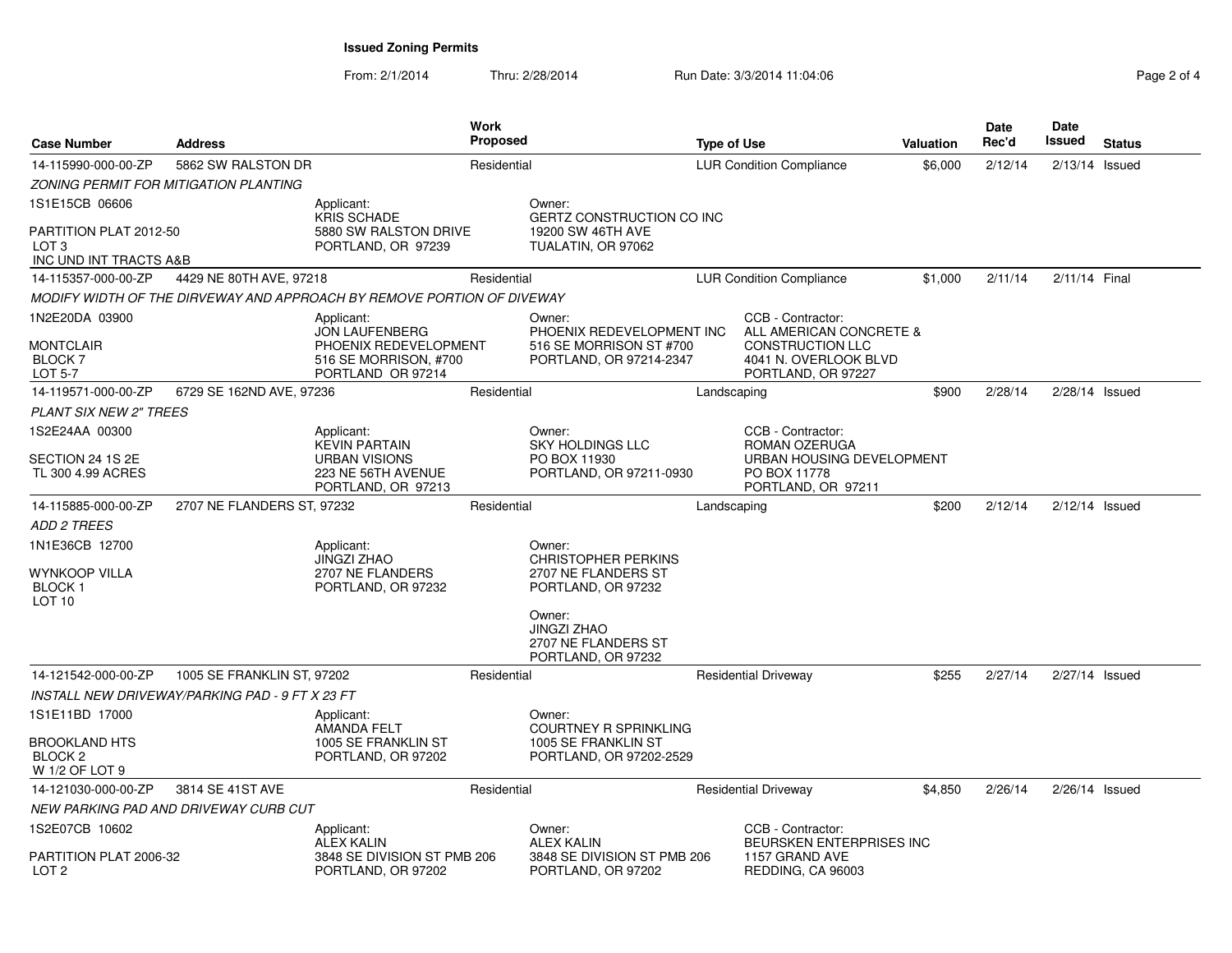From: 2/1/2014Thru: 2/28/2014 Run Date: 3/3/2014 11:04:06 Research 2010 Rage 2 of 4

| <b>Case Number</b><br><b>Address</b>                                  |                                                                                                     |                                                                             | Work<br><b>Proposed</b>                                                                   |                                 | <b>Type of Use</b>                                                                                                     |         | Date<br>Rec'd | Date<br>Issued   | <b>Status</b> |
|-----------------------------------------------------------------------|-----------------------------------------------------------------------------------------------------|-----------------------------------------------------------------------------|-------------------------------------------------------------------------------------------|---------------------------------|------------------------------------------------------------------------------------------------------------------------|---------|---------------|------------------|---------------|
| 14-115990-000-00-ZP                                                   | 5862 SW RALSTON DR                                                                                  | Residential                                                                 |                                                                                           | <b>LUR Condition Compliance</b> |                                                                                                                        | \$6,000 | 2/12/14       | $2/13/14$ Issued |               |
| ZONING PERMIT FOR MITIGATION PLANTING                                 |                                                                                                     |                                                                             |                                                                                           |                                 |                                                                                                                        |         |               |                  |               |
| 1S1E15CB 06606                                                        | Applicant:                                                                                          |                                                                             | Owner:                                                                                    |                                 |                                                                                                                        |         |               |                  |               |
| PARTITION PLAT 2012-50<br>LOT <sub>3</sub><br>INC UND INT TRACTS A&B  | <b>KRIS SCHADE</b><br>5880 SW RALSTON DRIVE<br>PORTLAND, OR 97239                                   | <b>GERTZ CONSTRUCTION CO INC</b><br>19200 SW 46TH AVE<br>TUALATIN, OR 97062 |                                                                                           |                                 |                                                                                                                        |         |               |                  |               |
| 14-115357-000-00-ZP                                                   | 4429 NE 80TH AVE, 97218                                                                             | Residential                                                                 |                                                                                           |                                 | <b>LUR Condition Compliance</b>                                                                                        | \$1,000 | 2/11/14       | 2/11/14 Final    |               |
|                                                                       | MODIFY WIDTH OF THE DIRVEWAY AND APPROACH BY REMOVE PORTION OF DIVEWAY                              |                                                                             |                                                                                           |                                 |                                                                                                                        |         |               |                  |               |
| 1N2E20DA 03900<br>MONTCLAIR<br><b>BLOCK7</b><br>LOT 5-7               | Applicant:<br>JON LAUFENBERG<br>PHOENIX REDEVELOPMENT<br>516 SE MORRISON, #700<br>PORTLAND OR 97214 |                                                                             | Owner:<br>PHOENIX REDEVELOPMENT INC<br>516 SE MORRISON ST #700<br>PORTLAND, OR 97214-2347 |                                 | CCB - Contractor:<br>ALL AMERICAN CONCRETE &<br><b>CONSTRUCTION LLC</b><br>4041 N. OVERLOOK BLVD<br>PORTLAND, OR 97227 |         |               |                  |               |
| 14-119571-000-00-ZP                                                   | 6729 SE 162ND AVE, 97236                                                                            | Residential                                                                 |                                                                                           | Landscaping                     |                                                                                                                        | \$900   | 2/28/14       | 2/28/14 Issued   |               |
| <b>PLANT SIX NEW 2" TREES</b>                                         |                                                                                                     |                                                                             |                                                                                           |                                 |                                                                                                                        |         |               |                  |               |
| 1S2E24AA 00300                                                        | Applicant:<br><b>KEVIN PARTAIN</b>                                                                  |                                                                             | Owner:<br><b>SKY HOLDINGS LLC</b>                                                         |                                 | CCB - Contractor:<br>ROMAN OZERUGA                                                                                     |         |               |                  |               |
| SECTION 24 1S 2E<br>TL 300 4.99 ACRES                                 | <b>URBAN VISIONS</b><br>223 NE 56TH AVENUE<br>PORTLAND, OR 97213                                    |                                                                             | PO BOX 11930<br>PORTLAND, OR 97211-0930                                                   |                                 | URBAN HOUSING DEVELOPMENT<br>PO BOX 11778<br>PORTLAND, OR 97211                                                        |         |               |                  |               |
| 14-115885-000-00-ZP                                                   | 2707 NE FLANDERS ST. 97232                                                                          | Residential                                                                 |                                                                                           | Landscaping                     |                                                                                                                        | \$200   | 2/12/14       | $2/12/14$ Issued |               |
| <i>ADD 2 TREES</i>                                                    |                                                                                                     |                                                                             |                                                                                           |                                 |                                                                                                                        |         |               |                  |               |
| 1N1E36CB 12700<br>WYNKOOP VILLA<br><b>BLOCK1</b><br>LOT <sub>10</sub> | Applicant:<br>JINGZI ZHAO<br>2707 NE FLANDERS<br>PORTLAND, OR 97232                                 |                                                                             | Owner:<br><b>CHRISTOPHER PERKINS</b><br>2707 NE FLANDERS ST<br>PORTLAND, OR 97232         |                                 |                                                                                                                        |         |               |                  |               |
|                                                                       |                                                                                                     |                                                                             | Owner:<br><b>JINGZI ZHAO</b><br>2707 NE FLANDERS ST<br>PORTLAND, OR 97232                 |                                 |                                                                                                                        |         |               |                  |               |
| 14-121542-000-00-ZP                                                   | 1005 SE FRANKLIN ST, 97202                                                                          | Residential                                                                 |                                                                                           |                                 | <b>Residential Driveway</b>                                                                                            | \$255   | 2/27/14       | 2/27/14 Issued   |               |
| INSTALL NEW DRIVEWAY/PARKING PAD - 9 FT X 23 FT                       |                                                                                                     |                                                                             |                                                                                           |                                 |                                                                                                                        |         |               |                  |               |
| 1S1E11BD 17000                                                        | Applicant:                                                                                          |                                                                             | Owner:                                                                                    |                                 |                                                                                                                        |         |               |                  |               |
| <b>BROOKLAND HTS</b><br>BLOCK <sub>2</sub><br>W 1/2 OF LOT 9          | AMANDA FELT<br>1005 SE FRANKLIN ST<br>PORTLAND, OR 97202                                            |                                                                             | <b>COURTNEY R SPRINKLING</b><br>1005 SE FRANKLIN ST<br>PORTLAND, OR 97202-2529            |                                 |                                                                                                                        |         |               |                  |               |
| 14-121030-000-00-ZP                                                   | 3814 SE 41ST AVE                                                                                    | Residential                                                                 |                                                                                           |                                 | <b>Residential Driveway</b>                                                                                            | \$4,850 | 2/26/14       | 2/26/14 Issued   |               |
| NEW PARKING PAD AND DRIVEWAY CURB CUT                                 |                                                                                                     |                                                                             |                                                                                           |                                 |                                                                                                                        |         |               |                  |               |
| 1S2E07CB 10602<br>PARTITION PLAT 2006-32<br>LOT 2                     | Applicant:<br><b>ALEX KALIN</b><br>3848 SE DIVISION ST PMB 206<br>PORTLAND, OR 97202                |                                                                             | Owner:<br><b>ALEX KALIN</b><br>3848 SE DIVISION ST PMB 206<br>PORTLAND, OR 97202          |                                 | CCB - Contractor:<br>BEURSKEN ENTERPRISES INC<br>1157 GRAND AVE<br>REDDING, CA 96003                                   |         |               |                  |               |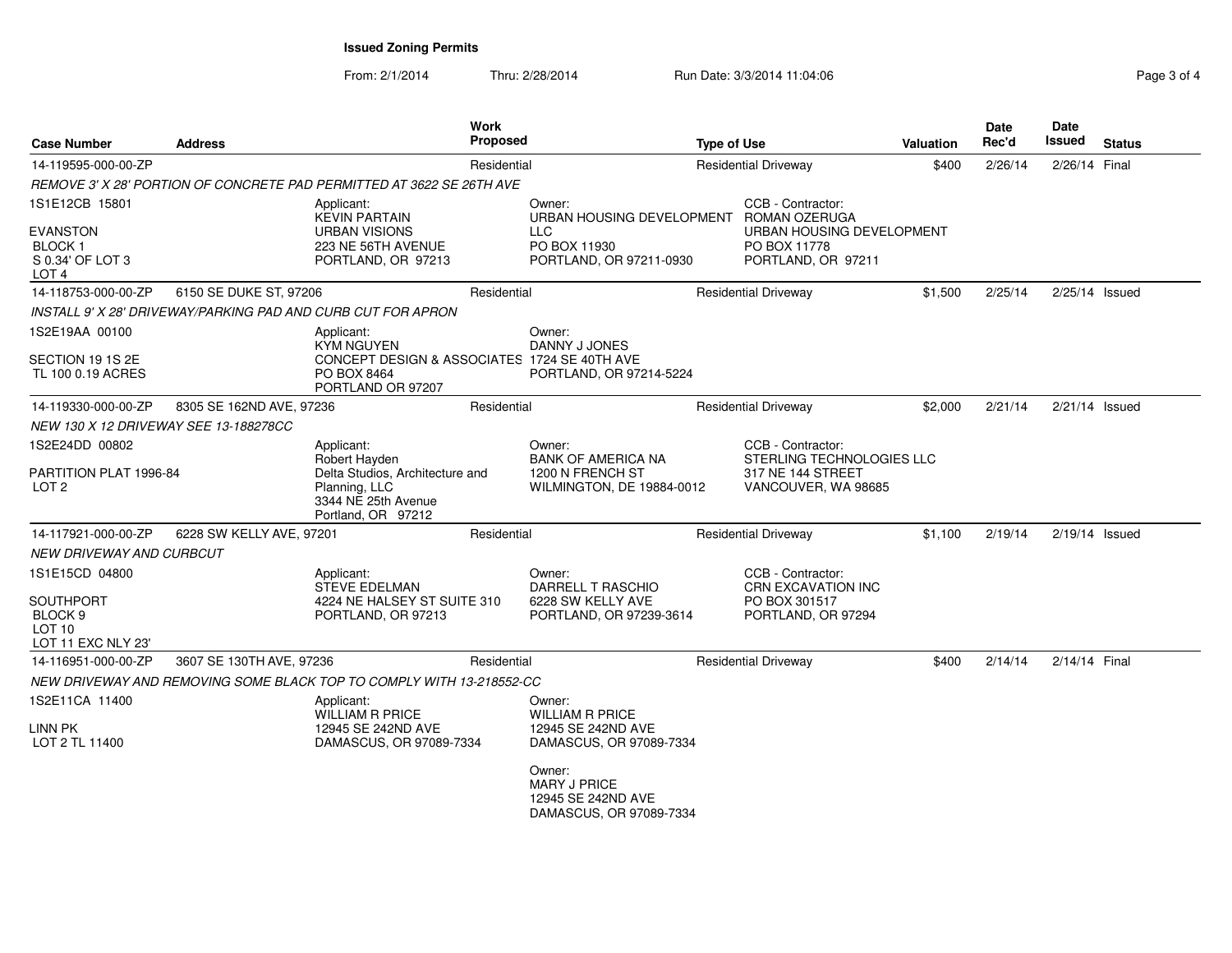From: 2/1/2014Thru: 2/28/2014 Run Date: 3/3/2014 11:04:06 Research 2012 12:04:06

| <b>Case Number</b><br><b>Address</b><br>14-119595-000-00-ZP                   |                          | <b>Work</b>                                                                                                    | <b>Proposed</b><br><b>Type of Use</b>                                          |                             |                                                                       | <b>Valuation</b> | Date<br>Rec'd | Date<br><b>Issued</b> | <b>Status</b> |
|-------------------------------------------------------------------------------|--------------------------|----------------------------------------------------------------------------------------------------------------|--------------------------------------------------------------------------------|-----------------------------|-----------------------------------------------------------------------|------------------|---------------|-----------------------|---------------|
|                                                                               |                          | Residential                                                                                                    |                                                                                | <b>Residential Driveway</b> |                                                                       |                  | 2/26/14       | 2/26/14 Final         |               |
|                                                                               |                          | REMOVE 3' X 28' PORTION OF CONCRETE PAD PERMITTED AT 3622 SE 26TH AVE                                          |                                                                                |                             |                                                                       |                  |               |                       |               |
| 1S1E12CB 15801                                                                |                          | Applicant:<br><b>KEVIN PARTAIN</b>                                                                             | Owner:<br>URBAN HOUSING DEVELOPMENT ROMAN OZERUGA                              |                             | CCB - Contractor:                                                     |                  |               |                       |               |
| <b>EVANSTON</b><br>BLOCK <sub>1</sub><br>S 0.34' OF LOT 3<br>LOT <sub>4</sub> |                          | <b>URBAN VISIONS</b><br>223 NE 56TH AVENUE<br>PORTLAND, OR 97213                                               | <b>LLC</b><br>PO BOX 11930<br>PORTLAND, OR 97211-0930                          |                             | URBAN HOUSING DEVELOPMENT<br>PO BOX 11778<br>PORTLAND, OR 97211       |                  |               |                       |               |
| 14-118753-000-00-ZP                                                           | 6150 SE DUKE ST, 97206   | Residential                                                                                                    |                                                                                |                             | <b>Residential Driveway</b>                                           | \$1,500          | 2/25/14       | $2/25/14$ Issued      |               |
|                                                                               |                          | INSTALL 9' X 28' DRIVEWAY/PARKING PAD AND CURB CUT FOR APRON                                                   |                                                                                |                             |                                                                       |                  |               |                       |               |
| 1S2E19AA 00100                                                                |                          | Applicant:<br><b>KYM NGUYEN</b>                                                                                | Owner:<br>DANNY J JONES                                                        |                             |                                                                       |                  |               |                       |               |
| SECTION 19 1S 2E<br>TL 100 0.19 ACRES                                         |                          | CONCEPT DESIGN & ASSOCIATES 1724 SE 40TH AVE<br>PO BOX 8464<br>PORTLAND OR 97207                               | PORTLAND, OR 97214-5224                                                        |                             |                                                                       |                  |               |                       |               |
| 14-119330-000-00-ZP                                                           | 8305 SE 162ND AVE, 97236 | Residential                                                                                                    |                                                                                |                             | <b>Residential Driveway</b>                                           | \$2,000          | 2/21/14       | 2/21/14 Issued        |               |
| NEW 130 X 12 DRIVEWAY SEE 13-188278CC                                         |                          |                                                                                                                |                                                                                |                             |                                                                       |                  |               |                       |               |
| 1S2E24DD 00802                                                                |                          | Applicant:                                                                                                     | Owner:                                                                         |                             | CCB - Contractor:                                                     |                  |               |                       |               |
| PARTITION PLAT 1996-84<br>LOT <sub>2</sub>                                    |                          | Robert Hayden<br>Delta Studios, Architecture and<br>Planning, LLC<br>3344 NE 25th Avenue<br>Portland, OR 97212 | <b>BANK OF AMERICA NA</b><br>1200 N FRENCH ST<br>WILMINGTON, DE 19884-0012     |                             | STERLING TECHNOLOGIES LLC<br>317 NE 144 STREET<br>VANCOUVER, WA 98685 |                  |               |                       |               |
| 14-117921-000-00-ZP                                                           | 6228 SW KELLY AVE, 97201 | Residential                                                                                                    |                                                                                |                             | <b>Residential Driveway</b>                                           | \$1,100          | 2/19/14       | 2/19/14 Issued        |               |
| NEW DRIVEWAY AND CURBCUT                                                      |                          |                                                                                                                |                                                                                |                             |                                                                       |                  |               |                       |               |
| 1S1E15CD 04800                                                                |                          | Applicant:<br><b>STEVE EDELMAN</b>                                                                             | Owner:<br>DARRELL T RASCHIO                                                    |                             | CCB - Contractor:<br><b>CRN EXCAVATION INC</b>                        |                  |               |                       |               |
| SOUTHPORT<br>BLOCK <sub>9</sub><br>LOT <sub>10</sub><br>LOT 11 EXC NLY 23'    |                          | 4224 NE HALSEY ST SUITE 310<br>PORTLAND, OR 97213                                                              | 6228 SW KELLY AVE<br>PORTLAND, OR 97239-3614                                   |                             | PO BOX 301517<br>PORTLAND, OR 97294                                   |                  |               |                       |               |
| 14-116951-000-00-ZP                                                           | 3607 SE 130TH AVE, 97236 | Residential                                                                                                    |                                                                                |                             | <b>Residential Driveway</b>                                           | \$400            | 2/14/14       | 2/14/14 Final         |               |
|                                                                               |                          | NEW DRIVEWAY AND REMOVING SOME BLACK TOP TO COMPLY WITH 13-218552-CC                                           |                                                                                |                             |                                                                       |                  |               |                       |               |
| 1S2E11CA 11400                                                                |                          | Applicant:<br><b>WILLIAM R PRICE</b>                                                                           | Owner:<br><b>WILLIAM R PRICE</b>                                               |                             |                                                                       |                  |               |                       |               |
| LINN PK<br>LOT 2 TL 11400                                                     |                          | 12945 SE 242ND AVE<br>DAMASCUS, OR 97089-7334                                                                  | 12945 SE 242ND AVE<br>DAMASCUS, OR 97089-7334                                  |                             |                                                                       |                  |               |                       |               |
|                                                                               |                          |                                                                                                                | Owner:<br><b>MARY J PRICE</b><br>12945 SE 242ND AVE<br>DAMASCUS, OR 97089-7334 |                             |                                                                       |                  |               |                       |               |